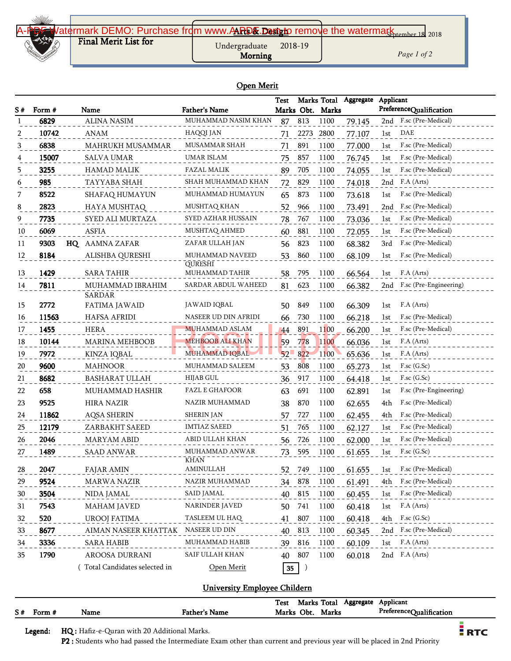

*Page 1 of 2*

#### Open Merit

|    |        |                              |                                         | <b>Test</b> |            | Marks Total  | Aggregate | Applicant                            |  |
|----|--------|------------------------------|-----------------------------------------|-------------|------------|--------------|-----------|--------------------------------------|--|
| S# | Form # | Name                         | <b>Father's Name</b>                    |             | Marks Obt. | Marks        |           | PreferenceQualification              |  |
|    | 6829   | <b>ALINA NASIM</b>           | MUHAMMAD NASIM KHAN                     | 87          | 813        | 1100         | 79.145    | 2nd F.sc (Pre-Medical)               |  |
| 2  | 10742  | ANAM                         | HAQQI JAN                               | 71          | 2273       | 2800         | 77.107    | DAE<br>1st                           |  |
| 3  | 6838   | MAHRUKH MUSAMMAR             | <b>MUSAMMAR SHAH</b>                    | 71          | 891        | 1100         | 77.000    | F.sc (Pre-Medical)<br>1st            |  |
|    | 15007  | <b>SALVA UMAR</b>            | <b>UMAR ISLAM</b>                       | 75          | 857        | 1100         | 76.745    | F.sc (Pre-Medical)<br>1st            |  |
|    | 3255   | <b>HAMAD MALIK</b>           | FAZAL MALIK                             | 89          | 705        | 1100         | 74.055    | F.sc (Pre-Medical)<br>1st            |  |
| 6  | 985    | TAYYABA SHAH                 | SHAH MUHAMMAD KHAN                      | 72          | 829        | 1100         | 74.018    | F.A (Arts)<br>2nd                    |  |
|    | 8522   | SHAFAQ HUMAYUN               | MUHAMMAD HUMAYUN                        | 65          | 873        | 1100         | 73.618    | F.sc (Pre-Medical)<br>1st            |  |
| 8  | 2823   | HAYA MUSHTAQ                 | MUSHTAQ KHAN                            | 52          | 966        | 1100         | 73.491    | F.sc (Pre-Medical)<br>2nd            |  |
|    | 7735   | SYED ALI MURTAZA             | SYED AZHAR HUSSAIN                      | 78          | 767        | 1100         | 73.036    | F.sc (Pre-Medical)<br>1st            |  |
| 10 | 6069   | ASFIA                        | MUSHTAQ AHMED                           | 60          | 881        | 1100         | 72.055    | F.sc (Pre-Medical)<br>1st            |  |
| 11 | 9303   | HQ AAMNA ZAFAR               | ZAFAR ULLAH JAN                         | 56          | 823        | 1100         | 68.382    | F.sc (Pre-Medical)<br>3rd            |  |
| 12 | 8184   | ALISHBA QURESHI              | MUHAMMAD NAVEED                         | 53          | 860        | 1100         | 68.109    | F.sc (Pre-Medical)<br>1st            |  |
| 13 | 1429   | <b>SARA TAHIR</b>            | <b>QURESHI</b><br><b>MUHAMMAD TAHIR</b> |             | 795        |              |           | F.A (Arts)                           |  |
|    | 7811   | MUHAMMAD IBRAHIM             | SARDAR ABDUL WAHEED                     | 58          | 623        | 1100<br>1100 | 66.564    | 1st<br>F.sc (Pre-Engineering)<br>2nd |  |
| 14 |        | <b>SARDAR</b>                |                                         | 81          |            |              | 66.382    |                                      |  |
| 15 | 2772   | FATIMA JAWAID                | JAWAID IQBAL                            | 50          | 849        | 1100         | 66.309    | F.A (Arts)<br>1st                    |  |
| 16 | 11563  | HAFSA AFRIDI                 | NASEER UD DIN AFRIDI                    | 66          | 730        | 1100         | 66.218    | F.sc (Pre-Medical)<br>1st            |  |
| 17 | 1455   | <b>HERA</b>                  | MUHAMMAD ASLAM                          | 44          | 891        | 1100         | 66.200    | F.sc (Pre-Medical)<br>1st            |  |
| 18 | 10144  | MARINA MEHBOOB               | <b>MEHBOOB ALI KHAN</b>                 | 59          | 778        | 1100         | 66.036    | F.A (Arts)<br>1st                    |  |
| 19 | 7972   | KINZA IQBAL                  | MUHAMMAD IQBAL                          | $52-$       | 822        | 1100         | 65.636    | F.A (Arts)<br>1st                    |  |
| 20 | 9600   | <b>MAHNOOR</b>               | MUHAMMAD SALEEM                         | 53          | 808        | 1100         | 65.273    | $F$ .sc $(G.Sc)$<br>1st              |  |
| 21 | 8682   | <b>BASHARAT ULLAH</b>        | <b>HIJAB GUL</b>                        | 36          | 917        | 1100         | 64.418    | $F$ .sc $(G.Sc)$<br>1st              |  |
| 22 | 658    | MUHAMMAD HASHIR              | <b>FAZL E GHAFOOR</b>                   | 63          | 691        | 1100         | 62.891    | F.sc (Pre-Engineering)<br>1st        |  |
| 23 | 9525   | <b>HIRA NAZIR</b>            | NAZIR MUHAMMAD                          | 38          | 870        | 1100         | 62.655    | F.sc (Pre-Medical)<br>4th            |  |
| 24 | 11862  | <b>AQSA SHERIN</b>           | <b>SHERIN JAN</b>                       | 57          | 727        | 1100         | 62.455    | F.sc (Pre-Medical)<br>4th            |  |
| 25 | 12179  | ZARBAKHT SAEED               | <b>IMTIAZ SAEED</b>                     | 51          | 765        | 1100         | 62.127    | F.sc (Pre-Medical)<br>1st            |  |
| 26 | 2046   | <b>MARYAM ABID</b>           | ABID ULLAH KHAN                         | 56          | 726        | 1100         | 62.000    | F.sc (Pre-Medical)<br>1st            |  |
| 27 | 1489   | <b>SAAD ANWAR</b>            | MUHAMMAD ANWAR<br>KHAN                  | 73          | 595        | 1100         | 61.655    | $F$ .sc $(G.Sc)$<br>1st              |  |
| 28 | 2047   | FAJAR AMIN                   | AMINULLAH                               | 52          | 749        | 1100         | 61.655    | F.sc (Pre-Medical)<br>1st            |  |
| 29 | 9524   | MARWA NAZIR                  | NAZIR MUHAMMAD                          |             | 34 878     | 1100         | 61.491    | F.sc (Pre-Medical)<br>4th            |  |
| 30 | 3504   | NIDA JAMAL                   | <b>SAID JAMAL</b>                       | 40 815      |            | 1100         | 60.455    | F.sc (Pre-Medical)<br>1st            |  |
| 31 | 7543   | <b>MAHAM JAVED</b>           | NARINDER JAVED                          | 50          | 741        | 1100         | 60.418    | F.A (Arts)<br>1st                    |  |
| 32 | 520    | <b>UROOJ FATIMA</b>          | TASLEEM UL HAQ                          | 41          | 807        | 1100         | 60.418    | $F$ .sc $(G$ .Sc $)$<br>4th          |  |
| 33 | 8677   | AIMAN NASEER KHATTAK         | NASEER UD DIN                           | 40          | 813        | 1100         | 60.345    | F.sc (Pre-Medical)<br>2nd            |  |
| 34 | 3336   | <b>SARA HABIB</b>            | MUHAMMAD HABIB                          | 39          | 816        | 1100         | 60.109    | F.A (Arts)<br>1st                    |  |
| 35 | 1790   | AROOSA DURRANI               | SAIF ULLAH KHAN                         | 40          | 807        | 1100         | 60.018    | 2nd F.A (Arts)                       |  |
|    |        | Total Candidates selected in | Open Merit                              | 35          |            |              |           |                                      |  |

## University Employee Childern

|    |        |      |               | Marks Total<br>Test<br>Aggregate | Applicant               |
|----|--------|------|---------------|----------------------------------|-------------------------|
| S# | Form # | Name | Father's Name | Marks Obt.<br>Marks              | PreferenceQualification |
|    |        |      |               |                                  |                         |

Legend: HQ : Hafiz-e-Quran with 20 Additional Marks.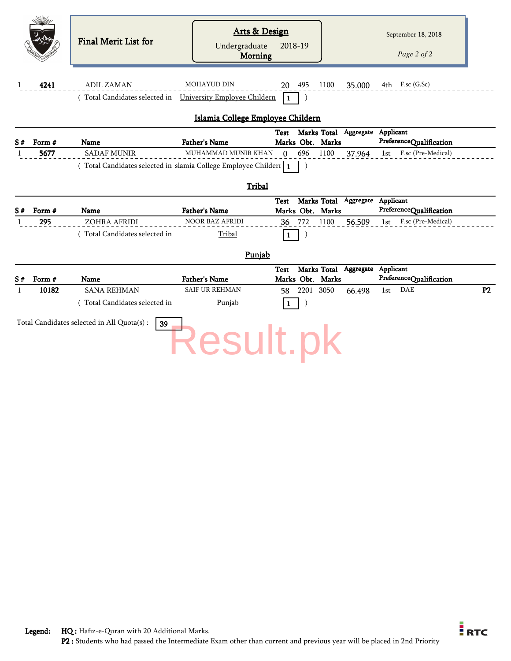|    |        | <b>Final Merit List for</b>                                       | <b>Arts &amp; Design</b>                      |                                                                    | September 18, 2018             |
|----|--------|-------------------------------------------------------------------|-----------------------------------------------|--------------------------------------------------------------------|--------------------------------|
|    |        |                                                                   | Undergraduate<br><b>Morning</b>               | 2018-19                                                            | Page 2 of 2                    |
| 1  | 4241   | <b>ADIL ZAMAN</b>                                                 | <b>MOHAYUD DIN</b>                            | 495<br>1100<br>35.000<br>20                                        | $4th$ F.sc (G.Sc)              |
|    |        | (Total Candidates selected in University Employee Childern        |                                               | $\mathbf{1}$                                                       |                                |
|    |        |                                                                   | Islamia College Employee Childern             |                                                                    |                                |
| S# | Form # | Name                                                              | <b>Father's Name</b>                          | Marks Total Aggregate Applicant<br><b>Test</b><br>Marks Obt. Marks | PreferenceQualification        |
| 1  | 5677   | <b>SADAF MUNIR</b>                                                | MUHAMMAD MUNIR KHAN                           | 696<br>1100<br>$\mathbf{0}$<br>37.964                              | 1st F.sc (Pre-Medical)         |
|    |        | (Total Candidates selected in slamia College Employee Childer   1 |                                               |                                                                    |                                |
|    |        |                                                                   |                                               |                                                                    |                                |
|    |        |                                                                   | Tribal                                        |                                                                    |                                |
| S# | Form # | Name                                                              | <b>Father's Name</b>                          | Marks Total Aggregate Applicant<br><b>Test</b><br>Marks Obt. Marks | PreferenceQualification        |
| 1  | 295    | ZOHRA AFRIDI                                                      | <b>NOOR BAZ AFRIDI</b>                        | 772<br>1100<br>36<br>56.509                                        | F.sc (Pre-Medical)<br>1st      |
|    |        | (Total Candidates selected in                                     | Tribal                                        | -1                                                                 |                                |
|    |        |                                                                   |                                               |                                                                    |                                |
|    |        |                                                                   | Punjab                                        |                                                                    |                                |
|    |        |                                                                   |                                               | Marks Total Aggregate Applicant<br><b>Test</b>                     |                                |
| S# | Form # | Name                                                              | <b>Father's Name</b><br><b>SAIF UR REHMAN</b> | Marks Obt. Marks                                                   | PreferenceQualification<br>DAE |
| 1  | 10182  | <b>SANA REHMAN</b>                                                |                                               | 2201 3050<br>58<br>66.498                                          | P2<br>1st                      |
|    |        | (Total Candidates selected in                                     | Punjab                                        | 1                                                                  |                                |
|    |        | Total Candidates selected in All Quota(s) :<br>39                 | <b>Result.pk</b>                              |                                                                    |                                |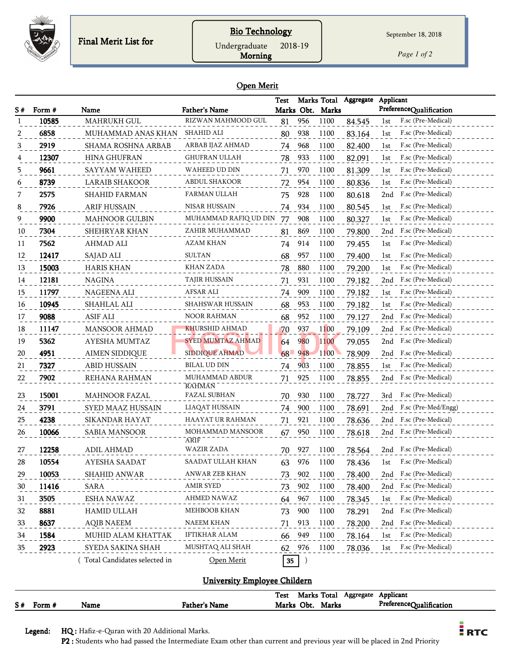

## Bio Technology

Undergraduate 2018-19

Morning

*Page 1 of 2*

#### Open Merit

|    |        |                                     |                                      | Test |            |                  | Marks Total Aggregate | Applicant                                       |
|----|--------|-------------------------------------|--------------------------------------|------|------------|------------------|-----------------------|-------------------------------------------------|
| S# | Form # | Name                                | <b>Father's Name</b>                 |      |            | Marks Obt. Marks |                       | PreferenceQualification                         |
| -1 | 10585  | <b>MAHRUKH GUL</b>                  | RIZWAN MAHMOOD GUL                   | 81   | 956        | 1100             | 84.545                | F.sc (Pre-Medical)<br>1st                       |
| 2  | 6858   | MUHAMMAD ANAS KHAN                  | SHAHID ALI                           | 80   | 938        | 1100             | 83.164                | F.sc (Pre-Medical)<br>1st                       |
| 3  | 2919   | <b>SHAMA ROSHNA ARBAB</b>           | ARBAB IJAZ AHMAD                     | 74   | 968        | 1100             | 82.400                | F.sc (Pre-Medical)<br>1st                       |
|    | 12307  | <b>HINA GHUFRAN</b>                 | GHUFRAN ULLAH                        | 78   | 933        | 1100             | 82.091                | F.sc (Pre-Medical)<br>1st                       |
| 5  | 9661   | SAYYAM WAHEED                       | WAHEED UD DIN                        | 71   | 970        | 1100             | 81.309                | F.sc (Pre-Medical)<br>1st                       |
| 6  | 8739   | LARAIB SHAKOOR                      | ABDUL SHAKOOR                        | 72   | 954        | 1100             | 80.836                | F.sc (Pre-Medical)<br>1st                       |
| 7  | 2575   | <b>SHAHID FARMAN</b>                | FARMAN ULLAH                         | 75   | 928        | 1100             | 80.618                | F.sc (Pre-Medical)<br>2nd                       |
| 8  | 7926   | ARIF HUSSAIN                        | <b>NISAR HUSSAIN</b>                 | 74   | 934        | 1100             | 80.545                | F.sc (Pre-Medical)<br>1st                       |
| 9  | 9900   | <b>MAHNOOR GULBIN</b>               | MUHAMMAD RAFIQ UD DIN                | 77   | 908        | 1100             | 80.327                | F.sc (Pre-Medical)<br>1st                       |
| 10 | 7304   | SHEHRYAR KHAN                       | ZAHIR MUHAMMAD                       | 81   | 869        | 1100             | 79.800                | F.sc (Pre-Medical)<br>2nd                       |
| 11 | 7562   | AHMAD ALI                           | AZAM KHAN                            | 74   | 914        | 1100             | 79.455                | F.sc (Pre-Medical)<br>1st                       |
| 12 | 12417  | SAJAD ALI                           | <b>SULTAN</b>                        | 68   | 957        | 1100             | 79.400                | F.sc (Pre-Medical)<br>1st                       |
| 13 | 15003  | <b>HARIS KHAN</b>                   | KHAN ZADA                            | 78   | 880        | 1100             | 79.200                | F.sc (Pre-Medical)<br>1st                       |
| 14 | 12181  | <b>NAGINA</b>                       | TAJIR HUSSAIN                        | 71   | 931        | 1100             | 79.182                | F.sc (Pre-Medical)<br>2nd                       |
| 15 | 11797  | NAGEENA ALI                         | AFSAR ALI                            | 74   | 909        | 1100             | 79.182                | F.sc (Pre-Medical)<br>1st                       |
| 16 | 10945  | SHAHLAL ALI                         | <b>SHAHSWAR HUSSAIN</b>              | 68   | 953        | 1100             | 79.182                | F.sc (Pre-Medical)<br>1st                       |
| 17 | 9088   | <b>ASIF ALI</b>                     | <b>NOOR RAHMAN</b>                   | 68   | 952        | 1100             | 79.127                | F.sc (Pre-Medical)<br>2nd                       |
| 18 | 11147  | <b>MANSOOR AHMAD</b>                | <b>KHURSHID AHMAD</b>                | 70   | 937        | 1100             | 79.109                | F.sc (Pre-Medical)<br>2nd                       |
| 19 | 5362   | <b>AYESHA MUMTAZ</b>                | <b>SYED MUMTAZ AHMAD</b>             | 64   | <b>980</b> | 1100             | 79.055                | F.sc (Pre-Medical)<br>2nd                       |
| 20 | 4951   | AIMEN SIDDIQUE                      | <b>SIDDIQUE AHMAD</b>                | 68   | 948        | 1100             | 78.909                | F.sc (Pre-Medical)<br>2nd                       |
| 21 | 7327   | <b>ABID HUSSAIN</b>                 | BILAL UD DIN                         | 74   | 903        | 1100             | 78.855                | F.sc (Pre-Medical)<br>1st                       |
| 22 | 7902   | REHANA RAHMAN                       | MUHAMMAD ABDUR                       | 71   | 925        | 1100             | 78.855                | F.sc (Pre-Medical)<br>2nd                       |
|    | 15001  |                                     | <b>RAHMAN</b><br><b>FAZAL SUBHAN</b> |      |            |                  |                       | F.sc (Pre-Medical)                              |
| 23 | 3791   | <b>MAHNOOR FAZAL</b>                | LIAQAT HUSSAIN                       | 70   | 930        | 1100             | 78.727                | 3rd                                             |
| 24 |        | SYED MAAZ HUSSAIN<br>SIKANDAR HAYAT |                                      | 74   | 900        | 1100             | 78.691                | F.sc (Pre-Med/Engg)<br>2nd                      |
| 25 | 4238   |                                     | HAAYAT UR RAHMAN<br>MOHAMMAD MANSOOR | 71   | 921        | 1100             | 78.636                | F.sc (Pre-Medical)<br>2nd<br>F.sc (Pre-Medical) |
| 26 | 10066  | SABIA MANSOOR                       | ARIF                                 | 67   | 950        | 1100             | 78.618                | 2nd                                             |
| 27 | 12258  | <b>ADIL AHMAD</b>                   | WAZIR ZADA                           | 70   | 927        | 1100             | 78.564                | F.sc (Pre-Medical)<br>2nd                       |
| 28 | 10554  | <b>AYESHA SAADAT</b>                | SAADAT ULLAH KHAN                    | 63   | 976        | 1100             | 78.436                | F.sc (Pre-Medical)<br>1st                       |
| 29 | 10053  | SHAHID ANWAR                        | ANWAR ZEB KHAN                       | 73   | 902        | 1100             | 78.400                | F.sc (Pre-Medical)<br>2nd                       |
| 30 | 11416  | SARA                                | <b>AMIR SYED</b>                     | 73   | 902        | 1100             | 78.400                | F.sc (Pre-Medical)<br>2nd                       |
| 31 | 3505   | ESHA NAWAZ                          | AHMED NAWAZ                          | 64   | 967        | 1100             | 78.345                | F.sc (Pre-Medical)<br>1st                       |
| 32 | 8881   | HAMID ULLAH                         | MEHBOOB KHAN                         | 73   | 900        | 1100             | 78.291                | F.sc (Pre-Medical)<br>2nd                       |
| 33 | 8637   | <b>AQIB NAEEM</b>                   | NAEEM KHAN                           | 71   | 913        | 1100             | 78.200                | F.sc (Pre-Medical)<br>2nd                       |
| 34 | 1584   | MUHID ALAM KHATTAK                  | IFTIKHAR ALAM                        | 66   | 949        | 1100             | 78.164                | F.sc (Pre-Medical)<br>1st                       |
| 35 | 2923   | SYEDA SAKINA SHAH                   | MUSHTAQ ALI SHAH                     | 62   | 976        | 1100             | 78.036                | F.sc (Pre-Medical)<br>1st                       |
|    |        | (Total Candidates selected in       | Open Merit                           | 35   | $\big)$    |                  |                       |                                                 |

#### University Employee Childern

|    |        |      |                      | <b>Test</b> | Marks Total |              | Aggregate | Applicant               |
|----|--------|------|----------------------|-------------|-------------|--------------|-----------|-------------------------|
| S# | Form # | Name | <b>Father's Name</b> |             | Marks Obt.  | <b>Marks</b> |           | PreferenceQualification |

Legend: HQ : Hafiz-e-Quran with 20 Additional Marks.

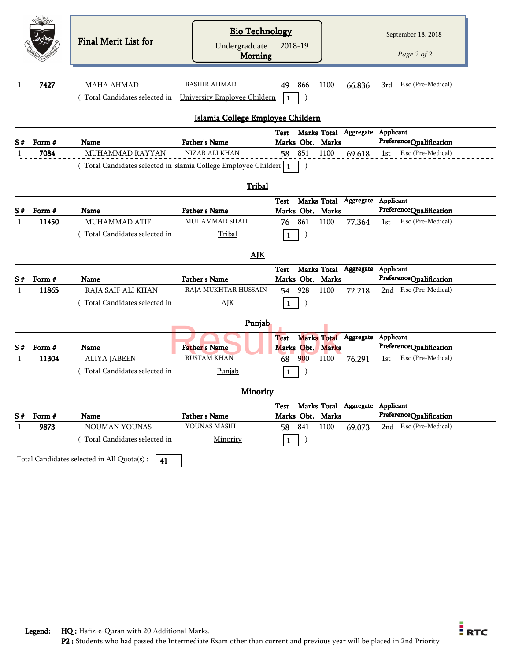|    |        | Final Merit List for                                                                        | <b>Bio Technology</b><br>Undergraduate<br><b>Morning</b> | 2018-19        |     |                  |                                      |     | September 18, 2018<br>Page 2 of 2 |  |
|----|--------|---------------------------------------------------------------------------------------------|----------------------------------------------------------|----------------|-----|------------------|--------------------------------------|-----|-----------------------------------|--|
| 1  | 7427   | <b>MAHA AHMAD</b>                                                                           | <b>BASHIR AHMAD</b>                                      | 49.            | 866 | 1100             | 66.836                               |     | 3rd F.sc (Pre-Medical)            |  |
|    |        | (Total Candidates selected in University Employee Childern                                  |                                                          | $\blacksquare$ |     |                  |                                      |     |                                   |  |
|    |        |                                                                                             | Islamia College Employee Childern                        |                |     |                  |                                      |     |                                   |  |
|    |        |                                                                                             |                                                          |                |     |                  | Test Marks Total Aggregate Applicant |     |                                   |  |
| S# | Form # | Name                                                                                        | <b>Father's Name</b>                                     |                |     | Marks Obt. Marks |                                      |     | PreferenceQualification           |  |
| 1  | 7084   | <b>MUHAMMAD RAYYAN</b><br>(Total Candidates selected in slamia College Employee Childer   1 | NIZAR ALI KHAN                                           | 58 851         |     | 1100             | 69.618                               | 1st | F.sc (Pre-Medical)                |  |
|    |        |                                                                                             |                                                          |                |     |                  |                                      |     |                                   |  |
|    |        |                                                                                             | Tribal                                                   |                |     |                  |                                      |     |                                   |  |
|    |        |                                                                                             |                                                          | Test           |     |                  | Marks Total Aggregate Applicant      |     |                                   |  |
| S# | Form # | Name                                                                                        | <b>Father's Name</b>                                     |                |     | Marks Obt. Marks |                                      |     | PreferenceQualification           |  |
| -1 | 11450  | MUHAMMAD ATIF                                                                               | MUHAMMAD SHAH                                            | 76             | 861 | 1100             | 77.364                               | 1st | F.sc (Pre-Medical)                |  |
|    |        | (Total Candidates selected in                                                               | Tribal                                                   | 1              |     |                  |                                      |     |                                   |  |
|    |        |                                                                                             | <b>AJK</b>                                               |                |     |                  |                                      |     |                                   |  |
|    |        |                                                                                             |                                                          | Test           |     |                  | Marks Total Aggregate Applicant      |     |                                   |  |
| S# | Form # | Name                                                                                        | <b>Father's Name</b>                                     |                |     | Marks Obt. Marks |                                      |     | PreferenceQualification           |  |
| -1 | 11865  | RAJA SAIF ALI KHAN                                                                          | RAJA MUKHTAR HUSSAIN                                     | 54             | 928 | 1100             | 72.218                               |     | 2nd F.sc (Pre-Medical)            |  |
|    |        | (Total Candidates selected in                                                               | AIK                                                      | 1              |     |                  |                                      |     |                                   |  |
|    |        |                                                                                             | Punjab                                                   |                |     |                  |                                      |     |                                   |  |
|    |        |                                                                                             |                                                          | <b>Test</b>    |     |                  | Marks Total Aggregate Applicant      |     |                                   |  |
| S# | Form # | Name                                                                                        | <b>Father's Name</b>                                     |                |     | Marks Obt. Marks |                                      |     | PreferenceQualification           |  |
|    | 11304  | <b>ALIYA JABEEN</b>                                                                         | <b>RUSTAM KHAN</b>                                       | 68             | 900 | 1100             | 76.291                               | 1st | F.sc (Pre-Medical)                |  |
|    |        | (Total Candidates selected in                                                               | Punjab                                                   | 1              |     |                  |                                      |     |                                   |  |
|    |        |                                                                                             | <b>Minority</b>                                          |                |     |                  |                                      |     |                                   |  |
|    |        |                                                                                             |                                                          | Test           |     |                  | Marks Total Aggregate Applicant      |     |                                   |  |
| S# | Form # | Name                                                                                        | <b>Father's Name</b>                                     |                |     | Marks Obt. Marks |                                      |     | PreferenceQualification           |  |
| 1  | 9873   | NOUMAN YOUNAS                                                                               | YOUNAS MASIH                                             | 58             | 841 | 1100             | 69.073                               |     | 2nd F.sc (Pre-Medical)            |  |
|    |        | (Total Candidates selected in                                                               | Minority                                                 | 1              |     |                  |                                      |     |                                   |  |
|    |        | Total Candidates selected in All Quota(s) :<br>41                                           |                                                          |                |     |                  |                                      |     |                                   |  |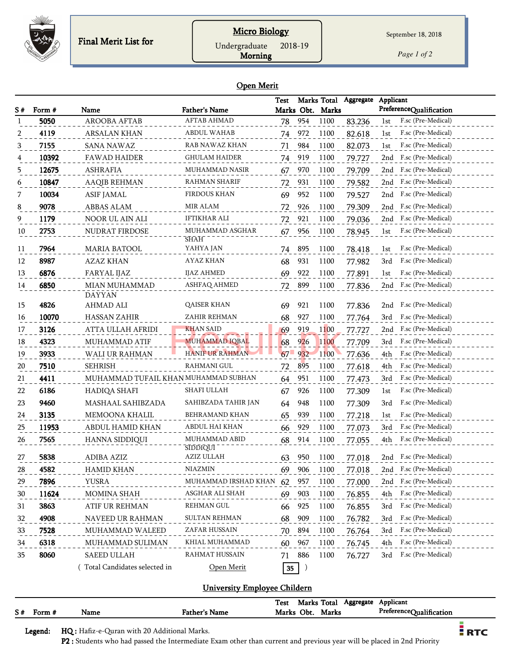

#### **Micro Biology**

Undergraduate 2018-19

Morning

*Page 1 of 2*

#### Open Merit

| S# | Form # | Name                                 | <b>Father's Name</b>           | Test       |         | Marks Total<br>Marks Obt. Marks | Aggregate        | Applicant<br>PreferenceQualification |
|----|--------|--------------------------------------|--------------------------------|------------|---------|---------------------------------|------------------|--------------------------------------|
|    | 5050   | <b>AROOBA AFTAB</b>                  | <b>AFTAB AHMAD</b>             | 78         | 954     | 1100                            | 83.236           | F.sc (Pre-Medical)<br>1st            |
|    | 4119   | <b>ARSALAN KHAN</b>                  | ABDUL WAHAB                    | 74         | 972     | 1100                            | 82.618           | F.sc (Pre-Medical)<br>1st            |
| 3  | 7155   | <b>SANA NAWAZ</b>                    | RAB NAWAZ KHAN                 | 71         | 984     | 1100                            | 82.073           | F.sc (Pre-Medical)<br>1st            |
| 4  | 10392  | <b>FAWAD HAIDER</b>                  | GHULAM HAIDER                  | 74         | 919     | 1100                            | 79.727           | F.sc (Pre-Medical)<br>2nd            |
| 5  | 12675  | <b>ASHRAFIA</b>                      | MUHAMMAD NASIR                 | 67         | 970     | 1100                            | 79.709           | F.sc (Pre-Medical)<br>2nd            |
| 6  | 10847  | <b>AAQIB REHMAN</b>                  | RAHMAN SHARIF                  | 72         | 931     | 1100                            | 79.582           | F.sc (Pre-Medical)<br>2nd            |
|    | 10034  | <b>ASIF JAMAL</b>                    | <b>FIRDOUS KHAN</b>            | 69         | 952     | 1100                            | 79.527           | F.sc (Pre-Medical)<br>2nd            |
|    | 9078   | ABBAS ALAM                           | MIR ALAM                       | 72         | 926     | 1100                            | 79.309           | F.sc (Pre-Medical)<br>2nd            |
| 9  | 1179   | NOOR UL AIN ALI                      | IFTIKHAR ALI                   | 72         | 921     | 1100                            | 79.036           | F.sc (Pre-Medical)<br>2nd            |
| 10 | 2753   | NUDRAT FIRDOSE                       | MUHAMMAD ASGHAR<br><b>SHAH</b> | 67         | 956     | 1100                            | 78.945           | F.sc (Pre-Medical)<br>1st            |
| 11 | 7964   | <b>MARIA BATOOL</b>                  | YAHYA JAN                      | 74         | 895     | 1100                            | 78.418           | F.sc (Pre-Medical)<br>1st            |
| 12 | 8987   | <b>AZAZ KHAN</b>                     | AYAZ KHAN                      | 68         | 931     | 1100                            | 77.982           | F.sc (Pre-Medical)<br>3rd            |
| 13 | 6876   | FARYAL IJAZ                          | <b>IJAZ AHMED</b>              | 69         | 922     | 1100                            | 77.891           | F.sc (Pre-Medical)<br>1st            |
| 14 | 6850   | <b>MIAN MUHAMMAD</b>                 | <b>ASHFAQ AHMED</b>            | 72         | 899     | 1100                            | 77.836           | 2nd F.sc (Pre-Medical)               |
| 15 | 4826   | <b>DAYYAN</b><br><b>AHMAD ALI</b>    | <b>QAISER KHAN</b>             | 69         | 921     | 1100                            |                  | F.sc (Pre-Medical)<br>2nd            |
| 16 | 10070  | <b>HASSAN ZAHIR</b>                  | ZAHIR REHMAN                   | 68         | 927     | 1100                            | 77.836<br>77.764 | 3rd<br>F.sc (Pre-Medical)            |
| 17 | 3126   | ATTA ULLAH AFRIDI                    | <b>KHAN SAID</b>               | 69         | 919     | 1100                            | 77.727           | F.sc (Pre-Medical)<br>2nd            |
| 18 | 4323   | <b>MUHAMMAD ATIF</b>                 | <b>MUHAMMAD IQBAL</b>          | 68         | 926     | 1100                            | 77.709           | 3rd<br>F.sc (Pre-Medical)            |
| 19 | 3933   | WALI UR RAHMAN                       | <b>HANIF UR RAHMAN</b>         | $67 - 932$ |         | 1100                            | 77.636           | F.sc (Pre-Medical)<br>4th            |
| 20 | 7510   | <b>SEHRISH</b>                       | RAHMANI GUL                    | 72         | 895     | 1100                            | 77.618           | F.sc (Pre-Medical)<br>4th            |
| 21 | 4411   | MUHAMMAD TUFAIL KHAN MUHAMMAD SUBHAN |                                | 64         | 951     | 1100                            | 77.473           | 3rd<br>F.sc (Pre-Medical)            |
| 22 | 6186   | HADIQA SHAFI                         | SHAFI ULLAH                    | 67         | 926     | 1100                            | 77.309           | F.sc (Pre-Medical)<br>1st            |
| 23 | 9460   | MASHAAL SAHIBZADA                    | SAHIBZADA TAHIR JAN            | 64         | 948     | 1100                            | 77.309           | F.sc (Pre-Medical)<br>3rd            |
| 24 | 3135   | <b>MEMOONA KHALIL</b>                | <b>BEHRAMAND KHAN</b>          | 65         | 939     | 1100                            | 77.218           | F.sc (Pre-Medical)<br>1st            |
| 25 | 11953  | ABDUL HAMID KHAN                     | ABDUL HAI KHAN                 | 66         | 929     | 1100                            | 77.073           | F.sc (Pre-Medical)<br>3rd            |
| 26 | 7565   | HANNA SIDDIQUI                       | MUHAMMAD ABID                  | 68         | 914     | 1100                            | 77.055           | F.sc (Pre-Medical)<br>4th            |
|    |        |                                      | <b>SIDDIQUI</b>                |            |         |                                 |                  |                                      |
| 27 | 5838   | ADIBA AZIZ                           | AZIZ ULLAH                     | 63         | 950     | 1100                            | 77.018           | 2nd F.sc (Pre-Medical)               |
| 28 | 4582   | <b>HAMID KHAN</b>                    | <b>NIAZMIN</b>                 | 69         | 906     | 1100                            | 77.018           | 2nd F.sc (Pre-Medical)               |
| 29 | 7896   | YUSRA                                | MUHAMMAD IRSHAD KHAN 62        |            | 957     | 1100                            | 77.000           | 2nd F.sc (Pre-Medical)               |
| 30 | 11624  | MOMINA SHAH                          | ASGHAR ALI SHAH                | 69         | 903     | 1100                            | 76.855           | F.sc (Pre-Medical)<br>4th            |
| 31 | 3863   | ATIF UR REHMAN                       | <b>REHMAN GUL</b>              | 66         | 925     | 1100                            | 76.855           | F.sc (Pre-Medical)<br>3rd            |
| 32 | 4908   | NAVEED UR RAHMAN                     | SULTAN REHMAN                  | 68         | 909     | 1100                            | 76.782           | F.sc (Pre-Medical)<br>3rd            |
| 33 | 7528   | MUHAMMAD WALEED                      | ZAFAR HUSSAIN                  | 70         | 894     | 1100                            | 76.764           | F.sc (Pre-Medical)<br>3rd            |
| 34 | 6318   | MUHAMMAD SULIMAN                     | KHIAL MUHAMMAD                 | 60         | 967     | 1100                            | 76.745           | F.sc (Pre-Medical)<br>4th            |
| 35 | 8060   | SAEED ULLAH                          | RAHMAT HUSSAIN                 | 71         | 886     | 1100                            | 76.727           | F.sc (Pre-Medical)<br>3rd            |
|    |        | Total Candidates selected in         | Open Merit                     | 35         | $\big)$ |                                 |                  |                                      |

#### University Employee Childern

|    |        |      |                      | Test | Marks Total |       | Aggregate | Applicant               |
|----|--------|------|----------------------|------|-------------|-------|-----------|-------------------------|
| S# | Form # | Name | <b>Father's Name</b> |      | Marks Obt.  | Marks |           | PreferenceQualification |
|    |        |      |                      |      |             |       |           |                         |

Legend: HQ : Hafiz-e-Quran with 20 Additional Marks.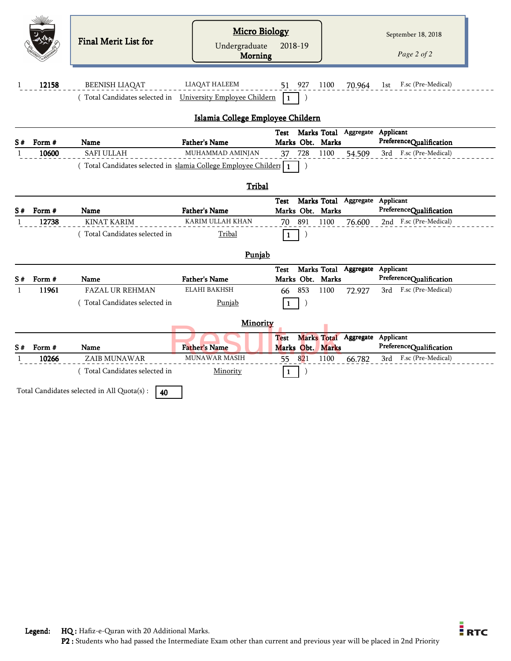|    |        | <b>Final Merit List for</b>                                     | <b>Micro Biology</b><br>Undergraduate<br>Morning | 2018-19                                                     | September 18, 2018<br>Page 2 of 2                 |
|----|--------|-----------------------------------------------------------------|--------------------------------------------------|-------------------------------------------------------------|---------------------------------------------------|
| 1  | 12158  | <b>BEENISH LIAQAT</b>                                           | <b>LIAQAT HALEEM</b>                             | 927<br>1100<br>51                                           | F.sc (Pre-Medical)<br>70.964<br>1st               |
|    |        | Total Candidates selected in                                    | <b>University Employee Childern</b>              | 1                                                           |                                                   |
|    |        |                                                                 | Islamia College Employee Childern                |                                                             |                                                   |
| S# | Form # | <b>Name</b>                                                     | <b>Father's Name</b>                             | Marks Total<br>Test<br>Marks Obt. Marks                     | Aggregate<br>Applicant<br>PreferenceQualification |
| 1  | 10600  | <b>SAFI ULLAH</b>                                               | MUHAMMAD AMINJAN                                 | 728<br>1100<br>37                                           | F.sc (Pre-Medical)<br>3rd<br>54.509               |
|    |        | Total Candidates selected in slamia College Employee Childern 1 | Tribal                                           | $\lambda$                                                   |                                                   |
| S# | Form # | Name                                                            | <b>Father's Name</b>                             | Marks Total Aggregate Applicant<br>Test<br>Marks Obt. Marks | PreferenceQualification                           |
| 1  | 12738  | <b>KINAT KARIM</b>                                              | KARIM ULLAH KHAN                                 | 891<br>70<br>1100                                           | 2nd F.sc (Pre-Medical)<br>76.600                  |
|    |        | (Total Candidates selected in                                   | Tribal                                           | $\mathbf{1}$                                                |                                                   |
|    |        |                                                                 | Punjab                                           |                                                             |                                                   |
| S# | Form # | <b>Name</b>                                                     | <b>Father's Name</b>                             | Marks Total Aggregate Applicant<br>Test<br>Marks Obt. Marks | PreferenceQualification                           |
| -1 | 11961  | <b>FAZAL UR REHMAN</b>                                          | <b>ELAHI BAKHSH</b>                              | 853<br>1100<br>72.927<br>66                                 | 3rd F.sc (Pre-Medical)                            |
|    |        | (Total Candidates selected in                                   | Punjab                                           | $\mathbf{1}$                                                |                                                   |
|    |        |                                                                 | Minority                                         |                                                             |                                                   |
| S# | Form # | Name                                                            | <b>Father's Name</b>                             | <b>Marks Total</b><br><b>Test</b><br>Marks Obt. Marks       | Aggregate<br>Applicant<br>PreferenceQualification |
| 1  | 10266  | ZAIB MUNAWAR                                                    | MUNAWAR MASIH                                    | 821<br>1100<br>55                                           | F.sc (Pre-Medical)<br>3rd<br>66.782               |
|    |        | (Total Candidates selected in                                   | Minority                                         | $\mathbf{1}$                                                |                                                   |
|    |        | Total Candidates selected in All Quota(s) :<br>40               |                                                  |                                                             |                                                   |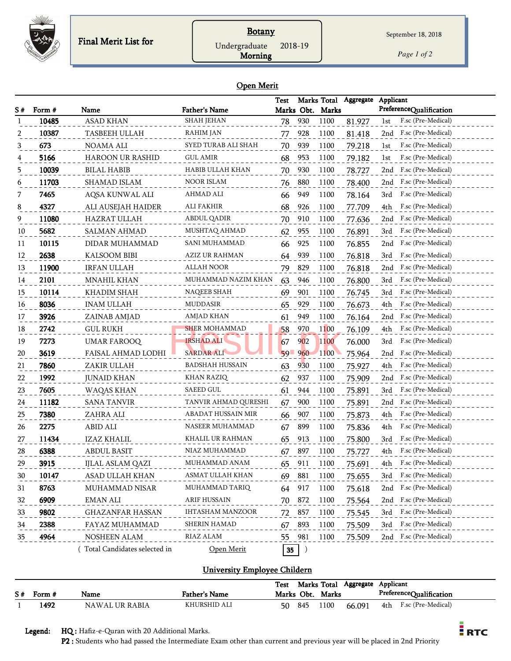

## **Botany**

Undergraduate 2018-19

Morning

*Page 1 of 2*

September 18, 2018

#### Open Merit

|    |        |                               |                         | Test            |            |                  | Marks Total Aggregate | Applicant                 |
|----|--------|-------------------------------|-------------------------|-----------------|------------|------------------|-----------------------|---------------------------|
| S# | Form # | Name                          | <b>Father's Name</b>    |                 |            | Marks Obt. Marks |                       | PreferenceQualification   |
| -1 | 10485  | <b>ASAD KHAN</b>              | <b>SHAH JEHAN</b>       | 78              | 930        | 1100             | 81.927                | F.sc (Pre-Medical)<br>1st |
| 2  | 10387  | <b>TASBEEH ULLAH</b>          | RAHIM JAN               | 77              | 928        | 1100             | 81.418                | F.sc (Pre-Medical)<br>2nd |
| 3  | 673    | NOAMA ALI                     | SYED TURAB ALI SHAH     | 70              | 939        | 1100             | 79.218                | F.sc (Pre-Medical)<br>1st |
|    | 5166   | <b>HAROON UR RASHID</b>       | <b>GUL AMIR</b>         | 68              | 953        | 1100             | 79.182                | F.sc (Pre-Medical)<br>1st |
| 5  | 10039  | <b>BILAL HABIB</b>            | HABIB ULLAH KHAN        | 70              | 930        | 1100             | 78.727                | F.sc (Pre-Medical)<br>2nd |
| 6  | 11703  | SHAMAD ISLAM                  | <b>NOOR ISLAM</b>       | 76              | 880        | 1100             | 78.400                | F.sc (Pre-Medical)<br>2nd |
| 7  | 7465   | AQSA KUNWAL ALI               | AHMAD ALI               | 66              | 949        | 1100             | 78.164                | F.sc (Pre-Medical)<br>3rd |
| 8  | 4327   | ALI AUSEJAH HAIDER            | ALI FAKHIR              | 68              | 926        | 1100             | 77.709                | 4th<br>F.sc (Pre-Medical) |
| 9  | 11080  | HAZRAT ULLAH                  | ABDUL QADIR             | 70              | 910        | 1100             | 77.636                | F.sc (Pre-Medical)<br>2nd |
| 10 | 5682   | <b>SALMAN AHMAD</b>           | MUSHTAQ AHMAD           | 62              | 955        | 1100             | 76.891                | F.sc (Pre-Medical)<br>3rd |
| 11 | 10115  | DIDAR MUHAMMAD                | SANI MUHAMMAD           | 66              | 925        | 1100             | 76.855                | F.sc (Pre-Medical)<br>2nd |
| 12 | 2638   | KALSOOM BIBI                  | AZIZ UR RAHMAN          | 64              | 939        | 1100             | 76.818                | F.sc (Pre-Medical)<br>3rd |
| 13 | 11900  | <b>IRFAN ULLAH</b>            | <b>ALLAH NOOR</b>       | 79              | 829        | 1100             | 76.818                | F.sc (Pre-Medical)<br>2nd |
| 14 | 2101   | <b>MNAHIL KHAN</b>            | MUHAMMAD NAZIM KHAN     | 63              | 946        | 1100             | 76.800                | F.sc (Pre-Medical)<br>3rd |
| 15 | 10114  | KHADIM SHAH                   | <b>NAQEEB SHAH</b>      | 69              | 901        | 1100             | 76.745                | F.sc (Pre-Medical)<br>3rd |
| 16 | 8036   | <b>INAM ULLAH</b>             | MUDDASIR                | 65              | 929        | 1100             | 76.673                | 4th<br>F.sc (Pre-Medical) |
| 17 | 3926   | ZAINAB AMJAD                  | AMJAD KHAN              | 61              | 949        | 1100             | 76.164                | F.sc (Pre-Medical)<br>2nd |
| 18 | 2742   | <b>GUL RUKH</b>               | <b>SHER MOHAMMAD</b>    | 58              | 970        | 1100             | 76.109                | F.sc (Pre-Medical)<br>4th |
| 19 | 7273   | <b>UMAR FAROOQ</b>            | <b>IRSHAD ALI</b>       | 67              | <b>902</b> | 1100             | 76.000                | F.sc (Pre-Medical)<br>3rd |
| 20 | 3619   | FAISAL AHMAD LODHI            | <b>SARDAR ALI</b>       | $59 - 960$      |            | 1100             | 75.964                | F.sc (Pre-Medical)<br>2nd |
| 21 | 7860   | ZAKIR ULLAH                   | BADSHAH HUSSAIN         | 63              | 930        | 1100             | 75.927                | F.sc (Pre-Medical)<br>4th |
| 22 | 1992   | <b>JUNAID KHAN</b>            | KHAN RAZIQ              | 62              | 937        | 1100             | 75.909                | F.sc (Pre-Medical)<br>2nd |
| 23 | 7605   | WAQAS KHAN                    | SAEED GUL               | 61              | 944        | 1100             | 75.891                | F.sc (Pre-Medical)<br>3rd |
| 24 | 11182  | <b>SANA TANVIR</b>            | TANVIR AHMAD QURESHI    | 67              | 900        | 1100             | 75.891                | F.sc (Pre-Medical)<br>2nd |
| 25 | 7380   | ZAHRA ALI                     | ABADAT HUSSAIN MIR      | 66              | 907        | 1100             | 75.873                | F.sc (Pre-Medical)<br>4th |
| 26 | 2275   | ABID ALI                      | NASEER MUHAMMAD         | 67              | 899        | 1100             | 75.836                | F.sc (Pre-Medical)<br>4th |
| 27 | 11434  | IZAZ KHALIL                   | KHALIL UR RAHMAN        | 65              | 913        | 1100             | 75.800                | F.sc (Pre-Medical)<br>3rd |
| 28 | 6388   | <b>ABDUL BASIT</b>            | NIAZ MUHAMMAD           | 67              | 897        | 1100             | 75.727                | F.sc (Pre-Medical)<br>4th |
| 29 | 3915   | IJLAL ASLAM QAZI              | MUHAMMAD ANAM           | 65              | 911        | 1100             | 75.691                | F.sc (Pre-Medical)<br>4th |
| 30 | 10147  | ASAD ULLAH KHAN               | ASMAT ULLAH KHAN        | 69              | 881        | 1100             | 75.655                | F.sc (Pre-Medical)<br>3rd |
| 31 | 8763   | MUHAMMAD NISAR                | MUHAMMAD TARIQ          | 64              | 917        | 1100             | 75.618                | F.sc (Pre-Medical)<br>2nd |
| 32 | 6909   | EMAN ALI                      | ARIF HUSSAIN            | 70              | 872        | 1100             | 75.564                | F.sc (Pre-Medical)<br>2nd |
| 33 | 9802   | <b>GHAZANFAR HASSAN</b>       | <b>IHTASHAM MANZOOR</b> | 72              | 857        | 1100             | 75.545                | F.sc (Pre-Medical)<br>3rd |
| 34 | 2388   | FAYAZ MUHAMMAD                | SHERIN HAMAD            | 67              | 893        | 1100             | 75.509                | F.sc (Pre-Medical)<br>3rd |
| 35 | 4964   | NOSHEEN ALAM                  | RIAZ ALAM               | 55              | 981        | 1100             | 75.509                | F.sc (Pre-Medical)<br>2nd |
|    |        | (Total Candidates selected in | Open Merit              | $35\phantom{a}$ | )          |                  |                       |                           |

#### University Employee Childern

|             |                |                      | Test |            | Marks Total | Aggregate | Applicant |                         |
|-------------|----------------|----------------------|------|------------|-------------|-----------|-----------|-------------------------|
| $S#$ Form # | Name           | <b>Father's Name</b> |      | Marks Obt. | Marks       |           |           | PreferenceQualification |
| 1492        | NAWAL UR RABIA | KHURSHID ALI         | 50   | 845        | .100        | 66.091    | 4th       | F.sc (Pre-Medical)      |

Legend: HQ : Hafiz-e-Quran with 20 Additional Marks.

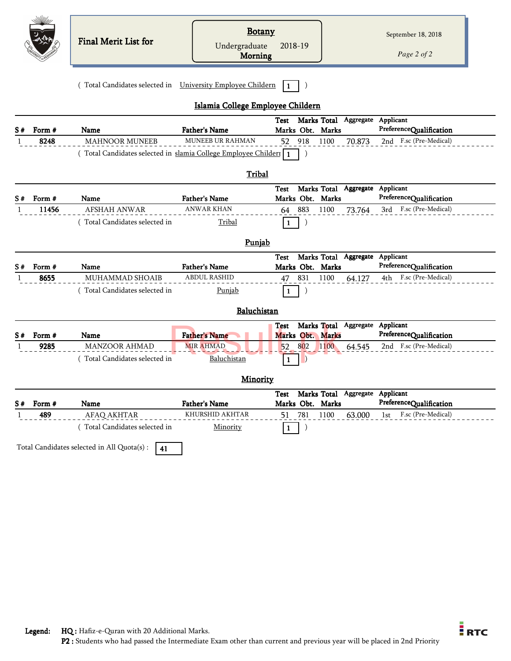|          |                 | Final Merit List for                                            | <b>Botany</b><br>Undergraduate<br>Morning | 2018-19                         |                                 | September 18, 2018<br>Page 2 of 2                 |
|----------|-----------------|-----------------------------------------------------------------|-------------------------------------------|---------------------------------|---------------------------------|---------------------------------------------------|
|          |                 | (Total Candidates selected in University Employee Childern      |                                           |                                 |                                 |                                                   |
|          |                 |                                                                 | Islamia College Employee Childern         |                                 |                                 |                                                   |
| S#       | Form #          | Name                                                            | <b>Father's Name</b>                      | Test<br>Marks Obt. Marks        | Marks Total Aggregate Applicant | PreferenceQualification                           |
| 1        | 8248            | <b>MAHNOOR MUNEEB</b>                                           | <b>MUNEEB UR RAHMAN</b>                   | 52 918                          | 1100<br>70.873                  | 2nd F.sc (Pre-Medical)                            |
|          |                 | (Total Candidates selected in slamia College Employee Childer1) |                                           | 1                               |                                 |                                                   |
|          |                 |                                                                 |                                           |                                 |                                 |                                                   |
|          |                 |                                                                 | Tribal                                    |                                 |                                 |                                                   |
|          |                 |                                                                 |                                           | <b>Test</b>                     | Marks Total Aggregate Applicant |                                                   |
| S#       | Form #<br>11456 | Name<br><b>AFSHAH ANWAR</b>                                     | <b>Father's Name</b><br><b>ANWAR KHAN</b> | Marks Obt. Marks<br>883         |                                 | PreferenceQualification<br>3rd F.sc (Pre-Medical) |
| 1        |                 |                                                                 |                                           | 64                              | 1100<br>73.764                  |                                                   |
|          |                 | (Total Candidates selected in                                   | Tribal                                    | 1                               |                                 |                                                   |
|          |                 |                                                                 |                                           |                                 |                                 |                                                   |
|          |                 |                                                                 |                                           |                                 |                                 |                                                   |
|          |                 |                                                                 | Punjab                                    |                                 |                                 |                                                   |
|          | Form #          | Name                                                            | <b>Father's Name</b>                      | <b>Test</b><br>Marks Obt. Marks | Marks Total Aggregate           | Applicant<br>PreferenceQualification              |
| -1       | 8655            | MUHAMMAD SHOAIB                                                 | <b>ABDUL RASHID</b>                       | 831<br>47                       | 1100<br>64.127                  | 4th F.sc (Pre-Medical)                            |
|          |                 | (Total Candidates selected in                                   | Punjab                                    |                                 |                                 |                                                   |
|          |                 |                                                                 |                                           |                                 |                                 |                                                   |
|          |                 |                                                                 | Baluchistan                               |                                 |                                 |                                                   |
|          |                 |                                                                 |                                           | <b>Test</b>                     | Marks Total Aggregate Applicant |                                                   |
|          | Form #          | Name                                                            | <b>Father's Name</b>                      | Marks Obt. Marks                |                                 | PreferenceQualification                           |
| 1        | 9285            | <b>MANZOOR AHMAD</b>                                            | <b>MIR AHMAD</b>                          | 802<br>52                       | 1100<br>64.545                  | 2nd F.sc (Pre-Medical)                            |
|          |                 | Total Candidates selected in                                    | Baluchistan                               | 1                               |                                 |                                                   |
| S#<br>S# |                 |                                                                 | Minority                                  |                                 |                                 |                                                   |
|          |                 |                                                                 |                                           | Test                            | Marks Total Aggregate Applicant |                                                   |
| S#       | Form #          | Name                                                            | Father's Name                             | Marks Obt. Marks                |                                 | PreferenceQualification                           |
| 1        | 489             | AFAQ AKHTAR                                                     | KHURSHID AKHTAR                           | 781<br>51                       | 1100<br>63.000                  | F.sc (Pre-Medical)<br>1st                         |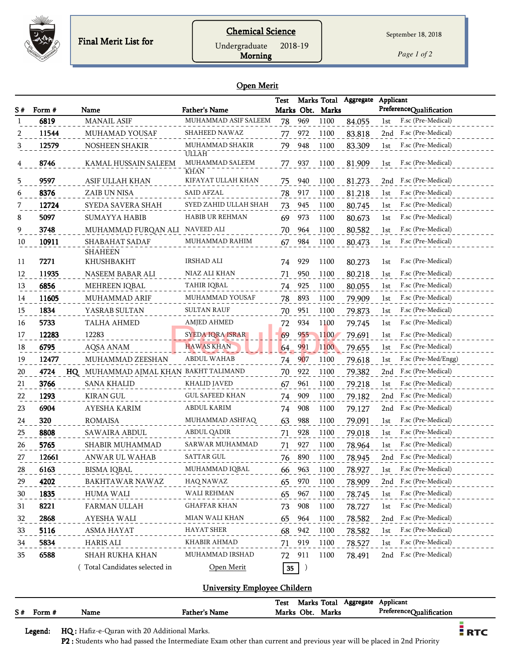

Undergraduate 2018-19

Morning

*Page 1 of 2*

#### Open Merit

|    |        |                                           |                          | Test |            |                  | Marks Total Aggregate | Applicant |                         |
|----|--------|-------------------------------------------|--------------------------|------|------------|------------------|-----------------------|-----------|-------------------------|
| S# | Form # | Name                                      | <b>Father's Name</b>     |      |            | Marks Obt. Marks |                       |           | PreferenceQualification |
|    | 6819   | <b>MANAIL ASIF</b>                        | MUHAMMAD ASIF SALEEM     | 78   | 969        | 1100             | 84.055                | 1st       | F.sc (Pre-Medical)      |
|    | 11544  | MUHAMAD YOUSAF                            | SHAHEED NAWAZ            | 77   | 972        | 1100             | 83.818                | 2nd       | F.sc (Pre-Medical)      |
|    | 12579  | NOSHEEN SHAKIR                            | MUHAMMAD SHAKIR<br>ULLĀH | 79   | 948        | 1100             | 83.309                | 1st       | F.sc (Pre-Medical)      |
|    | 8746   | KAMAL HUSSAIN SALEEM                      | MUHAMMAD SALEEM<br>KHAN  | 77   | 937        | 1100             | 81.909                | 1st       | F.sc (Pre-Medical)      |
| 5  | 9597   | ASIF ULLAH KHAN                           | KIFAYAT ULLAH KHAN       | 75   | 940        | 1100             | 81.273                | 2nd       | F.sc (Pre-Medical)      |
| 6  | 8376   | ZAIB UN NISA                              | SAID AFZAL               | 78   | 917        | 1100             | 81.218                | 1st       | F.sc (Pre-Medical)      |
|    | 12724  | SYEDA SAVERA SHAH                         | SYED ZAHID ULLAH SHAH    | 73   | 945        | 1100             | 80.745                | 1st       | F.sc (Pre-Medical)      |
| 8  | 5097   | <b>SUMAYYA HABIB</b>                      | HABIB UR REHMAN          | 69   | 973        | 1100             | 80.673                | 1st       | F.sc (Pre-Medical)      |
| 9  | 3748   | MUHAMMAD FURQAN ALI                       | NAVEED ALI               | 70   | 964        | 1100             | 80.582                | 1st       | F.sc (Pre-Medical)      |
| 10 | 10911  | SHABAHAT SADAF                            | MUHAMMAD RAHIM           | 67   | 984        | 1100             | 80.473                | 1st       | F.sc (Pre-Medical)      |
|    |        | <b>SHAHEEN</b>                            |                          |      |            |                  |                       |           |                         |
| 11 | 7271   | KHUSHBAKHT                                | <b>IRSHAD ALI</b>        | 74   | 929        | 1100             | 80.273                | 1st       | F.sc (Pre-Medical)      |
| 12 | 11935  | NASEEM BABAR ALI                          | NIAZ ALI KHAN            | 71   | 950        | 1100             | 80.218                | 1st       | F.sc (Pre-Medical)      |
| 13 | 6856   | MEHREEN IQBAL                             | TAHIR IQBAL              | 74   | 925        | 1100             | 80.055                | 1st       | F.sc (Pre-Medical)      |
| 14 | 11605  | <b>MUHAMMAD ARIF</b>                      | MUHAMMAD YOUSAF          | 78   | 893        | 1100             | 79.909                | 1st       | F.sc (Pre-Medical)      |
| 15 | 1834   | YASRAB SULTAN                             | <b>SULTAN RAUF</b>       | 70   | 951        | 1100             | 79.873                | 1st       | F.sc (Pre-Medical)      |
| 16 | 5733   | TALHA AHMED                               | <b>AMJED AHMED</b>       | 72   | 934        | 1100             | 79.745                | 1st       | F.sc (Pre-Medical)      |
| 17 | 12283  | 12283                                     | <b>SYEDA IQRA ISRAR</b>  | 69   | 955        | <b>1100</b>      | 79.691                | 1st       | F.sc (Pre-Medical)      |
| 18 | 6795   | AQSA ANAM                                 | <b>HAWAS KHAN</b>        | 64   | <b>991</b> | 1100             | 79.655                | 1st       | F.sc (Pre-Medical)      |
| 19 | 12477  | MUHAMMAD ZEESHAN                          | <b>ABDUL WAHAB</b>       | 74   | 907        | 1100             | 79.618                | 1st       | F.sc (Pre-Med/Engg)     |
| 20 | 4724   | MUHAMMAD AJMAL KHAN BAKHT TALIMAND<br>HQ. |                          | 70   | 922        | 1100             | 79.382                | 2nd       | F.sc (Pre-Medical)      |
| 21 | 3766   | <b>SANA KHALID</b>                        | KHALID JAVED             | 67   | 961        | 1100             | 79.218                | 1st       | F.sc (Pre-Medical)      |
| 22 | 1293   | <b>KIRAN GUL</b>                          | <b>GUL SAFEED KHAN</b>   | 74   | 909        | 1100             | 79.182                | 2nd       | F.sc (Pre-Medical)      |
| 23 | 6904   | AYESHA KARIM                              | ABDUL KARIM              | 74   | 908        | 1100             | 79.127                | 2nd       | F.sc (Pre-Medical)      |
| 24 | 320    | ROMAISA                                   | MUHAMMAD ASHFAQ          | 63   | 988        | 1100             | 79.091                | 1st       | F.sc (Pre-Medical)      |
| 25 | 8808   | SAWAIRA ABDUL                             | ABDUL QADIR              | 71   | 928        | 1100             | 79.018                | 1st       | F.sc (Pre-Medical)      |
| 26 | 5765   | SHABIR MUHAMMAD                           | SARWAR MUHAMMAD          | 71   | 927        | 1100             | 78.964                | 1st       | F.sc (Pre-Medical)      |
| 27 | 12661  | ANWAR UL WAHAB                            | <b>SATTAR GUL</b>        | 76   | 890        | 1100             | 78.945                | 2nd       | F.sc (Pre-Medical)      |
| 28 | 6163   | <b>BISMA IQBAL</b>                        | MUHAMMAD IQBAL           | 66   | 963        | 1100             | <u>78.927</u>         | 1st       | F.sc (Pre-Medical)      |
| 29 | 4202   | BAKHTAWAR NAWAZ                           | HAQ NAWAZ                | 65   | 970        | 1100             | 78.909                | 2nd       | F.sc (Pre-Medical)      |
| 30 | 1835   | HUMA WALI                                 | WALI REHMAN              | 65   | 967        | 1100             | 78.745                | 1st       | F.sc (Pre-Medical)      |
| 31 | 8221   | FARMAN ULLAH                              | <b>GHAFFAR KHAN</b>      | 73   | 908        | 1100             | 78.727                | 1st       | F.sc (Pre-Medical)      |
| 32 | 2868   | AYESHA WALI                               | MIAN WALI KHAN           | 65   | 964        | 1100             | 78.582                | 2nd       | F.sc (Pre-Medical)      |
| 33 | 5116   | ASMA HAYAT                                | <b>HAYAT SHER</b>        | 68   | 942        | 1100             | 78.582                | 1st       | F.sc (Pre-Medical)      |
| 34 | 5834   | <b>HARIS ALI</b>                          | <b>KHABIR AHMAD</b>      | 71   | 919        | 1100             | 78.527                | 1st       | F.sc (Pre-Medical)      |
| 35 | 6588   | SHAH RUKHA KHAN                           | MUHAMMAD IRSHAD          | 72   | 911        | 1100             | 78.491                | 2nd       | F.sc (Pre-Medical)      |
|    |        | Total Candidates selected in              | Open Merit               | 35   |            |                  |                       |           |                         |

#### University Employee Childern

|             |      |                      | Test       | Marks Total Aggregate Applicant |                         |
|-------------|------|----------------------|------------|---------------------------------|-------------------------|
| $S#$ Form # | Name | <b>Father's Name</b> | Marks Obt. | <b>Marks</b>                    | PreferenceQualification |
|             |      |                      |            |                                 |                         |

Legend: HQ : Hafiz-e-Quran with 20 Additional Marks.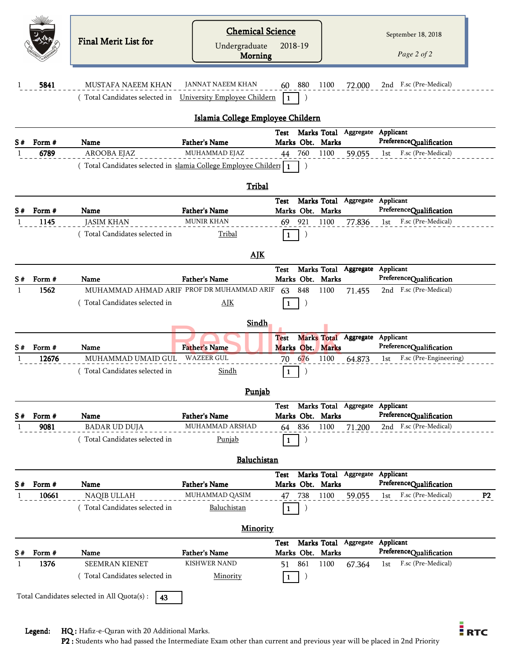|    |                 | Final Merit List for                                              | <b>Chemical Science</b><br>Undergraduate<br>Morning | 2018-19                         |                                 | September 18, 2018<br>Page 2 of 2                                      |
|----|-----------------|-------------------------------------------------------------------|-----------------------------------------------------|---------------------------------|---------------------------------|------------------------------------------------------------------------|
|    | 5841            | <b>MUSTAFA NAEEM KHAN</b><br>(Total Candidates selected in        | JANNAT NAEEM KHAN<br>University Employee Childern   | 880<br>60<br>$\mathbf{1}$       | 1100<br>72.000                  | 2nd F.sc (Pre-Medical)                                                 |
|    |                 |                                                                   | Islamia College Employee Childern                   |                                 |                                 |                                                                        |
|    |                 |                                                                   |                                                     | Test                            | Marks Total Aggregate Applicant | PreferenceQualification                                                |
| S# | Form #<br>6789  | Name<br>AROOBA EJAZ                                               | <b>Father's Name</b><br>MUHAMMAD EJAZ               | Marks Obt. Marks<br>760<br>44   | 1100<br>59.055                  | F.sc (Pre-Medical)<br>1st                                              |
|    |                 | (Total Candidates selected in slamia College Employee Childer   1 |                                                     | $\lambda$                       |                                 |                                                                        |
|    |                 |                                                                   | <b>Tribal</b>                                       |                                 |                                 |                                                                        |
|    |                 |                                                                   |                                                     | Test                            | Marks Total Aggregate Applicant |                                                                        |
| S# | Form #          | Name                                                              | <b>Father's Name</b>                                | Marks Obt. Marks                |                                 | PreferenceQualification                                                |
|    | 1145            | <b>JASIM KHAN</b>                                                 | <b>MUNIR KHAN</b>                                   | 921<br>69                       | 1100<br>77.836                  | F.sc (Pre-Medical)<br>1st                                              |
|    |                 | (Total Candidates selected in                                     | Tribal                                              | $\mathbf{1}$                    |                                 |                                                                        |
|    |                 |                                                                   | <b>AIK</b>                                          |                                 |                                 |                                                                        |
| S# | Form #          | Name                                                              | <b>Father's Name</b>                                | <b>Test</b><br>Marks Obt. Marks | Marks Total Aggregate           | Applicant<br>PreferenceQualification                                   |
|    | 1562            | MUHAMMAD AHMAD ARIF PROF DR MUHAMMAD ARIF                         |                                                     | 848<br>63                       | 1100<br>71.455                  | 2nd F.sc (Pre-Medical)                                                 |
|    |                 | (Total Candidates selected in                                     | AJK                                                 | 1                               |                                 |                                                                        |
|    |                 |                                                                   | Sindh                                               |                                 |                                 |                                                                        |
|    |                 |                                                                   | <b>Father's Name</b>                                | <b>Test</b><br>Marks Obt. Marks | Marks Total Aggregate Applicant | PreferenceQualification                                                |
|    | Form #<br>12676 | Name<br>MUHAMMAD UMAID GUL                                        | <b>WAZEER GUL</b>                                   | 676<br>70                       | 1100<br>64.873                  | F.sc (Pre-Engineering)<br>1st                                          |
|    |                 | Total Candidates selected in                                      | Sindh                                               |                                 |                                 |                                                                        |
|    |                 |                                                                   | Punjab                                              |                                 |                                 |                                                                        |
|    |                 |                                                                   |                                                     | Test                            | Marks Total Aggregate Applicant |                                                                        |
| S# | Form #          | Name                                                              | <b>Father's Name</b>                                | Marks Obt. Marks                |                                 | PreferenceQualification                                                |
|    | 9081            | <b>BADAR UD DUJA</b>                                              | MUHAMMAD ARSHAD                                     | 64 836                          | 1100<br>71.200                  | 2nd F.sc (Pre-Medical)                                                 |
|    |                 | (Total Candidates selected in                                     | <b>Punjab</b>                                       | 1                               |                                 |                                                                        |
|    |                 |                                                                   | Baluchistan                                         |                                 |                                 |                                                                        |
|    |                 |                                                                   |                                                     | Test                            | Marks Total Aggregate           | Applicant                                                              |
| S# | Form #<br>10661 | Name<br>NAQIB ULLAH                                               | <b>Father's Name</b><br>MUHAMMAD QASIM              | Marks Obt. Marks<br>738<br>47   | 1100<br>59.055                  | PreferenceQualification<br>F.sc (Pre-Medical)<br>P <sub>2</sub><br>1st |
|    |                 | (Total Candidates selected in                                     | Baluchistan                                         | J<br>1                          |                                 |                                                                        |
|    |                 |                                                                   | <b>Minority</b>                                     |                                 |                                 |                                                                        |
|    |                 |                                                                   |                                                     | Test                            | Marks Total Aggregate           | Applicant                                                              |
|    | Form#           | Name                                                              | <b>Father's Name</b>                                | Marks Obt. Marks                |                                 | PreferenceQualification                                                |
|    | 1376            | <b>SEEMRAN KIENET</b>                                             | <b>KISHWER NAND</b>                                 | 861<br>51                       | 1100<br>67.364                  | F.sc (Pre-Medical)<br>1st                                              |
|    |                 | (Total Candidates selected in                                     | Minority                                            | 1                               |                                 |                                                                        |
|    |                 | Total Candidates selected in All Quota(s) :<br>43                 |                                                     |                                 |                                 |                                                                        |

Legend: HQ : Hafiz-e-Quran with 20 Additional Marks.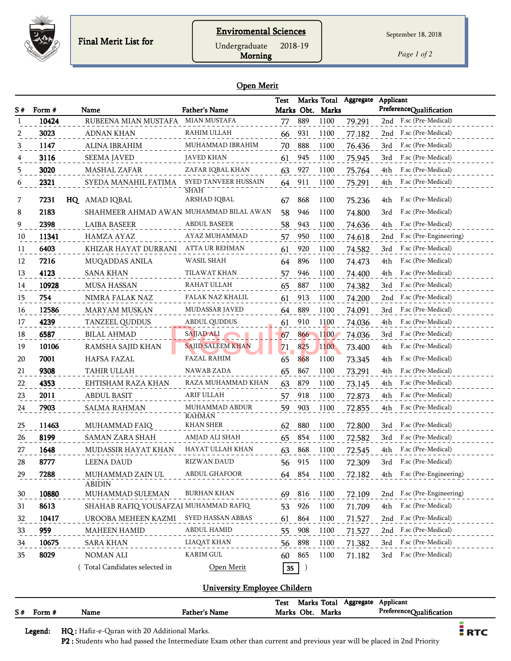

Morning Undergraduate 2018-19

*Page 1 of 2*

#### Open Merit

| S# | Form # | Name                                    | <b>Father's Name</b>            | <b>Test</b> |                  | Marks Obt. Marks | Marks Total Aggregate | Applicant<br>PreferenceQualification |
|----|--------|-----------------------------------------|---------------------------------|-------------|------------------|------------------|-----------------------|--------------------------------------|
|    | 10424  | RUBEENA MIAN MUSTAFA                    | <b>MIAN MUSTAFA</b>             | 77          | 889              | 1100             | 79.291                | 2nd F.sc (Pre-Medical)               |
| 2  | 3023   | <b>ADNAN KHAN</b>                       | RAHIM ULLAH                     | 66          | 931              | 1100             | 77.182                | F.sc (Pre-Medical)<br>2nd            |
| 3  | 1147   | ALINA IBRAHIM                           | MUHAMMAD IBRAHIM                | 70          | 888              | 1100             | 76.436                | F.sc (Pre-Medical)<br>3rd            |
| 4  | 3116   | <b>SEEMA JAVED</b>                      | <b>JAVED KHAN</b>               | 61          | 945              | 1100             | 75.945                | F.sc (Pre-Medical)<br>3rd            |
| 5  | 3020   | MASHAL ZAFAR                            | ZAFAR IQBAL KHAN                | 63          | 927              | 1100             | 75.764                | F.sc (Pre-Medical)<br>4th            |
| 6  | 2321   | SYEDA MANAHIL FATIMA                    | SYED TANVEER HUSSAIN<br>SHAH    | 64          | 911              | 1100             | 75.291                | F.sc (Pre-Medical)<br>4th            |
| 7  | 7231   | HQ AMAD IQBAL                           | ARSHAD IQBAL                    | 67          | 868              | 1100             | 75.236                | F.sc (Pre-Medical)<br>4th            |
| 8  | 2183   | SHAHMEER AHMAD AWAN MUHAMMAD BILAL AWAN |                                 | 58          | 946              | 1100             | 74.800                | F.sc (Pre-Medical)<br>3rd            |
| 9  | 2398   | <b>LAIBA BASEER</b>                     | <b>ABDUL BASEER</b>             | 58          | 943              | 1100             | 74.636                | F.sc (Pre-Medical)<br>4th            |
| 10 | 11341  | HAMZA AYAZ                              | AYAZ MUHAMMAD                   | 57          | 950              | 1100             | 74.618                | F.sc (Pre-Engineering)<br>2nd        |
| 11 | 6403   | KHIZAR HAYAT DURRANI                    | ATTA UR REHMAN                  | 61          | 920              | 1100             | 74.582                | F.sc (Pre-Medical)<br>3rd            |
| 12 | 7216   | MUQADDAS ANILA                          | WASIL SHAH                      | 64          | 896              | 1100             | 74.473                | F.sc (Pre-Medical)<br>4th            |
| 13 | 4123   | <b>SANA KHAN</b>                        | TILAWAT KHAN                    | 57          | 946              | 1100             | 74.400                | F.sc (Pre-Medical)<br>4th            |
| 14 | 10928  | <b>MUSA HASSAN</b>                      | RAHAT ULLAH                     | 65          | 887              | 1100             | 74.382                | F.sc (Pre-Medical)<br>3rd            |
| 15 | 754    | NIMRA FALAK NAZ                         | FALAK NAZ KHALIL                | 61          | 913              | 1100             | 74.200                | F.sc (Pre-Medical)<br>2nd            |
| 16 | 12586  | <b>MARYAM MUSKAN</b>                    | MUDASSAR JAVED                  | 64          | 889              | 1100             | 74.091                | F.sc (Pre-Medical)<br>3rd            |
| 17 | 4239   | <b>TANZEEL QUDDUS</b>                   | ABDUL QUDDUS                    | 61          | 910              | 1100             | 74.036                | 4th<br>F.sc (Pre-Medical)            |
| 18 | 6587   | <b>BILAL AHMAD</b>                      | SAJJAD ALI                      | 67          | 866              | 1100             | 74.036                | F.sc (Pre-Medical)<br>3rd            |
| 19 | 10106  | RAMSHA SAJID KHAN                       | <b>SAJID SALEEM KHAN</b>        | 71          | 825              | 1100             | 73.400                | F.sc (Pre-Medical)<br>4th            |
| 20 | 7001   | HAFSA FAZAL                             | <b>FAZAL RAHIM</b>              | 65          | 868              | 1100             | 73.345                | F.sc (Pre-Medical)<br>4th            |
| 21 | 9308   | TAHIR ULLAH                             | NAWAB ZADA                      | 65          | 867              | 1100             | 73.291                | F.sc (Pre-Medical)<br>4th            |
| 22 | 4353   | EHTISHAM RAZA KHAN                      | RAZA MUHAMMAD KHAN              | 63          | 879              | 1100             | 73.145                | F.sc (Pre-Medical)<br>4th            |
| 23 | 2011   | <b>ABDUL BASIT</b>                      | <b>ARIF ULLAH</b>               | 57          | 918              | 1100             | 72.873                | F.sc (Pre-Medical)<br>4th            |
| 24 | 7903   | SALMA RAHMAN                            | MUHAMMAD ABDUR<br><b>RAHMAN</b> | 59          | 903              | 1100             | 72.855                | F.sc (Pre-Medical)<br>4th            |
| 25 | 11463  | MUHAMMAD FAIQ                           | <b>KHAN SHER</b>                | 62          | 880              | 1100             | 72.800                | F.sc (Pre-Medical)<br>3rd            |
| 26 | 8199   | SAMAN ZARA SHAH                         | AMJAD ALI SHAH                  | 65          | 854              | 1100             | 72.582                | F.sc (Pre-Medical)<br>3rd            |
| 27 | 1648   | MUDASSIR HAYAT KHAN                     | HAYAT ULLAH KHAN                | 63          | 868              | 1100             | 72.545                | F.sc (Pre-Medical)<br>4th            |
| 28 | 8777   | <b>LEENA DAUD</b>                       | <b>RIZWAN DAUD</b>              | 56          | 915              | 1100             | 72.309                | F.sc (Pre-Medical)<br>3rd            |
| 29 | 7288   | MUHAMMAD ZAIN UL                        | ABDUL GHAFOOR                   | 64 854      |                  | 1100             | 72.182                | 4th F.sc (Pre-Engineering)           |
| 30 | 10880  | <b>ABIDIN</b><br>MUHAMMAD SULEMAN       | <b>BURHAN KHAN</b>              | 69 816      |                  | 1100             | 72.109                | 2nd F.sc (Pre-Engineering)           |
| 31 | 8613   | SHAHAB RAFIQ YOUSAFZAI MUHAMMAD RAFIQ   |                                 | 53          | 926              | 1100             | 71.709                | F.sc (Pre-Medical)<br>4th            |
| 32 | 10417  | UROOBA MEHEEN KAZMI                     | SYED HASSAN ABBAS               | 61          | 864              | 1100             | 71.527                | F.sc (Pre-Medical)<br>2nd            |
| 33 | 959    | <b>MAHEEN HAMID</b>                     | <b>ABDUL HAMID</b>              | 55          | 908              | 1100             | 71.527                | F.sc (Pre-Medical)<br>2nd            |
| 34 | 10675  | <b>SARA KHAN</b>                        | LIAQAT KHAN                     | 56          | 898              | 1100             | 71.382                | F.sc (Pre-Medical)<br>3rd            |
| 35 | 8029   | NOMAN ALI                               | KARIM GUL                       | 60          | 865              | 1100             | 71.182                | F.sc (Pre-Medical)<br>3rd            |
|    |        | Total Candidates selected in            | Open Merit                      | $35\,$      | $\left( \right)$ |                  |                       |                                      |

#### University Employee Childern

|             |      |               | Marks Total Aggregate Applicant<br>Test |                         |
|-------------|------|---------------|-----------------------------------------|-------------------------|
| $S#$ Form # | Name | Father's Name | Marks Obt. Marks                        | PreferenceQualification |
|             |      |               |                                         |                         |

Legend: HQ : Hafiz-e-Quran with 20 Additional Marks.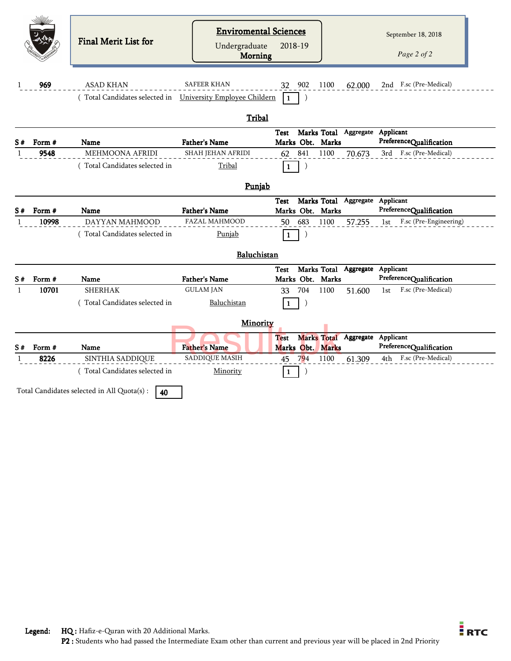|              |                 | Final Merit List for                                                           | <b>Enviromental Sciences</b><br>Undergraduate<br>Morning | 2018-19                         |     |             |                                 | September 18, 2018<br>Page 2 of 2                        |
|--------------|-----------------|--------------------------------------------------------------------------------|----------------------------------------------------------|---------------------------------|-----|-------------|---------------------------------|----------------------------------------------------------|
| 1            | 969             | <b>ASAD KHAN</b><br>(Total Candidates selected in University Employee Childern | <b>SAFEER KHAN</b>                                       | 32 902<br>$\mathbf{1}$          |     | 1100        | 62.000                          | 2nd F.sc (Pre-Medical)                                   |
|              |                 |                                                                                |                                                          |                                 |     |             |                                 |                                                          |
|              |                 |                                                                                | Tribal                                                   |                                 |     |             |                                 |                                                          |
| S#           | Form #          | <b>Name</b>                                                                    | <b>Father's Name</b>                                     | <b>Test</b><br>Marks Obt. Marks |     |             | Marks Total Aggregate Applicant | PreferenceQualification                                  |
| -1           | 9548            | <b>MEHMOONA AFRIDI</b>                                                         | <b>SHAH JEHAN AFRIDI</b>                                 | 62 841                          |     | 1100        | 70.673                          | 3rd F.sc (Pre-Medical)                                   |
|              |                 | (Total Candidates selected in                                                  | Tribal                                                   | 1                               |     |             |                                 |                                                          |
|              |                 |                                                                                | Punjab                                                   |                                 |     |             |                                 |                                                          |
|              |                 |                                                                                |                                                          | Test                            |     |             | Marks Total Aggregate Applicant |                                                          |
| S#           | Form #<br>10998 | Name<br>DAYYAN MAHMOOD                                                         | <b>Father's Name</b><br><b>FAZAL MAHMOOD</b>             | Marks Obt. Marks<br>50 683      |     | 1100        | 57.255                          | PreferenceQualification<br>F.sc (Pre-Engineering)<br>1st |
|              |                 | (Total Candidates selected in                                                  | Punjab                                                   | 1                               |     |             |                                 |                                                          |
|              |                 |                                                                                | Baluchistan                                              |                                 |     |             |                                 |                                                          |
| S#           | Form #          | <b>Name</b>                                                                    | <b>Father's Name</b>                                     | <b>Test</b><br>Marks Obt. Marks |     | Marks Total | Aggregate Applicant             | PreferenceQualification                                  |
| $\mathbf{1}$ | 10701           | <b>SHERHAK</b>                                                                 | <b>GULAM JAN</b>                                         | 33                              | 704 | 1100        | 51.600                          | F.sc (Pre-Medical)<br>1st                                |
|              |                 | Total Candidates selected in                                                   | Baluchistan                                              | 1                               |     |             |                                 |                                                          |
|              |                 |                                                                                | Minority                                                 |                                 |     |             |                                 |                                                          |
| S#           | Form #          | Name                                                                           | <b>Father's Name</b>                                     | <b>Test</b><br>Marks Obt. Marks |     |             | Marks Total Aggregate Applicant | PreferenceQualification                                  |
|              | 8226            | SINTHIA SADDIQUE                                                               | <b>SADDIQUE MASIH</b>                                    | 45                              | 794 | 1100        | 61.309                          | 4th F.sc (Pre-Medical)                                   |
|              |                 | (Total Candidates selected in                                                  | Minority                                                 | $\mathbf{1}$                    |     |             |                                 |                                                          |
|              |                 | Total Candidates selected in All Quota(s) :<br>40                              |                                                          |                                 |     |             |                                 |                                                          |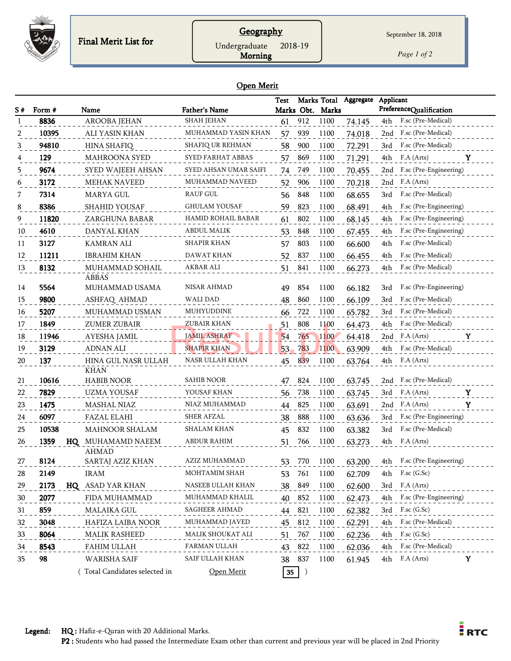

## **Geography**

Undergraduate 2018-19

Morning

September 18, 2018

*Page 1 of 2*

#### Open Merit

| S# | Form # | Name                              | <b>Father's Name</b>  | <b>Test</b>     |     | Marks Total<br>Marks Obt. Marks | Aggregate | Applicant | PreferenceQualification |
|----|--------|-----------------------------------|-----------------------|-----------------|-----|---------------------------------|-----------|-----------|-------------------------|
|    | 8836   | AROOBA JEHAN                      | <b>SHAH JEHAN</b>     | 61              | 912 | 1100                            | 74.145    | 4th       | F.sc (Pre-Medical)      |
| 2  | 10395  | ALI YASIN KHAN                    | MUHAMMAD YASIN KHAN   | 57              | 939 | 1100                            | 74.018    | 2nd       | F.sc (Pre-Medical)      |
| 3  | 94810  | <b>HINA SHAFIQ</b>                | SHAFIQ UR REHMAN      | 58              | 900 | 1100                            | 72.291    | 3rd       | F.sc (Pre-Medical)      |
| 4  | 129    | <b>MAHROONA SYED</b>              | SYED FARHAT ABBAS     | 57              | 869 | 1100                            | 71.291    | 4th       | F.A (Arts)<br>Y         |
| 5  | 9674   | SYED WAJEEH AHSAN                 | SYED AHSAN UMAR SAIFI | 74              | 749 | 1100                            | 70.455    | 2nd       | F.sc (Pre-Engineering)  |
| 6  | 3172   | <b>MEHAK NAVEED</b>               | MUHAMMAD NAVEED       | 52              | 906 | 1100                            | 70.218    | 2nd       | F.A (Arts)              |
| 7  | 7314   | MARYA GUL                         | RAUF GUL              | 56              | 848 | 1100                            | 68.655    | 3rd       | F.sc (Pre-Medical)      |
| 8  | 8386   | <b>SHAHID YOUSAF</b>              | <b>GHULAM YOUSAF</b>  | 59              | 823 | 1100                            | 68.491    | 4th       | F.sc (Pre-Engineering)  |
| 9  | 11820  | ZARGHUNA BABAR                    | HAMID ROHAIL BABAR    | 61              | 802 | 1100                            | 68.145    | 4th       | F.sc (Pre-Engineering)  |
| 10 | 4610   | DANYAL KHAN                       | <b>ABDUL MALIK</b>    | 53              | 848 | 1100                            | 67.455    | 4th       | F.sc (Pre-Engineering)  |
| 11 | 3127   | KAMRAN ALI                        | SHAPIR KHAN           | 57              | 803 | 1100                            | 66.600    | 4th       | F.sc (Pre-Medical)      |
| 12 | 11211  | <b>IBRAHIM KHAN</b>               | <b>DAWAT KHAN</b>     | 52              | 837 | 1100                            | 66.455    | 4th       | F.sc (Pre-Medical)      |
| 13 | 8132   | MUHAMMAD SOHAIL<br><b>ABBAS</b>   | AKBAR ALI             | 51              | 841 | 1100                            | 66.273    | 4th       | F.sc (Pre-Medical)      |
| 14 | 5564   | MUHAMMAD USAMA                    | <b>NISAR AHMAD</b>    | 49              | 854 | 1100                            | 66.182    | 3rd       | F.sc (Pre-Engineering)  |
| 15 | 9800   | ASHFAQ AHMAD                      | WALI DAD              | 48              | 860 | 1100                            | 66.109    | 3rd       | F.sc (Pre-Medical)      |
| 16 | 5207   | MUHAMMAD USMAN                    | MUHYUDDINE            | 66              | 722 | 1100                            | 65.782    | 3rd       | F.sc (Pre-Medical)      |
| 17 | 1849   | ZUMER ZUBAIR                      | ZUBAIR KHAN           | 51              | 808 | 1100                            | 64.473    | 4th       | F.sc (Pre-Medical)      |
| 18 | 11946  | AYESHA JAMIL                      | <b>JAMIL ASHRAF</b>   | 54              | 765 | 1100                            | 64.418    |           | 2nd F.A (Arts)<br>Y     |
| 19 | 3129   | <b>ADNAN ALI</b>                  | <b>SHAPIR KHAN</b>    | 53              | 783 | 1100                            | 63.909    | 4th       | F.sc (Pre-Medical)      |
| 20 | 137    | HINA GUL NASR ULLAH<br>KHAN       | NASR ULLAH KHAN       | 45              | 839 | 1100                            | 63.764    | 4th       | F.A (Arts)              |
| 21 | 10616  | <b>HABIB NOOR</b>                 | <b>SAHIB NOOR</b>     | 47              | 824 | 1100                            | 63.745    |           | 2nd F.sc (Pre-Medical)  |
| 22 | 7829   | <b>UZMA YOUSAF</b>                | YOUSAF KHAN           | 56              | 738 | 1100                            | 63.745    | 3rd       | F.A (Arts)<br>Y         |
| 23 | 1475   | <b>MASHAL NIAZ</b>                | NIAZ MUHAMMAD         | 44              | 825 | 1100                            | 63.691    | 2nd       | F.A (Arts)<br>Y         |
| 24 | 6097   | FAZAL ELAHI                       | <b>SHER AFZAL</b>     | 38              | 888 | 1100                            | 63.636    | 3rd       | F.sc (Pre-Engineering)  |
| 25 | 10538  | <b>MAHNOOR SHALAM</b>             | <b>SHALAM KHAN</b>    | 45              | 832 | 1100                            | 63.382    | 3rd       | F.sc (Pre-Medical)      |
| 26 | 1359   | HQ MUHAMAMD NAEEM<br><b>AHMAD</b> | ABDUR RAHIM           | 51              | 766 | 1100                            | 63.273    | 4th       | F.A (Arts)              |
| 27 | 8124   | SARTAJ AZIZ KHAN                  | AZIZ MUHAMMAD         | 53              | 770 | 1100                            | 63.200    | 4th       | F.sc (Pre-Engineering)  |
| 28 | 2149   | <b>IRAM</b>                       | MOHTAMIM SHAH         | 53              | 761 | 1100                            | 62.709    | 4th       | F.sc (G.Sc)             |
| 29 | 2173   | HQ ASAD YAR KHAN                  | NASEEB ULLAH KHAN     | 38              | 849 | 1100                            | 62.600    | 3rd       | F.A (Arts)              |
| 30 | 2077   | FIDA MUHAMMAD                     | MUHAMMAD KHALIL       | 40              | 852 | 1100                            | 62.473    | 4th       | F.sc (Pre-Engineering)  |
| 31 | 859    | MALAIKA GUL                       | <b>SAGHEER AHMAD</b>  | 44              | 821 | 1100                            | 62.382    | 3rd       | $F$ .sc $(G.Sc)$        |
| 32 | 3048   | HAFIZA LAIBA NOOR                 | MUHAMMAD JAVED        | 45              | 812 | 1100                            | 62.291    | 4th       | F.sc (Pre-Medical)      |
| 33 | 8064   | MALIK RASHEED                     | MALIK SHOUKAT ALI     | 51              | 767 | 1100                            | 62.236    | 4th       | $F$ .sc $(G.Sc)$        |
| 34 | 8543   | FAHIM ULLAH                       | FARMAN ULLAH          | 43              | 822 | 1100                            | 62.036    |           | 4th F.sc (Pre-Medical)  |
| 35 | 98     | WARISHA SAIF                      | SAIF ULLAH KHAN       | 38 837          |     | 1100                            | 61.945    |           | 4th F.A (Arts)<br>Y     |
|    |        | Total Candidates selected in      | Open Merit            | 35 <sub>5</sub> |     |                                 |           |           |                         |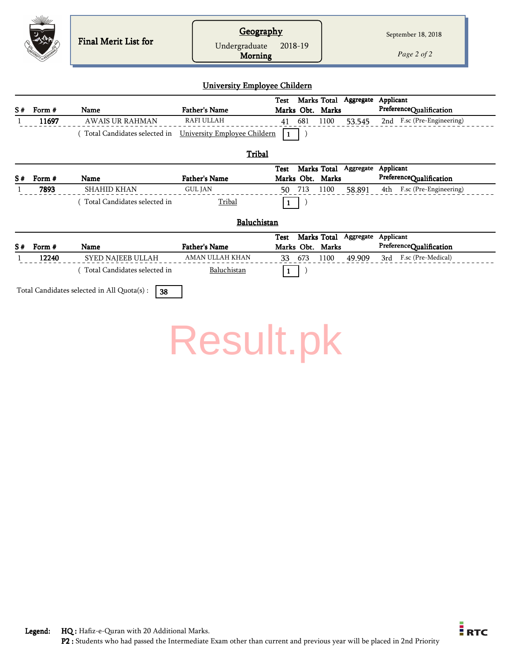|    | <i>SWIM///</i> | Final Merit List for          | <b>Geography</b><br>Undergraduate<br>Morning<br><b>University Employee Childern</b> | 2018-19                                        |                     | September 18, 2018<br>Page 2 of 2    |
|----|----------------|-------------------------------|-------------------------------------------------------------------------------------|------------------------------------------------|---------------------|--------------------------------------|
|    |                |                               |                                                                                     | Marks Total<br><b>Test</b>                     | Aggregate Applicant |                                      |
| S# | Form #         | <b>Name</b>                   | <b>Father's Name</b>                                                                | Marks Obt. Marks                               |                     | PreferenceQualification              |
|    | 11697          | <b>AWAIS UR RAHMAN</b>        | <b>RAFI ULLAH</b>                                                                   | 681<br>1100<br>41                              | 53.545              | 2nd F.sc (Pre-Engineering)           |
|    |                | (Total Candidates selected in | University Employee Childern                                                        | 1                                              |                     |                                      |
| S# | Form #         | Name                          | Tribal<br><b>Father's Name</b>                                                      | Marks Total<br><b>Test</b><br>Marks Obt. Marks | Aggregate           | Applicant<br>PreferenceQualification |
|    | 7893           | <b>SHAHID KHAN</b>            | <b>GUL JAN</b>                                                                      | 713<br>1100<br>50                              | 58.891              | F.sc (Pre-Engineering)<br>4th        |
|    |                | (Total Candidates selected in | Tribal                                                                              | -1                                             |                     |                                      |
|    |                |                               | Baluchistan                                                                         |                                                |                     |                                      |
| S# | Form #         | <b>Name</b>                   | <b>Father's Name</b>                                                                | Marks Total<br><b>Test</b><br>Marks Obt. Marks | Aggregate           | Applicant<br>PreferenceQualification |
|    | 12240          | SYED NAJEEB ULLAH             | AMAN ULLAH KHAN                                                                     | 1100<br>673<br>33                              | 49.909              | 3rd F.sc (Pre-Medical)               |
|    |                | Total Candidates selected in  | Baluchistan                                                                         |                                                |                     |                                      |

Total Candidates selected in All Quota(s) :  $\boxed{38}$ 

[Result.pk](http://www.result.pk/)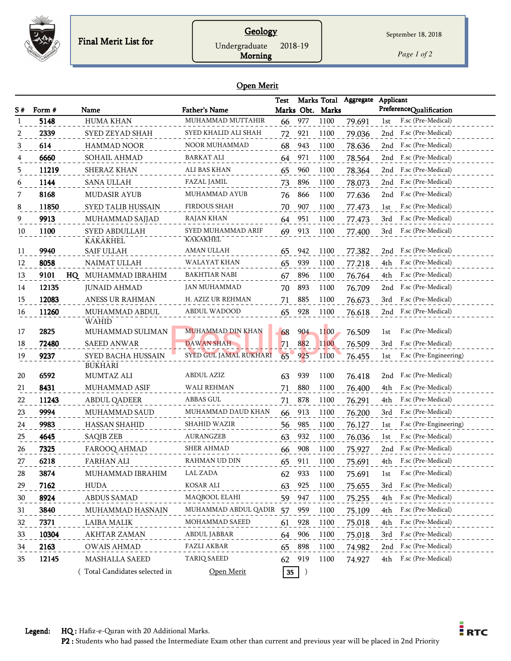

## **Geology** Undergraduate 2018-19

*Page 1 of 2*

#### Open Merit

Morning

| S# | Form # | Name                             | <b>Father's Name</b>                  | Test |     | Marks Total<br>Marks Obt. Marks | Aggregate | Applicant<br>PreferenceQualification |
|----|--------|----------------------------------|---------------------------------------|------|-----|---------------------------------|-----------|--------------------------------------|
|    | 5148   | <b>HUMA KHAN</b>                 | MUHAMMAD MUTTAHIR                     | 66   | 977 | 1100                            | 79.691    | F.sc (Pre-Medical)<br>1st            |
| 2  | 2339   | SYED ZEYAD SHAH                  | SYED KHALID ALI SHAH                  | 72   | 921 | 1100                            | 79.036    | F.sc (Pre-Medical)<br>2nd            |
| 3  | 614    | <b>HAMMAD NOOR</b>               | <b>NOOR MUHAMMAD</b>                  | 68   | 943 | 1100                            | 78.636    | 2nd F.sc (Pre-Medical)               |
|    | 6660   | SOHAIL AHMAD                     | BARKAT ALI                            | 64   | 971 | 1100                            | 78.564    | F.sc (Pre-Medical)<br>2nd            |
| 5  | 11219  | SHERAZ KHAN                      | ALI BAS KHAN                          | 65   | 960 | 1100                            | 78.364    | F.sc (Pre-Medical)<br>2nd            |
| 6  | 1144   | <b>SANA ULLAH</b>                | FAZAL JAMIL                           | 73   | 896 | 1100                            | 78.073    | F.sc (Pre-Medical)<br>2nd            |
| 7  | 8168   | <b>MUDASIR AYUB</b>              | MUHAMMAD AYUB                         | 76   | 866 | 1100                            | 77.636    | F.sc (Pre-Medical)<br>2nd            |
| 8  | 11850  | <b>SYED TALIB HUSSAIN</b>        | FIRDOUS SHAH                          | 70   | 907 | 1100                            | 77.473    | F.sc (Pre-Medical)<br>1st            |
| 9  | 9913   | MUHAMMAD SAJJAD                  | RAJAN KHAN                            | 64   | 951 | 1100                            | 77.473    | F.sc (Pre-Medical)<br>3rd            |
| 10 | 1100   | SYED ABDULLAH<br><b>KAKAKHEL</b> | SYED MUHAMMAD ARIF<br><b>KAKAKHEL</b> | 69   | 913 | 1100                            | 77.400    | F.sc (Pre-Medical)<br>3rd            |
| 11 | 9940   | SAIF ULLAH                       | AMAN ULLAH                            | 65   | 942 | 1100                            | 77.382    | F.sc (Pre-Medical)<br>2nd            |
| 12 | 8058   | NAIMAT ULLAH                     | WALAYAT KHAN                          | 65   | 939 | 1100                            | 77.218    | F.sc (Pre-Medical)<br>4th            |
| 13 | 9101   | HQ MUHAMMAD IBRAHIM              | <b>BAKHTIAR NABI</b>                  | 67   | 896 | 1100                            | 76.764    | F.sc (Pre-Medical)<br>4th            |
| 14 | 12135  | <b>JUNAID AHMAD</b>              | JAN MUHAMMAD                          | 70   | 893 | 1100                            | 76.709    | F.sc (Pre-Medical)<br>2nd            |
| 15 | 12083  | <b>ANESS UR RAHMAN</b>           | H. AZIZ UR REHMAN                     | 71   | 885 | 1100                            | 76.673    | F.sc (Pre-Medical)<br>3rd            |
| 16 | 11260  | MUHAMMAD ABDUL                   | ABDUL WADOOD                          | 65   | 928 | 1100                            | 76.618    | F.sc (Pre-Medical)<br>2nd            |
| 17 | 2825   | <b>WAHID</b><br>MUHAMMAD SULIMAN | MUHAMMAD DIN KHAN                     | 68   | 904 | 1100                            | 76.509    | F.sc (Pre-Medical)<br>1st            |
| 18 | 72480  | <b>SAEED ANWAR</b>               | <b>DAWAN SHAH</b>                     | 71   | 882 | 1100                            | 76.509    | F.sc (Pre-Medical)<br>3rd            |
| 19 | 9237   | SYED BACHA HUSSAIN               | SYED GUL JAMAL RUKHARI                | 65   | 925 | 1100                            | 76.455    | F.sc (Pre-Engineering)<br>1st        |
|    |        | <b>BUKHARI</b>                   |                                       |      |     |                                 |           |                                      |
| 20 | 6592   | MUMTAZ ALI                       | ABDUL AZIZ                            | 63   | 939 | 1100                            | 76.418    | F.sc (Pre-Medical)<br>2nd            |
| 21 | 8431   | MUHAMMAD ASIF                    | WALI REHMAN                           | 71   | 880 | 1100                            | 76.400    | F.sc (Pre-Medical)<br>4th            |
| 22 | 11243  | <b>ABDUL QADEER</b>              | ABBAS GUL                             | 71   | 878 | 1100                            | 76.291    | F.sc (Pre-Medical)<br>4th            |
| 23 | 9994   | MUHAMMAD SAUD                    | MUHAMMAD DAUD KHAN                    | 66   | 913 | 1100                            | 76.200    | 3rd<br>F.sc (Pre-Medical)            |
| 24 | 9983   | <b>HASSAN SHAHID</b>             | <b>SHAHID WAZIR</b>                   | 56   | 985 | 1100                            | 76.127    | 1st<br>F.sc (Pre-Engineering)        |
| 25 | 4645   | SAQIB ZEB                        | <b>AURANGZEB</b>                      | 63   | 932 | 1100                            | 76.036    | F.sc (Pre-Medical)<br>1st            |
| 26 | 7325   | FAROOQ AHMAD                     | SHER AHMAD                            | 66   | 908 | 1100                            | 75.927    | F.sc (Pre-Medical)<br>2nd            |
| 27 | 6218   | <b>FARHAN ALI</b>                | RAHMAN UD DIN                         | 65   | 911 | 1100                            | 75.691    | F.sc (Pre-Medical)<br>4th            |
| 28 | 3874   | MUHAMMAD IBRAHIM                 | LAL ZADA                              | 62   | 933 | 1100                            | 75.691    | F.sc (Pre-Medical)<br>1st            |
| 29 | 7162   | <b>HUDA</b>                      | <b>KOSAR ALI</b>                      | 63   | 925 | 1100                            | 75.655    | F.sc (Pre-Medical)<br>3rd            |
| 30 | 8924   | ABDUS SAMAD                      | MAQBOOL ELAHI                         | 59   | 947 | 1100                            | 75.255    | F.sc (Pre-Medical)<br>4th            |
| 31 | 3840   | MUHAMMAD HASNAIN                 | MUHAMMAD ABDUL QADIR                  | 57   | 959 | 1100                            | 75.109    | F.sc (Pre-Medical)<br>4th            |
| 32 | 7371   | LAIBA MALIK                      | MOHAMMAD SAEED                        | 61   | 928 | 1100                            | 75.018    | 4th<br>F.sc (Pre-Medical)            |
| 33 | 10304  | <b>AKHTAR ZAMAN</b>              | ABDUL JABBAR                          | 64   | 906 | 1100                            | 75.018    | 3rd<br>F.sc (Pre-Medical)            |
| 34 | 2163   | <b>OWAIS AHMAD</b>               | FAZLI AKBAR                           | 65   | 898 | 1100                            | 74.982    | 2nd F.sc (Pre-Medical)               |
| 35 | 12145  | MASHALLA SAEED                   | <b>TARIQ SAEED</b>                    | 62   | 919 | 1100                            | 74.927    | 4th F.sc (Pre-Medical)               |
|    |        | Total Candidates selected in     | Open Merit                            | 35   |     |                                 |           |                                      |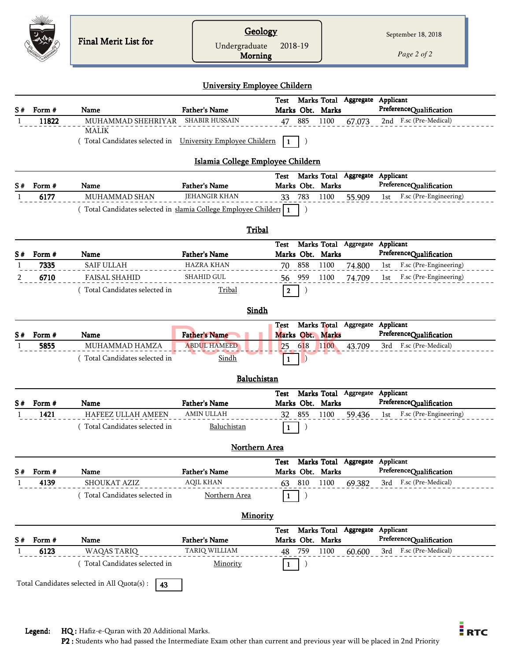|    |        | <b>Final Merit List for</b>                                                | Geology                             |                                 |           |             |                                 |     | September 18, 2018      |
|----|--------|----------------------------------------------------------------------------|-------------------------------------|---------------------------------|-----------|-------------|---------------------------------|-----|-------------------------|
|    |        |                                                                            | Undergraduate<br><b>Morning</b>     | 2018-19                         |           |             |                                 |     | Page 2 of 2             |
|    |        |                                                                            | <b>University Employee Childern</b> |                                 |           |             |                                 |     |                         |
| S# | Form # | <b>Name</b>                                                                | <b>Father's Name</b>                | Test<br>Marks Obt. Marks        |           |             | Marks Total Aggregate Applicant |     | PreferenceQualification |
|    | 11822  | MUHAMMAD SHEHRIYAR                                                         | <b>SHABIR HUSSAIN</b>               | 47                              | 885       | 1100        | 67.073                          |     | 2nd F.sc (Pre-Medical)  |
|    |        | <b>MALIK</b><br>Total Candidates selected in  University Employee Childern |                                     | 1                               |           |             |                                 |     |                         |
|    |        |                                                                            | Islamia College Employee Childern   |                                 |           |             |                                 |     |                         |
|    | Form # | Name                                                                       | <b>Father's Name</b>                | Test<br>Marks Obt. Marks        |           | Marks Total | Aggregate Applicant             |     | PreferenceQualification |
| S# | 6177   | <b>MUHAMMAD SHAN</b>                                                       | <b>JEHANGIR KHAN</b>                | 33                              | 783       | 1100        | 55.909                          | 1st | F.sc (Pre-Engineering)  |
|    |        | (Total Candidates selected in slamia College Employee Childer 1            |                                     |                                 |           |             |                                 |     |                         |
|    |        |                                                                            | Tribal                              |                                 |           |             |                                 |     |                         |
|    |        |                                                                            |                                     | Test                            |           |             | Marks Total Aggregate Applicant |     |                         |
|    | Form # | Name                                                                       | <b>Father's Name</b>                | Marks Obt. Marks                |           |             |                                 |     | PreferenceQualification |
|    | 7335   | <b>SAIF ULLAH</b>                                                          | <b>HAZRA KHAN</b>                   | 70                              | 858       | 1100        | 74.800                          | 1st | F.sc (Pre-Engineering)  |
|    | 6710   | <b>FAISAL SHAHID</b>                                                       | SHAHID GUL                          | 56                              | 959       | 1100        | 74.709                          | 1st | F.sc (Pre-Engineering)  |
|    |        | (Total Candidates selected in                                              | Tribal                              | $\overline{2}$                  | $\vert$ ) |             |                                 |     |                         |
|    |        |                                                                            | Sindh                               |                                 |           |             |                                 |     |                         |
| S# | Form#  | Name                                                                       | <b>Father's Name</b>                | <b>Test</b><br>Marks Obt. Marks |           |             | Marks Total Aggregate Applicant |     | PreferenceQualification |
|    | 5855   | MUHAMMAD HAMZA                                                             | <b>ABDUL HAMEED</b>                 | 25                              | 618       | 1100        | 43.709                          | 3rd | F.sc (Pre-Medical)      |
|    |        | (Total Candidates selected in                                              | Sindh                               | 1                               |           |             |                                 |     |                         |
|    |        |                                                                            | Baluchistan                         |                                 |           |             |                                 |     |                         |
|    |        |                                                                            |                                     | Test                            |           |             | Marks Total Aggregate Applicant |     |                         |
| S# | Form # | Name                                                                       | <b>Father's Name</b>                | Marks Obt. Marks                |           |             |                                 |     | PreferenceQualification |
|    | 1421   | <b>HAFEEZ ULLAH AMEEN</b>                                                  | <b>AMIN ULLAH</b>                   | 32                              | 855       | 1100        | 59.436                          | 1st | F.sc (Pre-Engineering)  |
|    |        | Total Candidates selected in                                               | Baluchistan                         | 1                               |           |             |                                 |     |                         |
|    |        |                                                                            | <b>Northern Area</b>                |                                 |           |             |                                 |     |                         |
|    |        |                                                                            |                                     | Test                            |           |             | Marks Total Aggregate Applicant |     |                         |
|    | Form # | Name                                                                       | <b>Father's Name</b>                | Marks Obt. Marks                |           |             |                                 |     | PreferenceQualification |
|    | 4139   | <b>SHOUKAT AZIZ</b>                                                        | <b>AQIL KHAN</b>                    | 63                              | 810       | 1100        | 69.382                          |     | 3rd F.sc (Pre-Medical)  |
|    |        | Total Candidates selected in                                               | Northern Area                       | -1                              | $\big)$   |             |                                 |     |                         |
|    |        |                                                                            | <b>Minority</b>                     |                                 |           |             |                                 |     |                         |
| S# | Form # | Name                                                                       | <b>Father's Name</b>                | Test<br>Marks Obt. Marks        |           |             | Marks Total Aggregate Applicant |     | PreferenceQualification |
|    | 6123   | WAQAS TARIQ                                                                | TARIQ WILLIAM                       | 48                              | 759       | 1100        | 60.600                          |     | 3rd F.sc (Pre-Medical)  |
|    |        | (Total Candidates selected in                                              | Minority                            |                                 |           |             |                                 |     |                         |
|    |        | Total Candidates selected in All Quota(s) :<br>43                          |                                     |                                 |           |             |                                 |     |                         |
|    |        |                                                                            |                                     |                                 |           |             |                                 |     |                         |

E<br>RTC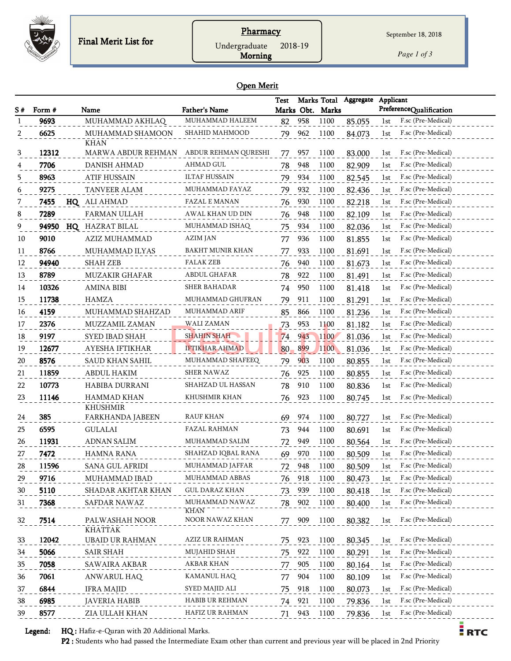

## **Pharmacy**

Undergraduate 2018-19

Morning

*Page 1 of 3*

 $\frac{1}{2}$  RTC

#### Open Merit

| Aggregate<br><b>Test</b><br>PreferenceQualification<br>Marks Obt. Marks<br>Form #<br><b>Father's Name</b><br>S#<br>Name<br>9693<br>MUHAMMAD HALEEM<br>958<br>MUHAMMAD AKHLAQ<br>1100<br>F.sc (Pre-Medical)<br>82<br>85.055<br>1st<br>MUHAMMAD SHAMOON<br>SHAHID MAHMOOD<br>962<br>1100<br>6625<br>79<br>84.073<br>F.sc (Pre-Medical)<br>1st<br>2<br><b>KHAN</b><br>12312<br>ABDUR REHMAN QURESHI<br>F.sc (Pre-Medical)<br>MARWA ABDUR REHMAN<br>3<br>957<br>1100<br>83.000<br>77<br>1st<br>7706<br>AHMAD GUL<br>F.sc (Pre-Medical)<br><b>DANISH AHMAD</b><br>948<br>1100<br>82.909<br>1st<br>78<br>8963<br><b>ATIF HUSSAIN</b><br>ILTAF HUSSAIN<br>934<br>F.sc (Pre-Medical)<br>1100<br>79<br>82.545<br>1st<br>5<br>9275<br><b>TANVEER ALAM</b><br>MUHAMMAD FAYAZ<br>932<br>F.sc (Pre-Medical)<br>79<br>1100<br>82.436<br>1st<br>6<br><b>FAZAL E MANAN</b><br>7455<br>HQ ALI AHMAD<br>930<br>1100<br>82.218<br>F.sc (Pre-Medical)<br>1st<br>7<br>76<br>7289<br><b>FARMAN ULLAH</b><br>948<br>1100<br>F.sc (Pre-Medical)<br>AWAL KHAN UD DIN<br>82.109<br>8<br>76<br>1st |  |
|-------------------------------------------------------------------------------------------------------------------------------------------------------------------------------------------------------------------------------------------------------------------------------------------------------------------------------------------------------------------------------------------------------------------------------------------------------------------------------------------------------------------------------------------------------------------------------------------------------------------------------------------------------------------------------------------------------------------------------------------------------------------------------------------------------------------------------------------------------------------------------------------------------------------------------------------------------------------------------------------------------------------------------------------------------------------------|--|
|                                                                                                                                                                                                                                                                                                                                                                                                                                                                                                                                                                                                                                                                                                                                                                                                                                                                                                                                                                                                                                                                         |  |
|                                                                                                                                                                                                                                                                                                                                                                                                                                                                                                                                                                                                                                                                                                                                                                                                                                                                                                                                                                                                                                                                         |  |
|                                                                                                                                                                                                                                                                                                                                                                                                                                                                                                                                                                                                                                                                                                                                                                                                                                                                                                                                                                                                                                                                         |  |
|                                                                                                                                                                                                                                                                                                                                                                                                                                                                                                                                                                                                                                                                                                                                                                                                                                                                                                                                                                                                                                                                         |  |
|                                                                                                                                                                                                                                                                                                                                                                                                                                                                                                                                                                                                                                                                                                                                                                                                                                                                                                                                                                                                                                                                         |  |
|                                                                                                                                                                                                                                                                                                                                                                                                                                                                                                                                                                                                                                                                                                                                                                                                                                                                                                                                                                                                                                                                         |  |
|                                                                                                                                                                                                                                                                                                                                                                                                                                                                                                                                                                                                                                                                                                                                                                                                                                                                                                                                                                                                                                                                         |  |
|                                                                                                                                                                                                                                                                                                                                                                                                                                                                                                                                                                                                                                                                                                                                                                                                                                                                                                                                                                                                                                                                         |  |
|                                                                                                                                                                                                                                                                                                                                                                                                                                                                                                                                                                                                                                                                                                                                                                                                                                                                                                                                                                                                                                                                         |  |
|                                                                                                                                                                                                                                                                                                                                                                                                                                                                                                                                                                                                                                                                                                                                                                                                                                                                                                                                                                                                                                                                         |  |
| F.sc (Pre-Medical)<br>94950<br>MUHAMMAD ISHAQ<br>934<br>1100<br><b>HQ</b> HAZRAT BILAL<br>75<br>82.036<br>9<br>1st                                                                                                                                                                                                                                                                                                                                                                                                                                                                                                                                                                                                                                                                                                                                                                                                                                                                                                                                                      |  |
| 9010<br>AZIZ MUHAMMAD<br>AZIM JAN<br>936<br>1100<br>81.855<br>F.sc (Pre-Medical)<br>77<br>1st<br>10                                                                                                                                                                                                                                                                                                                                                                                                                                                                                                                                                                                                                                                                                                                                                                                                                                                                                                                                                                     |  |
| BAKHT MUNIR KHAN<br>F.sc (Pre-Medical)<br>8766<br>933<br>MUHAMMAD ILYAS<br>1100<br>81.691<br>1st<br>11<br>77                                                                                                                                                                                                                                                                                                                                                                                                                                                                                                                                                                                                                                                                                                                                                                                                                                                                                                                                                            |  |
| 94940<br><b>SHAH ZEB</b><br>FALAK ZEB<br>81.673<br>F.sc (Pre-Medical)<br>12<br>940<br>1100<br>1st<br>76                                                                                                                                                                                                                                                                                                                                                                                                                                                                                                                                                                                                                                                                                                                                                                                                                                                                                                                                                                 |  |
| <b>ABDUL GHAFAR</b><br>8789<br>F.sc (Pre-Medical)<br><b>MUZAKIR GHAFAR</b><br>922<br>1100<br>81.491<br>13<br>78<br>1st                                                                                                                                                                                                                                                                                                                                                                                                                                                                                                                                                                                                                                                                                                                                                                                                                                                                                                                                                  |  |
| 10326<br>SHER BAHADAR<br>950<br>1100<br>81.418<br>F.sc (Pre-Medical)<br><b>AMINA BIBI</b><br>1st<br>14<br>74                                                                                                                                                                                                                                                                                                                                                                                                                                                                                                                                                                                                                                                                                                                                                                                                                                                                                                                                                            |  |
| 11738<br>MUHAMMAD GHUFRAN<br>911<br>1100<br>81.291<br>F.sc (Pre-Medical)<br>15<br>HAMZA<br>79<br>1st                                                                                                                                                                                                                                                                                                                                                                                                                                                                                                                                                                                                                                                                                                                                                                                                                                                                                                                                                                    |  |
| 4159<br>MUHAMMAD ARIF<br>F.sc (Pre-Medical)<br>MUHAMMAD SHAHZAD<br>85<br>866<br>1100<br>81.236<br>16<br>1st                                                                                                                                                                                                                                                                                                                                                                                                                                                                                                                                                                                                                                                                                                                                                                                                                                                                                                                                                             |  |
| <b>WALI ZAMAN</b><br>F.sc (Pre-Medical)<br>2376<br>MUZZAMIL ZAMAN<br>953<br>1100<br>81.182<br>73<br>17<br>1st                                                                                                                                                                                                                                                                                                                                                                                                                                                                                                                                                                                                                                                                                                                                                                                                                                                                                                                                                           |  |
| SHAHIN SHAH<br>F.sc (Pre-Medical)<br>9197<br>SYED IBAD SHAH<br>943<br>1100<br>81.036<br>18<br>74<br>1st                                                                                                                                                                                                                                                                                                                                                                                                                                                                                                                                                                                                                                                                                                                                                                                                                                                                                                                                                                 |  |
| <b>IFTIKHAR AHMAD</b><br>12677<br>AYESHA IFTIKHAR<br>80<br>899<br>1100<br>81.036<br>F.sc (Pre-Medical)<br>19<br>1st                                                                                                                                                                                                                                                                                                                                                                                                                                                                                                                                                                                                                                                                                                                                                                                                                                                                                                                                                     |  |
| 8576<br>MUHAMMAD SHAFEEQ<br>903<br>F.sc (Pre-Medical)<br>20<br><b>SAUD KHAN SAHIL</b><br>79<br>1100<br>80.855<br>1st                                                                                                                                                                                                                                                                                                                                                                                                                                                                                                                                                                                                                                                                                                                                                                                                                                                                                                                                                    |  |
| 11859<br><b>ABDUL HAKIM</b><br>925<br>1100<br>F.sc (Pre-Medical)<br>SHER NAWAZ<br>80.855<br>21<br>76<br>1st                                                                                                                                                                                                                                                                                                                                                                                                                                                                                                                                                                                                                                                                                                                                                                                                                                                                                                                                                             |  |
| SHAHZAD UL HASSAN<br>10773<br>HABIBA DURRANI<br>910<br>1100<br>F.sc (Pre-Medical)<br>22<br>78<br>80.836<br>1st                                                                                                                                                                                                                                                                                                                                                                                                                                                                                                                                                                                                                                                                                                                                                                                                                                                                                                                                                          |  |
| 11146<br><b>HAMMAD KHAN</b><br>23<br>KHUSHMIR KHAN<br>923<br>1100<br>F.sc (Pre-Medical)<br>76<br>80.745<br>1st                                                                                                                                                                                                                                                                                                                                                                                                                                                                                                                                                                                                                                                                                                                                                                                                                                                                                                                                                          |  |
| <b>KHUSHMIR</b>                                                                                                                                                                                                                                                                                                                                                                                                                                                                                                                                                                                                                                                                                                                                                                                                                                                                                                                                                                                                                                                         |  |
| 385<br>RAUF KHAN<br>FARKHANDA JABEEN<br>974<br>1100<br>F.sc (Pre-Medical)<br>24<br>69<br>80.727<br>1st                                                                                                                                                                                                                                                                                                                                                                                                                                                                                                                                                                                                                                                                                                                                                                                                                                                                                                                                                                  |  |
| 6595<br><b>FAZAL RAHMAN</b><br>F.sc (Pre-Medical)<br>GULALAI<br>944<br>1100<br>80.691<br>25<br>73<br>1st                                                                                                                                                                                                                                                                                                                                                                                                                                                                                                                                                                                                                                                                                                                                                                                                                                                                                                                                                                |  |
| 11931<br><b>ADNAN SALIM</b><br>MUHAMMAD SALIM<br>F.sc (Pre-Medical)<br>949<br>1100<br>26<br>72<br>80.564<br>1st                                                                                                                                                                                                                                                                                                                                                                                                                                                                                                                                                                                                                                                                                                                                                                                                                                                                                                                                                         |  |
| 7472<br><b>HAMNA RANA</b><br>SHAHZAD IQBAL RANA<br>970<br>1100<br>F.sc (Pre-Medical)<br>27<br>69<br>80.509<br>1st                                                                                                                                                                                                                                                                                                                                                                                                                                                                                                                                                                                                                                                                                                                                                                                                                                                                                                                                                       |  |
| 28<br>11596<br>SANA GUL AFRIDI<br>MUHAMMAD JAFFAR<br>948<br>1100<br>F.sc (Pre-Medical)<br>72<br>80.509<br>1st                                                                                                                                                                                                                                                                                                                                                                                                                                                                                                                                                                                                                                                                                                                                                                                                                                                                                                                                                           |  |
| 9716<br>MUHAMMAD IBAD<br>MUHAMMAD ABBAS<br>918<br>F.sc (Pre-Medical)<br>29<br>76<br>1100<br>80.473<br>1st                                                                                                                                                                                                                                                                                                                                                                                                                                                                                                                                                                                                                                                                                                                                                                                                                                                                                                                                                               |  |
| 5110<br>SHADAR AKHTAR KHAN<br>GUL DARAZ KHAN<br>939<br>1100<br>F.sc (Pre-Medical)<br>73<br>30<br>80.418<br>1st                                                                                                                                                                                                                                                                                                                                                                                                                                                                                                                                                                                                                                                                                                                                                                                                                                                                                                                                                          |  |
| 7368<br>SAFDAR NAWAZ<br>MUHAMMAD NAWAZ<br>902<br>1100<br>80.400<br>F.sc (Pre-Medical)<br>31<br>78<br>1st                                                                                                                                                                                                                                                                                                                                                                                                                                                                                                                                                                                                                                                                                                                                                                                                                                                                                                                                                                |  |
| KHAN<br>NOOR NAWAZ KHAN<br>F.sc (Pre-Medical)                                                                                                                                                                                                                                                                                                                                                                                                                                                                                                                                                                                                                                                                                                                                                                                                                                                                                                                                                                                                                           |  |
| 7514<br>PALWASHAH NOOR<br>1100<br>32<br>77<br>909<br>80.382<br>1st<br><b>KHATTAK</b>                                                                                                                                                                                                                                                                                                                                                                                                                                                                                                                                                                                                                                                                                                                                                                                                                                                                                                                                                                                    |  |
| 12042<br><b>UBAID UR RAHMAN</b><br>AZIZ UR RAHMAN<br>F.sc (Pre-Medical)<br>923<br>1100<br>80.345<br>33<br>75<br>1st                                                                                                                                                                                                                                                                                                                                                                                                                                                                                                                                                                                                                                                                                                                                                                                                                                                                                                                                                     |  |
| 5066<br>MUJAHID SHAH<br>F.sc (Pre-Medical)<br><b>SAIR SHAH</b><br>922<br>1100<br>34<br>80.291<br>1st<br>75                                                                                                                                                                                                                                                                                                                                                                                                                                                                                                                                                                                                                                                                                                                                                                                                                                                                                                                                                              |  |
| F.sc (Pre-Medical)<br>7058<br>AKBAR KHAN<br>SAWAIRA AKBAR<br>905<br>1100<br>80.164<br>35<br>77<br>1st                                                                                                                                                                                                                                                                                                                                                                                                                                                                                                                                                                                                                                                                                                                                                                                                                                                                                                                                                                   |  |
| <b>KAMANUL HAQ</b><br>F.sc (Pre-Medical)<br>7061<br>ANWARUL HAQ<br>904<br>1100<br>80.109<br>36<br>77<br>1st                                                                                                                                                                                                                                                                                                                                                                                                                                                                                                                                                                                                                                                                                                                                                                                                                                                                                                                                                             |  |
| SYED MAJID ALI<br>F.sc (Pre-Medical)<br>6844<br><b>IFRA MAJID</b><br>75<br>918<br>1100<br>80.073<br>1st<br>37                                                                                                                                                                                                                                                                                                                                                                                                                                                                                                                                                                                                                                                                                                                                                                                                                                                                                                                                                           |  |
| 6985<br>HABIB UR REHMAN<br>F.sc (Pre-Medical)<br><b>JAVERIA HABIB</b><br>38<br>921<br>1100<br>79.836<br>1st<br>74                                                                                                                                                                                                                                                                                                                                                                                                                                                                                                                                                                                                                                                                                                                                                                                                                                                                                                                                                       |  |
| F.sc (Pre-Medical)<br>8577<br>ZIA ULLAH KHAN<br>HAFIZ UR RAHMAN<br>39<br>943<br>1100<br>79.836<br>71<br>1st                                                                                                                                                                                                                                                                                                                                                                                                                                                                                                                                                                                                                                                                                                                                                                                                                                                                                                                                                             |  |

Legend: HQ : Hafiz-e-Quran with 20 Additional Marks.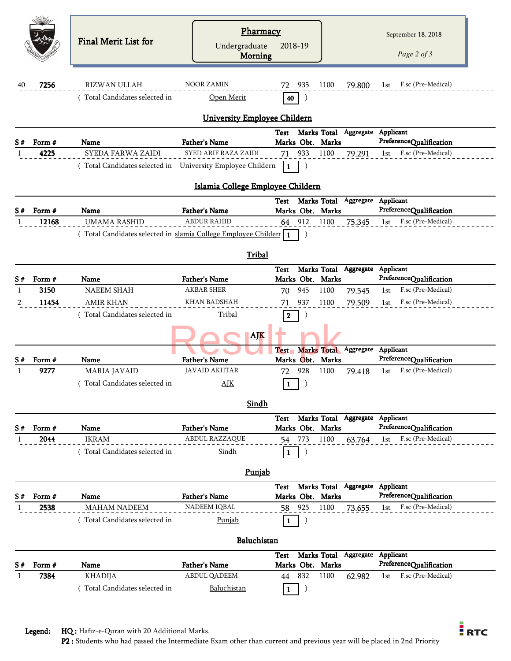| 40 | 7256   | <b>Final Merit List for</b><br><b>RIZWAN ULLAH</b><br>Total Candidates selected in | Pharmacy<br>Undergraduate<br><b>Morning</b><br><b>NOOR ZAMIN</b><br>Open Merit<br>University Employee Childern | 2018-19<br>935<br>72<br>40<br>Test | 79.800<br>1100<br>Marks Total Aggregate Applicant | September 18, 2018<br>Page 2 of 3<br>F.sc (Pre-Medical)<br>1st |
|----|--------|------------------------------------------------------------------------------------|----------------------------------------------------------------------------------------------------------------|------------------------------------|---------------------------------------------------|----------------------------------------------------------------|
| S# | Form # | Name<br>SYEDA FARWA ZAIDI                                                          | <b>Father's Name</b><br>SYED ARIF RAZA ZAIDI                                                                   | Marks Obt. Marks                   |                                                   | PreferenceQualification                                        |
|    | 4225   |                                                                                    |                                                                                                                | 933<br>71                          | 1100<br>79.291                                    | F.sc (Pre-Medical)<br>1st                                      |
|    |        | Total Candidates selected in  University Employee Childern                         | Islamia College Employee Childern                                                                              | 1                                  |                                                   |                                                                |
|    |        |                                                                                    |                                                                                                                | <b>Test</b>                        | Marks Total Aggregate Applicant                   |                                                                |
| S# | Form # | Name                                                                               | <b>Father's Name</b>                                                                                           | Marks Obt. Marks                   |                                                   | PreferenceQualification                                        |
|    | 12168  | <b>UMAMA RASHID</b>                                                                | <b>ABDUR RAHID</b>                                                                                             | 64 912                             | 75.345<br>1100                                    | F.sc (Pre-Medical)<br>1st                                      |
|    |        | (Total Candidates selected in slamia College Employee Childeri 1                   | Tribal                                                                                                         | <b>Test</b>                        | Marks Total Aggregate                             | Applicant                                                      |
| S# | Form # | Name                                                                               | <b>Father's Name</b>                                                                                           | Marks Obt. Marks                   |                                                   | PreferenceQualification                                        |
|    | 3150   | <b>NAEEM SHAH</b>                                                                  | <b>AKBAR SHER</b>                                                                                              | 945<br>70                          | 1100<br>79.545                                    | F.sc (Pre-Medical)<br>1st                                      |
| 2  | 11454  | <b>AMIR KHAN</b>                                                                   | KHAN BADSHAH                                                                                                   | 937<br>71                          | 1100<br>79.509                                    | F.sc (Pre-Medical)<br>1st                                      |
|    |        | (Total Candidates selected in                                                      | Tribal                                                                                                         | $\mathbf{2}$                       |                                                   |                                                                |
| S# | Form # | Name                                                                               | <b>AJK</b><br><b>Father's Name</b>                                                                             | Marks Obt. Marks                   | Test Marks Total Aggregate                        | Applicant<br>PreferenceQualification                           |
|    | 9277   | <b>MARIA JAVAID</b>                                                                | <b>JAVAID AKHTAR</b>                                                                                           | 928<br>72                          | 1100<br>79.418                                    | F.sc (Pre-Medical)<br>1st                                      |
|    |        | (Total Candidates selected in                                                      | AJK                                                                                                            | $\vert 1 \vert$                    |                                                   |                                                                |
|    |        |                                                                                    | Sindh                                                                                                          | <b>Test</b>                        | Marks Total Aggregate Applicant                   |                                                                |
| S# | Form # | Name                                                                               | <b>Father's Name</b>                                                                                           | Marks Obt. Marks                   |                                                   | PreferenceQualification                                        |
|    | 2044   | <b>IKRAM</b>                                                                       | <b>ABDUL RAZZAQUE</b>                                                                                          | 773<br>54                          | 1100<br>63.764                                    | F.sc (Pre-Medical)<br>1st                                      |
|    |        | Total Candidates selected in                                                       | Sindh                                                                                                          | 1<br>J                             |                                                   |                                                                |
|    |        |                                                                                    | Punjab                                                                                                         |                                    | Marks Total Aggregate Applicant                   |                                                                |
| S# | Form # | Name                                                                               | <b>Father's Name</b>                                                                                           | <b>Test</b><br>Marks Obt. Marks    |                                                   | PreferenceQualification                                        |
|    | 2538   | <b>MAHAM NADEEM</b>                                                                | NADEEM IQBAL                                                                                                   | 58<br>925                          | 1100<br>73.655                                    | F.sc (Pre-Medical)<br>1st                                      |
|    |        | (Total Candidates selected in                                                      | Punjab                                                                                                         | 1                                  |                                                   |                                                                |
|    |        |                                                                                    | Baluchistan                                                                                                    |                                    |                                                   |                                                                |
|    | Form # | Name                                                                               | <b>Father's Name</b>                                                                                           | <b>Test</b><br>Marks Obt. Marks    | Marks Total Aggregate                             | Applicant<br>PreferenceQualification                           |
|    | 7384   | <b>KHADIJA</b>                                                                     | <b>ABDUL QADEEM</b>                                                                                            | 832<br>44                          | 1100<br>62.982                                    | F.sc (Pre-Medical)<br>1st                                      |
|    |        | (Total Candidates selected in                                                      | Baluchistan                                                                                                    | 1                                  |                                                   |                                                                |
|    |        |                                                                                    |                                                                                                                |                                    |                                                   |                                                                |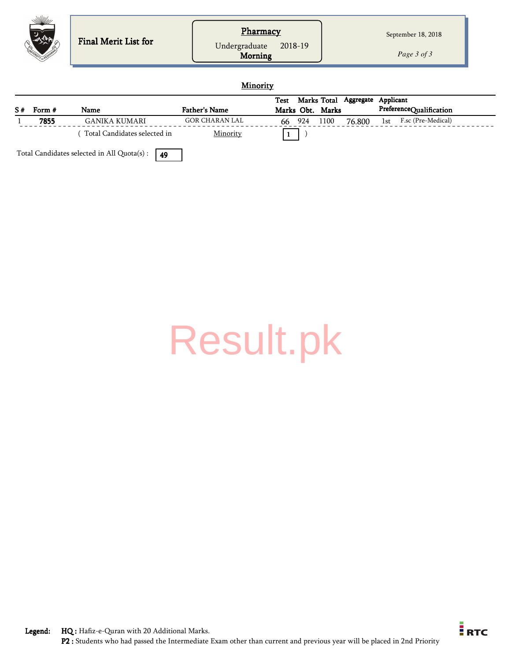| Pharmacy<br>September 18, 2018<br>Final Merit List for<br>2018-19<br>Undergraduate<br>Morning<br>Page 3 of 3 |
|--------------------------------------------------------------------------------------------------------------|
|--------------------------------------------------------------------------------------------------------------|

#### **Minority**

|    |        |                              |                      | Test |     |                  | Marks Total Aggregate | Applicant |                         |  |
|----|--------|------------------------------|----------------------|------|-----|------------------|-----------------------|-----------|-------------------------|--|
| S# | Form # | Name                         | <b>Father's Name</b> |      |     | Marks Obt. Marks |                       |           | PreferenceQualification |  |
|    | 7855   | GANIKA KUMARI                | GOR CHARAN LAL       | 66   | 924 | 1100             | 76.800                | 1st       | F.sc (Pre-Medical)      |  |
|    |        | Total Candidates selected in | Minority             |      |     |                  |                       |           |                         |  |

Total Candidates selected in All Quota(s) :  $\sqrt{49}$ 

# [Result.pk](http://www.result.pk/)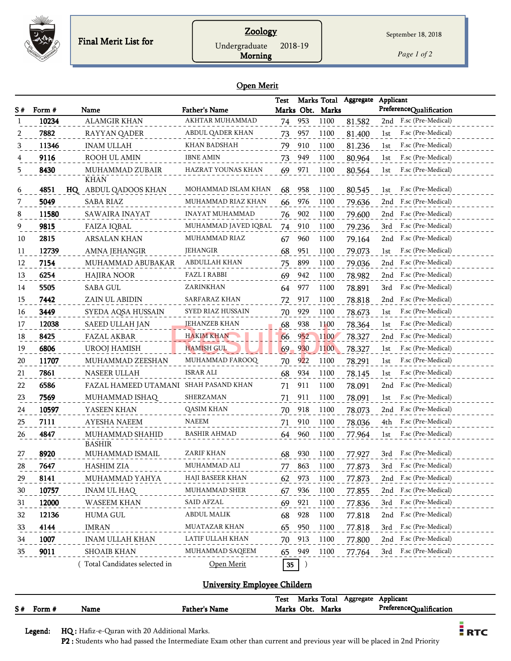

## Zoology

Morning

*Page 1 of 2*

September 18, 2018

#### Open Merit

| S# | Form #      | Name                                  | <b>Father's Name</b> | <b>Test</b> |            | Marks Obt. Marks | Marks Total Aggregate | Applicant<br>PreferenceQualification |
|----|-------------|---------------------------------------|----------------------|-------------|------------|------------------|-----------------------|--------------------------------------|
| 1  | 10234       | <b>ALAMGIR KHAN</b>                   | AKHTAR MUHAMMAD      |             | 74 953     | 1100             | 81.582                | 2nd F.sc (Pre-Medical)               |
| 2  | 7882        | RAYYAN QADER                          | ABDUL QADER KHAN     | 73          | 957        | 1100             | 81.400                | F.sc (Pre-Medical)<br>1st            |
| 3  | 11346       | <b>INAM ULLAH</b>                     | KHAN BADSHAH         | 79          | 910        | 1100             | 81.236                | F.sc (Pre-Medical)<br>1st            |
|    | 9116        | ROOH UL AMIN                          | <b>IBNE AMIN</b>     | 73          | 949        | 1100             | 80.964                | F.sc (Pre-Medical)<br>1st            |
| 5  | 8430        | MUHAMMAD ZUBAIR                       | HAZRAT YOUNAS KHAN   | 69          | 971        | 1100             | 80.564                | F.sc (Pre-Medical)<br>1st            |
|    |             | <b>KHAN</b>                           |                      |             |            |                  |                       |                                      |
| 6  | 4851<br>HQ. | ABDUL QADOOS KHAN                     | MOHAMMAD ISLAM KHAN  | 68          | 958        | 1100             | 80.545                | F.sc (Pre-Medical)<br>1st            |
| 7  | 5049        | <b>SABA RIAZ</b>                      | MUHAMMAD RIAZ KHAN   | 66          | 976        | 1100             | 79.636                | F.sc (Pre-Medical)<br>2nd            |
| 8  | 11580       | SAWAIRA INAYAT                        | INAYAT MUHAMMAD      | 76          | 902        | 1100             | 79.600                | F.sc (Pre-Medical)<br>2nd            |
| 9  | 9815        | <b>FAIZA IQBAL</b>                    | MUHAMMAD JAVED IQBAL | 74          | 910        | 1100             | 79.236                | F.sc (Pre-Medical)<br>3rd            |
| 10 | 2815        | ARSALAN KHAN                          | MUHAMMAD RIAZ        | 67          | 960        | 1100             | 79.164                | F.sc (Pre-Medical)<br>2nd            |
| 11 | 12739       | AMNA JEHANGIR                         | <b>JEHANGIR</b>      | 68          | 951        | 1100             | 79.073                | F.sc (Pre-Medical)<br>1st            |
| 12 | 7154        | MUHAMMAD ABUBAKAR                     | <b>ABDULLAH KHAN</b> | 75          | 899        | 1100             | 79.036                | F.sc (Pre-Medical)<br>2nd            |
| 13 | 6254        | <b>HAJIRA NOOR</b>                    | <b>FAZL I RABBI</b>  | 69          | 942        | 1100             | 78.982                | F.sc (Pre-Medical)<br>2nd            |
| 14 | 5505        | <b>SABA GUL</b>                       | ZARINKHAN            | 64          | 977        | 1100             | 78.891                | F.sc (Pre-Medical)<br>3rd            |
| 15 | 7442        | ZAIN UL ABIDIN                        | SARFARAZ KHAN        | 72          | 917        | 1100             | 78.818                | F.sc (Pre-Medical)<br>2nd            |
| 16 | 3449        | SYEDA AQSA HUSSAIN                    | SYED RIAZ HUSSAIN    | 70          | 929        | 1100             | 78.673                | F.sc (Pre-Medical)<br>1st            |
| 17 | 12038       | <b>SAEED ULLAH JAN</b>                | <b>JEHANZEB KHAN</b> | 68          | 938        | 1100             | 78.364                | F.sc (Pre-Medical)<br>1st            |
| 18 | 8425        | <b>FAZAL AKBAR</b>                    | <b>HAKIM KHAN</b>    | 66          | 952        | 1100             | 78.327                | F.sc (Pre-Medical)<br>2nd            |
| 19 | 6806        | <b>UROOJ HAMISH</b>                   | <b>HAMISH GUL</b>    | 69          | <b>930</b> | 1100             | 78.327                | F.sc (Pre-Medical)<br>1st            |
| 20 | 11707       | MUHAMMAD ZEESHAN                      | MUHAMMAD FAROOQ      | 70          | 922        | 1100             | 78.291                | F.sc (Pre-Medical)<br>1st            |
| 21 | 7861        | NASEER ULLAH                          | ISRAR ALI            | 68          | 934        | 1100             | 78.145                | F.sc (Pre-Medical)<br>1st            |
| 22 | 6586        | FAZAL HAMEED UTAMANI SHAH PASAND KHAN |                      | 71          | 911        | 1100             | 78.091                | F.sc (Pre-Medical)<br>2nd            |
| 23 | 7569        | MUHAMMAD ISHAQ                        | SHERZAMAN            | 71          | 911        | 1100             | 78.091                | F.sc (Pre-Medical)<br>1st            |
| 24 | 10597       | YASEEN KHAN                           | <b>QASIM KHAN</b>    | 70          | 918        | 1100             | 78.073                | F.sc (Pre-Medical)<br>2nd            |
| 25 | 7111        | AYESHA NAEEM                          | NAEEM                | 71          | 910        | 1100             | 78.036                | F.sc (Pre-Medical)<br>4th            |
| 26 | 4847        | MUHAMMAD SHAHID                       | <b>BASHIR AHMAD</b>  | 64          | 960        | 1100             | 77.964                | F.sc (Pre-Medical)<br>1st            |
|    |             | <b>BASHIR</b>                         |                      |             |            |                  |                       |                                      |
| 27 | 8920        | MUHAMMAD ISMAIL                       | <b>ZARIF KHAN</b>    | 68          | 930        | 1100             | 77.927                | F.sc (Pre-Medical)<br>3rd            |
| 28 | 7647        | HASHIM ZIA                            | MUHAMMAD ALI         |             | 863        | 1100             | 77.873                | 3rd F.sc (Pre-Medical)               |
| 29 | 8141        | MUHAMMAD YAHYA                        | HAJI BASEER KHAN     | 62          | 973        | 1100             | 77.873                | 2nd F.sc (Pre-Medical)               |
| 30 | 10757       | INAM UL HAQ                           | MUHAMMAD SHER        | 67          | 936        | 1100             | 77.855                | 2nd F.sc (Pre-Medical)               |
| 31 | 12000       | WASEEM KHAN                           | SAID AFZAL           | 69          | 921        | 1100             | 77.836                | F.sc (Pre-Medical)<br>3rd            |
| 32 | 12136       | <b>HUMA GUL</b>                       | ABDUL MALIK          | 68          | 928        | 1100             | 77.818                | F.sc (Pre-Medical)<br>2nd            |
| 33 | 4144        | IMRAN                                 | MUATAZAR KHAN        | 65          | 950        | 1100             | 77.818                | 3rd F.sc (Pre-Medical)               |
| 34 | 1007        | INAM ULLAH KHAN                       | LATIF ULLAH KHAN     | 70          | 913        | 1100             | 77.800                | 2nd F.sc (Pre-Medical)               |
| 35 | 9011        | SHOAIB KHAN                           | MUHAMMAD SAQEEM      | 65          | 949        | 1100             | 77.764                | 3rd F.sc (Pre-Medical)               |
|    |             | Total Candidates selected in          | Open Merit           | 35          |            |                  |                       |                                      |

#### University Employee Childern

| PreferenceQualification<br>Marks<br>Marks<br>Obt.<br><b>Father's Name</b><br>Name<br>Form |    |  | m<br>1 est | Marks Total | Aggregate | Applicant |  |
|-------------------------------------------------------------------------------------------|----|--|------------|-------------|-----------|-----------|--|
|                                                                                           | S# |  |            |             |           |           |  |

Legend: HQ : Hafiz-e-Quran with 20 Additional Marks.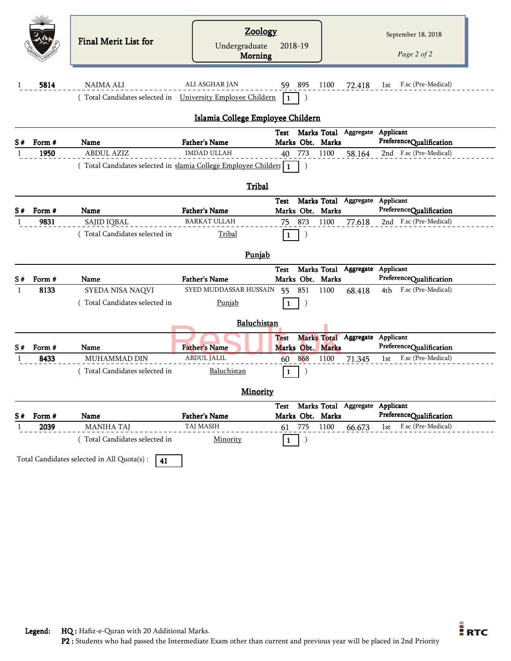|                     |                | Final Merit List for                                            | <b>Zoology</b><br>Undergraduate<br><b>Morning</b> | 2018-19                       |                                      | September 18, 2018<br>Page 2 of 2                    |
|---------------------|----------------|-----------------------------------------------------------------|---------------------------------------------------|-------------------------------|--------------------------------------|------------------------------------------------------|
| 1                   | 5814           | <b>NAIMA ALI</b>                                                | ALI ASGHAR JAN                                    | 59 895                        | 1100<br>72.418                       | F.sc (Pre-Medical)<br>1st                            |
|                     |                | (Total Candidates selected in University Employee Childern      |                                                   | 1                             |                                      |                                                      |
|                     |                |                                                                 | Islamia College Employee Childern                 |                               |                                      |                                                      |
| S#                  | Form #         | Name                                                            | <b>Father's Name</b>                              | Marks Obt. Marks              | Test Marks Total Aggregate Applicant | PreferenceQualification                              |
| 1                   | 1950           | <b>ABDUL AZIZ</b>                                               | <b>IMDAD ULLAH</b>                                | 40 773                        | 1100<br>58.164                       | 2nd F.sc (Pre-Medical)                               |
|                     |                | (Total Candidates selected in slamia College Employee Childer 1 |                                                   |                               |                                      |                                                      |
|                     |                |                                                                 | Tribal                                            |                               |                                      |                                                      |
|                     |                |                                                                 |                                                   | Test                          | Marks Total Aggregate Applicant      |                                                      |
| S#                  | Form #         | Name                                                            | <b>Father's Name</b>                              | Marks Obt. Marks              |                                      | PreferenceQualification                              |
| 1                   | 9831           | SAJID IQBAL                                                     | <b>BARKAT ULLAH</b>                               | 873<br>75                     | 1100<br>77.618                       | 2nd F.sc (Pre-Medical)                               |
|                     |                | Total Candidates selected in                                    | Tribal                                            | $\mathbf{1}$                  |                                      |                                                      |
|                     |                |                                                                 | Punjab                                            |                               |                                      |                                                      |
|                     |                |                                                                 |                                                   |                               |                                      |                                                      |
|                     |                |                                                                 |                                                   | Test                          | Marks Total Aggregate Applicant      |                                                      |
| 1                   | Form #         | <b>Name</b>                                                     | <b>Father's Name</b>                              | Marks Obt.                    | Marks                                | PreferenceQualification<br>4th F.sc (Pre-Medical)    |
|                     | 8133           | SYEDA NISA NAQVI<br>(Total Candidates selected in               | SYED MUDDASSAR HUSSAIN 55<br><b>Punjab</b>        | 851<br>1                      | 1100<br>68.418                       |                                                      |
|                     |                |                                                                 |                                                   |                               |                                      |                                                      |
|                     |                |                                                                 | Baluchistan                                       |                               |                                      |                                                      |
|                     |                |                                                                 |                                                   | <b>Test</b>                   | Marks Total Aggregate Applicant      |                                                      |
|                     | Form #<br>8433 | Name<br><b>MUHAMMAD DIN</b>                                     | <b>Father's Name</b><br><b>ABDUL JALIL</b>        | Marks Obt. Marks<br>868       | 1100                                 | PreferenceQualification<br>F.sc (Pre-Medical)<br>1st |
|                     |                | (Total Candidates selected in                                   | Baluchistan                                       | 60<br>$\mathbf{1}$            | 71.345                               |                                                      |
|                     |                |                                                                 |                                                   |                               |                                      |                                                      |
|                     |                |                                                                 | <b>Minority</b>                                   |                               |                                      |                                                      |
|                     |                |                                                                 |                                                   | Test                          | Marks Total Aggregate Applicant      |                                                      |
| S#<br>S#<br>S#<br>1 | Form #<br>2039 | Name<br><b>MANIHA TAJ</b>                                       | <b>Father's Name</b><br>TAJ MASIH                 | Marks Obt. Marks<br>775<br>61 | 1100<br>66.673                       | PreferenceQualification<br>F.sc (Pre-Medical)<br>1st |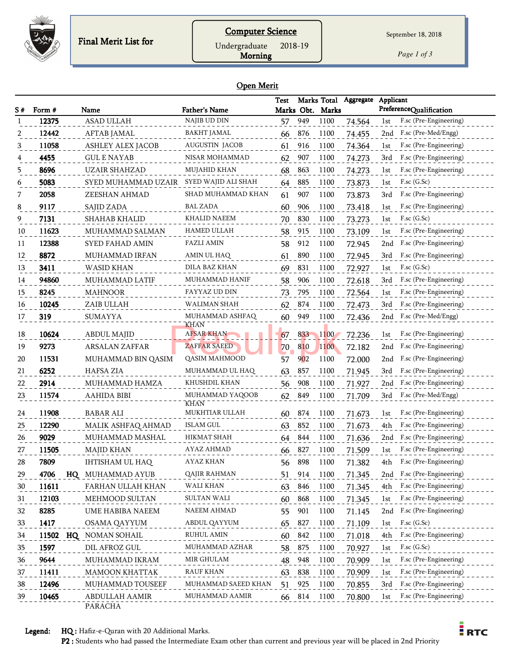

*Page 1 of 3*

## Open Merit

Morning

|    |        |                              |                                | <b>Test</b> |     | Marks Total      | Aggregate | Applicant                     |
|----|--------|------------------------------|--------------------------------|-------------|-----|------------------|-----------|-------------------------------|
| S# | Form # | Name                         | <b>Father's Name</b>           |             |     | Marks Obt. Marks |           | PreferenceQualification       |
|    | 12375  | <b>ASAD ULLAH</b>            | NAJIB UD DIN                   | 57          | 949 | 1100             | 74.564    | F.sc (Pre-Engineering)<br>1st |
|    | 12442  | AFTAB JAMAL                  | <b>BAKHT JAMAL</b>             | 66          | 876 | 1100             | 74.455    | F.sc (Pre-Med/Engg)<br>2nd    |
| 3  | 11058  | ASHLEY ALEX JACOB            | AUGUSTIN JACOB                 | 61          | 916 | 1100             | 74.364    | F.sc (Pre-Engineering)<br>1st |
|    | 4455   | <b>GUL E NAYAB</b>           | NISAR MOHAMMAD                 | 62          | 907 | 1100             | 74.273    | F.sc (Pre-Engineering)<br>3rd |
| 5  | 8696   | <b>UZAIR SHAHZAD</b>         | <b>MUJAHID KHAN</b>            | 68          | 863 | 1100             | 74.273    | F.sc (Pre-Engineering)<br>1st |
| 6  | 5083   | SYED MUHAMMAD UZAIR          | SYED WAJID ALI SHAH            | 64          | 885 | 1100             | 73.873    | $F$ .sc $(G$ .Sc $)$<br>1st   |
|    | 2058   | ZEESHAN AHMAD                | SHAD MUHAMMAD KHAN             | 61          | 907 | 1100             | 73.873    | F.sc (Pre-Engineering)<br>3rd |
| 8  | 9117   | SAJID ZADA                   | BAL ZADA                       | 60          | 906 | 1100             | 73.418    | F.sc (Pre-Engineering)<br>1st |
| 9  | 7131   | <b>SHAHAB KHALID</b>         | KHALID NAEEM                   | 70          | 830 | 1100             | 73.273    | $F$ .sc $(G.Sc)$<br>1st       |
| 10 | 11623  | MUHAMMAD SALMAN              | HAMED ULLAH                    | 58          | 915 | 1100             | 73.109    | F.sc (Pre-Engineering)<br>1st |
| 11 | 12388  | SYED FAHAD AMIN              | <b>FAZLI AMIN</b>              | 58          | 912 | 1100             | 72.945    | F.sc (Pre-Engineering)<br>2nd |
| 12 | 8872   | MUHAMMAD IRFAN               | AMIN UL HAQ                    | 61          | 890 | 1100             | 72.945    | F.sc (Pre-Engineering)<br>3rd |
| 13 | 3411   | WASID KHAN                   | DILA BAZ KHAN                  | 69          | 831 | 1100             | 72.927    | $F$ .sc $(G.Sc)$<br>1st       |
| 14 | 94860  | MUHAMMAD LATIF               | MUHAMMAD HANIF                 | 58          | 906 | 1100             | 72.618    | F.sc (Pre-Engineering)<br>3rd |
| 15 | 8245   | <b>MAHNOOR</b>               | FAYYAZ UD DIN                  | 73          | 795 | 1100             | 72.564    | F.sc (Pre-Engineering)<br>1st |
| 16 | 10245  | ZAIB ULLAH                   | WALIMAN SHAH                   | 62          | 874 | 1100             | 72.473    | F.sc (Pre-Engineering)<br>3rd |
| 17 | 319    | <b>SUMAYYA</b>               | MUHAMMAD ASHFAQ                | 60          | 949 | 1100             | 72.436    | F.sc (Pre-Med/Engg)<br>2nd    |
|    |        |                              | <b>KHAN</b>                    |             |     |                  |           |                               |
| 18 | 10624  | <b>ABDUL MAJID</b>           | <b>AFSAR KHAN</b>              | 67          | 833 | 1100             | 72.236    | F.sc (Pre-Engineering)<br>1st |
| 19 | 9273   | <b>ARSALAN ZAFFAR</b>        | ZAFFAR SAEED                   | 70          | 810 | 1100             | 72.182    | F.sc (Pre-Engineering)<br>2nd |
| 20 | 11531  | MUHAMMAD BIN QASIM           | QASIM MAHMOOD                  | 57          | 902 | 1100             | 72.000    | F.sc (Pre-Engineering)<br>2nd |
| 21 | 6252   | <b>HAFSA ZIA</b>             | MUHAMMAD UL HAQ                | 63          | 857 | 1100             | 71.945    | F.sc (Pre-Engineering)<br>3rd |
| 22 | 2914   | MUHAMMAD HAMZA               | KHUSHDIL KHAN                  | 56          | 908 | 1100             | 71.927    | F.sc (Pre-Engineering)<br>2nd |
| 23 | 11574  | AAHIDA BIBI                  | MUHAMMAD YAQOOB<br><b>KHAN</b> | 62          | 849 | 1100             | 71.709    | F.sc (Pre-Med/Engg)<br>3rd    |
| 24 | 11908  | <b>BABAR ALI</b>             | MUKHTIAR ULLAH                 | 60          | 874 | 1100             | 71.673    | F.sc (Pre-Engineering)<br>1st |
| 25 | 12290  | MALIK ASHFAQ AHMAD           | ISLAM GUL                      | 63          | 852 | 1100             | 71.673    | F.sc (Pre-Engineering)<br>4th |
| 26 | 9029   | MUHAMMAD MASHAL              | HIKMAT SHAH                    | 64          | 844 | 1100             | 71.636    | F.sc (Pre-Engineering)<br>2nd |
| 27 | 11505  | <b>MAJID KHAN</b>            | AYAZ AHMAD                     | 66          | 827 | 1100             | 71.509    | F.sc (Pre-Engineering)<br>1st |
| 28 | 7809   | IHTISHAM UL HAQ              | AYAZ KHAN                      | 56          | 898 | 1100             | 71.382    | F.sc (Pre-Engineering)<br>4th |
| 29 | 4706   | MUHAMMAD AYUB<br>$_{\rm HQ}$ | QAJIR RAHMAN                   | 51          | 914 | 1100             | 71.345    | 2nd F.sc (Pre-Engineering)    |
| 30 | 11611  | FARHAN ULLAH KHAN            | WALI KHAN                      | 63          | 846 | 1100             | 71.345    | F.sc (Pre-Engineering)<br>4th |
| 31 | 12103  | MEHMOOD SULTAN               | SULTAN WALI                    | 60          | 868 | 1100             | 71.345    | F.sc (Pre-Engineering)<br>1st |
| 32 | 8285   | UME HABIBA NAEEM             | <b>NAEEM AHMAD</b>             | 55          | 901 | 1100             | 71.145    | F.sc (Pre-Engineering)<br>2nd |
| 33 | 1417   | <b>OSAMA QAYYUM</b>          | ABDUL QAYYUM                   | 65          | 827 | 1100             | 71.109    | F.sc (G.Sc)<br>1st            |
| 34 |        | 11502 HQ NOMAN SOHAIL        | RUHUL AMIN                     | 60          | 842 | 1100             | 71.018    | F.sc (Pre-Engineering)<br>4th |
| 35 | 1597   | DIL AFROZ GUL                | MUHAMMAD AZHAR                 | 58          | 875 | 1100             | 70.927    | $F$ .sc $(G.Sc)$<br>1st       |
| 36 | 9644   | MUHAMMAD IKRAM               | MIR GHULAM                     | 48          | 948 | 1100             | 70.909    | F.sc (Pre-Engineering)<br>1st |
| 37 | 11411  | MAMOON KHATTAK               | <b>RAUF KHAN</b>               | 63          | 838 | 1100             | 70.909    | F.sc (Pre-Engineering)<br>1st |
| 38 | 12496  | MUHAMMAD TOUSEEF             | MUHAMMAD SAEED KHAN            | 51          | 925 | 1100             | 70.855    | F.sc (Pre-Engineering)<br>3rd |
| 39 | 10465  | ABDULLAH AAMIR               | MUHAMMAD AAMIR                 | 66          | 814 | 1100             | 70.800    | F.sc (Pre-Engineering)<br>1st |
|    |        | PARACHA                      |                                |             |     |                  |           |                               |

Legend: HQ : Hafiz-e-Quran with 20 Additional Marks.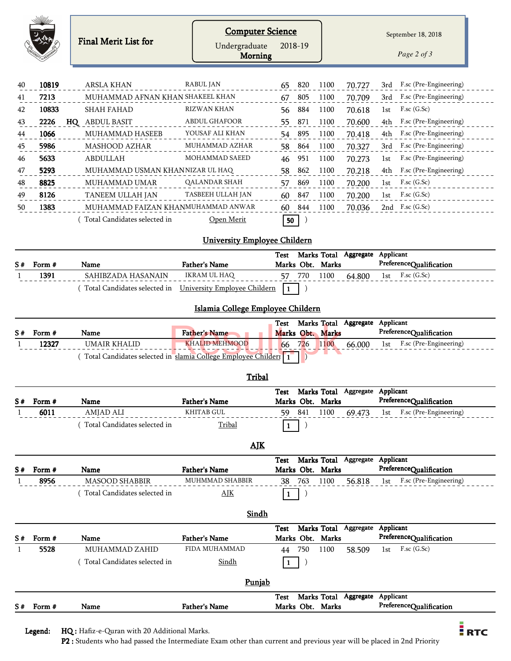| S#       | Form #         | Name                                                             | <b>Father's Name</b>                  |              |                  | Marks Obt. Marks                |                                 | PreferenceQualification                                        |
|----------|----------------|------------------------------------------------------------------|---------------------------------------|--------------|------------------|---------------------------------|---------------------------------|----------------------------------------------------------------|
|          |                |                                                                  |                                       | Test         |                  |                                 | Marks Total Aggregate Applicant |                                                                |
|          |                |                                                                  | Punjab                                |              |                  |                                 |                                 |                                                                |
|          |                |                                                                  |                                       |              |                  |                                 |                                 |                                                                |
|          |                | (Total Candidates selected in                                    | Sindh                                 | $\mathbf{1}$ | $\lambda$        |                                 |                                 |                                                                |
| S#<br>1  | Form #<br>5528 | <b>Name</b><br>MUHAMMAD ZAHID                                    | <b>Father's Name</b><br>FIDA MUHAMMAD | 44           | 750              | Marks Obt. Marks<br>1100        | 58.509                          | PreferenceQualification<br>$F$ .sc $(G.Sc)$<br>1st             |
|          |                |                                                                  |                                       | Test         |                  |                                 | Marks Total Aggregate Applicant |                                                                |
|          |                |                                                                  | <b>Sindh</b>                          |              |                  |                                 |                                 |                                                                |
|          |                |                                                                  |                                       |              |                  |                                 |                                 |                                                                |
|          |                | (Total Candidates selected in                                    | AJK                                   | $\mathbf{1}$ | $\left( \right)$ |                                 |                                 |                                                                |
| S#<br>1  | 8956           | <b>MASOOD SHABBIR</b>                                            | MUHMMAD SHABBIR                       | 38           | 763              | 1100                            | 56.818                          | F.sc (Pre-Engineering)<br>1st                                  |
|          | Form #         | Name                                                             | <b>Father's Name</b>                  | <b>Test</b>  |                  | Marks Obt. Marks                | Marks Total Aggregate Applicant | PreferenceQualification                                        |
|          |                |                                                                  | AIK                                   |              |                  |                                 |                                 |                                                                |
|          |                |                                                                  |                                       |              |                  |                                 |                                 |                                                                |
|          |                | (Total Candidates selected in                                    | Tribal                                | $\mathbf{1}$ | $\left( \right)$ |                                 |                                 |                                                                |
| 1        | 6011           | AMJAD ALI                                                        | <b>KHITAB GUL</b>                     | 59           | 841              | 1100                            | 69.473                          | F.sc (Pre-Engineering)<br>1st                                  |
| S#       | Form #         | Name                                                             | <b>Father's Name</b>                  | Test         |                  | Marks Obt. Marks                |                                 | Marks Total Aggregate Applicant<br>PreferenceQualification     |
|          |                |                                                                  | Tribal                                |              |                  |                                 |                                 |                                                                |
|          |                |                                                                  |                                       |              |                  |                                 |                                 |                                                                |
|          |                | (Total Candidates selected in slamia College Employee Childeri 1 |                                       |              |                  |                                 |                                 |                                                                |
| 1        | 12327          | <b>UMAIR KHALID</b>                                              | <b>KHALID MEHMOOD</b>                 | 66           | 726              | 1100                            | 66.000                          | F.sc (Pre-Engineering)<br>1st                                  |
| S#       | Form #         | Name                                                             | <b>Father's Name</b>                  | Test         |                  | Marks Total<br>Marks Obt. Marks | Aggregate                       | Applicant<br>PreferenceQualification                           |
|          |                |                                                                  | Islamia College Employee Childern     |              |                  |                                 |                                 |                                                                |
|          |                |                                                                  |                                       |              |                  |                                 |                                 |                                                                |
|          |                | (Total Candidates selected in                                    | University Employee Childern          | $\mathbf{1}$ |                  |                                 |                                 |                                                                |
| 1        | 1391           | SAHIBZADA HASANAIN                                               | <b>IKRAM UL HAQ</b>                   | 57           | 770              | 1100                            | 64.800                          | $F$ .sc $(G.Sc)$<br>1st                                        |
| S#       | Form #         | Name                                                             | <b>Father's Name</b>                  | Test         |                  | Marks Total<br>Marks Obt. Marks | Aggregate                       | Applicant<br>PreferenceQualification                           |
|          |                |                                                                  |                                       |              |                  |                                 |                                 |                                                                |
|          |                |                                                                  | <b>University Employee Childern</b>   |              |                  |                                 |                                 |                                                                |
|          |                | (Total Candidates selected in                                    | Open Merit                            | 50           |                  |                                 |                                 |                                                                |
| 50       | 1383           | MUHAMMAD FAIZAN KHANMUHAMMAD ANWAR                               |                                       | 60           | 844              | 1100                            | 70.036                          | 2nd F.sc (G.Sc)                                                |
| 49       | 8126           | TANEEM ULLAH JAN                                                 | <b>TASBEEH ULLAH JAN</b>              | 60           | 847              | 1100                            | 70.200                          | $F$ .sc $(G$ .Sc $)$<br>1st                                    |
| 48       | 8825           | MUHAMMAD UMAR                                                    | <b>QALANDAR SHAH</b>                  | 57           | 869              | 1100                            | 70.200                          | $F$ .sc $(G.Sc)$<br>1st                                        |
| 47       | 5293           | MUHAMMAD USMAN KHANNIZAR UL HAQ                                  |                                       | 58           | 862              | 1100                            | 70.218                          | F.sc (Pre-Engineering)<br>4th                                  |
| 46       | 5633           | <b>ABDULLAH</b>                                                  | MOHAMMAD SAEED                        | 46           | 951              | 1100                            | 70.273                          | F.sc (Pre-Engineering)<br>1st                                  |
| 45       | 5986           | <b>MASHOOD AZHAR</b>                                             | MUHAMMAD AZHAR                        | 58           | 864              | 1100                            | 70.327                          | F.sc (Pre-Engineering)<br>3rd                                  |
| 44       | 1066           | MUHAMMAD HASEEB                                                  | YOUSAF ALI KHAN                       | 54           | 895              | 1100                            | 70.418                          | 4th<br>F.sc (Pre-Engineering)                                  |
| 43       | 2226           | HQ ABDUL BASIT                                                   | <b>ABDUL GHAFOOR</b>                  | 55           | 871              | 1100                            | 70.600                          | F.sc (Pre-Engineering)<br>4th                                  |
| 42       | 10833          | <b>SHAH FAHAD</b>                                                | <b>RIZWAN KHAN</b>                    | 56           | 884              | 1100                            | 70.618                          | $F$ .sc $(G.Sc)$<br>1st                                        |
| 40<br>41 | 10819<br>7213  | MUHAMMAD AFNAN KHAN SHAKEEL KHAN                                 |                                       | 65<br>67     | 820<br>805       | 1100<br>1100                    | 70.727<br>70.709                | F.sc (Pre-Engineering)<br>3rd<br>F.sc (Pre-Engineering)<br>3rd |
|          |                | <b>ARSLA KHAN</b>                                                | <b>RABUL JAN</b>                      |              |                  |                                 |                                 |                                                                |
|          |                |                                                                  |                                       |              |                  |                                 |                                 |                                                                |
|          |                |                                                                  | Undergraduate<br>Morning              | 2018-19      |                  |                                 |                                 | Page 2 of 3                                                    |
|          |                |                                                                  |                                       |              |                  |                                 |                                 |                                                                |
|          |                | Final Merit List for                                             | <b>Computer Science</b>               |              |                  |                                 |                                 | September 18, 2018                                             |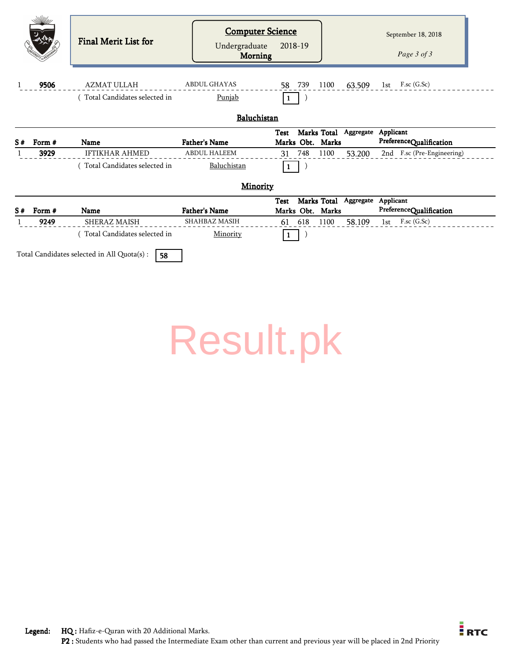|    |        | <b>Final Merit List for</b>                         | <b>Computer Science</b><br>Undergraduate<br>Morning | 2018-19                         |                          | September 18, 2018<br>Page 3 of 3    |
|----|--------|-----------------------------------------------------|-----------------------------------------------------|---------------------------------|--------------------------|--------------------------------------|
|    | 9506   | <b>AZMAT ULLAH</b><br>(Total Candidates selected in | <b>ABDUL GHAYAS</b><br>Punjab                       | 58 739<br>$\mathbf{1}$          | 1100<br>63.509           | 1st $F$ .sc (G.Sc)                   |
|    |        |                                                     | Baluchistan                                         |                                 |                          |                                      |
| S# | Form # | Name                                                | <b>Father's Name</b>                                | <b>Test</b><br>Marks Obt. Marks | Marks Total Aggregate    | Applicant<br>PreferenceQualification |
|    | 3929   | <b>IFTIKHAR AHMED</b>                               | <b>ABDUL HALEEM</b>                                 | 748<br>31                       | 1100<br>53.200           | 2nd F.sc (Pre-Engineering)           |
|    |        |                                                     |                                                     |                                 |                          |                                      |
|    |        | (Total Candidates selected in                       | Baluchistan                                         | 1                               |                          |                                      |
|    |        |                                                     | <b>Minority</b>                                     |                                 |                          |                                      |
|    |        |                                                     |                                                     | <b>Test</b>                     | Marks Total<br>Aggregate | Applicant                            |
| S# | Form # | Name                                                | <b>Father's Name</b><br>SHAHBAZ MASIH               | Marks Obt. Marks                |                          | PreferenceQualification              |
|    | 9249   | SHERAZ MAISH<br>Total Candidates selected in        | Minority                                            | 618<br>61                       | 1100<br>58.109           | F.sc (G.Sc)<br>1st                   |

# [Result.pk](http://www.result.pk/)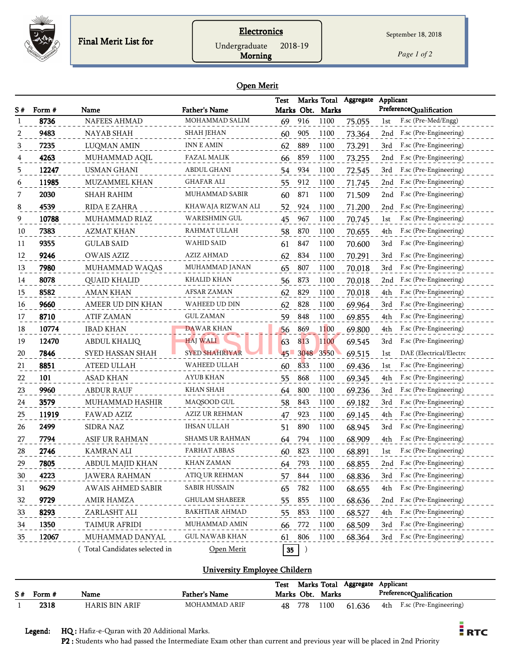

## **Electronics**

Undergraduate 2018-19

Morning

September 18, 2018

*Page 1 of 2*

#### Open Merit

|    |        |                              |                       | Test   |         | Marks Total      | Aggregate | Applicant                      |
|----|--------|------------------------------|-----------------------|--------|---------|------------------|-----------|--------------------------------|
| S# | Form # | Name                         | <b>Father's Name</b>  |        |         | Marks Obt. Marks |           | PreferenceQualification        |
|    | 8736   | <b>NAFEES AHMAD</b>          | MOHAMMAD SALIM        | 69     | 916     | 1100             | 75.055    | F.sc (Pre-Med/Engg)<br>1st     |
| 2  | 9483   | NAYAB SHAH                   | SHAH JEHAN            | 60     | 905     | 1100             | 73.364    | F.sc (Pre-Engineering)<br>2nd  |
| 3  | 7235   | LUQMAN AMIN                  | <b>INN E AMIN</b>     | 62     | 889     | 1100             | 73.291    | F.sc (Pre-Engineering)<br>3rd  |
|    | 4263   | MUHAMMAD AQIL                | <b>FAZAL MALIK</b>    | 66     | 859     | 1100             | 73.255    | F.sc (Pre-Engineering)<br>2nd  |
| 5  | 12247  | <b>USMAN GHANI</b>           | ABDUL GHANI           | 54     | 934     | 1100             | 72.545    | F.sc (Pre-Engineering)<br>3rd  |
| 6  | 11985  | MUZAMMEL KHAN                | GHAFAR ALI            | 55     | 912     | 1100             | 71.745    | F.sc (Pre-Engineering)<br>2nd  |
|    | 2030   | SHAH RAHIM                   | MUHAMMAD SABIR        | 60     | 871     | 1100             | 71.509    | F.sc (Pre-Engineering)<br>2nd  |
| 8  | 4539   | RIDA E ZAHRA                 | KHAWAJA RIZWAN ALI    | 52     | 924     | 1100             | 71.200    | F.sc (Pre-Engineering)<br>2nd  |
| 9  | 10788  | MUHAMMAD RIAZ                | WARESHMIN GUL         | 45     | 967     | 1100             | 70.745    | F.sc (Pre-Engineering)<br>1st  |
| 10 | 7383   | <b>AZMAT KHAN</b>            | RAHMAT ULLAH          | 58     | 870     | 1100             | 70.655    | 4th<br>F.sc (Pre-Engineering)  |
| 11 | 9355   | <b>GULAB SAID</b>            | WAHID SAID            | 61     | 847     | 1100             | 70.600    | F.sc (Pre-Engineering)<br>3rd  |
| 12 | 9246   | <b>OWAIS AZIZ</b>            | AZIZ AHMAD            | 62     | 834     | 1100             | 70.291    | F.sc (Pre-Engineering)<br>3rd  |
| 13 | 7980   | MUHAMMAD WAQAS               | MUHAMMAD JANAN        | 65     | 807     | 1100             | 70.018    | F.sc (Pre-Engineering)<br>3rd  |
| 14 | 8078   | <b>QUAID KHALID</b>          | KHALID KHAN           | 56     | 873     | 1100             | 70.018    | F.sc (Pre-Engineering)<br>2nd  |
| 15 | 8582   | AMAN KHAN                    | AFSAR ZAMAN           | 62     | 829     | 1100             | 70.018    | F.sc (Pre-Engineering)<br>4th  |
| 16 | 9660   | AMEER UD DIN KHAN            | WAHEED UD DIN         | 62     | 828     | 1100             | 69.964    | F.sc (Pre-Engineering)<br>3rd  |
| 17 | 8710   | <b>ATIF ZAMAN</b>            | <b>GUL ZAMAN</b>      | 59     | 848     | 1100             | 69.855    | F.sc (Pre-Engineering)<br>4th  |
| 18 | 10774  | <b>IBAD KHAN</b>             | <b>DAWAR KHAN</b>     | 56     | 869     | 1100             | 69.800    | F.sc (Pre-Engineering)<br>4th  |
| 19 | 12470  | ABDUL KHALIQ                 | HAJ WALI              | 63     | 813     | 1100             | 69.545    | F.sc (Pre-Engineering)<br>3rd  |
| 20 | 7846   | SYED HASSAN SHAH             | <b>SYED SHAHRIYAR</b> | $45 -$ | 3048    | 3550             | 69.515    | DAE (Electrical/Electrc<br>1st |
| 21 | 8851   | ATEED ULLAH                  | WAHEED ULLAH          | 60     | 833     | 1100             | 69.436    | F.sc (Pre-Engineering)<br>1st  |
| 22 | 101    | <b>ASAD KHAN</b>             | AYUB KHAN             | 55     | 868     | 1100             | 69.345    | F.sc (Pre-Engineering)<br>4th  |
| 23 | 9960   | <b>ABDUR RAUF</b>            | KHAN SHAH             | 64     | 800     | 1100             | 69.236    | F.sc (Pre-Engineering)<br>3rd  |
| 24 | 3579   | MUHAMMAD HASHIR              | MAQSOOD GUL           | 58     | 843     | 1100             | 69.182    | F.sc (Pre-Engineering)<br>3rd  |
| 25 | 11919  | FAWAD AZIZ                   | <b>AZIZ UR REHMAN</b> | 47     | 923     | 1100             | 69.145    | F.sc (Pre-Engineering)<br>4th  |
| 26 | 2499   | <b>SIDRA NAZ</b>             | <b>IHSAN ULLAH</b>    | 51     | 890     | 1100             | 68.945    | F.sc (Pre-Engineering)<br>3rd  |
| 27 | 7794   | ASIF UR RAHMAN               | SHAMS UR RAHMAN       | 64     | 794     | 1100             | 68.909    | F.sc (Pre-Engineering)<br>4th  |
| 28 | 2746   | <b>KAMRAN ALI</b>            | <b>FARHAT ABBAS</b>   | 60     | 823     | 1100             | 68.891    | F.sc (Pre-Engineering)<br>1st  |
| 29 | 7805   | ABDUL MAJID KHAN             | KHAN ZAMAN            | 64     | 793     | 1100             | 68.855    | F.sc (Pre-Engineering)<br>2nd  |
| 30 | 4223   | <b>JAWERA RAHMAN</b>         | ATIQ UR REHMAN        | 57     | 844     | 1100             | 68.836    | F.sc (Pre-Engineering)<br>3rd  |
| 31 | 9629   | AWAIS AHMED SABIR            | <b>SABIR HUSSAIN</b>  | 65     | 782     | 1100             | 68.655    | 4th<br>F.sc (Pre-Engineering)  |
| 32 | 9729   | AMIR HAMZA                   | <b>GHULAM SHABEER</b> | 55     | 855     | 1100             | 68.636    | F.sc (Pre-Engineering)<br>2nd  |
| 33 | 8293   | ZARLASHT ALI                 | <b>BAKHTIAR AHMAD</b> | 55     | 853     | 1100             | 68.527    | F.sc (Pre-Engineering)<br>4th  |
| 34 | 1350   | TAIMUR AFRIDI                | MUHAMMAD AMIN         | 66     | 772     | 1100             | 68.509    | F.sc (Pre-Engineering)<br>3rd  |
| 35 | 12067  | MUHAMMAD DANYAL              | <b>GUL NAWAB KHAN</b> | 61     | 806     | 1100             | 68.364    | F.sc (Pre-Engineering)<br>3rd  |
|    |        | Total Candidates selected in | Open Merit            | 35     | $\big)$ |                  |           |                                |

## University Employee Childern

|             |                       |                      | Test |            | Marks Total | Aggregate | Applicant |                         |
|-------------|-----------------------|----------------------|------|------------|-------------|-----------|-----------|-------------------------|
| $S#$ Form # | Name                  | <b>Father's Name</b> |      | Marks Obt. | Marks       |           |           | PreferenceQualification |
| 2318        | <b>HARIS BIN ARIF</b> | MOHAMMAD ARIF        | 48   | 778        | 100         | 61.636    | 4th       | F.sc (Pre-Engineering)  |

Legend: HQ : Hafiz-e-Quran with 20 Additional Marks.

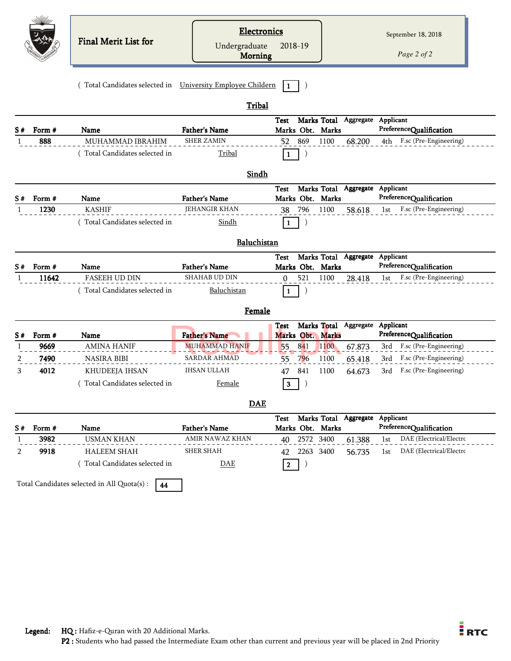|              |        | <b>Final Merit List for</b>                                | <b>Electronics</b><br>Undergraduate<br>Morning | 2018-19                                                     | September 18, 2018<br>Page 2 of 2        |
|--------------|--------|------------------------------------------------------------|------------------------------------------------|-------------------------------------------------------------|------------------------------------------|
|              |        | (Total Candidates selected in University Employee Childern |                                                | $\mathbf{1}$                                                |                                          |
|              |        |                                                            | Tribal                                         | Marks Total Aggregate Applicant<br>Test                     |                                          |
| S#           | Form # | Name                                                       | <b>Father's Name</b>                           | Marks Obt. Marks                                            | PreferenceQualification                  |
| 1            | 888    | MUHAMMAD IBRAHIM                                           | <b>SHER ZAMIN</b>                              | 869<br>1100<br>52                                           | F.sc (Pre-Engineering)<br>68.200<br>4th  |
|              |        | (Total Candidates selected in                              | Tribal                                         | 1                                                           |                                          |
|              |        |                                                            | Sindh                                          |                                                             |                                          |
|              |        |                                                            |                                                | Marks Total Aggregate Applicant<br><b>Test</b>              |                                          |
| S#           | Form # | Name                                                       | <b>Father's Name</b>                           | Marks Obt. Marks                                            | PreferenceQualification                  |
| 1            | 1230   | <b>KASHIF</b>                                              | <b>JEHANGIR KHAN</b>                           | 38<br>796<br>1100                                           | F.sc (Pre-Engineering)<br>58.618<br>1st  |
|              |        | (Total Candidates selected in                              | Sindh                                          | 1                                                           |                                          |
|              |        |                                                            | Baluchistan                                    |                                                             |                                          |
| S#           | Form # | Name                                                       | <b>Father's Name</b>                           | Marks Total Aggregate Applicant<br>Test<br>Marks Obt. Marks | PreferenceQualification                  |
| $\mathbf{1}$ | 11642  | <b>FASEEH UD DIN</b>                                       | <b>SHAHAB UD DIN</b>                           | 521<br>1100<br>$\Omega$                                     | F.sc (Pre-Engineering)<br>28.418<br>1st  |
|              |        | Total Candidates selected in                               | Baluchistan                                    |                                                             |                                          |
|              |        |                                                            | Female                                         | 1                                                           |                                          |
| S#           | Form # | Name                                                       | <b>Father's Name</b>                           | Marks Total Aggregate<br><b>Test</b><br>Marks Obt. Marks    | Applicant<br>PreferenceQualification     |
| 1            | 9669   | <b>AMINA HANIF</b>                                         | <b>MUHAMMAD HANIF</b>                          | 841<br>55<br>1100                                           | F.sc (Pre-Engineering)<br>67.873<br>3rd  |
| 2            | 7490   | <b>NASIRA BIBI</b>                                         | <b>SARDAR AHMAD</b>                            | 796<br>1100<br>55                                           | 3rd F.sc (Pre-Engineering)<br>65.418     |
| 3            | 4012   | KHUDEEJA IHSAN                                             | <b>IHSAN ULLAH</b>                             | 47 841<br>1100                                              | F.sc (Pre-Engineering)<br>3rd<br>64.673  |
|              |        | (Total Candidates selected in                              | <u>Female</u>                                  | 3                                                           |                                          |
|              |        |                                                            | <b>DAE</b>                                     |                                                             |                                          |
|              |        |                                                            |                                                | Marks Total<br>Test                                         | Aggregate Applicant                      |
| S#           | Form # | Name                                                       | <b>Father's Name</b>                           | Marks Obt. Marks                                            | PreferenceQualification                  |
|              | 3982   | <b>USMAN KHAN</b>                                          | AMIR NAWAZ KHAN                                | 2572 3400<br>40                                             | DAE (Electrical/Electrc<br>61.388<br>1st |
| 2            | 9918   | <b>HALEEM SHAH</b>                                         | <b>SHER SHAH</b>                               | 2263 3400<br>42                                             | DAE (Electrical/Electrc<br>56.735<br>1st |
|              |        | (Total Candidates selected in                              | <b>DAE</b>                                     | $\overline{\mathbf{2}}$<br>J                                |                                          |
|              |        | Total Candidates selected in All Quota(s) :<br>44          |                                                |                                                             |                                          |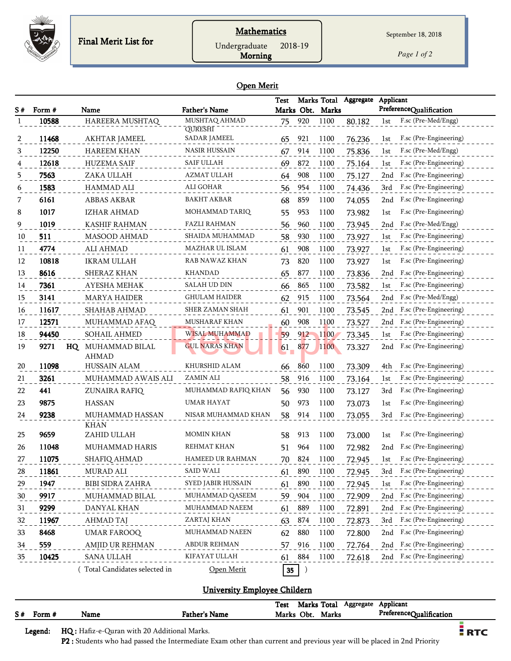

*Page 1 of 2*

#### Open Merit

Morning

|    |        |                              |                           | <b>Test</b> |     | Marks Total      | Aggregate | Applicant                     |
|----|--------|------------------------------|---------------------------|-------------|-----|------------------|-----------|-------------------------------|
| S# | Form # | Name                         | <b>Father's Name</b>      |             |     | Marks Obt. Marks |           | PreferenceQualification       |
| -1 | 10588  | HAREERA MUSHTAQ              | MUSHTAQ AHMAD<br>QURESHI  | 75          | 920 | 1100             | 80.182    | F.sc (Pre-Med/Engg)<br>1st    |
| 2  | 11468  | AKHTAR JAMEEL                | <b>SADAR JAMEEL</b>       | 65          | 921 | 1100             | 76.236    | F.sc (Pre-Engineering)<br>1st |
| 3  | 12250  | <b>HAREEM KHAN</b>           | <b>NASIR HUSSAIN</b>      | 67          | 914 | 1100             | 75.836    | F.sc (Pre-Med/Engg)<br>1st    |
| 4  | 12618  | <b>HUZEMA SAIF</b>           | <b>SAIF ULLAH</b>         | 69          | 872 | 1100             | 75.164    | F.sc (Pre-Engineering)<br>1st |
| 5  | 7563   | ZAKA ULLAH                   | AZMAT ULLAH               | 64          | 908 | 1100             | 75.127    | F.sc (Pre-Engineering)<br>2nd |
| 6  | 1583   | <b>HAMMAD ALI</b>            | ALI GOHAR                 | 56          | 954 | 1100             | 74.436    | F.sc (Pre-Engineering)<br>3rd |
| 7  | 6161   | ABBAS AKBAR                  | <b>BAKHT AKBAR</b>        | 68          | 859 | 1100             | 74.055    | F.sc (Pre-Engineering)<br>2nd |
| 8  | 1017   | <b>IZHAR AHMAD</b>           | MOHAMMAD TARIQ            | 55          | 953 | 1100             | 73.982    | F.sc (Pre-Engineering)<br>1st |
| 9  | 1019   | <b>KASHIF RAHMAN</b>         | FAZLI RAHMAN              | 56          | 960 | 1100             | 73.945    | F.sc (Pre-Med/Engg)<br>2nd    |
| 10 | 511    | <b>MASOOD AHMAD</b>          | SHAIDA MUHAMMAD           | 58          | 930 | 1100             | 73.927    | F.sc (Pre-Engineering)<br>1st |
| 11 | 4774   | <b>ALI AHMAD</b>             | MAZHAR UL ISLAM           | 61          | 908 | 1100             | 73.927    | F.sc (Pre-Engineering)<br>1st |
| 12 | 10818  | <b>IKRAM ULLAH</b>           | RAB NAWAZ KHAN            | 73          | 820 | 1100             | 73.927    | F.sc (Pre-Engineering)<br>1st |
| 13 | 8616   | SHERAZ KHAN                  | <b>KHANDAD</b>            | 65          | 877 | 1100             | 73.836    | F.sc (Pre-Engineering)<br>2nd |
| 14 | 7361   | AYESHA MEHAK                 | SALAH UD DIN              | 66          | 865 | 1100             | 73.582    | F.sc (Pre-Engineering)<br>1st |
| 15 | 3141   | <b>MARYA HAIDER</b>          | <b>GHULAM HAIDER</b>      | 62          | 915 | 1100             | 73.564    | F.sc (Pre-Med/Engg)<br>2nd    |
| 16 | 11617  | SHAHAB AHMAD                 | SHER ZAMAN SHAH           | 61          | 901 | 1100             | 73.545    | F.sc (Pre-Engineering)<br>2nd |
| 17 | 12571  | MUHAMMAD AFAQ                | MUSHARAF KHAN             | 60          | 908 | 1100             | 73.527    | F.sc (Pre-Engineering)<br>2nd |
| 18 | 94450  | <b>SOHAIL AHMED</b>          | <b>WISAL MUHAMMAD</b>     | 59          | 912 | 1100             | 73.345    | F.sc (Pre-Engineering)<br>1st |
| 19 | 9271   | HQ MUHAMMAD BILAL            | <b>GUL NARAS KHAN</b>     | 61          | 877 | 1100             | 73.327    | F.sc (Pre-Engineering)<br>2nd |
|    |        | <b>AHMAD</b>                 |                           |             |     |                  |           |                               |
| 20 | 11098  | HUSSAIN ALAM                 | KHURSHID ALAM             | 66          | 860 | 1100             | 73.309    | F.sc (Pre-Engineering)<br>4th |
| 21 | 3261   | MUHAMMAD AWAIS ALI           | ZAMIN ALI                 | 58          | 916 | 1100             | 73.164    | F.sc (Pre-Engineering)<br>1st |
| 22 | 441    | ZUNAIRA RAFIQ                | MUHAMMAD RAFIQ KHAN       | 56          | 930 | 1100             | 73.127    | F.sc (Pre-Engineering)<br>3rd |
| 23 | 9875   | <b>HASSAN</b>                | UMAR HAYAT                | 50          | 973 | 1100             | 73.073    | F.sc (Pre-Engineering)<br>1st |
| 24 | 9238   | MUHAMMAD HASSAN              | NISAR MUHAMMAD KHAN       | 58          | 914 | 1100             | 73.055    | F.sc (Pre-Engineering)<br>3rd |
| 25 | 9659   | <b>KHAN</b><br>ZAHID ULLAH   | MOMIN KHAN                | 58          | 913 | 1100             | 73.000    | F.sc (Pre-Engineering)<br>1st |
| 26 | 11048  | MUHAMMAD HARIS               | <b>REHMAT KHAN</b>        | 51          | 964 | 1100             | 72.982    | F.sc (Pre-Engineering)<br>2nd |
| 27 | 11075  | SHAFIQ AHMAD                 | <b>HAMEED UR RAHMAN</b>   | 70          | 824 | 1100             | 72.945    | F.sc (Pre-Engineering)<br>1st |
| 28 | 11861  | MURAD ALI                    | SAID WALI                 | 61          | 890 | 1100             | 72.945    | 3rd<br>F.sc (Pre-Engineering) |
| 29 | 1947   | <b>BIBI SIDRA ZAHRA</b>      | <b>SYED JABIR HUSSAIN</b> | 61          | 890 | 1100             | 72.945    | F.sc (Pre-Engineering)<br>1st |
| 30 | 9917   | MUHAMMAD BILAL               | MUHAMMAD QASEEM           | 59          | 904 | 1100             | 72.909    | F.sc (Pre-Engineering)<br>2nd |
| 31 | 9299   | DANYAL KHAN                  | MUHAMMAD NAEEM            | 61          | 889 | 1100             | 72.891    | F.sc (Pre-Engineering)<br>2nd |
| 32 | 11967  | AHMAD TAJ                    | ZARTAJ KHAN               | 63          | 874 | 1100             | 72.873    | F.sc (Pre-Engineering)<br>3rd |
| 33 | 8468   | <b>UMAR FAROOQ</b>           | MUHAMMAD NAEEN            | 62          | 880 | 1100             | 72.800    | F.sc (Pre-Engineering)<br>2nd |
| 34 | 559    | AMJID UR REHMAN              | <b>ABDUR REHMAN</b>       | 57          | 916 | 1100             | 72.764    | F.sc (Pre-Engineering)<br>2nd |
| 35 | 10425  | <b>SANA ULLAH</b>            | KIFAYAT ULLAH             | 61          | 884 | 1100             | 72.618    | F.sc (Pre-Engineering)<br>2nd |
|    |        | Total Candidates selected in | Open Merit                | 35          |     |                  |           |                               |

## University Employee Childern

|    |        |      |               | <b>Test</b> | Marks Total |       | Aggregate | Applicant               |  |
|----|--------|------|---------------|-------------|-------------|-------|-----------|-------------------------|--|
| S# | "orm # | Name | Father's Name | Marks Obt.  |             | Marks |           | PreferenceQualification |  |
|    |        |      |               |             |             |       |           |                         |  |

Legend: HQ : Hafiz-e-Quran with 20 Additional Marks.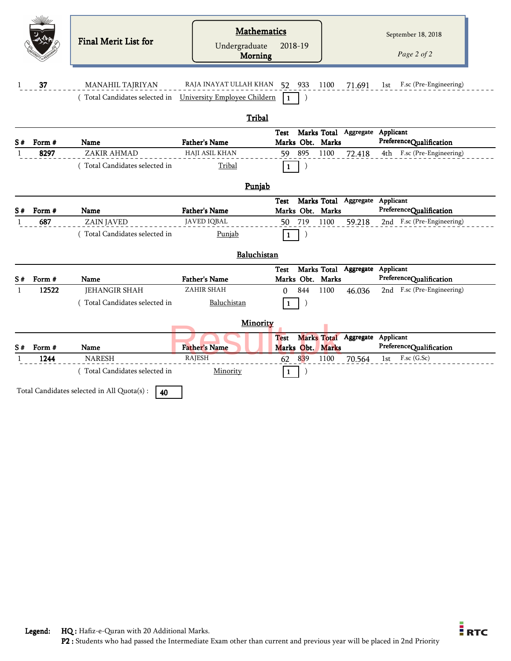|              |               | Final Merit List for          | <b>Mathematics</b><br>Undergraduate<br><b>Morning</b> | 2018-19                                                            | September 18, 2018<br>Page 2 of 2                     |
|--------------|---------------|-------------------------------|-------------------------------------------------------|--------------------------------------------------------------------|-------------------------------------------------------|
| $\mathbf{1}$ | 37            | MANAHIL TAJRIYAN              | RAJA INAYAT ULLAH KHAN 52 933                         | 1100<br>71.691                                                     | 1st F.sc (Pre-Engineering)                            |
|              |               | (Total Candidates selected in | University Employee Childern                          | $\lambda$                                                          |                                                       |
|              |               |                               | Tribal                                                |                                                                    |                                                       |
| S#           | Form #        | Name                          | <b>Father's Name</b>                                  | Marks Total Aggregate Applicant<br>Test<br>Marks Obt. Marks        | PreferenceQualification                               |
| 1            | 8297          | ZAKIR AHMAD                   | <b>HAJI ASIL KHAN</b>                                 | 895<br>1100<br>59<br>72.418                                        | F.sc (Pre-Engineering)<br>4th                         |
|              |               | (Total Candidates selected in | Tribal                                                | 1                                                                  |                                                       |
|              |               |                               | Punjab                                                |                                                                    |                                                       |
|              |               |                               |                                                       | Marks Total Aggregate Applicant<br><b>Test</b>                     |                                                       |
| S#           | Form #<br>687 | Name<br><b>ZAIN JAVED</b>     | <b>Father's Name</b><br><b>JAVED IQBAL</b>            | Marks Obt. Marks<br>719<br>1100<br>59.218<br>50                    | PreferenceQualification<br>2nd F.sc (Pre-Engineering) |
|              |               | (Total Candidates selected in | Punjab                                                | 1                                                                  |                                                       |
|              |               |                               | Baluchistan                                           |                                                                    |                                                       |
| S#           | Form #        | <b>Name</b>                   | <b>Father's Name</b>                                  | Marks Total Aggregate<br><b>Test</b><br>Marks Obt. Marks           | Applicant<br>PreferenceQualification                  |
| $\mathbf{1}$ | 12522         | <b>JEHANGIR SHAH</b>          | ZAHIR SHAH                                            | 844<br>1100<br>$\Omega$<br>46.036                                  | 2nd F.sc (Pre-Engineering)                            |
|              |               | Total Candidates selected in  | Baluchistan                                           | 1                                                                  |                                                       |
|              |               |                               | Minority                                              |                                                                    |                                                       |
| S#           | Form #        | Name                          | <b>Father's Name</b>                                  | Marks Total Aggregate Applicant<br><b>Test</b><br>Marks Obt. Marks | PreferenceQualification                               |
|              | 1244          | <b>NARESH</b>                 | <b>RAJESH</b>                                         | 839<br>62<br>1100<br>70.564                                        | F.sc (G.Sc)<br>1st                                    |
|              |               |                               |                                                       |                                                                    |                                                       |
|              |               | (Total Candidates selected in | Minority                                              | $\mathbf{1}$                                                       |                                                       |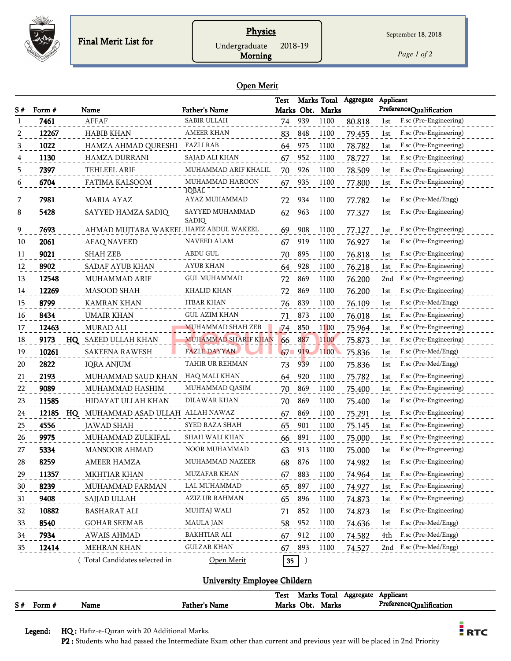

## **Physics** Undergraduate 2018-19

*Page 1 of 2*

Morning

|    | <b>Open Merit</b> |             |                                         |                          |             |                  |             |           |                               |  |  |  |
|----|-------------------|-------------|-----------------------------------------|--------------------------|-------------|------------------|-------------|-----------|-------------------------------|--|--|--|
|    |                   |             |                                         |                          | <b>Test</b> |                  | Marks Total | Aggregate | Applicant                     |  |  |  |
| S# | Form #            |             | Name                                    | <b>Father's Name</b>     |             | Marks Obt.       | Marks       |           | PreferenceQualification       |  |  |  |
|    | 7461              |             | <b>AFFAF</b>                            | <b>SABIR ULLAH</b>       | 74          | 939              | 1100        | 80.818    | F.sc (Pre-Engineering)<br>1st |  |  |  |
| 2  | 12267             |             | <b>HABIB KHAN</b>                       | <b>AMEER KHAN</b>        | 83          | 848              | 1100        | 79.455    | F.sc (Pre-Engineering)<br>1st |  |  |  |
| 3  | 1022              |             | HAMZA AHMAD QURESHI FAZLI RAB           |                          | 64          | 975              | 1100        | 78.782    | F.sc (Pre-Engineering)<br>1st |  |  |  |
| 4  | 1130              |             | <b>HAMZA DURRANI</b>                    | SAJAD ALI KHAN           | 67          | 952              | 1100        | 78.727    | F.sc (Pre-Engineering)<br>1st |  |  |  |
| 5  | 7397              |             | TEHLEEL ARIF                            | MUHAMMAD ARIF KHALIL     | 70          | 926              | 1100        | 78.509    | F.sc (Pre-Engineering)<br>1st |  |  |  |
| 6  | 6704              |             | FATIMA KALSOOM                          | MUHAMMAD HAROON<br>IQBAL | 67          | 935              | 1100        | 77.800    | F.sc (Pre-Engineering)<br>1st |  |  |  |
| 7  | 7981              |             | <b>MARIA AYAZ</b>                       | AYAZ MUHAMMAD            | 72          | 934              | 1100        | 77.782    | F.sc (Pre-Med/Engg)<br>1st    |  |  |  |
| 8  | 5428              |             | SAYYED HAMZA SADIQ                      | SAYYED MUHAMMAD<br>SĀDĪQ | 62          | 963              | 1100        | 77.327    | F.sc (Pre-Engineering)<br>1st |  |  |  |
| 9  | 7693              |             | AHMAD MUJTABA WAKEEL HAFIZ ABDUL WAKEEL |                          | 69          | 908              | 1100        | 77.127    | F.sc (Pre-Engineering)<br>1st |  |  |  |
| 10 | 2061              |             | <b>AFAQ NAVEED</b>                      | NAVEED ALAM              | 67          | 919              | 1100        | 76.927    | F.sc (Pre-Engineering)<br>1st |  |  |  |
| 11 | 9021              |             | <b>SHAH ZEB</b>                         | <b>ABDU GUL</b>          | 70          | 895              | 1100        | 76.818    | F.sc (Pre-Engineering)<br>1st |  |  |  |
| 12 | 8902              |             | <b>SADAF AYUB KHAN</b>                  | AYUB KHAN                | 64          | 928              | 1100        | 76.218    | F.sc (Pre-Engineering)<br>1st |  |  |  |
| 13 | 12548             |             | MUHAMMAD ARIF                           | <b>GUL MUHAMMAD</b>      | 72          | 869              | 1100        | 76.200    | 2nd<br>F.sc (Pre-Engineering) |  |  |  |
| 14 | 12269             |             | MASOOD SHAH                             | KHALID KHAN              | 72          | 869              | 1100        | 76.200    | F.sc (Pre-Engineering)<br>1st |  |  |  |
| 15 | 8799              |             | <b>KAMRAN KHAN</b>                      | ITBAR KHAN               | 76          | 839              | 1100        | 76.109    | F.sc (Pre-Med/Engg)<br>1st    |  |  |  |
| 16 | 8434              |             | <b>UMAIR KHAN</b>                       | <b>GUL AZIM KHAN</b>     | 71          | 873              | 1100        | 76.018    | F.sc (Pre-Engineering)<br>1st |  |  |  |
| 17 | 12463             |             | <b>MURAD ALI</b>                        | <b>MUHAMMAD SHAH ZEB</b> | 74          | 850              | 1100        | 75.964    | F.sc (Pre-Engineering)<br>1st |  |  |  |
| 18 | 9173              | $_{\rm HO}$ | SAEED ULLAH KHAN                        | MUHAMMAD SHARIF KHAN     | 66          | 887              | 1100        | 75.873    | F.sc (Pre-Engineering)<br>1st |  |  |  |
| 19 | 10261             |             | <b>SAKEENA RAWESH</b>                   | <b>FAZLE DAYYAN</b>      | 67          | 919              | 1100        | 75.836    | F.sc (Pre-Med/Engg)<br>1st    |  |  |  |
| 20 | 2822              |             | <b>IQRA ANJUM</b>                       | TAHIR UR REHMAN          | 73          | 939              | 1100        | 75.836    | F.sc (Pre-Med/Engg)<br>1st    |  |  |  |
| 21 | 2193              |             | MUHAMMAD SAUD KHAN                      | HAQ MALI KHAN            | 64          | 920              | 1100        | 75.782    | F.sc (Pre-Engineering)<br>1st |  |  |  |
| 22 | 9089              |             | MUHAMMAD HASHIM                         | MUHAMMAD QASIM           | 70          | 869              | 1100        | 75.400    | F.sc (Pre-Engineering)<br>1st |  |  |  |
| 23 | 11585             |             | HIDAYAT ULLAH KHAN                      | DILAWAR KHAN             | 70          | 869              | 1100        | 75.400    | F.sc (Pre-Engineering)<br>1st |  |  |  |
| 24 | 12185             | HQ          | MUHAMMAD ASAD ULLAH ALLAH NAWAZ         |                          | 67          | 869              | 1100        | 75.291    | F.sc (Pre-Engineering)<br>1st |  |  |  |
| 25 | 4556              |             | <b>JAWAD SHAH</b>                       | SYED RAZA SHAH           | 65          | 901              | 1100        | 75.145    | F.sc (Pre-Engineering)<br>1st |  |  |  |
| 26 | 9975              |             | MUHAMMAD ZULKIFAL                       | SHAH WALI KHAN           | 66          | 891              | 1100        | 75.000    | F.sc (Pre-Engineering)<br>1st |  |  |  |
| 27 | 5334              |             | <b>MANSOOR AHMAD</b>                    | <b>NOOR MUHAMMAD</b>     | 63          | 913              | 1100        | 75.000    | F.sc (Pre-Engineering)<br>1st |  |  |  |
| 28 | 8259              |             | AMEER HAMZA                             | MUHAMMAD NAZEER          | 68          | 876              | 1100        | 74.982    | F.sc (Pre-Engineering)<br>1st |  |  |  |
| 29 | 11357             |             | MKHTIAR KHAN                            | MUZAFAR KHAN             | 67          | 883              | 1100        | 74.964    | F.sc (Pre-Engineering)<br>1st |  |  |  |
| 30 | 8239              |             | MUHAMMAD FARMAN                         | LAL MUHAMMAD             | 65          | 897              | 1100        | 74.927    | F.sc (Pre-Engineering)<br>1st |  |  |  |
| 31 | 9408              |             | SAJJAD ULLAH                            | AZIZ UR RAHMAN           | 65          | 896              | 1100        | 74.873    | F.sc (Pre-Engineering)<br>1st |  |  |  |
| 32 | 10882             |             | <b>BASHARAT ALI</b>                     | <b>MUHTAJ WALI</b>       | 71          | 852              | 1100        | 74.873    | F.sc (Pre-Engineering)<br>1st |  |  |  |
| 33 | 8540              |             | <b>GOHAR SEEMAB</b>                     | <b>MAULA JAN</b>         | 58          | 952              | 1100        | 74.636    | F.sc (Pre-Med/Engg)<br>1st    |  |  |  |
| 34 | 7934              |             | <b>AWAIS AHMAD</b>                      | <b>BAKHTIAR ALI</b>      | 67          | 912              | 1100        | 74.582    | F.sc (Pre-Med/Engg)<br>4th    |  |  |  |
| 35 | 12414             |             | MEHRAN KHAN                             | <b>GULZAR KHAN</b>       | 67          | 893              | 1100        | 74.527    | F.sc (Pre-Med/Engg)<br>2nd    |  |  |  |
|    |                   |             | Total Candidates selected in            | Open Merit               | 35          | $\left( \right)$ |             |           |                               |  |  |  |

#### University Employee Childern

|    |        |      |                      | Test | Marks Total |       | Aggregate | Applicant               |
|----|--------|------|----------------------|------|-------------|-------|-----------|-------------------------|
| S# | Form # | Name | <b>Father's Name</b> |      | Marks Obt.  | Marks |           | PreferenceQualification |

Legend: HQ : Hafiz-e-Quran with 20 Additional Marks.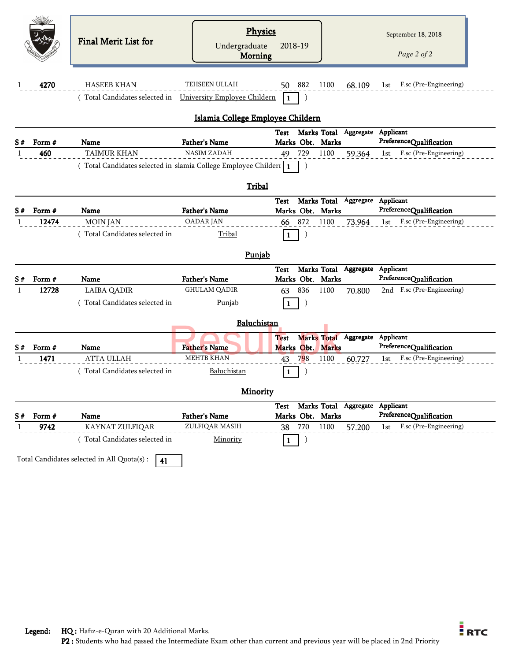|          |        | <b>Final Merit List for</b>                                    | <b>Physics</b><br>Undergraduate             | 2018-19                                |                                 |        | September 18, 2018<br>Page 2 of 2                     |
|----------|--------|----------------------------------------------------------------|---------------------------------------------|----------------------------------------|---------------------------------|--------|-------------------------------------------------------|
|          |        |                                                                | <b>Morning</b>                              |                                        |                                 |        |                                                       |
|          |        |                                                                |                                             |                                        |                                 |        |                                                       |
| 1        | 4270   | <b>HASEEB KHAN</b>                                             | TEHSEEN ULLAH                               | 50 882                                 | 1100                            | 68.109 | F.sc (Pre-Engineering)<br>lst                         |
|          |        | (Total Candidates selected in University Employee Childern     |                                             | $\mathbf{1}$                           |                                 |        |                                                       |
|          |        |                                                                |                                             |                                        |                                 |        |                                                       |
|          |        |                                                                | Islamia College Employee Childern           |                                        |                                 |        |                                                       |
|          |        |                                                                |                                             | Test Marks Total Aggregate             |                                 |        | Applicant                                             |
| S#       | Form # | Name                                                           | Father's Name                               | Marks Obt. Marks                       |                                 |        | PreferenceQualification                               |
|          | 460    | <b>TAIMUR KHAN</b>                                             | <b>NASIM ZADAH</b>                          | 729<br>49                              | 1100                            | 59.364 | F.sc (Pre-Engineering)<br>1st                         |
|          |        | (Total Candidates selected in slamia College Employee Childeri |                                             | $\mathbf{1}$                           |                                 |        |                                                       |
|          |        |                                                                | <b>Tribal</b>                               |                                        |                                 |        |                                                       |
|          |        |                                                                |                                             |                                        |                                 |        |                                                       |
|          |        | Name                                                           | <b>Father's Name</b>                        | Test<br>Marks Obt. Marks               | Marks Total Aggregate Applicant |        | PreferenceQualification                               |
|          |        |                                                                |                                             |                                        |                                 |        |                                                       |
|          | Form # |                                                                |                                             |                                        |                                 |        |                                                       |
|          | 12474  | <b>MOIN JAN</b>                                                | <b>OADAR JAN</b>                            | 872<br>66                              | 1100                            | 73.964 | F.sc (Pre-Engineering)<br>1st                         |
| S#       |        | Total Candidates selected in                                   | <b>Tribal</b>                               | 1                                      |                                 |        |                                                       |
|          |        |                                                                |                                             |                                        |                                 |        |                                                       |
|          |        |                                                                | Punjab                                      |                                        |                                 |        |                                                       |
|          | Form # | Name                                                           |                                             | Test                                   | Marks Total                     |        | Aggregate Applicant                                   |
|          | 12728  |                                                                | <b>Father's Name</b><br><b>GHULAM QADIR</b> | Marks Obt. Marks<br>836                | 1100                            |        | PreferenceQualification<br>2nd F.sc (Pre-Engineering) |
|          |        | <b>LAIBA QADIR</b>                                             |                                             | 63                                     |                                 | 70.800 |                                                       |
|          |        | Total Candidates selected in                                   | Punjab                                      | $\mathbf{1}$                           |                                 |        |                                                       |
|          |        |                                                                | Baluchistan                                 |                                        |                                 |        |                                                       |
|          |        |                                                                |                                             | Test                                   | Marks Total Aggregate           |        | Applicant                                             |
|          | Form # | Name                                                           | <b>Father's Name</b>                        | Marks Obt. Marks                       |                                 |        | PreferenceQualification                               |
|          | 1471   | <b>ATTA ULLAH</b>                                              | <b>MEHTB KHAN</b>                           | 798<br>43                              | 1100                            | 60.727 | F.sc (Pre-Engineering)<br>1st                         |
|          |        | (Total Candidates selected in                                  | Baluchistan                                 | $\mathbf{1}$                           |                                 |        |                                                       |
|          |        |                                                                |                                             |                                        |                                 |        |                                                       |
| S#<br>S# |        |                                                                | <b>Minority</b>                             |                                        |                                 |        |                                                       |
|          |        |                                                                |                                             | Test                                   | Marks Total Aggregate Applicant |        |                                                       |
| S#       | Form # | Name                                                           | <b>Father's Name</b>                        | Marks Obt. Marks                       |                                 |        | PreferenceQualification                               |
|          | 9742   | KAYNAT ZULFIQAR<br>(Total Candidates selected in               | ZULFIQAR MASIH<br>Minority                  | 770<br>38<br>$\lambda$<br>$\mathbf{1}$ | 1100                            | 57.200 | F.sc (Pre-Engineering)<br>1st                         |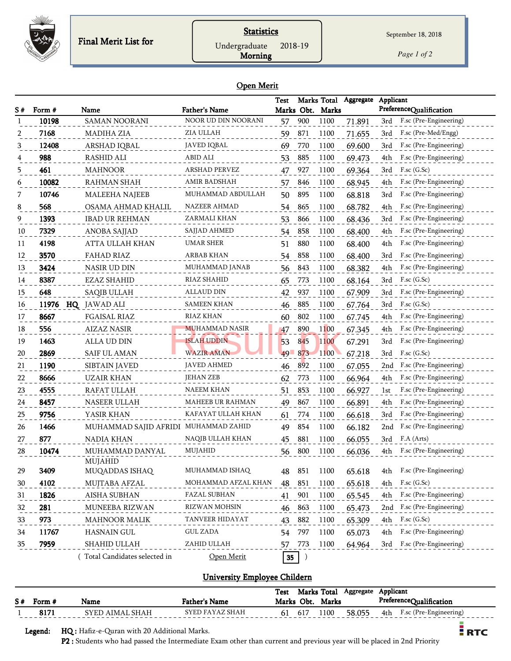

## **Statistics**

Undergraduate 2018-19

Morning

September 18, 2018

*Page 1 of 2*

#### Open Merit

| S# | Form # | Name                                 | <b>Father's Name</b> | <b>Test</b> |        | Marks Total<br>Marks Obt. Marks | Aggregate | Applicant<br>PreferenceQualification |
|----|--------|--------------------------------------|----------------------|-------------|--------|---------------------------------|-----------|--------------------------------------|
|    | 10198  | SAMAN NOORANI                        | NOOR UD DIN NOORANI  | 57          | 900    | 1100                            | 71.891    | F.sc (Pre-Engineering)<br>3rd        |
|    | 7168   | <b>MADIHA ZIA</b>                    | ZIA ULLAH            | 59          | 871    | 1100                            | 71.655    | F.sc (Pre-Med/Engg)<br>3rd           |
| 3  | 12408  | ARSHAD IQBAL                         | <b>JAVED IQBAL</b>   | 69          | 770    | 1100                            | 69.600    | F.sc (Pre-Engineering)<br>3rd        |
| 4  | 988    | <b>RASHID ALI</b>                    | ABID ALI             | 53          | 885    | 1100                            | 69.473    | F.sc (Pre-Engineering)<br>4th        |
| 5  | 461    | <b>MAHNOOR</b>                       | <b>ARSHAD PERVEZ</b> | 47          | 927    | 1100                            | 69.364    | $F$ .sc $(G.Sc)$<br>3rd              |
| 6  | 10082  | <b>RAHMAN SHAH</b>                   | AMIR BADSHAH         | 57          | 846    | 1100                            | 68.945    | F.sc (Pre-Engineering)<br>4th        |
| 7  | 10746  | <b>MALEEHA NAJEEB</b>                | MUHAMMAD ABDULLAH    | 50          | 895    | 1100                            | 68.818    | F.sc (Pre-Engineering)<br>3rd        |
| 8  | 568    | OSAMA AHMAD KHALIL                   | NAZEER AHMAD         | 54          | 865    | 1100                            | 68.782    | F.sc (Pre-Engineering)<br>4th        |
| 9  | 1393   | <b>IBAD UR REHMAN</b>                | ZARMALI KHAN         | 53          | 866    | 1100                            | 68.436    | F.sc (Pre-Engineering)<br>3rd        |
| 10 | 7329   | ANOBA SAJJAD                         | SAJJAD AHMED         | 54          | 858    | 1100                            | 68.400    | F.sc (Pre-Engineering)<br>4th        |
| 11 | 4198   | ATTA ULLAH KHAN                      | UMAR SHER            | 51          | 880    | 1100                            | 68.400    | F.sc (Pre-Engineering)<br>4th        |
| 12 | 3570   | <b>FAHAD RIAZ</b>                    | <b>ARBAB KHAN</b>    | 54          | 858    | 1100                            | 68.400    | F.sc (Pre-Engineering)<br>3rd        |
| 13 | 3424   | NASIR UD DIN                         | MUHAMMAD JANAB       | 56          | 843    | 1100                            | 68.382    | F.sc (Pre-Engineering)<br>4th        |
| 14 | 8387   | <b>EZAZ SHAHID</b>                   | RIAZ SHAHID          | 65          | 773    | 1100                            | 68.164    | $F$ .sc $(G.Sc)$<br>3rd              |
| 15 | 648    | <b>SAQIB ULLAH</b>                   | ALLAUD DIN           | 42          | 937    | 1100                            | 67.909    | F.sc (Pre-Engineering)<br>3rd        |
| 16 |        | 11976 HQ JAWAD ALI                   | <b>SAMEEN KHAN</b>   | 46          | 885    | 1100                            | 67.764    | 3rd<br>$F$ .sc $(G.Sc)$              |
| 17 | 8667   | FGAISAL RIAZ                         | RIAZ KHAN            | 60          | 802    | 1100                            | 67.745    | F.sc (Pre-Engineering)<br>4th        |
| 18 | 556    | <b>AIZAZ NASIR</b>                   | MUHAMMAD NASIR       | 47          | 890    | 1100                            | 67.345    | F.sc (Pre-Engineering)<br>4th        |
| 19 | 1463   | ALLA UD DIN                          | <b>ISLAH UDDIN</b>   | 53          | 845    | 1100                            | 67.291    | F.sc (Pre-Engineering)<br>3rd        |
| 20 | 2869   | <b>SAIF UL AMAN</b>                  | <b>WAZIR AMAN</b>    | 49          | 873    | 1100                            | 67.218    | F.sc (G.Sc)<br>3rd                   |
| 21 | 1190   | SIBTAIN JAVED                        | <b>JAVED AHMED</b>   | 46          | 892    | 1100                            | 67.055    | F.sc (Pre-Engineering)<br>2nd        |
| 22 | 8666   | <b>UZAIR KHAN</b>                    | <b>JEHAN ZEB</b>     | 62          | 773    | 1100                            | 66.964    | F.sc (Pre-Engineering)<br>4th        |
| 23 | 4555   | RAFAT ULLAH                          | <b>NAEEM KHAN</b>    | 51          | 853    | 1100                            | 66.927    | F.sc (Pre-Engineering)<br>1st        |
| 24 | 8457   | NASEER ULLAH                         | MAHEEB UR RAHMAN     | 49          | 867    | 1100                            | 66.891    | F.sc (Pre-Engineering)<br>4th        |
| 25 | 9756   | YASIR KHAN                           | KAFAYAT ULLAH KHAN   | 61          | 774    | 1100                            | 66.618    | F.sc (Pre-Engineering)<br>3rd        |
| 26 | 1466   | MUHAMMAD SAJID AFRIDI MUHAMMAD ZAHID |                      | 49          | 854    | 1100                            | 66.182    | F.sc (Pre-Engineering)<br>2nd        |
| 27 | 877    | <b>NADIA KHAN</b>                    | NAQIB ULLAH KHAN     | 45          | 881    | 1100                            | 66.055    | F.A (Arts)<br>3rd                    |
| 28 | 10474  | MUHAMMAD DANYAL                      | MUJAHID              | 56          | 800    | 1100                            | 66.036    | F.sc (Pre-Engineering)<br>4th        |
|    |        | MUJAHID                              |                      |             |        |                                 |           |                                      |
| 29 | 3409   | MUQADDAS ISHAQ                       | MUHAMMAD ISHAQ       | 48          | 851    | 1100                            | 65.618    | F.sc (Pre-Engineering)<br>4th        |
| 30 | 4102   | MUJTABA AFZAL                        | MOHAMMAD AFZAL KHAN  | 48          | 851    | 1100                            | 65.618    | $F$ .sc $(G$ .Sc $)$<br>4th          |
| 31 | 1826   | <b>AISHA SUBHAN</b>                  | <b>FAZAL SUBHAN</b>  | 41          | 901    | 1100                            | 65.545    | F.sc (Pre-Engineering)<br>4th        |
| 32 | 281    | MUNEEBA RIZWAN                       | RIZWAN MOHSIN        | 46          | 863    | 1100                            | 65.473    | F.sc (Pre-Engineering)<br>2nd        |
| 33 | 973    | <b>MAHNOOR MALIK</b>                 | TANVEER HIDAYAT      | 43          | 882    | 1100                            | 65.309    | $F$ .sc $(G$ .Sc $)$<br>4th          |
| 34 | 11767  | <b>HASNAIN GUL</b>                   | <b>GUL ZADA</b>      |             | 54 797 | 1100                            | 65.073    | F.sc (Pre-Engineering)<br>4th        |
| 35 | 7959   | SHAHID ULLAH                         | ZAHID ULLAH          |             | 57 773 | 1100                            | 64.964    | 3rd F.sc (Pre-Engineering)           |
|    |        | Total Candidates selected in         | Open Merit           |             | $35$ ) |                                 |           |                                      |

## University Employee Childern

|    |         |                                                     |                      | Test |     |                  | Marks Total Aggregate | Applicant |                            |  |
|----|---------|-----------------------------------------------------|----------------------|------|-----|------------------|-----------------------|-----------|----------------------------|--|
| S# | Form #  | Name                                                | <b>Father's Name</b> |      |     | Marks Obt. Marks |                       |           | PreferenceQualification    |  |
|    | 8171    | SYED AIMAL SHAH                                     | SYED FAYAZ SHAH      | 61   | 617 | 1100             | 58.055                |           | 4th F.sc (Pre-Engineering) |  |
|    | Legend: | <b>HQ</b> : Hafiz-e-Quran with 20 Additional Marks. |                      |      |     |                  |                       |           | <b>E</b> RTC               |  |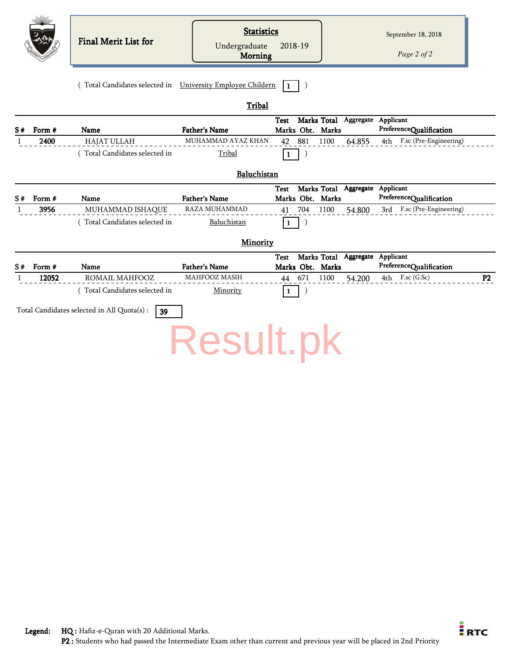|    |        | <b>Final Merit List for</b>                                | <b>Statistics</b><br>Undergraduate<br><b>Morning</b> | 2018-19                                                            |        | September 18, 2018<br>Page 2 of 2 |
|----|--------|------------------------------------------------------------|------------------------------------------------------|--------------------------------------------------------------------|--------|-----------------------------------|
|    |        | (Total Candidates selected in University Employee Childern |                                                      | $\mathbf{1}$                                                       |        |                                   |
|    |        |                                                            | Tribal                                               |                                                                    |        |                                   |
| S# | Form # | Name                                                       | <b>Father's Name</b>                                 | Marks Total Aggregate Applicant<br><b>Test</b><br>Marks Obt. Marks |        | PreferenceQualification           |
| 1  | 2400   | <b>HAJAT ULLAH</b>                                         | MUHAMMAD AYAZ KHAN                                   | 881<br>1100<br>42                                                  | 64.855 | F.sc (Pre-Engineering)<br>4th     |
|    |        | (Total Candidates selected in                              | Tribal                                               | $\mathbf{1}$                                                       |        |                                   |
|    |        |                                                            | Baluchistan                                          |                                                                    |        |                                   |
|    |        |                                                            |                                                      | Marks Total Aggregate Applicant<br><b>Test</b>                     |        |                                   |
| S# | Form # | Name                                                       | <b>Father's Name</b>                                 | Marks Obt. Marks                                                   |        | PreferenceQualification           |
|    | 3956   | MUHAMMAD ISHAQUE                                           | RAZA MUHAMMAD                                        | 704<br>1100<br>41                                                  | 54.800 | F.sc (Pre-Engineering)<br>3rd     |
|    |        | (Total Candidates selected in                              | Baluchistan                                          | $\mathbf{1}$                                                       |        |                                   |
|    |        |                                                            | Minority                                             |                                                                    |        |                                   |
|    |        |                                                            |                                                      | Marks Total Aggregate Applicant<br><b>Test</b>                     |        |                                   |
| S# | Form # | <b>Name</b>                                                | <b>Father's Name</b>                                 | Marks Obt. Marks                                                   |        | PreferenceQualification           |
| 1  | 12052  | ROMAIL MAHFOOZ                                             | <b>MAHFOOZ MASIH</b>                                 | 671<br>1100<br>44                                                  | 54.200 | F.sc (G.Sc)<br>4th<br>P2          |
|    |        | (Total Candidates selected in                              | Minority                                             | $\mathbf{1}$                                                       |        |                                   |
|    |        | Total Candidates selected in All Quota(s) :<br>39          |                                                      |                                                                    |        |                                   |
|    |        |                                                            | <b>Result.pk</b>                                     |                                                                    |        |                                   |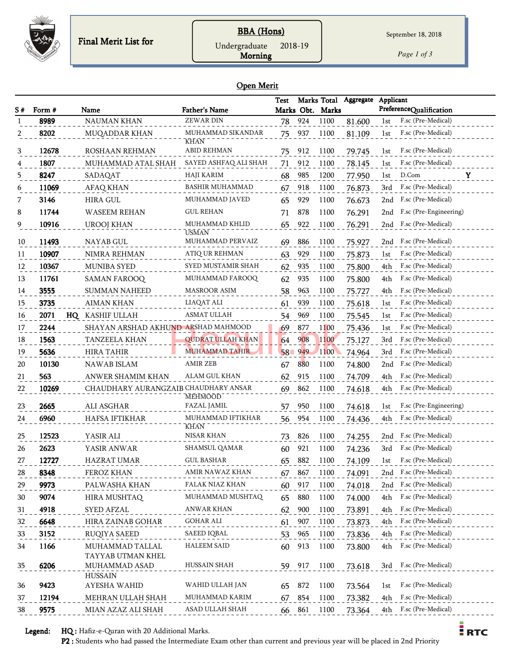

## BBA (Hons)

Undergraduate 2018-19

Morning

*Page 1 of 3*

#### Open Merit

|                |        |                                      |                                  | <b>Test</b> |     |                  | Marks Total Aggregate Applicant |      |                         |
|----------------|--------|--------------------------------------|----------------------------------|-------------|-----|------------------|---------------------------------|------|-------------------------|
| S #            | Form # | Name                                 | Father's Name                    |             |     | Marks Obt. Marks |                                 |      | PreferenceQualification |
| -1             | 8989   | <b>NAUMAN KHAN</b>                   | <b>ZEWAR DIN</b>                 | 78          | 924 | 1100             | 81.600                          | 1st  | F.sc (Pre-Medical)      |
| $\overline{2}$ | 8202   | MUQADDAR KHAN                        | MUHAMMAD SIKANDAR<br><b>KHAN</b> | 75          | 937 | 1100             | 81.109                          | 1st  | F.sc (Pre-Medical)      |
| 3              | 12678  | ROSHAAN REHMAN                       | <b>ABID REHMAN</b>               | 75          | 912 | 1100             | 79.745                          | 1st  | F.sc (Pre-Medical)      |
|                | 1807   | MUHAMMAD ATAL SHAH                   | SAYED ASHFAQ ALI SHAH            | 71          | 912 | 1100             | 78.145                          | 1st  | F.sc (Pre-Medical)      |
| 5              | 8247   | SADAQAT                              | HAJI KARIM                       | 68          | 985 | 1200             | 77.950                          | 1st  | D.Com<br>Y              |
| 6              | 11069  | <b>AFAQ KHAN</b>                     | <b>BASHIR MUHAMMAD</b>           | 67          | 918 | 1100             | 76.873                          | 3rd  | F.sc (Pre-Medical)      |
| 7              | 3146   | <b>HIRA GUL</b>                      | MUHAMMAD JAVED                   | 65          | 929 | 1100             | 76.673                          | 2nd  | F.sc (Pre-Medical)      |
| 8              | 11744  | <b>WASEEM REHAN</b>                  | <b>GUL REHAN</b>                 | 71          | 878 | 1100             | 76.291                          | 2nd  | F.sc (Pre-Engineering)  |
| 9              | 10916  | <b>UROOJ KHAN</b>                    | MUHAMMAD KHLID                   | 65          | 922 | 1100             | 76.291                          |      | 2nd F.sc (Pre-Medical)  |
| 10             | 11493  | NAYAB GUL                            | <b>USMAN</b><br>MUHAMMAD PERVAIZ | 69          | 886 | 1100             | 75.927                          | 2nd  | F.sc (Pre-Medical)      |
| 11             | 10907  | NIMRA REHMAN                         | <b>ATIQ UR REHMAN</b>            | 63          | 929 | 1100             | 75.873                          | 1st  | F.sc (Pre-Medical)      |
| 12             | 10367  | <b>MUNIBA SYED</b>                   | SYED MUSTAMIR SHAH               | 62          | 935 | 1100             | 75.800                          | 4th  | F.sc (Pre-Medical)      |
| 13             | 11761  | <b>SAMAN FAROOQ</b>                  | MUHAMMAD FAROOQ                  | 62          | 935 | 1100             | 75.800                          | 4th  | F.sc (Pre-Medical)      |
| 14             | 3555   | <b>SUMMAN NAHEED</b>                 | <b>MASROOR ASIM</b>              | 58          | 963 | 1100             | 75.727                          | 4th  | F.sc (Pre-Medical)      |
| 15             | 3735   | <b>AIMAN KHAN</b>                    | LIAQAT ALI                       | 61          | 939 | 1100             | 75.618                          | 1st  | F.sc (Pre-Medical)      |
| 16             | 2071   | HQ KASHIF ULLAH                      | <b>ASMAT ULLAH</b>               | 54          | 969 | 1100             | 75.545                          | 1st  | F.sc (Pre-Medical)      |
| 17             | 2244   | SHAYAN ARSHAD AKHUND ARSHAD MAHMOOD  |                                  | 69          | 877 | 1100             | 75.436                          | 1st  | F.sc (Pre-Medical)      |
| 18             | 1563   | TANZEELA KHAN                        | <b>QUDRAT ULLAH KHAN</b>         | 64          | 908 | 1100             | 75.127                          | 3rd  | F.sc (Pre-Medical)      |
| 19             | 5636   | HIRA TAHIR                           | <b>MUHAMMAD TAHIR</b>            | 58          | 949 | 1100             | 74.964                          | 3rd  | F.sc (Pre-Medical)      |
| 20             | 10130  | NAWAB ISLAM                          | <b>AMIR ZEB</b>                  | 67          | 880 | 1100             | 74.800                          |      | 2nd F.sc (Pre-Medical)  |
| 21             | 563    | ANWER SHAMIM KHAN                    | ALAM GUL KHAN                    | 62          | 915 | 1100             | 74.709                          | 4th  | F.sc (Pre-Medical)      |
| 22             | 10269  | CHAUDHARY AURANGZAIB CHAUDHARY ANSAR |                                  | 69          | 862 | 1100             | 74.618                          | 4th  | F.sc (Pre-Medical)      |
| 23             | 2665   | ALI ASGHAR                           | <b>MEHMOOD</b><br>FAZAL JAMIL    | 57          | 950 | 1100             | 74.618                          | lst  | F.sc (Pre-Engineering)  |
| 24             | 6960   | HAFSA IFTIKHAR                       | MUHAMMAD IFTIKHAR                | 56          | 954 | 1100             | 74.436                          | 4th  | F.sc (Pre-Medical)      |
| 25             | 12523  | YASIR ALI                            | KHAN<br>NISAR KHAN               | 73          | 826 | 1100             | 74.255                          |      | 2nd F.sc (Pre-Medical)  |
| 26             | 2623   | YASIR ANWAR                          | SHAMSUL QAMAR                    | 60          | 921 | 1100             | 74.236                          | 3rd  | F.sc (Pre-Medical)      |
| 27             | 12727  | <b>HAZRAT UMAR</b>                   | <b>GUL BASHAR</b>                | 65          | 882 | 1100             | 74.109                          | 1st  | F.sc (Pre-Medical)      |
| 28             | 8348   | FEROZ KHAN                           | AMIR NAWAZ KHAN                  | 67          | 867 | 1100             | 74.091                          |      | 2nd F.sc (Pre-Medical)  |
| 29             | 9973   | PALWASHA KHAN                        | FALAK NIAZ KHAN                  | 60          | 917 | 1100             | 74.018                          | 2nd  | F.sc (Pre-Medical)      |
| 30             | 9074   | HIRA MUSHTAQ                         | MUHAMMAD MUSHTAQ                 | 65          | 880 | 1100             | 74.000                          | 4th  | F.sc (Pre-Medical)      |
| 31             | 4918   | SYED AFZAL                           | ANWAR KHAN                       | 62          | 900 | 1100             | 73.891                          | 4th  | F.sc (Pre-Medical)      |
| 32             | 6648   | HIRA ZAINAB GOHAR                    | <b>GOHAR ALI</b>                 | 61          | 907 | 1100             | 73.873                          | 4th. | F.sc (Pre-Medical)      |
| 33             | 3152   | RUQIYA SAEED                         | SAEED IQBAL                      | 53          | 965 | 1100             | 73.836                          | 4th  | F.sc (Pre-Medical)      |
| 34             | 1166   | MUHAMMAD TALLAL                      | <b>HALEEM SAID</b>               | 60          | 913 | 1100             | 73.800                          |      | 4th F.sc (Pre-Medical)  |
|                |        | TAYYAB UTMAN KHEL                    |                                  |             |     |                  |                                 |      |                         |
| 35             | 6206   | MUHAMMAD ASAD<br>HUSSAIN             | HUSSAIN SHAH                     | 59          | 917 | 1100             | 73.618                          |      | 3rd F.sc (Pre-Medical)  |
| 36             | 9423   | AYESHA WAHID                         | WAHID ULLAH JAN                  | 65          | 872 | 1100             | 73.564                          | 1st  | F.sc (Pre-Medical)      |
| 37             | 12194  | MEHRAN ULLAH SHAH                    | MUHAMMAD KARIM                   | 67          | 854 | 1100             | 73.382                          | 4th  | F.sc (Pre-Medical)      |
| 38             | 9575   | MIAN AZAZ ALI SHAH                   | ASAD ULLAH SHAH                  | 66          | 861 | 1100             | 73.364                          | 4th  | F.sc (Pre-Medical)      |

Legend: HQ : Hafiz-e-Quran with 20 Additional Marks.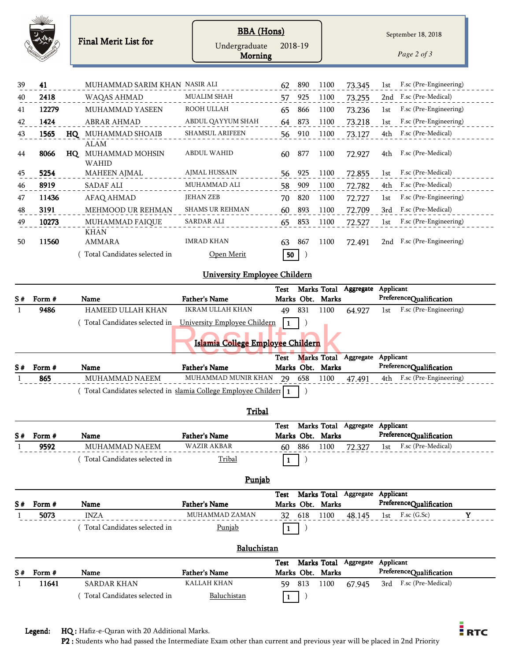|              |        |    | <b>Final Merit List for</b>                    | <b>BBA</b> (Hons)<br>Undergraduate<br><b>Morning</b> |      | 2018-19 |                  |           |           | September 18, 2018<br>Page 2 of 3 |
|--------------|--------|----|------------------------------------------------|------------------------------------------------------|------|---------|------------------|-----------|-----------|-----------------------------------|
|              |        |    |                                                |                                                      |      |         |                  |           |           |                                   |
| 39           | 41     |    | MUHAMMAD SARIM KHAN NASIR ALI                  |                                                      | 62   | 890     | 1100             | 73.345    | 1st       | F.sc (Pre-Engineering)            |
| 40           | 2418   |    | WAQAS AHMAD                                    | <b>MUALIM SHAH</b>                                   | 57   | 925     | 1100             | 73.255    | 2nd       | F.sc (Pre-Medical)                |
| 41           | 12279  |    | <b>MUHAMMAD YASEEN</b>                         | ROOH ULLAH                                           | 65   | 866     | 1100             | 73.236    | 1st       | F.sc (Pre-Engineering)            |
| 42           | 1424   |    | <b>ABRAR AHMAD</b>                             | ABDUL QAYYUM SHAH                                    | 64   | 873     | 1100             | 73.218    | 1st       | F.sc (Pre-Engineering)            |
| 43           | 1565   |    | HQ MUHAMMAD SHOAIB                             | <b>SHAMSUL ARIFEEN</b>                               | 56   | 910     | 1100             | 73.127    | 4th       | F.sc (Pre-Medical)                |
| 44           | 8066   | HQ | <b>ALAM</b><br>MUHAMMAD MOHSIN<br><b>WAHID</b> | <b>ABDUL WAHID</b>                                   | 60   | 877     | 1100             | 72.927    | 4th       | F.sc (Pre-Medical)                |
| 45           | 5254   |    | <b>MAHEEN AJMAL</b>                            | <b>AJMAL HUSSAIN</b>                                 | 56   | 925     | 1100             | 72.855    | 1st       | F.sc (Pre-Medical)                |
| 46           | 8919   |    | <b>SADAF ALI</b>                               | MUHAMMAD ALI                                         | 58   | 909     | 1100             | 72.782    | 4th       | F.sc (Pre-Medical)                |
| 47           | 11436  |    | <b>AFAQ AHMAD</b>                              | <b>JEHAN ZEB</b>                                     | 70   | 820     | 1100             | 72.727    | 1st       | F.sc (Pre-Engineering)            |
| 48           | 3191   |    | MEHMOOD UR REHMAN                              | <b>SHAMS UR REHMAN</b>                               | 60   | 893     | 1100             | 72.709    | 3rd       | F.sc (Pre-Medical)                |
| 49           | 10273  |    | MUHAMMAD FAIQUE                                | SARDAR ALI                                           | 65   | 853     | 1100             | 72.527    | 1st       | F.sc (Pre-Engineering)            |
| 50           | 11560  |    | <b>KHAN</b><br><b>AMMARA</b>                   | <b>IMRAD KHAN</b>                                    | 63   | 867     | 1100             | 72.491    |           | 2nd F.sc (Pre-Engineering)        |
|              |        |    | Total Candidates selected in                   | Open Merit                                           | 50   |         |                  |           |           |                                   |
|              |        |    |                                                | <b>University Employee Childern</b>                  |      |         |                  |           |           |                                   |
|              |        |    |                                                |                                                      | Test |         | Marks Total      | Aggregate | Applicant |                                   |
| S#           | Form # |    | Name                                           | <b>Father's Name</b>                                 |      |         | Marks Obt. Marks |           |           | PreferenceQualification           |
| $\mathbf{1}$ | 9486   |    | <b>HAMEED ULLAH KHAN</b>                       | <b>IKRAM ULLAH KHAN</b>                              | 49   | 831     | 1100             | 64.927    | 1st       | F.sc (Pre-Engineering)            |

## Islamia College Employee Childern 0.00 External College Employee Childern<br>External College Employee Childern<br>Test Marks Total

(Total Candidates selected in University Employee Childern 1)

|             |                                                                  |                        | Test |                  | Marks Total Aggregate Applicant |                            |  |
|-------------|------------------------------------------------------------------|------------------------|------|------------------|---------------------------------|----------------------------|--|
| $S#$ Form # | Name                                                             | <b>Father's Name</b>   |      | Marks Obt. Marks |                                 | PreferenceQualification    |  |
| 865         | MUHAMMAD NAEEM                                                   | MUHAMMAD MUNIR KHAN 79 |      | 658 1100         | 47.491                          | 4th F.sc (Pre-Engineering) |  |
|             | Total Candidates selected in slamia College Employee Childer   1 |                        |      |                  |                                 |                            |  |

#### **Tribal**

|    |        |                              |                      | Test |     |                  | Marks Total Aggregate | Applicant |                         |  |
|----|--------|------------------------------|----------------------|------|-----|------------------|-----------------------|-----------|-------------------------|--|
| S# | Form # | Name                         | <b>Father's Name</b> |      |     | Marks Obt. Marks |                       |           | PreferenceQualification |  |
|    | 9592   | MUHAMMAD NAEEM               | WAZIR AKBAR          | 60   | 886 | 1100             | 72.327                | 1st       | F.sc (Pre-Medical)      |  |
|    |        | Total Candidates selected in | <u>Tribal</u>        |      |     |                  |                       |           |                         |  |

### Punjab

|    |        |                              |                      | Test |     |                  | Marks Total Aggregate | Applicant |                         |  |
|----|--------|------------------------------|----------------------|------|-----|------------------|-----------------------|-----------|-------------------------|--|
| S# | Form # | Name                         | <b>Father's Name</b> |      |     | Marks Obt. Marks |                       |           | PreferenceQualification |  |
|    | 5073   | <b>INZA</b>                  | MUHAMMAD ZAMAN       | 32   | 618 | 1100             | 48 145                | 1st       | $F$ .sc $(G.Sc)$        |  |
|    |        | Total Candidates selected in | <u>Punjab</u>        |      |     |                  |                       |           |                         |  |

## **Baluchistan**

| $S#$ Form # | Name                         | <b>Father's Name</b> |    |     | Marks Obt. Marks | Test Marks Total Aggregate | Applicant | PreferenceQualification |  |
|-------------|------------------------------|----------------------|----|-----|------------------|----------------------------|-----------|-------------------------|--|
| 11641       | SARDAR KHAN                  | KALLAH KHAN          | 59 | 813 | 1100             | 67 945                     |           | 3rd F.sc (Pre-Medical)  |  |
|             | Total Candidates selected in | Baluchistan          |    |     |                  |                            |           |                         |  |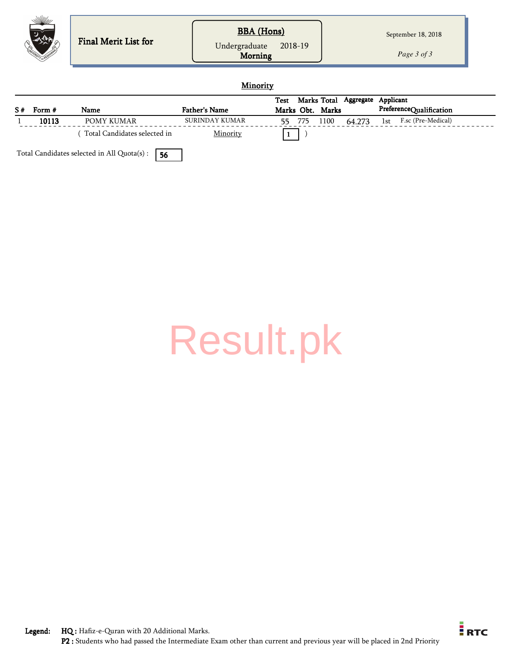| <b>BBA</b> (Hons)<br>September 18, 2018<br>Final Merit List for<br>2018-19<br>Undergraduate<br>Page 3 of 3<br><b>Morning</b> |
|------------------------------------------------------------------------------------------------------------------------------|
|------------------------------------------------------------------------------------------------------------------------------|

#### **Minority**

|    |        |                              |                      | Test |     |                  | Marks Total Aggregate | Applicant |                         |  |
|----|--------|------------------------------|----------------------|------|-----|------------------|-----------------------|-----------|-------------------------|--|
| S# | Form # | Name                         | <b>Father's Name</b> |      |     | Marks Obt. Marks |                       |           | PreferenceQualification |  |
|    | 10113  | POMY KUMAR                   | SURINDAY KUMAR       | 55   | 775 | 1100             | 64.273                | 1st       | F.sc (Pre-Medical)      |  |
|    |        | Total Candidates selected in | Minority             |      |     |                  |                       |           |                         |  |

Total Candidates selected in All Quota(s) :  $\boxed{56}$ 

[Result.pk](http://www.result.pk/)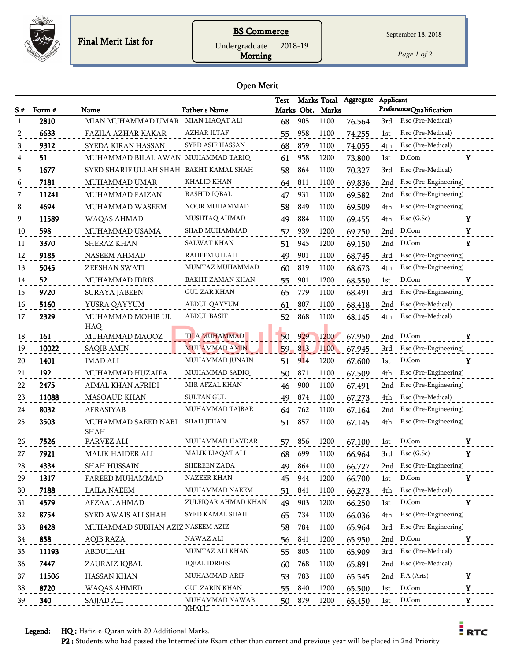

## **BS Commerce**

Undergraduate 2018-19

Morning

*Page 1 of 2*

#### Open Merit

| S# | Form # | Name                                    | <b>Father's Name</b>    | <b>Test</b> |     | Marks Obt. Marks | Marks Total Aggregate | Applicant | PreferenceQualification    |              |
|----|--------|-----------------------------------------|-------------------------|-------------|-----|------------------|-----------------------|-----------|----------------------------|--------------|
|    | 2810   | MIAN MUHAMMAD UMAR MIAN LIAQAT ALI      |                         | 68          | 905 | 1100             | 76.564                | 3rd       | F.sc (Pre-Medical)         |              |
|    | 6633   | FAZILA AZHAR KAKAR                      | AZHAR ILTAF             | 55          | 958 | 1100             | 74.255                | 1st       | F.sc (Pre-Medical)         |              |
|    | 9312   | SYEDA KIRAN HASSAN                      | <b>SYED ASIF HASSAN</b> | 68          | 859 | 1100             | 74.055                | 4th       | F.sc (Pre-Medical)         |              |
|    | 51     | MUHAMMAD BILAL AWAN MUHAMMAD TARIQ      |                         | 61          | 958 | 1200             | 73.800                | 1st       | D.Com                      | Y            |
| 5  | 1677   | SYED SHARIF ULLAH SHAH BAKHT KAMAL SHAH |                         | 58          | 864 | 1100             | 70.327                | 3rd       | F.sc (Pre-Medical)         |              |
| 6  | 7181   | MUHAMMAD UMAR                           | KHALID KHAN             | 64          | 811 | 1100             | 69.836                | 2nd       | F.sc (Pre-Engineering)     |              |
|    | 11241  | MUHAMMAD FAIZAN                         | RASHID IQBAL            | 47          | 931 | 1100             | 69.582                | 2nd       | F.sc (Pre-Engineering)     |              |
|    | 4694   | MUHAMMAD WASEEM                         | NOOR MUHAMMAD           | 58          | 849 | 1100             | 69.509                | 4th       | F.sc (Pre-Engineering)     |              |
| 9  | 11589  | WAQAS AHMAD                             | MUSHTAQ AHMAD           | 49          | 884 | 1100             | 69.455                | 4th       | $F$ .sc $(G.Sc)$           | Y            |
| 10 | 598    | MUHAMMAD USAMA                          | SHAD MUHAMMAD           | 52          | 939 | 1200             | 69.250                | 2nd       | D.Com                      | $\mathbf Y$  |
| 11 | 3370   | SHERAZ KHAN                             | SALWAT KHAN             | 51          | 945 | 1200             | 69.150                | 2nd       | D.Com                      | Y            |
| 12 | 9185   | <b>NASEEM AHMAD</b>                     | RAHEEM ULLAH            | 49          | 901 | 1100             | 68.745                | 3rd       | F.sc (Pre-Engineering)     |              |
| 13 | 5045   | ZEESHAN SWATI                           | MUMTAZ MUHAMMAD         | 60          | 819 | 1100             | 68.673                | 4th       | F.sc (Pre-Engineering)     |              |
| 14 | 52     | MUHAMMAD IDRIS                          | BAKHT ZAMAN KHAN        | 55          | 901 | 1200             | 68.550                | 1st       | D.Com                      | Y            |
| 15 | 9720   | <b>SURAYA JABEEN</b>                    | <b>GUL ZAR KHAN</b>     | 65          | 779 | 1100             | 68.491                | 3rd       | F.sc (Pre-Engineering)     |              |
| 16 | 5160   | YUSRA QAYYUM                            | ABDUL QAYYUM            | 61          | 807 | 1100             | 68.418                | 2nd       | F.sc (Pre-Medical)         |              |
| 17 | 2329   | MUHAMMAD MOHIB UL                       | <b>ABDUL BASIT</b>      | 52          | 868 | 1100             | 68.145                | 4th       | F.sc (Pre-Medical)         |              |
|    |        | <b>HAQ</b>                              |                         |             |     |                  |                       |           |                            |              |
| 18 | 161    | MUHAMMAD MAOOZ                          | <b>TILA MUHAMMAD</b>    | 50          | 929 | 1200             | 67.950                | 2nd       | D.Com                      | Y            |
| 19 | 10022  | SAQIB AMIN                              | <b>MUHAMMAD AMIN</b>    | 59          | 813 | 1100             | 67.945                | 3rd       | F.sc (Pre-Engineering)     |              |
| 20 | 1401   | <b>IMAD ALI</b>                         | MUHAMMAD JUNAIN         | 51          | 914 | 1200             | 67.600                | 1st       | D.Com                      | Y            |
| 21 | 192    | MUHAMMAD HUZAIFA                        | MUHAMMAD SADIQ          | 50          | 871 | 1100             | 67.509                | 4th       | F.sc (Pre-Engineering)     |              |
| 22 | 2475   | AIMAL KHAN AFRIDI                       | MIR AFZAL KHAN          | 46          | 900 | 1100             | 67.491                | 2nd       | F.sc (Pre-Engineering)     |              |
| 23 | 11088  | <b>MASOAUD KHAN</b>                     | <b>SULTAN GUL</b>       | 49          | 874 | 1100             | 67.273                | 4th       | F.sc (Pre-Medical)         |              |
| 24 | 8032   | AFRASIYAB                               | MUHAMMAD TAJBAR         | 64          | 762 | 1100             | 67.164                | 2nd       | F.sc (Pre-Engineering)     |              |
| 25 | 3503   | MUHAMMAD SAEED NABI<br><b>SHAH</b>      | <b>SHAH JEHAN</b>       | 51          | 857 | 1100             | 67.145                | 4th       | F.sc (Pre-Engineering)     |              |
| 26 | 7526   | PARVEZ ALI                              | MUHAMMAD HAYDAR         | 57          | 856 | 1200             | 67.100                | 1st       | D.Com                      | Y            |
| 27 | 7921   | MALIK HAIDER ALI                        | MALIK LIAQAT ALI        | 68          | 699 | 1100             | 66.964                |           | 3rd F.sc (G.Sc)            | Y            |
| 28 | 4334   | SHAH HUSSAIN                            | <b>SHEREEN ZADA</b>     | 49          | 864 | 1100             | 66.727                |           | 2nd F.sc (Pre-Engineering) |              |
| 29 | 1317   | FAREED MUHAMMAD                         | NAZEER KHAN             | 45          | 944 | 1200             | 66.700                | 1st       | D.Com                      | Y            |
| 30 | 7188   | <b>LAILA NAEEM</b>                      | MUHAMMAD NAEEM          | 51          | 841 | 1100             | 66.273                | 4th       | F.sc (Pre-Medical)         |              |
| 31 | 4579   | AFZAAL AHMAD                            | ZULFIQAR AHMAD KHAN     | 49          | 903 | 1200             | 66.250                | 1st       | D.Com                      | Y            |
| 32 | 8754   | SYED AWAIS ALI SHAH                     | SYED KAMAL SHAH         | 65          | 734 | 1100             | 66.036                | 4th       | F.sc (Pre-Engineering)     |              |
| 33 | 8428   | MUHAMMAD SUBHAN AZIZ NASEEM AZIZ        |                         | 58          | 784 | 1100             | 65.964                | 3rd       | F.sc (Pre-Engineering)     |              |
| 34 | 858    | AQIB RAZA                               | NAWAZ ALI               | 56          | 841 | 1200             | 65.950                |           | 2nd D.Com                  | Y            |
| 35 | 11193  | ABDULLAH                                | MUMTAZ ALI KHAN         | 55          | 805 | 1100             | 65.909                | 3rd       | F.sc (Pre-Medical)         |              |
| 36 | 7447   | ZAURAIZ IQBAL                           | <b>IQBAL IDREES</b>     | 60          | 768 | 1100             | 65.891                |           | 2nd F.sc (Pre-Medical)     |              |
| 37 | 11506  | HASSAN KHAN                             | MUHAMMAD ARIF           | 53          | 783 | 1100             | 65.545                |           | 2nd F.A (Arts)             | $\mathbf{Y}$ |
| 38 | 8720   | WAQAS AHMED                             | GUL ZARIN KHAN          | 55          | 840 | 1200             | 65.500                | 1st       | D.Com                      | Y            |
| 39 | 340    | SAJJAD ALI                              | MUHAMMAD NAWAB          | 50          | 879 | 1200             | 65.450                | 1st       | D.Com                      | $\mathbf Y$  |
|    |        |                                         | KHĀLĪL                  |             |     |                  |                       |           |                            |              |

Legend: HQ : Hafiz-e-Quran with 20 Additional Marks.

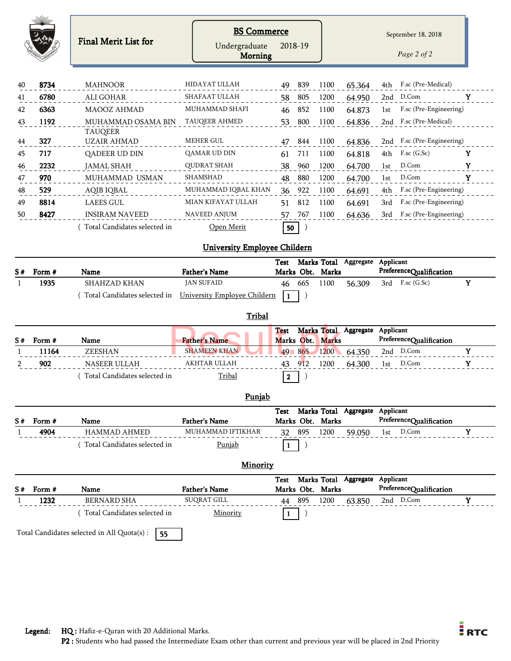|                |                                                                                    | <b>BS Commerce</b>                        |                    |            |                          |                                 |           | September 18, 2018                          |             |
|----------------|------------------------------------------------------------------------------------|-------------------------------------------|--------------------|------------|--------------------------|---------------------------------|-----------|---------------------------------------------|-------------|
|                | Final Merit List for                                                               | Undergraduate<br><b>Morning</b>           | 2018-19            |            |                          |                                 |           | Page 2 of 2                                 |             |
| 8734           | <b>MAHNOOR</b>                                                                     | HIDAYAT ULLAH                             | 49                 | 839        | 1100                     | 65.364                          | 4th       | F.sc (Pre-Medical)                          |             |
| 6780           | ALI GOHAR                                                                          | <b>SHAFAAT ULLAH</b>                      | 58                 | 805        | 1200                     | 64.950                          | 2nd       | D.Com                                       | Y           |
| 6363           | MAOOZ AHMAD                                                                        | MUHAMMAD SHAFI                            | 46                 | 852        | 1100                     | 64.873                          | 1st       | F.sc (Pre-Engineering)                      |             |
| 1192           | MUHAMMAD OSAMA BIN<br><b>TAUQEER</b>                                               | TAUQEER AHMED                             | 53                 | 800        | 1100                     | 64.836                          |           | 2nd F.sc (Pre-Medical)                      |             |
| 327            | <b>UZAIR AHMAD</b>                                                                 | <b>MEHER GUL</b>                          | 47                 | 844        | 1100                     | 64.836                          | 2nd       | F.sc (Pre-Engineering)                      |             |
| 717            | QADEER UD DIN                                                                      | QAMAR UD DIN                              | 61                 | 711        | 1100                     | 64.818                          | 4th       | $F$ .sc $(G.Sc)$                            | Y           |
| 2232           | <b>JAMAL SHAH</b>                                                                  | <b>QUDRAT SHAH</b>                        | 38                 | 960        | 1200                     | 64.700                          | 1st       | D.Com                                       | $\mathbf Y$ |
| 970            | MUHAMMAD USMAN                                                                     | SHAMSHAD                                  | 48                 | 880        | 1200                     | 64.700                          | 1st       | D.Com                                       | Y           |
| 529            | AQIB IQBAL                                                                         | MUHAMMAD IQBAL KHAN                       | 36                 | 922        | 1100                     | 64.691                          | 4th       | F.sc (Pre-Engineering)                      |             |
| 8814           | <b>LAEES GUL</b>                                                                   | MIAN KIFAYAT ULLAH                        | 51                 | 812        | 1100                     | 64.691                          | 3rd       | F.sc (Pre-Engineering)                      |             |
| 8427           | <b>INSIRAM NAVEED</b>                                                              | <b>NAVEED ANJUM</b>                       | 57                 | 767        | 1100                     | 64.636                          | 3rd       | F.sc (Pre-Engineering)                      |             |
|                | Total Candidates selected in                                                       | Open Merit                                | 50                 |            |                          |                                 |           |                                             |             |
|                |                                                                                    |                                           |                    |            |                          |                                 |           |                                             |             |
|                |                                                                                    | <b>University Employee Childern</b>       |                    |            |                          |                                 |           |                                             |             |
|                |                                                                                    |                                           | <b>Test</b>        |            |                          | Marks Total Aggregate           | Applicant |                                             |             |
| Form #<br>1935 | Name<br>SHAHZAD KHAN<br>(Total Candidates selected in University Employee Childern | <b>Father's Name</b><br><b>JAN SUFAID</b> | 46<br>$\mathbf{1}$ | 665        | Marks Obt. Marks<br>1100 | 56.309                          | 3rd       | PreferenceQualification<br>$F$ .sc $(G.Sc)$ | Y           |
|                |                                                                                    | Tribal                                    | <b>Test</b>        |            | Marks Total              | Aggregate                       | Applicant |                                             |             |
| Form #         | Name                                                                               | <b>Father's Name</b>                      |                    | Marks Obt. | <b>Marks</b>             |                                 |           | PreferenceQualification                     |             |
| 11164          | ZEESHAN                                                                            | <b>SHAMEEN KHAN</b>                       | 49                 | $-865$     | 1200                     | 64.350                          |           | 2nd D.Com                                   | Y           |
| 902            | NASEER ULLAH                                                                       | AKHTAR ULLAH                              | 43                 | 912        | 1200                     | 64.300                          | 1st       | D.Com                                       | Y           |
|                | (Total Candidates selected in                                                      | Tribal                                    | $\vert$ 2          | )          |                          |                                 |           |                                             |             |
|                |                                                                                    | Punjab                                    |                    |            |                          |                                 |           |                                             |             |
| Form #         | Name                                                                               | <b>Father's Name</b>                      | Test               |            |                          | Marks Total Aggregate Applicant |           |                                             |             |
| 4904           | <b>HAMMAD AHMED</b>                                                                | MUHAMMAD IFTIKHAR                         | 32                 | 895        | Marks Obt. Marks<br>1200 | 59.050                          | 1st       | PreferenceQualification<br>D.Com            | $\mathbf Y$ |
|                | Total Candidates selected in                                                       | <b>Punjab</b>                             | 1                  |            |                          |                                 |           |                                             |             |
|                |                                                                                    | Minority                                  |                    |            |                          |                                 |           |                                             |             |
| Form #         | Name                                                                               | <b>Father's Name</b>                      | Test               |            | Marks Obt. Marks         | Marks Total Aggregate Applicant |           | PreferenceQualification                     |             |
| 1232           | <b>BERNARD SHA</b>                                                                 | SUQRAT GILL                               | 44                 | 895        | 1200                     | 63.850                          |           | 2nd D.Com                                   | Y           |
|                | (Total Candidates selected in                                                      | Minority                                  | $\mathbf{1}$       | $\big)$    |                          |                                 |           |                                             |             |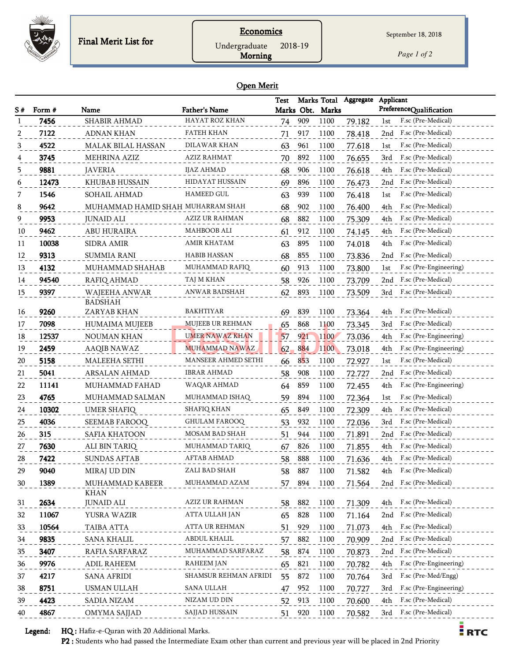

**Economics** Undergraduate 2018-19

*Page 1 of 2*

 $\frac{1}{2}$  RTC

#### Open Merit

Morning

|    |        |                                   |                            | <b>Test</b> |     | Marks Total      | Aggregate | Applicant                     |
|----|--------|-----------------------------------|----------------------------|-------------|-----|------------------|-----------|-------------------------------|
| S# | Form # | Name                              | <b>Father's Name</b>       |             |     | Marks Obt. Marks |           | PreferenceQualification       |
|    | 7456   | SHABIR AHMAD                      | HAYAT ROZ KHAN             | 74          | 909 | 1100             | 79.182    | F.sc (Pre-Medical)<br>1st     |
|    | 7122   | <b>ADNAN KHAN</b>                 | FATEH KHAN                 | 71          | 917 | 1100             | 78.418    | F.sc (Pre-Medical)<br>2nd     |
| 3  | 4522   | <b>MALAK BILAL HASSAN</b>         | DILAWAR KHAN               | 63          | 961 | 1100             | 77.618    | F.sc (Pre-Medical)<br>1st     |
| 4  | 3745   | <b>MEHRINA AZIZ</b>               | AZIZ RAHMAT                | 70          | 892 | 1100             | 76.655    | F.sc (Pre-Medical)<br>3rd     |
| 5  | 9881   | <b>JAVERIA</b>                    | <b>IJAZ AHMAD</b>          | 68          | 906 | 1100             | 76.618    | F.sc (Pre-Medical)<br>4th     |
| 6  | 12473  | KHUBAB HUSSAIN                    | HIDAYAT HUSSAIN            | 69          | 896 | 1100             | 76.473    | F.sc (Pre-Medical)<br>2nd     |
| 7  | 1546   | SOHAIL AHMAD                      | <b>HAMEED GUL</b>          | 63          | 939 | 1100             | 76.418    | F.sc (Pre-Medical)<br>1st     |
| 8  | 9642   | MUHAMMAD HAMID SHAH MUHARRAM SHAH |                            | 68          | 902 | 1100             | 76.400    | F.sc (Pre-Medical)<br>4th     |
| 9  | 9953   | <b>JUNAID ALI</b>                 | AZIZ UR RAHMAN             | 68          | 882 | 1100             | 75.309    | F.sc (Pre-Medical)<br>4th     |
| 10 | 9462   | ABU HURAIRA                       | MAHBOOB ALI                | 61          | 912 | 1100             | 74.145    | F.sc (Pre-Medical)<br>4th     |
| 11 | 10038  | <b>SIDRA AMIR</b>                 | AMIR KHATAM                | 63          | 895 | 1100             | 74.018    | F.sc (Pre-Medical)<br>4th     |
| 12 | 9313   | <b>SUMMIA RANI</b>                | <b>HABIB HASSAN</b>        | 68          | 855 | 1100             | 73.836    | F.sc (Pre-Medical)<br>2nd     |
| 13 | 4132   | MUHAMMAD SHAHAB                   | MUHAMMAD RAFIQ             | 60          | 913 | 1100             | 73.800    | F.sc (Pre-Engineering)<br>1st |
| 14 | 94540  | RAFIQ AHMAD                       | TAJ M KHAN                 | 58          | 926 | 1100             | 73.709    | F.sc (Pre-Medical)<br>2nd     |
| 15 | 9397   | WAJEEHA ANWAR                     | ANWAR BADSHAH              | 62          | 893 | 1100             | 73.509    | F.sc (Pre-Medical)<br>3rd     |
|    |        | <b>BADSHAH</b>                    |                            |             |     |                  |           |                               |
| 16 | 9260   | ZARYAB KHAN                       | BAKHTIYAR                  | 69          | 839 | 1100             | 73.364    | F.sc (Pre-Medical)<br>4th     |
| 17 | 7098   | <b>HUMAIMA MUJEEB</b>             | <b>MUJEEB UR REHMAN</b>    | 65          | 868 | 1100             | 73.345    | F.sc (Pre-Medical)<br>3rd     |
| 18 | 12537  | NOUMAN KHAN                       | UMER NAWAZ KHAN            | 57          | 921 | 1100             | 73.036    | F.sc (Pre-Engineering)<br>4th |
| 19 | 2459   | <b>AAQIB NAWAZ</b>                | <b>MUHAMMAD NAWAZ</b>      | 62          | 884 | 1100             | 73.018    | F.sc (Pre-Engineering)<br>4th |
| 20 | 5158   | MALEEHA SETHI                     | <b>MANSEER AHMED SETHI</b> | 66          | 853 | 1100             | 72.927    | F.sc (Pre-Medical)<br>1st     |
| 21 | 5041   | ARSALAN AHMAD                     | IBRAR AHMAD                | 58          | 908 | 1100             | 72.727    | F.sc (Pre-Medical)<br>2nd     |
| 22 | 11141  | MUHAMMAD FAHAD                    | WAQAR AHMAD                | 64          | 859 | 1100             | 72.455    | F.sc (Pre-Engineering)<br>4th |
| 23 | 4765   | MUHAMMAD SALMAN                   | MUHAMMAD ISHAQ             | 59          | 894 | 1100             | 72.364    | F.sc (Pre-Medical)<br>1st     |
| 24 | 10302  | <b>UMER SHAFIQ</b>                | <b>SHAFIQ KHAN</b>         | 65          | 849 | 1100             | 72.309    | F.sc (Pre-Medical)<br>4th     |
| 25 | 4036   | SEEMAB FAROOQ                     | <b>GHULAM FAROOQ</b>       | 53          | 932 | 1100             | 72.036    | F.sc (Pre-Medical)<br>3rd     |
| 26 | 315    | SAFIA KHATOON                     | MOSAM BAD SHAH             | 51          | 944 | 1100             | 71.891    | F.sc (Pre-Medical)<br>2nd     |
| 27 | 7630   | ALI BIN TARIQ                     | MUHAMMAD TARIQ             | 67          | 826 | 1100             | 71.855    | F.sc (Pre-Medical)<br>4th     |
| 28 | 7422   | <b>SUNDAS AFTAB</b>               | AFTAB AHMAD                | 58          | 888 | 1100             | 71.636    | F.sc (Pre-Medical)<br>4th     |
| 29 | 9040   | MIRAJ UD DIN                      | ZALI BAD SHAH              | 58          | 887 | 1100             | 71.582    | F.sc (Pre-Medical)<br>4th     |
| 30 | 1389   | MUHAMMAD KABEER                   | MUHAMMAD AZAM              | 57          | 894 | 1100             | 71.564    | F.sc (Pre-Medical)<br>2nd     |
|    |        | <b>KHAN</b>                       |                            |             |     |                  |           |                               |
| 31 | 2634   | <b>JUNAID ALI</b>                 | <b>AZIZ UR RAHMAN</b>      | 58          | 882 | 1100             | 71.309    | F.sc (Pre-Medical)<br>4th     |
| 32 | 11067  | YUSRA WAZIR                       | ATTA ULLAH JAN             | 65          | 828 | 1100             | 71.164    | F.sc (Pre-Medical)<br>2nd     |
| 33 | 10564  | TAIBA ATTA                        | ATTA UR REHMAN             | 51          | 929 | 1100             | 71.073    | F.sc (Pre-Medical)<br>4th     |
| 34 | 9835   | <b>SANA KHALIL</b>                | ABDUL KHALIL               | 57          | 882 | 1100             | 70.909    | F.sc (Pre-Medical)<br>2nd     |
| 35 | 3407   | RAFIA SARFARAZ                    | MUHAMMAD SARFARAZ          | 58          | 874 | 1100             | 70.873    | F.sc (Pre-Medical)<br>2nd     |
| 36 | 9976   | ADIL RAHEEM                       | <b>RAHEEM JAN</b>          | 65          | 821 | 1100             | 70.782    | F.sc (Pre-Engineering)<br>4th |
| 37 | 4217   | <b>SANA AFRIDI</b>                | SHAMSUR REHMAN AFRIDI      | 55          | 872 | 1100             | 70.764    | F.sc (Pre-Med/Engg)<br>3rd    |
| 38 | 8751   | USMAN ULLAH                       | SANA ULLAH                 | 47          | 952 | 1100             | 70.727    | F.sc (Pre-Engineering)<br>3rd |
| 39 | 4423   | <b>SADIA NIZAM</b>                | NIZAM UD DIN               | 52          | 913 | 1100             | 70.600    | F.sc (Pre-Medical)<br>4th     |
| 40 | 4867   | OMYMA SAJJAD                      | SAJJAD HUSSAIN             | 51          | 920 | 1100             | 70.582    | F.sc (Pre-Medical)<br>3rd     |

Legend: HQ : Hafiz-e-Quran with 20 Additional Marks.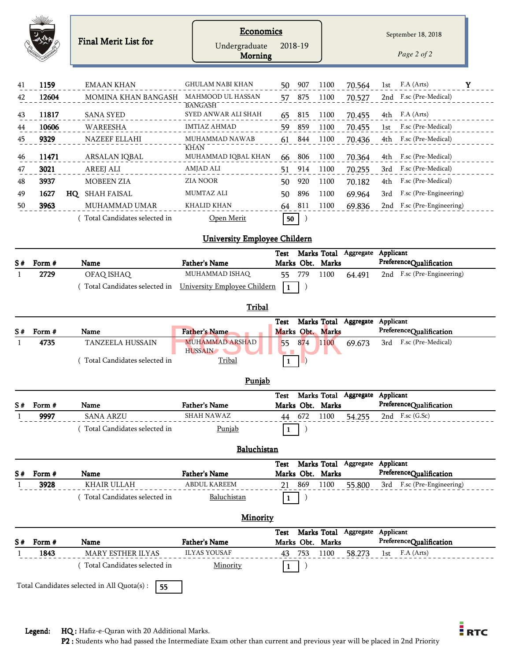|          |                | <b>Final Merit List for</b>     | <b>Economics</b><br>Undergraduate<br><b>Morning</b> | 2018-19                  |             |                                 | September 18, 2018<br>Page 2 of 2                     |
|----------|----------------|---------------------------------|-----------------------------------------------------|--------------------------|-------------|---------------------------------|-------------------------------------------------------|
|          |                |                                 |                                                     |                          |             |                                 |                                                       |
| 41       | 1159           | <b>EMAAN KHAN</b>               | GHULAM NABI KHAN                                    | 907<br>50                | 1100        | 70.564                          | F.A (Arts)<br>Y<br>1st                                |
| 42       | 12604          | MOMINA KHAN BANGASH             | MAHMOOD UL HASSAN<br><b>BANGASH</b>                 | 875<br>57                | 1100        | 70.527                          | F.sc (Pre-Medical)<br>2nd                             |
| 43       | 11817          | <b>SANA SYED</b>                | SYED ANWAR ALI SHAH                                 | 815<br>65                | 1100        | 70.455                          | F.A (Arts)<br>4th                                     |
| 44       | 10606          | WAREESHA                        | <b>IMTIAZ AHMAD</b>                                 | 859<br>59                | 1100        | 70.455                          | F.sc (Pre-Medical)<br>1st                             |
| 45       | 9329           | NAZEEF ELLAHI                   | MUHAMMAD NAWAB<br><b>KHAN</b>                       | 844<br>61                | 1100        | 70.436                          | F.sc (Pre-Medical)<br>4th                             |
| 46       | 11471          | ARSALAN IQBAL                   | MUHAMMAD IQBAL KHAN                                 | 806<br>66                | 1100        | 70.364                          | F.sc (Pre-Medical)<br>4th                             |
| 47       | 3021           | <b>AREEJ ALI</b>                | AMJAD ALI                                           | 914<br>51                | 1100        | 70.255                          | F.sc (Pre-Medical)<br>3rd                             |
| 48       | 3937           | <b>MOBEEN ZIA</b>               | <b>ZIA NOOR</b>                                     | 920<br>50                | 1100        | 70.182                          | F.sc (Pre-Medical)<br>4th                             |
| 49       | 1627           | HQ SHAH FAISAL                  | <b>MUMTAZ ALI</b>                                   | 896<br>50                | 1100        | 69.964                          | F.sc (Pre-Engineering)<br>3rd                         |
| 50       | 3963           | MUHAMMAD UMAR                   | <b>KHALID KHAN</b>                                  | 811<br>64                | 1100        | 69.836                          | 2nd F.sc (Pre-Engineering)                            |
|          |                | (Total Candidates selected in   | Open Merit                                          | 50                       |             |                                 |                                                       |
|          |                |                                 | <b>University Employee Childern</b>                 |                          |             |                                 |                                                       |
|          |                |                                 |                                                     | Test                     | Marks Total | Aggregate                       | Applicant                                             |
| S#       | Form #         | Name                            | <b>Father's Name</b>                                | Marks Obt. Marks         |             |                                 | PreferenceQualification                               |
|          | 2729           | OFAQ ISHAQ                      | MUHAMMAD ISHAQ                                      | 779<br>55                | 1100        | 64.491                          | 2nd F.sc (Pre-Engineering)                            |
|          |                | Total Candidates selected in    | University Employee Childern                        | -1<br>J                  |             |                                 |                                                       |
|          |                |                                 | Tribal                                              |                          |             |                                 |                                                       |
| S#       | Form #         |                                 | <b>Father's Name</b>                                | Test<br>Marks Obt. Marks |             | Marks Total Aggregate           | Applicant<br>PreferenceQualification                  |
|          | 4735           | Name<br><b>TANZEELA HUSSAIN</b> | <b>MUHAMMAD ARSHAD</b>                              | 874<br>55                | 1100        | 69.673                          | F.sc (Pre-Medical)<br>3rd                             |
|          |                | Total Candidates selected in    | <b>HUSSAIN</b><br>Tribal                            | -1                       |             |                                 |                                                       |
|          |                |                                 | Punjab                                              |                          |             |                                 |                                                       |
|          |                |                                 |                                                     | Test<br>Marks Obt. Marks |             | Marks Total Aggregate Applicant | PreferenceQualification                               |
| S#       | Form #<br>9997 | Name<br><b>SANA ARZU</b>        | <b>Father's Name</b><br><b>SHAH NAWAZ</b>           | 672<br>44                | 1100        | 54.255                          | 2nd F.sc (G.Sc)                                       |
|          |                | (Total Candidates selected in   | Punjab                                              | -1                       |             |                                 |                                                       |
|          |                |                                 |                                                     |                          |             |                                 |                                                       |
|          |                |                                 | Baluchistan                                         |                          |             |                                 |                                                       |
|          |                |                                 |                                                     | Test                     |             | Marks Total Aggregate Applicant |                                                       |
| S#       | Form #<br>3928 | Name<br><b>KHAIR ULLAH</b>      | <b>Father's Name</b><br><b>ABDUL KAREEM</b>         | Marks Obt. Marks<br>869  | 1100        | 55.800                          | PreferenceQualification<br>3rd F.sc (Pre-Engineering) |
|          |                | (Total Candidates selected in   | Baluchistan                                         | 21<br>)                  |             |                                 |                                                       |
|          |                |                                 |                                                     | $\mathbf{1}$             |             |                                 |                                                       |
|          |                |                                 | <b>Minority</b>                                     |                          |             |                                 |                                                       |
|          |                | Name                            | <b>Father's Name</b>                                | Test<br>Marks Obt. Marks |             | Marks Total Aggregate Applicant | PreferenceQualification                               |
|          |                |                                 |                                                     |                          |             | 58.273                          | F.A (Arts)<br>1st                                     |
| S#<br>-1 | Form #<br>1843 | MARY ESTHER ILYAS               | <b>ILYAS YOUSAF</b>                                 | 43 753                   | 1100        |                                 |                                                       |
|          |                | (Total Candidates selected in   | Minority                                            | -1                       |             |                                 |                                                       |

Legend: HQ : Hafiz-e-Quran with 20 Additional Marks.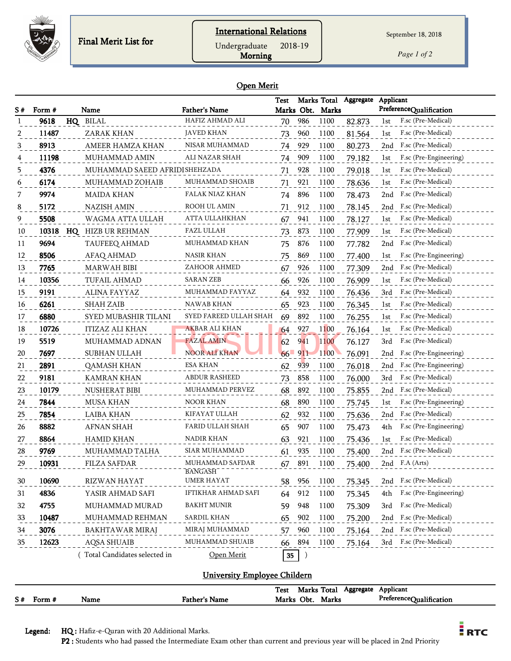

Morning Undergraduate 2018-19

*Page 1 of 2*

#### Open Merit

| S# | Form # | Name                           | <b>Father's Name</b>         | <b>Test</b> |            | Marks Obt. Marks | Marks Total Aggregate | Applicant<br>PreferenceQualification |
|----|--------|--------------------------------|------------------------------|-------------|------------|------------------|-----------------------|--------------------------------------|
|    | 9618   | HQ BILAL                       | HAFIZ AHMAD ALI              | 70          | 986        | 1100             | 82.873                | F.sc (Pre-Medical)<br>1st            |
|    | 11487  | ZARAK KHAN                     | <b>JAVED KHAN</b>            | 73          | 960        | 1100             | 81.564                | F.sc (Pre-Medical)<br>1st            |
| 3  | 8913   | AMEER HAMZA KHAN               | NISAR MUHAMMAD               | 74          | 929        | 1100             | 80.273                | F.sc (Pre-Medical)<br>2nd            |
|    | 11198  | MUHAMMAD AMIN                  | ALI NAZAR SHAH               | 74          | 909        | 1100             | 79.182                | F.sc (Pre-Engineering)<br>1st        |
| 5  | 4376   | MUHAMMAD SAEED AFRIDI SHEHZADA |                              | 71          | 928        | 1100             | 79.018                | F.sc (Pre-Medical)<br>1st            |
| 6  | 6174   | MUHAMMAD ZOHAIB                | MUHAMMAD SHOAIB              | 71          | 921        | 1100             | 78.636                | F.sc (Pre-Medical)<br>1st            |
|    | 9974   | <b>MAIDA KHAN</b>              | FALAK NIAZ KHAN              | 74          | 896        | 1100             | 78.473                | F.sc (Pre-Medical)<br>2nd            |
| 8  | 5172   | <b>NAZISH AMIN</b>             | ROOH UL AMIN                 | 71          | 912        | 1100             | 78.145                | F.sc (Pre-Medical)<br>2nd            |
| 9  | 5508   | WAGMA ATTA ULLAH               | ATTA ULLAHKHAN               | 67          | 941        | 1100             | 78.127                | F.sc (Pre-Medical)<br>1st            |
| 10 |        | 10318 HQ HIZB UR REHMAN        | FAZL ULLAH                   | 73          | 873        | 1100             | 77.909                | F.sc (Pre-Medical)<br>1st            |
| 11 | 9694   | TAUFEEQ AHMAD                  | MUHAMMAD KHAN                | 75          | 876        | 1100             | 77.782                | F.sc (Pre-Medical)<br>2nd            |
| 12 | 8506   | AFAQ AHMAD                     | <b>NASIR KHAN</b>            | 75          | 869        | 1100             | 77.400                | F.sc (Pre-Engineering)<br>1st        |
| 13 | 7765   | <b>MARWAH BIBI</b>             | ZAHOOR AHMED                 | 67          | 926        | 1100             | 77.309                | F.sc (Pre-Medical)<br>2nd            |
| 14 | 10356  | <b>TUFAIL AHMAD</b>            | <b>SARAN ZEB</b>             | 66          | 926        | 1100             | 76.909                | F.sc (Pre-Medical)<br>1st            |
| 15 | 9191   | ALINA FAYYAZ                   | MUHAMMAD FAYYAZ              | 64          | 932        | 1100             | 76.436                | 3rd<br>F.sc (Pre-Medical)            |
| 16 | 6261   | <b>SHAH ZAIB</b>               | NAWAB KHAN                   | 65          | 923        | 1100             | 76.345                | F.sc (Pre-Medical)<br>1st            |
| 17 | 6880   | SYED MUBASHIR TILANI           | SYED FAREED ULLAH SHAH       | 69          | 892        | 1100             | 76.255                | F.sc (Pre-Medical)<br>1st            |
| 18 | 10726  | <b>ITIZAZ ALI KHAN</b>         | <b>AKBAR ALI KHAN</b>        | 64          | 927        | 1100             | 76.164                | F.sc (Pre-Medical)<br>1st            |
| 19 | 5519   | MUHAMMAD ADNAN                 | <b>FAZAL AMIN</b>            | 62          | 941        | 1100             | 76.127                | F.sc (Pre-Medical)<br>3rd            |
| 20 | 7697   | SUBHAN ULLAH                   | NOOR ALI KHAN                |             | $66 - 911$ | 1100             | 76.091                | F.sc (Pre-Engineering)<br>2nd        |
| 21 | 2891   | <b>QAMASH KHAN</b>             | ESA KHAN                     | 62          | 939        | 1100             | 76.018                | F.sc (Pre-Engineering)<br>2nd        |
| 22 | 9181   | <b>KAMRAN KHAN</b>             | ABDUR RASHEED                | 73          | 858        | 1100             | 76.000                | F.sc (Pre-Medical)<br>3rd            |
| 23 | 10179  | NUSHERAT BIBI                  | MUHAMMAD PERVEZ              | 68          | 892        | 1100             | 75.855                | F.sc (Pre-Medical)<br>2nd            |
| 24 | 7844   | <b>MUSA KHAN</b>               | NOOR KHAN                    | 68          | 890        | 1100             | 75.745                | F.sc (Pre-Engineering)<br>1st        |
| 25 | 7854   | LAIBA KHAN                     | KIFAYAT ULLAH                | 62          | 932        | 1100             | 75.636                | F.sc (Pre-Medical)<br>2nd            |
| 26 | 8882   | <b>AFNAN SHAH</b>              | FARID ULLAH SHAH             | 65          | 907        | 1100             | 75.473                | F.sc (Pre-Engineering)<br>4th        |
| 27 | 8864   | <b>HAMID KHAN</b>              | NADIR KHAN                   | 63          | 921        | 1100             | 75.436                | F.sc (Pre-Medical)<br>1st            |
| 28 | 9769   | MUHAMMAD TALHA                 | <b>SIAR MUHAMMAD</b>         | 61          | 935        | 1100             | 75.400                | 2nd F.sc (Pre-Medical)               |
| 29 | 10931  | <b>FILZA SAFDAR</b>            | MUHAMMAD SAFDAR              | 67          | 891        | 1100             | 75.400                | 2nd F.A (Arts)                       |
| 30 | 10690  | RIZWAN HAYAT                   | <b>BANGASH</b><br>UMER HAYAT | 58          | 956        | 1100             | 75.345                | 2nd F.sc (Pre-Medical)               |
| 31 | 4836   | YASIR AHMAD SAFI               | IFTIKHAR AHMAD SAFI          | 64          | 912        | 1100             | 75.345                | F.sc (Pre-Engineering)<br>4th        |
| 32 | 4755   | MUHAMMAD MURAD                 | <b>BAKHT MUNIR</b>           | 59          | 948        | 1100             | 75.309                | F.sc (Pre-Medical)<br>3rd            |
| 33 | 10487  | MUHAMMAD REHMAN                | <b>SARDIL KHAN</b>           | 65          | 902        | 1100             | 75.200                | F.sc (Pre-Medical)<br>2nd            |
| 34 | 3076   | <b>BAKHTAWAR MIRAJ</b>         | MIRAJ MUHAMMAD               | 57          | 960        | 1100             | 75.164                | F.sc (Pre-Medical)<br>2nd            |
| 35 | 12623  | AQSA SHUAIB                    | MUHAMMAD SHUAIB              | 66          | 894        | 1100             | 75.164                | F.sc (Pre-Medical)<br>3rd            |
|    |        | Total Candidates selected in   | Open Merit                   | 35          |            |                  |                       |                                      |

#### University Employee Childern

|    |        |      |               | Test  | <b>Marks Total</b> |       | Aggregate | Applicant               |
|----|--------|------|---------------|-------|--------------------|-------|-----------|-------------------------|
| S# | Form # | Name | Father's Name | Marks | Obt.               | Marks |           | PreferenceQualification |

Legend: HQ : Hafiz-e-Quran with 20 Additional Marks.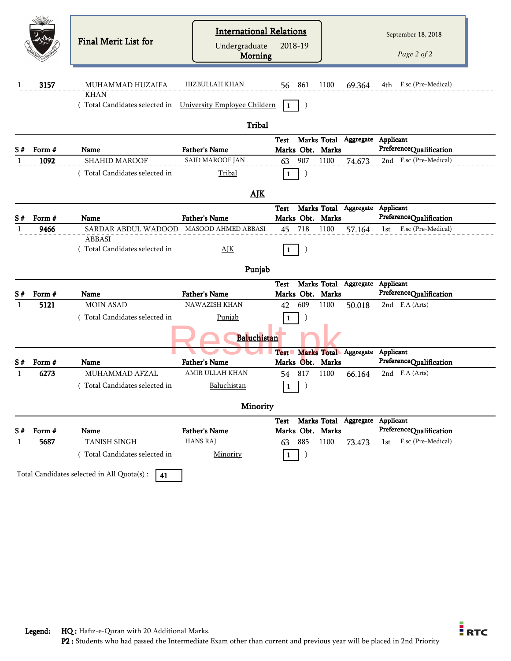|    | 3157   | Final Merit List for<br>MUHAMMAD HUZAIFA<br><b>KHAN</b><br>Total Candidates selected in | <b>International Relations</b><br>Undergraduate<br>Morning<br>HIZBULLAH KHAN<br>University Employee Childern | 2018-19<br>56 861<br>$\vert$ 1 | 1100 | 69.364                | September 18, 2018<br>Page 2 of 2<br>4th F.sc (Pre-Medical) |
|----|--------|-----------------------------------------------------------------------------------------|--------------------------------------------------------------------------------------------------------------|--------------------------------|------|-----------------------|-------------------------------------------------------------|
|    |        |                                                                                         | Tribal                                                                                                       |                                |      |                       |                                                             |
|    | Form # | Name                                                                                    | <b>Father's Name</b>                                                                                         | Test<br>Marks Obt. Marks       |      |                       | Marks Total Aggregate Applicant<br>PreferenceQualification  |
|    | 1092   | <b>SHAHID MAROOF</b>                                                                    | SAID MAROOF JAN                                                                                              | 907<br>63                      | 1100 | 74.673                | 2nd F.sc (Pre-Medical)                                      |
|    |        | (Total Candidates selected in                                                           | Tribal                                                                                                       | $\mathbf{1}$                   |      |                       |                                                             |
|    |        |                                                                                         | <b>AJK</b>                                                                                                   |                                |      |                       |                                                             |
|    |        |                                                                                         |                                                                                                              | <b>Test</b>                    |      |                       | Marks Total Aggregate Applicant                             |
| S# | Form # | Name                                                                                    | <b>Father's Name</b>                                                                                         | Marks Obt. Marks               |      |                       | PreferenceQualification                                     |
|    | 9466   | SARDAR ABDUL WADOOD MASOOD AHMED ABBASI                                                 |                                                                                                              | 718<br>45                      | 1100 | 57.164                | F.sc (Pre-Medical)<br>1st                                   |
|    |        | <b>ABBASI</b><br>Total Candidates selected in                                           | $\Delta$ JK                                                                                                  | $\vert$ 1                      |      |                       |                                                             |
|    |        |                                                                                         | Punjab                                                                                                       |                                |      |                       |                                                             |
|    |        |                                                                                         |                                                                                                              | <b>Test</b>                    |      |                       | Marks Total Aggregate Applicant                             |
| S# | Form # | Name                                                                                    | <b>Father's Name</b>                                                                                         | Marks Obt. Marks               |      |                       | PreferenceQualification                                     |
|    | 5121   | <b>MOIN ASAD</b>                                                                        | <b>NAWAZISH KHAN</b>                                                                                         | 609<br>42                      | 1100 | 50.018                | 2nd F.A (Arts)                                              |
|    |        | (Total Candidates selected in                                                           | Punjab                                                                                                       | -1                             |      |                       |                                                             |
|    |        |                                                                                         | Baluchistan                                                                                                  |                                |      |                       |                                                             |
|    |        |                                                                                         |                                                                                                              | <b>Test</b>                    |      | Marks Total Aggregate | Applicant                                                   |
| S# | Form # | Name                                                                                    | <b>Father's Name</b><br><b>AMIR ULLAH KHAN</b>                                                               | Marks Obt. Marks               |      |                       | PreferenceQualification                                     |
|    | 6273   | MUHAMMAD AFZAL                                                                          |                                                                                                              | 54 817                         | 1100 | 66.164                | 2nd F.A (Arts)                                              |
|    |        | Total Candidates selected in                                                            | Baluchistan                                                                                                  | l 1<br>لىشا                    |      |                       |                                                             |
|    |        |                                                                                         | <b>Minority</b>                                                                                              |                                |      |                       |                                                             |
| S# | Form # | Name                                                                                    | <b>Father's Name</b>                                                                                         | Test<br>Marks Obt. Marks       |      |                       | Marks Total Aggregate Applicant<br>PreferenceQualification  |
|    | 5687   | <b>TANISH SINGH</b>                                                                     | <b>HANS RAJ</b>                                                                                              | 885<br>63                      | 1100 | 73.473                | F.sc (Pre-Medical)<br>1st                                   |
|    |        | (Total Candidates selected in                                                           | Minority                                                                                                     | $\vert$ 1<br>$\left( \right)$  |      |                       |                                                             |

Total Candidates selected in All Quota(s) :  $\boxed{41}$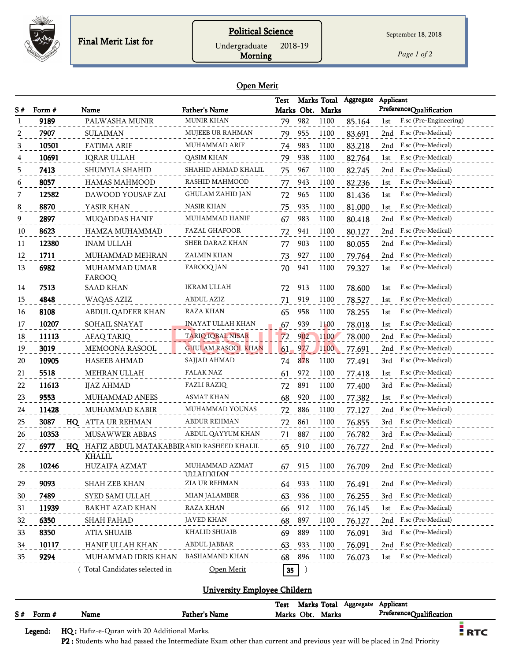

#### **Political Science**

September 18, 2018

Undergraduate 2018-19

Morning

*Page 1 of 2*

#### Open Merit

|     |        |                                              |                              | <b>Test</b> |        |                  | Marks Total Aggregate | Applicant                     |
|-----|--------|----------------------------------------------|------------------------------|-------------|--------|------------------|-----------------------|-------------------------------|
| S # | Form # | Name                                         | <b>Father's Name</b>         |             |        | Marks Obt. Marks |                       | PreferenceQualification       |
|     | 9189   | PALWASHA MUNIR                               | <b>MUNIR KHAN</b>            | 79          | 982    | 1100             | 85.164                | F.sc (Pre-Engineering)<br>1st |
| 2   | 7907   | <b>SULAIMAN</b>                              | MUJEEB UR RAHMAN             | 79          | 955    | 1100             | 83.691                | F.sc (Pre-Medical)<br>2nd     |
| 3   | 10501  | <b>FATIMA ARIF</b>                           | MUHAMMAD ARIF                | 74          | 983    | 1100             | 83.218                | F.sc (Pre-Medical)<br>2nd     |
|     | 10691  | <b>IQRAR ULLAH</b>                           | QASIM KHAN                   | 79          | 938    | 1100             | 82.764                | F.sc (Pre-Medical)<br>1st     |
| 5   | 7413   | SHUMYLA SHAHID                               | SHAHID AHMAD KHALIL          | 75          | 967    | 1100             | 82.745                | F.sc (Pre-Medical)<br>2nd     |
| 6   | 8057   | <b>HAMAS MAHMOOD</b>                         | RASHID MAHMOOD               | 77          | 943    | 1100             | 82.236                | F.sc (Pre-Medical)<br>1st     |
| 7   | 12582  | DAWOOD YOUSAF ZAI                            | <b>GHULAM ZAHID JAN</b>      | 72          | 965    | 1100             | 81.436                | F.sc (Pre-Medical)<br>1st     |
| 8   | 8870   | YASIR KHAN                                   | NASIR KHAN                   | 75          | 935    | 1100             | 81.000                | F.sc (Pre-Medical)<br>1st     |
| 9   | 2897   | MUQADDAS HANIF                               | MUHAMMAD HANIF               | 67          | 983    | 1100             | 80.418                | F.sc (Pre-Medical)<br>2nd     |
| 10  | 8623   | HAMZA MUHAMMAD                               | <b>FAZAL GHAFOOR</b>         | 72          | 941    | 1100             | 80.127                | F.sc (Pre-Medical)<br>2nd     |
| 11  | 12380  | <b>INAM ULLAH</b>                            | SHER DARAZ KHAN              | 77          | 903    | 1100             | 80.055                | F.sc (Pre-Medical)<br>2nd     |
| 12  | 1711   | MUHAMMAD MEHRAN                              | ZALMIN KHAN                  | 73          | 927    | 1100             | 79.764                | F.sc (Pre-Medical)<br>2nd     |
| 13  | 6982   | MUHAMMAD UMAR<br><b>FAROOQ</b>               | FAROOQ JAN                   | 70          | 941    | 1100             | 79.327                | F.sc (Pre-Medical)<br>1st     |
| 14  | 7513   | <b>SAAD KHAN</b>                             | <b>IKRAM ULLAH</b>           |             | 72 913 | 1100             | 78.600                | F.sc (Pre-Medical)<br>1st     |
| 15  | 4848   | WAQAS AZIZ                                   | <b>ABDUL AZIZ</b>            | 71          | 919    | 1100             | 78.527                | F.sc (Pre-Medical)<br>1st     |
| 16  | 8108   | ABDUL QADEER KHAN                            | <b>RAZA KHAN</b>             | 65          | 958    | 1100             | 78.255                | F.sc (Pre-Medical)<br>1st     |
| 17  | 10207  | SOHAIL SNAYAT                                | <b>INAYAT ULLAH KHAN</b>     | 67          | 939    | 1100             | 78.018                | F.sc (Pre-Medical)<br>1st     |
| 18  | 11113  | AFAQ TARIQ                                   | <b>TARIQ IQBAL NISAR</b>     | 72          | 902    | 1100             | 78.000                | F.sc (Pre-Medical)<br>2nd     |
| 19  | 3019   | MEMOONA RASOOL                               | <b>GHULAM RASOOL KHAN</b>    | $61 -$      | 977    | <b>1100</b>      | 77.691                | F.sc (Pre-Medical)<br>2nd     |
| 20  | 10905  | <b>HASEEB AHMAD</b>                          | SAJJAD AHMAD                 | 74          | 878    | 1100             | 77.491                | 3rd<br>F.sc (Pre-Medical)     |
| 21  | 5518   | MEHRAN ULLAH                                 | FALAK NAZ                    | 61          | 972    | 1100             | 77.418                | F.sc (Pre-Medical)<br>1st     |
| 22  | 11613  | IJAZ AHMAD                                   | <b>FAZLI RAZIQ</b>           | 72          | 891    | 1100             | 77.400                | F.sc (Pre-Medical)<br>3rd     |
| 23  | 9553   | MUHAMMAD ANEES                               | ASMAT KHAN                   | 68          | 920    | 1100             | 77.382                | F.sc (Pre-Medical)<br>1st     |
| 24  | 11428  | MUHAMMAD KABIR                               | MUHAMMAD YOUNAS              | 72          | 886    | 1100             | 77.127                | F.sc (Pre-Medical)<br>2nd     |
| 25  | 3087   | HQ ATTA UR REHMAN                            | <b>ABDUR REHMAN</b>          | 72          | 861    | 1100             | 76.855                | F.sc (Pre-Medical)<br>3rd     |
| 26  | 10353  | <b>MUSAWWER ABBAS</b>                        | ABDUL QAYYUM KHAN            | 71          | 887    | 1100             | 76.782                | F.sc (Pre-Medical)<br>3rd     |
| 27  | 6977   | HQ HAFIZ ABDUL MATAKABBIRABID RASHEED KHALIL |                              | 65          | 910    | 1100             | 76.727                | F.sc (Pre-Medical)<br>2nd     |
|     |        | <b>KHALIL</b>                                |                              |             |        |                  |                       |                               |
| 28  | 10246  | HUZAIFA AZMAT                                | MUHAMMAD AZMAT<br>ŪLLĀH KHĀN | 67          | 915    | 1100             | 76.709                | 2nd F.sc (Pre-Medical)        |
| 29  | 9093   | SHAH ZEB KHAN                                | ZIA UR REHMAN                | 64 933      |        | 1100             | 76.491                | F.sc (Pre-Medical)<br>2nd     |
| 30  | 7489   | SYED SAMI ULLAH                              | <b>MIAN JALAMBER</b>         | 63          | 936    | 1100             | 76.255                | F.sc (Pre-Medical)<br>3rd     |
| 31  | 11939  | BAKHT AZAD KHAN                              | RAZA KHAN                    | 66          | 912    | 1100             | 76.145                | F.sc (Pre-Medical)<br>1st     |
| 32  | 6350   | SHAH FAHAD                                   | <b>JAVED KHAN</b>            | 68          | 897    | 1100             | 76.127                | F.sc (Pre-Medical)<br>2nd     |
| 33  | 8350   | <b>ATIA SHUAIB</b>                           | KHALID SHUAIB                | 69          | 889    | 1100             | 76.091                | F.sc (Pre-Medical)<br>3rd     |
| 34  | 10117  | HANIF ULLAH KHAN                             | ABDUL JABBAR                 | 63          | 933    | 1100             | 76.091                | F.sc (Pre-Medical)<br>2nd     |
| 35  | 9294   | MUHAMMAD IDRIS KHAN                          | <b>BASHAMAND KHAN</b>        | 68          | 896    | 1100             | 76.073                | F.sc (Pre-Medical)<br>1st     |
|     |        | Total Candidates selected in                 | Open Merit                   | 35          |        |                  |                       |                               |

## University Employee Childern

|    |        |      |                      | Test       | Marks Total |       | Aggregate | Applicant               |  |
|----|--------|------|----------------------|------------|-------------|-------|-----------|-------------------------|--|
| S# | Form # | Name | <b>Father's Name</b> | Marks Obt. |             | Marks |           | PreferenceQualification |  |
|    |        |      |                      |            |             |       |           |                         |  |

Legend: HQ : Hafiz-e-Quran with 20 Additional Marks.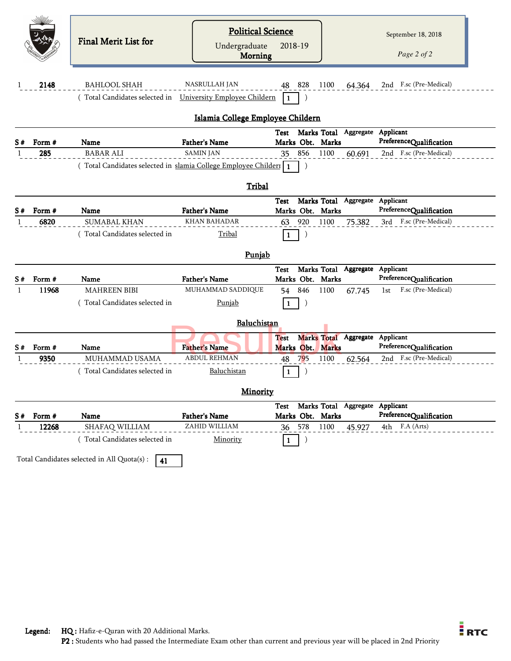|              |        |                                                                    | <b>Political Science</b>          |                  |                                 |                     |                           |  |
|--------------|--------|--------------------------------------------------------------------|-----------------------------------|------------------|---------------------------------|---------------------|---------------------------|--|
|              |        | <b>Final Merit List for</b>                                        | Undergraduate                     | 2018-19          |                                 |                     | September 18, 2018        |  |
|              |        |                                                                    | <b>Morning</b>                    |                  |                                 |                     | Page 2 of 2               |  |
|              |        |                                                                    |                                   |                  |                                 |                     |                           |  |
| 1            | 2148   | <b>BAHLOOL SHAH</b>                                                | <b>NASRULLAH JAN</b>              | 48 828           | 1100                            | 64.364              | 2nd F.sc (Pre-Medical)    |  |
|              |        | (Total Candidates selected in University Employee Childern         |                                   | 1                |                                 |                     |                           |  |
|              |        |                                                                    | Islamia College Employee Childern |                  |                                 |                     |                           |  |
|              |        |                                                                    |                                   | Test             | Marks Total                     | Aggregate Applicant |                           |  |
| S#           | Form # | Name                                                               | <b>Father's Name</b>              | Marks Obt. Marks |                                 |                     | PreferenceQualification   |  |
| $\mathbf{1}$ | 285    | <b>BABAR ALI</b>                                                   | <b>SAMIN JAN</b>                  | 856<br>35        | 1100                            | 60.691              | 2nd F.sc (Pre-Medical)    |  |
|              |        | (Total Candidates selected in slamia College Employee Childer1   1 |                                   |                  |                                 |                     |                           |  |
|              |        |                                                                    | Tribal                            |                  |                                 |                     |                           |  |
|              |        |                                                                    |                                   | Test             | Marks Total Aggregate           |                     | Applicant                 |  |
| S#           | Form#  | Name                                                               | <b>Father's Name</b>              | Marks Obt. Marks |                                 |                     | PreferenceQualification   |  |
| -1           | 6820   | <b>SUMABAL KHAN</b>                                                | <b>KHAN BAHADAR</b>               | 920<br>63        | 1100                            | 75.382              | 3rd F.sc (Pre-Medical)    |  |
|              |        | (Total Candidates selected in                                      | Tribal                            | $\mathbf{1}$     |                                 |                     |                           |  |
|              |        |                                                                    | Punjab                            |                  |                                 |                     |                           |  |
|              |        |                                                                    |                                   | <b>Test</b>      | Marks Total Aggregate Applicant |                     |                           |  |
| S#           | Form # | Name                                                               | <b>Father's Name</b>              | Marks Obt. Marks |                                 |                     | PreferenceQualification   |  |
| 1            | 11968  | <b>MAHREEN BIBI</b>                                                | MUHAMMAD SADDIQUE                 | 846<br>54        | 1100                            | 67.745              | F.sc (Pre-Medical)<br>1st |  |
|              |        | (Total Candidates selected in                                      | Punjab                            | 1                |                                 |                     |                           |  |
|              |        |                                                                    | Baluchistan                       |                  |                                 |                     |                           |  |
|              |        |                                                                    |                                   | <b>Test</b>      | <b>Marks Total</b>              |                     | Aggregate Applicant       |  |
| S#           | Form#  | Name                                                               | <b>Father's Name</b>              | Marks Obt. Marks |                                 |                     | PreferenceQualification   |  |
| -1           | 9350   | MUHAMMAD USAMA                                                     | <b>ABDUL REHMAN</b>               | 48<br>795        | 1100                            | 62.564              | 2nd F.sc (Pre-Medical)    |  |
|              |        | (Total Candidates selected in                                      | Baluchistan                       | 1                |                                 |                     |                           |  |
|              |        |                                                                    | <b>Minority</b>                   |                  |                                 |                     |                           |  |
|              |        |                                                                    |                                   | Test             | Marks Total Aggregate           |                     | Applicant                 |  |
| S#           | Form # | Name                                                               | Father's Name                     | Marks Obt. Marks |                                 |                     | PreferenceQualification   |  |
| 1            | 12268  | SHAFAQ WILLIAM                                                     | ZAHID WILLIAM                     | 578<br>36        | 1100                            | 45.927              | 4th F.A (Arts)            |  |
|              |        | (Total Candidates selected in                                      | Minority                          | $\mathbf{1}$     |                                 |                     |                           |  |
|              |        | Total Candidates selected in All Quota(s) :<br>41                  |                                   |                  |                                 |                     |                           |  |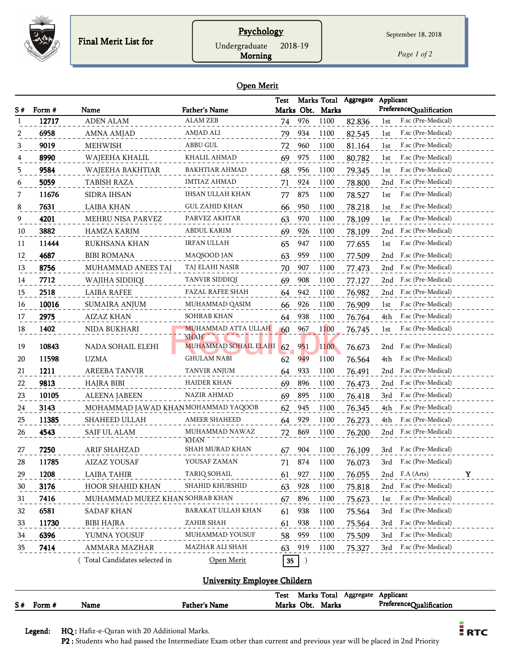

## **Psychology**

Undergraduate 2018-19

Morning

*Page 1 of 2*

#### Open Merit

|     |        |                                    |                               | Test             |                  |                  | Marks Total Aggregate | Applicant                 |
|-----|--------|------------------------------------|-------------------------------|------------------|------------------|------------------|-----------------------|---------------------------|
| S # | Form # | Name                               | <b>Father's Name</b>          |                  |                  | Marks Obt. Marks |                       | PreferenceQualification   |
| -1  | 12717  | <b>ADEN ALAM</b>                   | <b>ALAM ZEB</b>               | 74               | 976              | 1100             | 82.836                | F.sc (Pre-Medical)<br>1st |
| 2   | 6958   | AMNA AMJAD                         | AMJAD ALI                     | 79               | 934              | 1100             | 82.545                | F.sc (Pre-Medical)<br>1st |
| 3   | 9019   | <b>MEHWISH</b>                     | ABBU GUL                      | 72               | 960              | 1100             | 81.164                | F.sc (Pre-Medical)<br>1st |
|     | 8990   | WAJEEHA KHALIL                     | KHALIL AHMAD                  | 69               | 975              | 1100             | 80.782                | F.sc (Pre-Medical)<br>1st |
| 5   | 9584   | WAJEEHA BAKHTIAR                   | BAKHTIAR AHMAD                | 68               | 956              | 1100             | 79.345                | F.sc (Pre-Medical)<br>1st |
| 6   | 5059   | TABISH RAZA                        | <b>IMTIAZ AHMAD</b>           | 71               | 924              | 1100             | 78.800                | F.sc (Pre-Medical)<br>2nd |
| 7   | 11676  | SIDRA IHSAN                        | IHSAN ULLAH KHAN              | 77               | 875              | 1100             | 78.527                | F.sc (Pre-Medical)<br>1st |
| 8   | 7631   | <b>LAIBA KHAN</b>                  | <b>GUL ZAHID KHAN</b>         | 66               | 950              | 1100             | 78.218                | F.sc (Pre-Medical)<br>1st |
| 9   | 4201   | MEHRU NISA PARVEZ                  | PARVEZ AKHTAR                 | 63               | 970              | 1100             | 78.109                | F.sc (Pre-Medical)<br>1st |
| 10  | 3882   | <b>HAMZA KARIM</b>                 | ABDUL KARIM                   | 69               | 926              | 1100             | 78.109                | F.sc (Pre-Medical)<br>2nd |
| 11  | 11444  | RUKHSANA KHAN                      | IRFAN ULLAH                   | 65               | 947              | 1100             | 77.655                | F.sc (Pre-Medical)<br>1st |
| 12  | 4687   | <b>BIBI ROMANA</b>                 | MAQSOOD JAN                   | 63               | 959              | 1100             | 77.509                | F.sc (Pre-Medical)<br>2nd |
| 13  | 8756   | <b>MUHAMMAD ANEES TAJ</b>          | TAJ ELAHI NASIR               | 70               | 907              | 1100             | 77.473                | F.sc (Pre-Medical)<br>2nd |
| 14  | 7712   | WAJIHA SIDDIQI                     | TANVIR SIDDIQI                | 69               | 908              | 1100             | 77.127                | F.sc (Pre-Medical)<br>2nd |
| 15  | 2518   | <b>LAIBA RAFEE</b>                 | FAZAL RAFEE SHAH              | 64               | 942              | 1100             | 76.982                | F.sc (Pre-Medical)<br>2nd |
| 16  | 10016  | SUMAIRA ANJUM                      | MUHAMMAD QASIM                | 66               | 926              | 1100             | 76.909                | F.sc (Pre-Medical)<br>1st |
| 17  | 2975   | <b>AIZAZ KHAN</b>                  | SOHRAB KHAN                   | 64               | 938              | 1100             | 76.764                | F.sc (Pre-Medical)<br>4th |
| 18  | 1402   | NIDA BUKHARI                       | MUHAMMAD ATTA ULLAH           | 60               | 967              | 1100             | 76.745                | F.sc (Pre-Medical)<br>1st |
|     |        |                                    | <b>SHAH</b>                   |                  |                  |                  |                       |                           |
| 19  | 10843  | NADA SOHAIL ELEHI                  | MUHAMMAD SOHAIL ELAHI         | 62               | 951              | 1100             | 76.673                | F.sc (Pre-Medical)<br>2nd |
| 20  | 11598  | <b>UZMA</b>                        | GHULAM NABI                   | 62               | 949              | 1100             | 76.564                | F.sc (Pre-Medical)<br>4th |
| 21  | 1211   | AREEBA TANVIR                      | <b>TANVIR ANJUM</b>           | 64               | 933              | 1100             | 76.491                | F.sc (Pre-Medical)<br>2nd |
| 22  | 9813   | HAJRA BIBI                         | HAIDER KHAN                   | 69               | 896              | 1100             | 76.473                | F.sc (Pre-Medical)<br>2nd |
| 23  | 10105  | <b>ALEENA JABEEN</b>               | NAZIR AHMAD                   | 69               | 895              | 1100             | 76.418                | F.sc (Pre-Medical)<br>3rd |
| 24  | 3143   | MOHAMMAD JAWAD KHANMOHAMMAD YAQOOB |                               | 62               | 945              | 1100             | 76.345                | F.sc (Pre-Medical)<br>4th |
| 25  | 11385  | SHAHEED ULLAH                      | <b>AMEER SHAHEED</b>          | 64               | 929              | 1100             | 76.273                | 4th<br>F.sc (Pre-Medical) |
| 26  | 4543   | SAIF UL ALAM                       | MUHAMMAD NAWAZ<br><b>KHAN</b> | 72               | 869              | 1100             | 76.200                | F.sc (Pre-Medical)<br>2nd |
| 27  | 7250   | ARIF SHAHZAD                       | SHAH MURAD KHAN               | 67               | 904              | 1100             | 76.109                | F.sc (Pre-Medical)<br>3rd |
| 28  | 11785  | AIZAZ YOUSAF                       | YOUSAF ZAMAN                  | 71               | 874              | 1100             | 76.073                | F.sc (Pre-Medical)<br>3rd |
| 29  | 1208   | LAIBA TAHIR                        | TARIQ SOHAIL                  | 61               | 927              | 1100             | 76.055                | F.A (Arts)<br>Y<br>2nd    |
| 30  | 3176   | HOOR SHAHID KHAN                   | SHAHID KHURSHID               | 63               | 928              | 1100             | 75.818                | F.sc (Pre-Medical)<br>2nd |
| 31  | 7416   | MUHAMMAD MUEEZ KHAN SOHRAB KHAN    |                               | 67               | 896              | 1100             | 75.673                | F.sc (Pre-Medical)<br>1st |
| 32  | 6581   | SADAF KHAN                         | BARAKAT ULLAH KHAN            | 61               | 938              | 1100             | 75.564                | F.sc (Pre-Medical)<br>3rd |
| 33  | 11730  | <b>BIBI HAJRA</b>                  | ZAHIR SHAH                    | 61               | 938              | 1100             | 75.564                | F.sc (Pre-Medical)<br>3rd |
| 34  | 6396   | YUMNA YOUSUF                       | MUHAMMAD YOUSUF               | 58               | 959              | 1100             | 75.509                | F.sc (Pre-Medical)<br>3rd |
| 35  | 7414   | AMMARA MAZHAR                      | MAZHAR ALI SHAH               | 63               | 919              | 1100             | 75.327                | F.sc (Pre-Medical)<br>3rd |
|     |        | (Total Candidates selected in      | Open Merit                    | $35\phantom{.0}$ | $\left( \right)$ |                  |                       |                           |

## University Employee Childern

|    |        |      |                      | <b>Test</b> | Marks Total |       | Aggregate | Applicant               |
|----|--------|------|----------------------|-------------|-------------|-------|-----------|-------------------------|
| S# | Form # | Name | <b>Father's Name</b> | Marks       | Obt.        | Marks |           | PreferenceQualification |

Legend: HQ : Hafiz-e-Quran with 20 Additional Marks.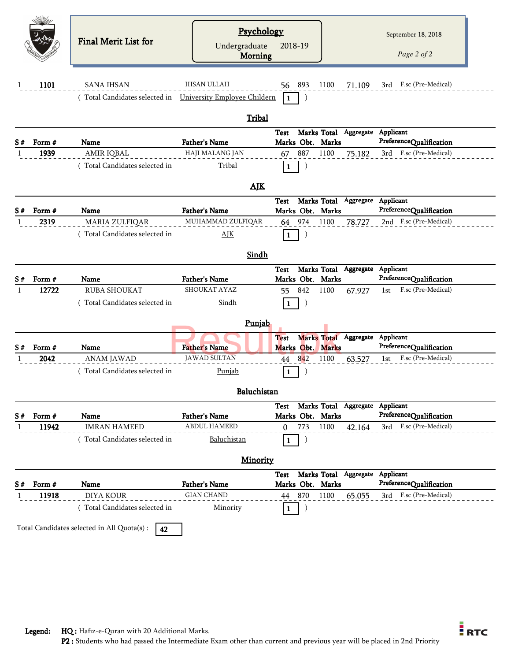|     |        | <b>Final Merit List for</b>                                                        | Psychology<br>Undergraduate<br>Morning | 2018-19                         |                                 | September 18, 2018<br>Page 2 of 2    |
|-----|--------|------------------------------------------------------------------------------------|----------------------------------------|---------------------------------|---------------------------------|--------------------------------------|
| 1   | 1101   | <b>SANA IHSAN</b><br>(Total Candidates selected in University Employee Childern    | <b>IHSAN ULLAH</b>                     | 56 893<br>-1                    | 1100<br>71.109                  | F.sc (Pre-Medical)<br>3rd            |
|     |        |                                                                                    | Tribal                                 |                                 |                                 |                                      |
| S # | Form # | Name                                                                               | <b>Father's Name</b>                   | <b>Test</b><br>Marks Obt. Marks | Marks Total Aggregate Applicant | PreferenceQualification              |
| -1  | 1939   | AMIR IQBAL<br>(Total Candidates selected in                                        | HAJI MALANG JAN<br>Tribal              | 67 887<br>$\mathbf{1}$          | 1100<br>75.182                  | 3rd F.sc (Pre-Medical)               |
|     |        |                                                                                    | <b>AJK</b>                             |                                 |                                 |                                      |
|     | Form # | Name                                                                               | <b>Father's Name</b>                   | Test<br>Marks Obt. Marks        | Marks Total Aggregate           | Applicant<br>PreferenceQualification |
|     | 2319   | MARIA ZULFIQAR<br>(Total Candidates selected in                                    | MUHAMMAD ZULFIQAR<br>$\Delta$ JK       | 64 974<br>1                     | 1100<br>78.727                  | 2nd F.sc (Pre-Medical)               |
|     |        |                                                                                    | Sindh                                  |                                 |                                 |                                      |
| S#  | Form # | Name                                                                               | <b>Father's Name</b>                   | <b>Test</b><br>Marks Obt. Marks | Marks Total Aggregate Applicant | PreferenceQualification              |
| 1   | 12722  | <b>RUBA SHOUKAT</b>                                                                | SHOUKAT AYAZ                           | 842<br>55                       | 1100<br>67.927                  | F.sc (Pre-Medical)<br>1st            |
|     |        | (Total Candidates selected in                                                      | Sindh                                  | 1                               |                                 |                                      |
|     |        |                                                                                    | Punjab                                 |                                 |                                 |                                      |
| S#  | Form # | Name                                                                               | <b>Father's Name</b>                   | <b>Test</b><br>Marks Obt. Marks | Marks Total Aggregate Applicant | PreferenceQualification              |
|     | 2042   | <b>ANAM JAWAD</b><br>(Total Candidates selected in                                 | <b>JAWAD SULTAN</b><br><b>Punjab</b>   | 842<br>44<br>$\mathbf{1}$       | 1100<br>63.527                  | F.sc (Pre-Medical)<br>1st            |
|     |        |                                                                                    | Baluchistan                            |                                 |                                 |                                      |
| S#  | Form # | Name                                                                               | Father's Name                          | Test<br>Marks Obt. Marks        | Marks Total Aggregate Applicant | PreferenceQualification              |
| -1  | 11942  | <b>IMRAN HAMEED</b><br>(Total Candidates selected in                               | <b>ABDUL HAMEED</b><br>Baluchistan     | 773<br>$\Omega$<br>1            | 1100<br>42.164                  | 3rd F.sc (Pre-Medical)               |
|     |        |                                                                                    | Minority                               |                                 |                                 |                                      |
| S # | Form # | Name                                                                               | <b>Father's Name</b>                   | Test<br>Marks Obt. Marks        | Marks Total Aggregate Applicant | PreferenceQualification              |
| -1  | 11918  | <b>DIYA KOUR</b>                                                                   | <b>GIAN CHAND</b>                      | 44 870                          | 1100<br>65.055                  | 3rd F.sc (Pre-Medical)               |
|     |        | (Total Candidates selected in<br>Total Candidates selected in All Quota(s) :<br>42 | Minority                               | 1                               |                                 |                                      |

Legend: HQ : Hafiz-e-Quran with 20 Additional Marks.

 $\frac{1}{2}$  RTC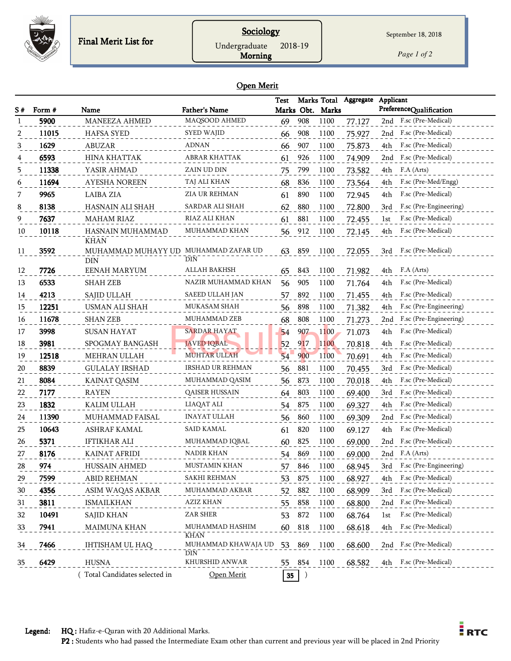

## **Sociology**

Undergraduate 2018-19

Morning

September 18, 2018

*Page 1 of 2*

#### Open Merit

|    |                |                                 |                                | Test             |        |                          | Marks Total Aggregate | Applicant<br>PreferenceQualification |
|----|----------------|---------------------------------|--------------------------------|------------------|--------|--------------------------|-----------------------|--------------------------------------|
| S# | Form #<br>5900 | Name<br><b>MANEEZA AHMED</b>    | Father's Name<br>MAQSOOD AHMED | 69               | 908    | Marks Obt. Marks<br>1100 | 77.127                | 2nd F.sc (Pre-Medical)               |
| 2  | 11015          | <b>HAFSA SYED</b>               | <b>SYED WAJID</b>              | 66               | 908    | 1100                     | 75.927                | 2nd F.sc (Pre-Medical)               |
|    | 1629           | ABUZAR                          | <b>ADNAN</b>                   |                  | 907    | 1100                     |                       | F.sc (Pre-Medical)<br>4th            |
|    | 6593           | HINA KHATTAK                    | ABRAR KHATTAK                  | 66               | 926    | 1100                     | 75.873                | 2nd F.sc (Pre-Medical)               |
|    |                |                                 | ZAIN UD DIN                    | 61               |        |                          | 74.909                |                                      |
| 5  | 11338          | YASIR AHMAD                     |                                | 75               | 799    | 1100                     | 73.582                | F.A (Arts)<br>4th                    |
| 6  | 11694          | <b>AYESHA NOREEN</b>            | TAJ ALI KHAN                   | 68               | 836    | 1100                     | 73.564                | F.sc (Pre-Med/Engg)<br>4th           |
|    | 9965           | <b>LAIBA ZIA</b>                | ZIA UR REHMAN                  | 61               | 890    | 1100                     | 72.945                | F.sc (Pre-Medical)<br>4th            |
| 8  | 8138           | HASNAIN ALI SHAH                | SARDAR ALI SHAH                | 62               | 880    | 1100                     | 72.800                | F.sc (Pre-Engineering)<br>3rd        |
| 9  | 7637           | <b>MAHAM RIAZ</b>               | RIAZ ALI KHAN                  | 61               | 881    | 1100                     | 72.455                | F.sc (Pre-Medical)<br>1st            |
| 10 | 10118          | HASNAIN MUHAMMAD<br><b>KHAN</b> | MUHAMMAD KHAN                  | 56               | 912    | 1100                     | 72.145                | F.sc (Pre-Medical)<br>4th            |
| 11 | 3592           | MUHAMMAD MUHAYY UD              | MUHAMMAD ZAFAR UD              | 63               | 859    | 1100                     | 72.055                | F.sc (Pre-Medical)<br>3rd            |
|    |                | <b>DIN</b>                      | DIN                            |                  |        |                          |                       |                                      |
| 12 | 7726           | EENAH MARYUM                    | ALLAH BAKHSH                   | 65               | 843    | 1100                     | 71.982                | 4th F.A (Arts)                       |
| 13 | 6533           | <b>SHAH ZEB</b>                 | NAZIR MUHAMMAD KHAN            | 56               | 905    | 1100                     | 71.764                | F.sc (Pre-Medical)<br>4th            |
| 14 | 4213           | SAJID ULLAH                     | SAEED ULLAH JAN                | 57               | 892    | 1100                     | 71.455                | F.sc (Pre-Medical)<br>4th            |
| 15 | 12251          | USMAN ALI SHAH                  | MUKASAM SHAH                   | 56               | 898    | 1100                     | 71.382                | F.sc (Pre-Engineering)<br>4th        |
| 16 | 11678          | <b>SHAN ZEB</b>                 | MUHAMMAD ZEB                   | 68               | 808    | 1100                     | 71.273                | F.sc (Pre-Engineering)<br>2nd        |
| 17 | 3998           | <b>SUSAN HAYAT</b>              | <b>SARDAR HAYAT</b>            | 54               | 907    | 1100                     | 71.073                | F.sc (Pre-Medical)<br>4th            |
| 18 | 3981           | SPOGMAY BANGASH                 | <b>JAVED IQBAL</b>             | 52               | 917    | 1100                     | 70.818                | F.sc (Pre-Medical)<br>4th            |
| 19 | 12518          | MEHRAN ULLAH                    | <b>MUHTAR ULLAH</b>            | 54               | 900    | 1100                     | 70.691                | F.sc (Pre-Medical)<br>4th            |
| 20 | 8839           | <b>GULALAY IRSHAD</b>           | IRSHAD UR REHMAN               | 56               | 881    | 1100                     | 70.455                | F.sc (Pre-Medical)<br>3rd            |
| 21 | 8084           | KAINAT QASIM                    | MUHAMMAD QASIM                 | 56               | 873    | 1100                     | 70.018                | F.sc (Pre-Medical)<br>4th            |
| 22 | 7177           | <b>RAYEN</b>                    | QAISER HUSSAIN                 | 64               | 803    | 1100                     | 69.400                | F.sc (Pre-Medical)<br>3rd            |
| 23 | 1832           | <b>KALIM ULLAH</b>              | LIAQAT ALI                     | 54               | 875    | 1100                     | 69.327                | F.sc (Pre-Medical)<br>4th            |
| 24 | 11390          | MUHAMMAD FAISAL                 | <b>INAYAT ULLAH</b>            | 56               | 860    | 1100                     | 69.309                | F.sc (Pre-Medical)<br>2nd            |
| 25 | 10643          | ASHRAF KAMAL                    | <b>SAID KAMAL</b>              | 61               | 820    | 1100                     | 69.127                | F.sc (Pre-Medical)<br>4th            |
| 26 | 5371           | <b>IFTIKHAR ALI</b>             | MUHAMMAD IQBAL                 | 60               | 825    | 1100                     | 69.000                | 2nd F.sc (Pre-Medical)               |
| 27 | 8176           | KAINAT AFRIDI                   | NADIR KHAN                     | 54               | 869    | 1100                     | 69.000                | 2nd F.A (Arts)                       |
| 28 | 974            | HUSSAIN AHMED                   | MUSTAMIN KHAN                  | 57               | 846    | 1100                     | 68.945                | 3rd F.sc (Pre-Engineering)           |
| 29 | 7599           | <b>ABID REHMAN</b>              | SAKHI REHMAN                   | 53               | 875    | 1100                     | 68.927                | F.sc (Pre-Medical)<br>4th            |
| 30 | 4356           | ASIM WAQAS AKBAR                | MUHAMMAD AKBAR                 | 52               | 882    | 1100                     | 68.909                | F.sc (Pre-Medical)<br>3rd            |
| 31 | 3811           | ISMAILKHAN                      | AZIZ KHAN                      | 55.              | 858    | 1100                     | 68.800                | 2nd F.sc (Pre-Medical)               |
| 32 | 10491          | <b>SAJID KHAN</b>               | ZAR SHER                       | 53               | 872    | 1100                     | 68.764                | F.sc (Pre-Medical)<br>1st            |
| 33 | 7941           | <b>MAIMUNA KHAN</b>             | MUHAMMAD HASHIM                | 60               | 818    | 1100                     | 68.618                | F.sc (Pre-Medical)<br>4th            |
|    |                |                                 | <b>KHAN</b>                    |                  |        |                          |                       |                                      |
| 34 | 7466           | IHTISHAM UL HAQ                 | MUHAMMAD KHAWAJA UD 53<br>DIN  |                  | 869    | 1100                     | 68.600                | 2nd F.sc (Pre-Medical)               |
| 35 | 6429           | <b>HUSNA</b>                    | KHURSHID ANWAR                 |                  | 55 854 | 1100                     | 68.582                | F.sc (Pre-Medical)<br>4th            |
|    |                | Total Candidates selected in    | Open Merit                     | $35\phantom{.0}$ |        |                          |                       |                                      |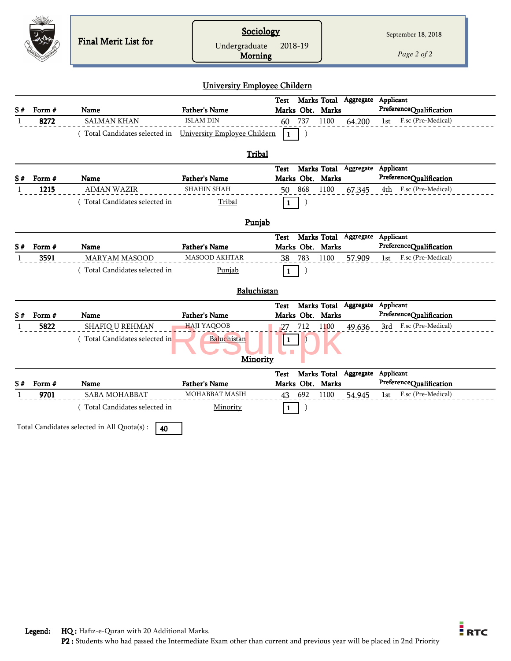|    |                | Final Merit List for                                       | Sociology<br>Undergraduate<br>Morning        | 2018-19                    |                                 | September 18, 2018<br>Page 2 of 2             |
|----|----------------|------------------------------------------------------------|----------------------------------------------|----------------------------|---------------------------------|-----------------------------------------------|
|    |                |                                                            | University Employee Childern                 |                            |                                 |                                               |
|    |                |                                                            |                                              | Test                       | Marks Total Aggregate Applicant |                                               |
| S# | Form #<br>8272 | <b>Name</b><br><b>SALMAN KHAN</b>                          | <b>Father's Name</b><br><b>ISLAM DIN</b>     | Marks Obt. Marks<br>737    | 1100                            | PreferenceQualification<br>F.sc (Pre-Medical) |
|    |                | (Total Candidates selected in University Employee Childern |                                              | 60<br>$\lambda$<br>l 1     | 64.200                          | 1st                                           |
|    |                |                                                            |                                              |                            |                                 |                                               |
|    |                |                                                            | Tribal                                       |                            |                                 |                                               |
|    |                |                                                            |                                              | Test                       | Marks Total Aggregate Applicant |                                               |
| S# | Form #         | Name                                                       | <b>Father's Name</b>                         | Marks Obt. Marks           |                                 | PreferenceQualification                       |
|    | 1215           | <b>AIMAN WAZIR</b>                                         | <b>SHAHIN SHAH</b>                           | 868<br>50                  | 67.345<br>1100                  | F.sc (Pre-Medical)<br>4th                     |
|    |                | Total Candidates selected in                               | Tribal                                       | $\vert$ 1<br>$\mathcal{E}$ |                                 |                                               |
|    |                |                                                            | Punjab                                       |                            |                                 |                                               |
|    |                |                                                            |                                              | <b>Test</b>                | Marks Total Aggregate Applicant |                                               |
| S# | Form #         | <b>Name</b>                                                | <b>Father's Name</b><br><b>MASOOD AKHTAR</b> | Marks Obt. Marks           |                                 | PreferenceQualification                       |
|    | 3591           | <b>MARYAM MASOOD</b>                                       |                                              | 783<br>38                  | 1100<br>57.909                  | F.sc (Pre-Medical)<br>1st                     |
|    |                | Total Candidates selected in                               | Punjab                                       | $\mathbf{1}$<br>$\lambda$  |                                 |                                               |
|    |                |                                                            | Baluchistan                                  |                            |                                 |                                               |
|    |                |                                                            |                                              | Test                       | Marks Total Aggregate           | Applicant                                     |
| S# | Form #         | Name                                                       | <b>Father's Name</b>                         | Marks Obt. Marks           |                                 | PreferenceQualification                       |
|    | 5822           | SHAFIQ U REHMAN                                            | <b>HAJI YAQOOB</b>                           | 712<br>27                  | 1100<br>49.636                  | 3rd F.sc (Pre-Medical)                        |
|    |                | (Total Candidates selected in                              | Baluchistan                                  | $\lceil 1 \rceil$          |                                 |                                               |
|    |                |                                                            |                                              |                            |                                 |                                               |
|    |                |                                                            | <b>Minority</b>                              |                            |                                 |                                               |
|    |                |                                                            |                                              | <b>Test</b>                | Marks Total Aggregate           | Applicant                                     |
| S# | Form #         | Name                                                       | <b>Father's Name</b>                         | Marks Obt. Marks           |                                 | PreferenceQualification                       |
|    | 9701           | <b>SABA MOHABBAT</b>                                       | <b>MOHABBAT MASIH</b>                        | 692<br>43                  | 1100<br>54.945                  | F.sc (Pre-Medical)<br>1st                     |
|    |                | (Total Candidates selected in                              | Minority                                     | $\lambda$<br>$\mathbf{1}$  |                                 |                                               |
|    |                |                                                            |                                              |                            |                                 |                                               |
|    |                | Total Candidates selected in All Quota(s) :<br>40          |                                              |                            |                                 |                                               |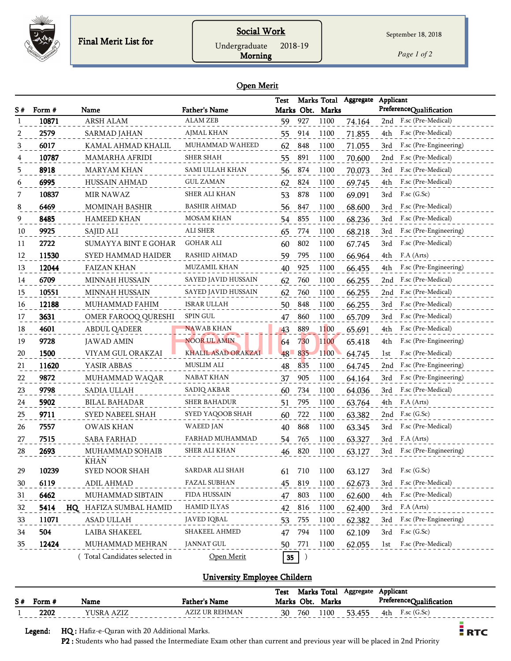

## Social Work

Undergraduate 2018-19

Morning

*Page 1 of 2*

#### Open Merit

| S# | Form # | Name                         | <b>Father's Name</b>   | <b>Test</b> |        | Marks Obt. Marks | Marks Total Aggregate | Applicant<br>PreferenceQualification |
|----|--------|------------------------------|------------------------|-------------|--------|------------------|-----------------------|--------------------------------------|
| 1  | 10871  | ARSH ALAM                    | <b>ALAM ZEB</b>        | 59          | 927    | 1100             | 74.164                | 2nd F.sc (Pre-Medical)               |
| 2  | 2579   | <b>SARMAD JAHAN</b>          | <b>AJMAL KHAN</b>      | 55          | 914    | 1100             | 71.855                | F.sc (Pre-Medical)<br>4th            |
| 3  | 6017   | KAMAL AHMAD KHALIL           | MUHAMMAD WAHEED        | 62          | 848    | 1100             | 71.055                | F.sc (Pre-Engineering)<br>3rd        |
|    | 10787  | <b>MAMARHA AFRIDI</b>        | SHER SHAH              | 55          | 891    | 1100             | 70.600                | F.sc (Pre-Medical)<br>2nd            |
| 5  | 8918   | MARYAM KHAN                  | <b>SAMI ULLAH KHAN</b> | 56          | 874    | 1100             | 70.073                | F.sc (Pre-Medical)<br>3rd            |
| 6  | 6995   | <b>HUSSAIN AHMAD</b>         | <b>GUL ZAMAN</b>       | 62          | 824    | 1100             | 69.745                | F.sc (Pre-Medical)<br>4th            |
| 7  | 10837  | <b>MIR NAWAZ</b>             | SHER ALI KHAN          | 53          | 878    | 1100             | 69.091                | $F$ .sc $(G.Sc)$<br>3rd              |
| 8  | 6469   | MOMINAH BASHIR               | BASHIR AHMAD           | 56          | 847    | 1100             | 68.600                | F.sc (Pre-Medical)<br>3rd            |
| 9  | 8485   | <b>HAMEED KHAN</b>           | MOSAM KHAN             | 54          | 855    | 1100             | 68.236                | F.sc (Pre-Medical)<br>3rd            |
| 10 | 9925   | SAJID ALI                    | ALI SHER               | 65          | 774    | 1100             | 68.218                | F.sc (Pre-Engineering)<br>3rd        |
| 11 | 2722   | <b>SUMAYYA BINT E GOHAR</b>  | GOHAR ALI              | 60          | 802    | 1100             | 67.745                | F.sc (Pre-Medical)<br>3rd            |
| 12 | 11530  | SYED HAMMAD HAIDER           | RASHID AHMAD           | 59          | 795    | 1100             | 66.964                | F.A (Arts)<br>4th                    |
| 13 | 12044  | <b>FAIZAN KHAN</b>           | <b>MUZAMIL KHAN</b>    | 40          | 925    | 1100             | 66.455                | F.sc (Pre-Engineering)<br>4th        |
| 14 | 6709   | <b>MINNAH HUSSAIN</b>        | SAYED JAVID HUSSAIN    | 62          | 760    | 1100             | 66.255                | F.sc (Pre-Medical)<br>2nd            |
| 15 | 10551  | <b>MINNAH HUSSAIN</b>        | SAYED JAVID HUSSAIN    | 62          | 760    | 1100             | 66.255                | F.sc (Pre-Medical)<br>2nd            |
| 16 | 12188  | MUHAMMAD FAHIM               | <b>ISRAR ULLAH</b>     | 50          | 848    | 1100             | 66.255                | F.sc (Pre-Medical)<br>3rd            |
| 17 | 3631   | OMER FAROOQ QURESHI          | <b>SPIN GUL</b>        | 47          | 860    | 1100             | 65.709                | F.sc (Pre-Medical)<br>3rd            |
| 18 | 4601   | <b>ABDUL QADEER</b>          | <b>NAWAB KHAN</b>      | 43          | 889    | 1100             | 65.691                | F.sc (Pre-Medical)<br>4th            |
| 19 | 9728   | <b>JAWAD AMIN</b>            | <b>NOOR UL AMIN</b>    | 64          | 730    | 1100             | 65.418                | F.sc (Pre-Engineering)<br>4th        |
| 20 | 1500   | VIYAM GUL ORAKZAI            | KHALIL ASAD ORAKZAI    | 48          | 835    | 1100             | 64.745                | F.sc (Pre-Medical)<br>1st            |
| 21 | 11620  | YASIR ABBAS                  | <b>MUSLIM ALI</b>      | 48          | 835    | 1100             | 64.745                | F.sc (Pre-Engineering)<br>2nd        |
| 22 | 9872   | MUHAMMAD WAQAR               | NABAT KHAN             | 37          | 905    | 1100             | 64.164                | F.sc (Pre-Engineering)<br>3rd        |
| 23 | 9798   | SADIA ULLAH                  | SADIQ AKBAR            | 60          | 734    | 1100             | 64.036                | F.sc (Pre-Medical)<br>3rd            |
| 24 | 5902   | <b>BILAL BAHADAR</b>         | SHER BAHADUR           | 51          | 795    | 1100             | 63.764                | F.A (Arts)<br>4th                    |
| 25 | 9711   | SYED NABEEL SHAH             | SYED YAQOOB SHAH       | 60          | 722    | 1100             | 63.382                | $F$ .sc $(G.Sc)$<br>2nd              |
| 26 | 7557   | <b>OWAIS KHAN</b>            | <b>WAEED JAN</b>       | 40          | 868    | 1100             | 63.345                | F.sc (Pre-Medical)<br>3rd            |
| 27 | 7515   | <b>SABA FARHAD</b>           | FARHAD MUHAMMAD        | 54          | 765    | 1100             | 63.327                | 3rd F.A (Arts)                       |
| 28 | 2693   | MUHAMMAD SOHAIB              | SHER ALI KHAN          | 46          | 820    | 1100             | 63.127                | F.sc (Pre-Engineering)<br>3rd        |
|    |        | <b>KHAN</b>                  |                        |             |        |                  |                       |                                      |
| 29 | 10239  | SYED NOOR SHAH               | SARDAR ALI SHAH        | 61          | 710    | 1100             | 63.127                | 3rd F.sc (G.Sc)                      |
| 30 | 6119   | ADIL AHMAD                   | FAZAL SUBHAN           | 45          | 819    | 1100             | 62.673                | F.sc (Pre-Medical)<br>3rd            |
| 31 | 6462   | MUHAMMAD SIBTAIN             | FIDA HUSSAIN           | 47          | 803    | 1100             | 62.600                | F.sc (Pre-Medical)<br>4th            |
| 32 | 5414   | HQ HAFIZA SUMBAL HAMID       | HAMID ILYAS            | 42          | 816    | 1100             | 62.400                | 3rd F.A (Arts)                       |
| 33 | 11071  | ASAD ULLAH                   | JAVED IQBAL            | 53          | 755    | 1100             | 62.382                | 3rd<br>F.sc (Pre-Engineering)        |
| 34 | 504    | LAIBA SHAKEEL                | SHAKEEL AHMED          |             | 47 794 | 1100             | 62.109                | 3rd F.sc (G.Sc)                      |
| 35 | 12424  | MUHAMMAD MEHRAN              | JANNAT GUL             |             | 50 771 | 1100             | 62.055                | F.sc (Pre-Medical)<br>lst            |
|    |        | Total Candidates selected in | Open Merit             | 35          |        |                  |                       |                                      |

## University Employee Childern

|    |        |                    |                      | Test  |      | Marks Total | Aggregate | Applicant |                         |
|----|--------|--------------------|----------------------|-------|------|-------------|-----------|-----------|-------------------------|
| S# | Form # | Name               | Father's Name        | Marks | Obt. | Marks       |           |           | PreferenceOualification |
|    | 2202   | <b>EZTE</b><br>JSR | FHM A N<br>TR<br>`D⊾ | 30    | 760  | 1100ء       | r n       | 4th       | (G.Sc)<br>1.JU          |

Legend: HQ : Hafiz-e-Quran with 20 Additional Marks.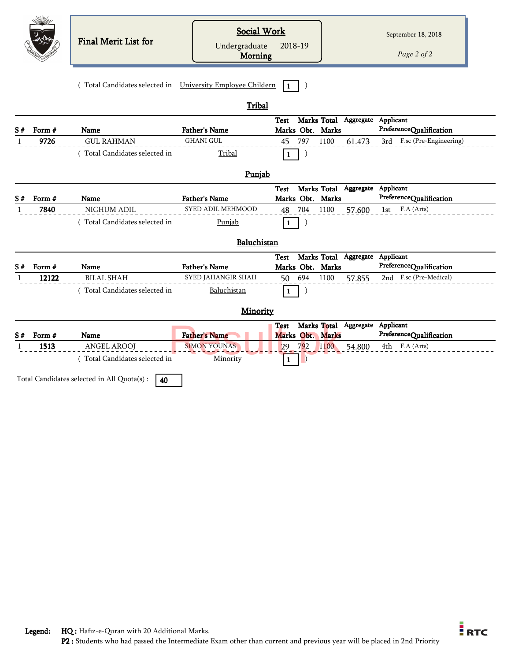|              |                | Final Merit List for                                       | <b>Social Work</b><br>Undergraduate<br>Morning | 2018-19                                                     | September 18, 2018<br>Page 2 of 2            |
|--------------|----------------|------------------------------------------------------------|------------------------------------------------|-------------------------------------------------------------|----------------------------------------------|
|              |                | (Total Candidates selected in University Employee Childern |                                                | $\blacksquare$                                              |                                              |
|              |                |                                                            | Tribal                                         |                                                             |                                              |
| S#           | Form #         | <b>Name</b>                                                | <b>Father's Name</b>                           | Marks Total Aggregate Applicant<br>Test<br>Marks Obt. Marks | PreferenceQualification                      |
| 1            | 9726           | <b>GUL RAHMAN</b>                                          | <b>GHANI GUL</b>                               | 45 797<br>1100<br>61.473                                    | 3rd F.sc (Pre-Engineering)                   |
|              |                | (Total Candidates selected in                              | Tribal                                         | $\mathbf{1}$                                                |                                              |
|              |                |                                                            | Punjab                                         |                                                             |                                              |
|              |                |                                                            |                                                | Marks Total Aggregate Applicant<br>Test                     |                                              |
| S#           | Form #<br>7840 | Name<br>NIGHUM ADIL                                        | <b>Father's Name</b><br>SYED ADIL MEHMOOD      | Marks Obt. Marks<br>704<br>1100<br>57.600<br>48             | PreferenceQualification<br>F.A (Arts)<br>1st |
|              |                | (Total Candidates selected in                              | Punjab                                         | $\mathbf 1$                                                 |                                              |
|              |                |                                                            |                                                |                                                             |                                              |
|              |                |                                                            | Baluchistan                                    |                                                             |                                              |
| S#           | Form #         | Name                                                       | <b>Father's Name</b>                           | Marks Total Aggregate Applicant<br>Test<br>Marks Obt. Marks | PreferenceQualification                      |
| $\mathbf{1}$ | 12122          | <b>BILAL SHAH</b>                                          | SYED JAHANGIR SHAH                             | 50 694<br>1100<br>57.855                                    | 2nd F.sc (Pre-Medical)                       |
|              |                | (Total Candidates selected in                              | Baluchistan                                    | $\mathbf{1}$                                                |                                              |
|              |                |                                                            | Minority                                       |                                                             |                                              |
|              |                |                                                            |                                                | Marks Total<br>Aggregate<br>Test                            | Applicant                                    |
| S#           | Form #<br>1513 | Name<br><b>ANGEL AROOJ</b>                                 | <b>Father's Name</b><br><b>SIMON YOUNAS</b>    | Marks Obt. Marks<br>792<br>1100<br>29<br>54.800             | PreferenceQualification<br>F.A (Arts)<br>4th |
|              |                | (Total Candidates selected in                              | Minority                                       | $\mathbf{1}$                                                |                                              |
|              |                | Total Candidates selected in All Quota(s) :<br>40          |                                                |                                                             |                                              |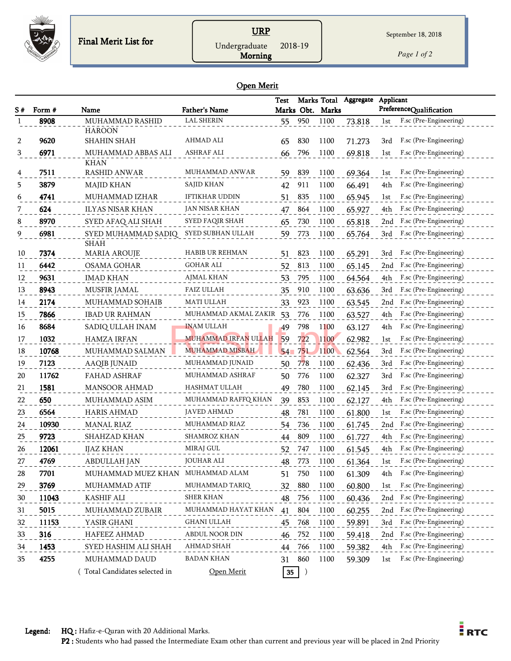

## URP Undergraduate 2018-19

*Page 1 of 2*

#### Open Merit

Morning

|    |        |                                     |                        | Test |         | Marks Total      | Aggregate | Applicant |                            |
|----|--------|-------------------------------------|------------------------|------|---------|------------------|-----------|-----------|----------------------------|
| S# | Form # | Name                                | <b>Father's Name</b>   |      |         | Marks Obt. Marks |           |           | PreferenceQualification    |
|    | 8908   | MUHAMMAD RASHID                     | <b>LAL SHERIN</b>      | 55   | 950     | 1100             | 73.818    | 1st       | F.sc (Pre-Engineering)     |
| 2  | 9620   | <b>HAROON</b><br><b>SHAHIN SHAH</b> | AHMAD ALI              | 65   | 830     | 1100             | 71.273    | 3rd       | F.sc (Pre-Engineering)     |
| 3  | 6971   | MUHAMMAD ABBAS ALI                  | ASHRAF ALI             | 66   | 796     | 1100             | 69.818    | 1st       | F.sc (Pre-Engineering)     |
|    |        | <b>KHAN</b>                         |                        |      |         |                  |           |           |                            |
| 4  | 7511   | <b>RASHID ANWAR</b>                 | MUHAMMAD ANWAR         | 59   | 839     | 1100             | 69.364    | 1st       | F.sc (Pre-Engineering)     |
| 5  | 3879   | MAJID KHAN                          | SAJID KHAN             | 42   | 911     | 1100             | 66.491    | 4th       | F.sc (Pre-Engineering)     |
| 6  | 4741   | MUHAMMAD IZHAR                      | IFTIKHAR UDDIN         | 51   | 835     | 1100             | 65.945    | 1st       | F.sc (Pre-Engineering)     |
| 7  | 624    | <b>ILYAS NISAR KHAN</b>             | JAN NISAR KHAN         | 47   | 864     | 1100             | 65.927    | 4th       | F.sc (Pre-Engineering)     |
| 8  | 8970   | SYED AFAQ ALI SHAH                  | SYED FAQIR SHAH        | 65   | 730     | 1100             | 65.818    | 2nd       | F.sc (Pre-Engineering)     |
| 9  | 6981   | SYED MUHAMMAD SADIQ                 | SYED SUBHAN ULLAH      | 59   | 773     | 1100             | 65.764    | 3rd       | F.sc (Pre-Engineering)     |
|    |        | <b>SHAH</b>                         |                        |      |         |                  |           |           |                            |
| 10 | 7374   | <b>MARIA AROUJE</b>                 | <b>HABIB UR REHMAN</b> | 51   | 823     | 1100             | 65.291    | 3rd       | F.sc (Pre-Engineering)     |
| 11 | 6442   | <b>OSAMA GOHAR</b>                  | GOHAR ALI              | 52   | 813     | 1100             | 65.145    | 2nd       | F.sc (Pre-Engineering)     |
| 12 | 9631   | <b>IMAD KHAN</b>                    | AJMAL KHAN             | 53   | 795     | 1100             | 64.564    | 4th       | F.sc (Pre-Engineering)     |
| 13 | 8943   | MUSFIR JAMAL                        | FAIZ ULLAH             | 35   | 910     | 1100             | 63.636    | 3rd       | F.sc (Pre-Engineering)     |
| 14 | 2174   | MUHAMMAD SOHAIB                     | MATI ULLAH             | 33   | 923     | 1100             | 63.545    | 2nd       | F.sc (Pre-Engineering)     |
| 15 | 7866   | <b>IBAD UR RAHMAN</b>               | MUHAMMAD AKMAL ZAKIR   | 53   | 776     | 1100             | 63.527    | 4th       | F.sc (Pre-Engineering)     |
| 16 | 8684   | SADIQ ULLAH INAM                    | <b>INAM ULLAH</b>      | 49   | 798     | 1100             | 63.127    | 4th       | F.sc (Pre-Engineering)     |
| 17 | 1032   | <b>HAMZA IRFAN</b>                  | MUHAMMAD IRFAN ULLAH   | 59   | 722     | 1100             | 62.982    | 1st       | F.sc (Pre-Engineering)     |
| 18 | 10768  | MUHAMMAD SALMAN                     | <b>MUHAMMAD MISBAH</b> | 54   | 751     | 1100             | 62.564    | 3rd       | F.sc (Pre-Engineering)     |
| 19 | 7123   | <b>AAQIB JUNAID</b>                 | MUHAMMAD JUNAID        | 50   | 778     | 1100             | 62.436    | 3rd       | F.sc (Pre-Engineering)     |
| 20 | 11762  | FAHAD ASHRAF                        | MUHAMMAD ASHRAF        | 50   | 776     | 1100             | 62.327    | 3rd       | F.sc (Pre-Engineering)     |
| 21 | 1581   | <b>MANSOOR AHMAD</b>                | HASHMAT ULLAH          | 49   | 780     | 1100             | 62.145    | 3rd       | F.sc (Pre-Engineering)     |
| 22 | 650    | MUHAMMAD ASIM                       | MUHAMMAD RAFFQ KHAN    | 39   | 853     | 1100             | 62.127    | 4th       | F.sc (Pre-Engineering)     |
| 23 | 6564   | <b>HARIS AHMAD</b>                  | JAVED AHMAD            | 48   | 781     | 1100             | 61.800    | 1st       | F.sc (Pre-Engineering)     |
| 24 | 10930  | <b>MANAL RIAZ</b>                   | MUHAMMAD RIAZ          | 54   | 736     | 1100             | 61.745    | 2nd       | F.sc (Pre-Engineering)     |
| 25 | 9723   | SHAHZAD KHAN                        | SHAMROZ KHAN           | 44   | 809     | 1100             | 61.727    | 4th       | F.sc (Pre-Engineering)     |
| 26 | 12061  | <b>IJAZ KHAN</b>                    | MIRAJ GUL              | 52   | 747     | 1100             | 61.545    | 4th       | F.sc (Pre-Engineering)     |
| 27 | 4769   | <b>ABDULLAH JAN</b>                 | <b>JOUHAR ALI</b>      | 48   | 773     | 1100             | 61.364    | 1st       | F.sc (Pre-Engineering)     |
| 28 | 7701   | MUHAMMAD MUEZ KHAN MUHAMMAD ALAM    |                        | 51   | 750     | 1100             | 61.309    | 4th       | F.sc (Pre-Engineering)     |
| 29 | 3769   | MUHAMMAD ATIF                       | MUHAMMAD TARIQ         | 32   | 880     | 1100             | 60.800    | 1st       | F.sc (Pre-Engineering)     |
| 30 | 11043  | KASHIF ALI                          | SHER KHAN              | 48   | 756     | 1100             | 60.436    | 2nd       | F.sc (Pre-Engineering)     |
| 31 | 5015   | MUHAMMAD ZUBAIR                     | MUHAMMAD HAYAT KHAN    | 41   | 804     | 1100             | 60.255    |           | 2nd F.sc (Pre-Engineering) |
| 32 | 11153  | YASIR GHANI                         | GHANI ULLAH            | 45   | 768     | 1100             | 59.891    | 3rd       | F.sc (Pre-Engineering)     |
| 33 | 316    | HAFEEZ AHMAD                        | ABDUL NOOR DIN         | 46   | 752     | 1100             | 59.418    | 2nd       | F.sc (Pre-Engineering)     |
| 34 | 1453   | SYED HASHIM ALI SHAH                | AHMAD SHAH             | 44   | 766     | 1100             | 59.382    | 4th       | F.sc (Pre-Engineering)     |
| 35 | 4255   | MUHAMMAD DAUD                       | <b>BADAN KHAN</b>      | 31   | 860     | 1100             | 59.309    | 1st       | F.sc (Pre-Engineering)     |
|    |        | Total Candidates selected in        | Open Merit             | 35   | $\big)$ |                  |           |           |                            |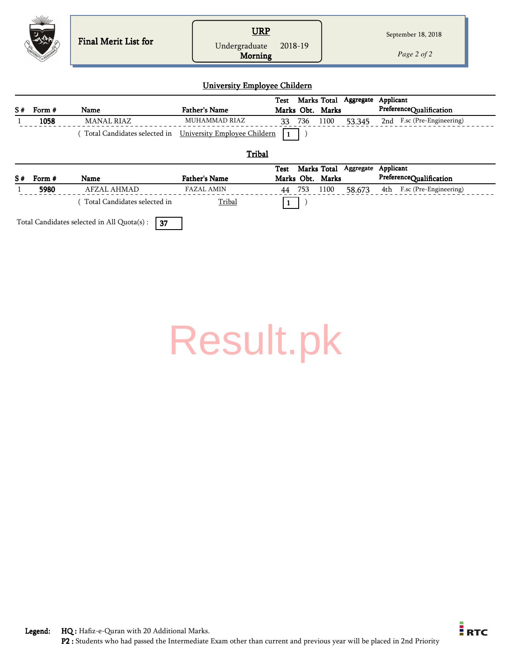|           | <b>Final Merit List for</b> | <u>JRP</u>                                 | September 18, 2018 |
|-----------|-----------------------------|--------------------------------------------|--------------------|
| $\oslash$ |                             | 2018-19<br>Undergraduate<br><b>Morning</b> | Page 2 of 2        |

#### University Employee Childern

|    |        |            |                                                               |    |     |                  |        | Test Marks Total Aggregate Applicant |
|----|--------|------------|---------------------------------------------------------------|----|-----|------------------|--------|--------------------------------------|
| S# | Form # | Name       | <b>Father's Name</b>                                          |    |     | Marks Obt. Marks |        | PreferenceQualification              |
|    | 1058   | MANAL RIAZ | MUHAMMAD RIAZ                                                 | 33 | 736 | 1100             | 53.345 | 2nd F.sc (Pre-Engineering)           |
|    |        |            | Total Candidates selected in University Employee Childern   1 |    |     |                  |        |                                      |

**Tribal** 

| S#                                                | Form # | Name                         | <b>Father's Name</b> |    |     | Marks Obt. Marks | Test Marks Total Aggregate Applicant |  | PreferenceQualification    |
|---------------------------------------------------|--------|------------------------------|----------------------|----|-----|------------------|--------------------------------------|--|----------------------------|
|                                                   | 5980   | AFZAL AHMAD                  | FAZAL AMIN           | 44 | 753 | 1100             | 58.673                               |  | 4th F.sc (Pre-Engineering) |
|                                                   |        | Total Candidates selected in | Tribal               |    |     |                  |                                      |  |                            |
| Total Candidates selected in All Quota(s) :<br>37 |        |                              |                      |    |     |                  |                                      |  |                            |

| <b>Result.pk</b> |
|------------------|
|------------------|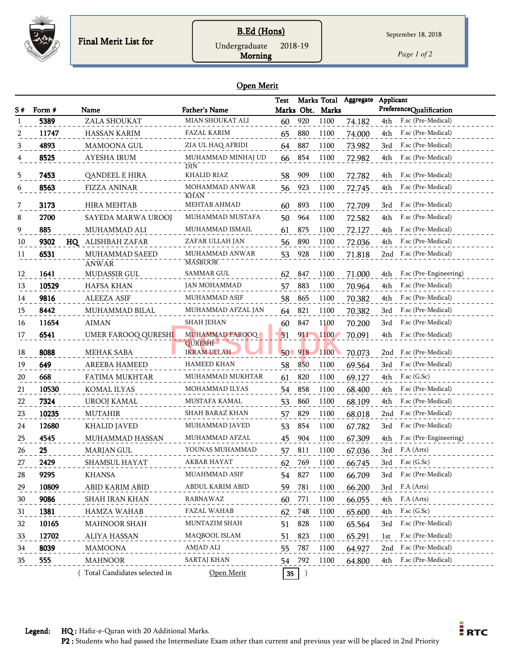

## B.Ed (Hons) Undergraduate 2018-19

*Page 1 of 2*

#### Open Merit

Morning

| S # | Form # | Name                         | <b>Father's Name</b>                 | <b>Test</b> |     | Marks Obt. Marks | Marks Total Aggregate | Applicant<br>PreferenceQualification |
|-----|--------|------------------------------|--------------------------------------|-------------|-----|------------------|-----------------------|--------------------------------------|
|     | 5389   | ZALA SHOUKAT                 | MIAN SHOUKAT ALI                     | 60          | 920 | 1100             | 74.182                | F.sc (Pre-Medical)<br>4th            |
|     | 11747  | HASSAN KARIM                 | FAZAL KARIM                          | 65          | 880 | 1100             | 74.000                | 4th<br>F.sc (Pre-Medical)            |
| 3   | 4893   | MAMOONA GUL                  | ZIA UL HAQ AFRIDI                    | 64          | 887 | 1100             | 73.982                | F.sc (Pre-Medical)<br>3rd            |
|     | 8525   | <b>AYESHA IRUM</b>           | MUHAMMAD MINHAJ UD<br><b>DIN</b>     | 66          | 854 | 1100             | 72.982                | F.sc (Pre-Medical)<br>4th            |
| 5   | 7453   | QANDEEL E HIRA               | KHALID RIAZ                          | 58          | 909 | 1100             | 72.782                | F.sc (Pre-Medical)<br>4th            |
| 6   | 8563   | <b>FIZZA ANINAR</b>          | MOHAMMAD ANWAR<br><b>KHAN</b>        | 56          | 923 | 1100             | 72.745                | F.sc (Pre-Medical)<br>4th            |
| 7   | 3173   | <b>HIRA MEHTAB</b>           | MEHTAB AHMAD                         | 60          | 893 | 1100             | 72.709                | F.sc (Pre-Medical)<br>3rd            |
| 8   | 2700   | SAYEDA MARWA UROOJ           | MUHAMMAD MUSTAFA                     | 50          | 964 | 1100             | 72.582                | F.sc (Pre-Medical)<br>4th            |
| 9   | 885    | MUHAMMAD ALI                 | MUHAMMAD ISMAIL                      | 61          | 875 | 1100             | 72.127                | 4th<br>F.sc (Pre-Medical)            |
| 10  | 9302   | ALISHBAH ZAFAR<br>HQ         | ZAFAR ULLAH JAN                      | 56          | 890 | 1100             | 72.036                | F.sc (Pre-Medical)<br>4th            |
| 11  | 6531   | MUHAMMAD SAEED               | MUHAMMAD ANWAR                       | 53          | 928 | 1100             | 71.818                | F.sc (Pre-Medical)<br>2nd            |
| 12  | 1641   | <b>ANWAR</b><br>MUDASSIR GUL | <b>MASROOR</b><br>SAMMAR GUL         | 62          | 847 | 1100             | 71.000                | F.sc (Pre-Engineering)<br>4th        |
| 13  | 10529  | HAFSA KHAN                   | <b>JAN MOHAMMAD</b>                  | 57          | 883 | 1100             | 70.964                | F.sc (Pre-Medical)<br>4th            |
| 14  | 9816   | <b>ALEEZA ASIF</b>           | MUHAMMAD ASIF                        | 58          | 865 | 1100             | 70.382                | F.sc (Pre-Medical)<br>4th            |
| 15  | 8442   | MUHAMMAD BILAL               | MUHAMMAD AFZAL JAN                   | 64          | 821 | 1100             | 70.382                | F.sc (Pre-Medical)<br>3rd            |
| 16  | 11654  | <b>AIMAN</b>                 | SHAH JEHAN                           | 60          | 847 | 1100             | 70.200                | F.sc (Pre-Medical)<br>3rd            |
| 17  | 6541   | UMER FAROOQ QURESHI          | <b>MUHAMMAD FAROOQ</b>               | 51          | 911 | 1100             | 70.091                | F.sc (Pre-Medical)<br>4th            |
| 18  | 8088   | MEHAK SABA                   | <b>QURESHI</b><br><b>IKRAM ULLAH</b> | $50 - 918$  |     | 1100             | 70.073                | F.sc (Pre-Medical)<br>2nd            |
| 19  | 649    | AREEBA HAMEED                | <b>HAMEED KHAN</b>                   | 58          | 850 | 1100             | 69.564                | F.sc (Pre-Medical)<br>3rd            |
| 20  | 668    | FATIMA MUKHTAR               | MUHAMMAD MUKHTAR                     | 61          | 820 | 1100             | 69.127                | $F$ .sc $(G.Sc)$<br>4th              |
| 21  | 10530  | KOMAL ILYAS                  | MOHAMMAD ILYAS                       | 54          | 858 | 1100             | 68.400                | F.sc (Pre-Medical)<br>4th            |
| 22  | 7324   | UROOJ KAMAL                  | MUSTAFA KAMAL                        | 53          | 860 | 1100             | 68.109                | F.sc (Pre-Medical)<br>4th            |
| 23  | 10235  | <b>MUTAHIR</b>               | SHAH BARAZ KHAN                      | 57          | 829 | 1100             | 68.018                | F.sc (Pre-Medical)<br>2nd            |
| 24  | 12680  | KHALID JAVED                 | MUHAMMAD JAVED                       | 53          | 854 | 1100             | 67.782                | F.sc (Pre-Medical)<br>3rd            |
| 25  | 4545   | MUHAMMAD HASSAN              | MUHAMMAD AFZAL                       | 45          | 904 | 1100             | 67.309                | F.sc (Pre-Engineering)<br>4th        |
| 26  | 25     | MARJAN GUL                   | YOUNAS MUHAMMAD                      | 57          | 811 | 1100             | 67.036                | F.A (Arts)<br>3rd                    |
| 27  | 2429   | SHAMSUL HAYAT                | <b>AKBAR HAYAT</b>                   | 62          | 769 | 1100             | 66.745                | 3rd<br>$F$ .sc $(G.Sc)$              |
| 28  | 9295   | KHANSA                       | MUAHMMAD ASIF                        | 54 827      |     | 1100             | 66.709                | 3rd F.sc (Pre-Medical)               |
| 29  | 10809  | ABID KARIM ABID              | ABDUL KARIM ABID                     | 59          | 781 | 1100             | 66.200                | 3rd F.A (Arts)                       |
| 30  | 9086   | SHAH IRAN KHAN               | RABNAWAZ                             | 60          | 771 | 1100             | 66.055                | F.A (Arts)<br>4th                    |
| 31  | 1381   | HAMZA WAHAB                  | <b>FAZAL WAHAB</b>                   | 62          | 748 | 1100             | 65.600                | 4th F.sc (G.Sc)                      |
| 32  | 10165  | <b>MAHNOOR SHAH</b>          | MUNTAZIM SHAH                        | 51          | 828 | 1100             | 65.564                | F.sc (Pre-Medical)<br>3rd            |
| 33  | 12702  | ALIYA HASSAN                 | MAQBOOL ISLAM                        | 51          | 823 | 1100             | 65.291                | F.sc (Pre-Medical)<br>1st            |
| 34  | 8039   | <b>MAMOONA</b>               | AMJAD ALI                            | 55          | 787 | 1100             | 64.927                | F.sc (Pre-Medical)<br>2nd            |
| 35  | 555    | <b>MAHNOOR</b>               | <b>SARTAJ KHAN</b>                   | 54          | 792 | 1100             | 64.800                | F.sc (Pre-Medical)<br>4th            |
|     |        | Total Candidates selected in | Open Merit                           | 35          |     |                  |                       |                                      |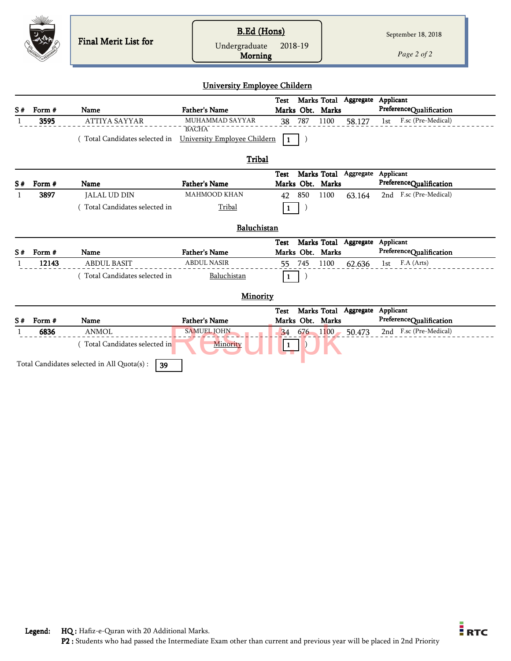|    |                 | Final Merit List for                              | <b>B.Ed</b> (Hons)<br>Undergraduate<br>Morning | 2018-19                                                            |           | September 18, 2018<br>Page 2 of 2            |
|----|-----------------|---------------------------------------------------|------------------------------------------------|--------------------------------------------------------------------|-----------|----------------------------------------------|
|    |                 |                                                   | <b>University Employee Childern</b>            |                                                                    |           |                                              |
| S# | Form #          | Name                                              | <b>Father's Name</b>                           | Marks Total Aggregate Applicant<br><b>Test</b><br>Marks Obt. Marks |           | PreferenceQualification                      |
|    | 3595            | <b>ATTIYA SAYYAR</b>                              | MUHAMMAD SAYYAR<br><b>BACHA</b>                | 787<br>1100<br>38                                                  | 58.127    | F.sc (Pre-Medical)<br>1st                    |
|    |                 | (Total Candidates selected in                     | University Employee Childern                   | $\mathbf{1}$                                                       |           |                                              |
|    |                 |                                                   |                                                |                                                                    |           |                                              |
|    |                 |                                                   | Tribal                                         |                                                                    |           |                                              |
|    |                 | <b>Name</b>                                       | <b>Father's Name</b>                           | Marks Total Aggregate Applicant<br>Test<br>Marks Obt. Marks        |           | PreferenceQualification                      |
| S# | Form #<br>3897  | <b>JALAL UD DIN</b>                               | <b>MAHMOOD KHAN</b>                            | 850<br>1100<br>42                                                  | 63.164    | 2nd F.sc (Pre-Medical)                       |
|    |                 | (Total Candidates selected in                     | Tribal                                         | $\mathbf{1}$                                                       |           |                                              |
|    |                 |                                                   | Baluchistan                                    |                                                                    |           |                                              |
|    |                 |                                                   |                                                | Marks Total<br><b>Test</b>                                         |           | Aggregate Applicant                          |
|    | Form #<br>12143 | Name<br><b>ABDUL BASIT</b>                        | <b>Father's Name</b><br><b>ABDUL NASIR</b>     | Marks Obt. Marks<br>745<br>1100                                    |           | PreferenceQualification<br>F.A (Arts)<br>1st |
|    |                 | (Total Candidates selected in                     | Baluchistan                                    | 55<br>$\mathbf{1}$                                                 | 62.636    |                                              |
|    |                 |                                                   |                                                |                                                                    |           |                                              |
|    |                 |                                                   | Minority                                       |                                                                    |           |                                              |
|    |                 |                                                   |                                                | Marks Total<br><b>Test</b>                                         | Aggregate | Applicant                                    |
| S# | Form #          | Name                                              | <b>Father's Name</b>                           | Marks Obt. Marks                                                   |           | PreferenceQualification                      |
|    | 6836            | <b>ANMOL</b>                                      | <b>SAMUEL JOHN</b>                             | 676 1100<br>34                                                     | 50.473    | 2nd F.sc (Pre-Medical)                       |
|    |                 | (Total Candidates selected in                     | Minority                                       |                                                                    |           |                                              |
|    |                 | Total Candidates selected in All Quota(s) :<br>39 |                                                |                                                                    |           |                                              |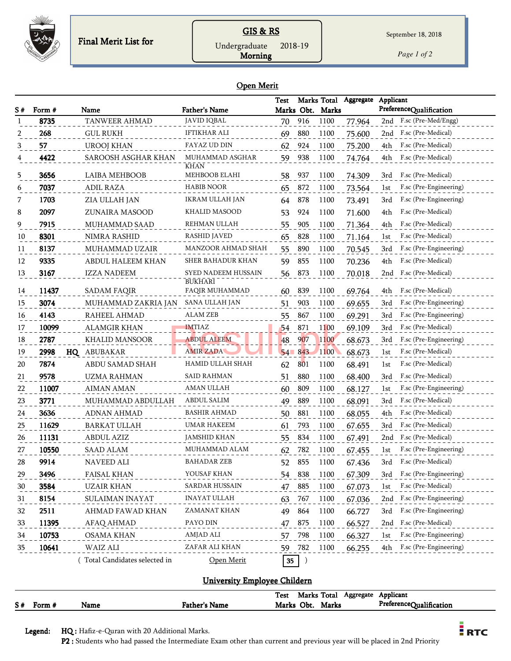

## GIS & RS

*Page 1 of 2*

Morning Undergraduate 2018-19

#### Open Merit

|    |        |                              |                                  | <b>Test</b>     |            | Marks Total      | Aggregate | Applicant |                         |
|----|--------|------------------------------|----------------------------------|-----------------|------------|------------------|-----------|-----------|-------------------------|
| S# | Form # | Name                         | <b>Father's Name</b>             |                 |            | Marks Obt. Marks |           |           | PreferenceQualification |
| 1  | 8735   | TANWEER AHMAD                | <b>JAVID IQBAL</b>               | 70              | 916        | 1100             | 77.964    | 2nd       | F.sc (Pre-Med/Engg)     |
| 2  | 268    | <b>GUL RUKH</b>              | IFTIKHAR ALI                     | 69              | 880        | 1100             | 75.600    | 2nd       | F.sc (Pre-Medical)      |
| 3  | 57     | <b>UROOJ KHAN</b>            | FAYAZ UD DIN                     | 62              | 924        | 1100             | 75.200    | 4th       | F.sc (Pre-Medical)      |
|    | 4422   | SAROOSH ASGHAR KHAN          | MUHAMMAD ASGHAR<br>KHAN          | 59              | 938        | 1100             | 74.764    | 4th       | F.sc (Pre-Medical)      |
| 5  | 3656   | LAIBA MEHBOOB                | MEHBOOB ELAHI                    | 58              | 937        | 1100             | 74.309    | 3rd       | F.sc (Pre-Medical)      |
| 6  | 7037   | <b>ADIL RAZA</b>             | <b>HABIB NOOR</b>                | 65              | 872        | 1100             | 73.564    | 1st       | F.sc (Pre-Engineering)  |
| 7  | 1703   | ZIA ULLAH JAN                | IKRAM ULLAH JAN                  | 64              | 878        | 1100             | 73.491    | 3rd       | F.sc (Pre-Engineering)  |
| 8  | 2097   | ZUNAIRA MASOOD               | <b>KHALID MASOOD</b>             | 53              | 924        | 1100             | 71.600    | 4th       | F.sc (Pre-Medical)      |
| 9  | 7915   | MUHAMMAD SAAD                | REHMAN ULLAH                     | 55              | 905        | 1100             | 71.364    | 4th       | F.sc (Pre-Medical)      |
| 10 | 8301   | NIMRA RASHID                 | <b>RASHID JAVED</b>              | 65              | 828        | 1100             | 71.164    | 1st       | F.sc (Pre-Medical)      |
| 11 | 8137   | MUHAMMAD UZAIR               | MANZOOR AHMAD SHAH               | 55              | 890        | 1100             | 70.545    | 3rd       | F.sc (Pre-Engineering)  |
| 12 | 9335   | ABDUL HALEEM KHAN            | SHER BAHADUR KHAN                | 59              | 855        | 1100             | 70.236    | 4th       | F.sc (Pre-Medical)      |
| 13 | 3167   | <b>IZZA NADEEM</b>           | SYED NADEEM HUSSAIN              | 56              | 873        | 1100             | 70.018    | 2nd       | F.sc (Pre-Medical)      |
| 14 | 11437  | SADAM FAQIR                  | <b>BUKHARI</b><br>FAQIR MUHAMMAD | 60              | 839        | 1100             | 69.764    | 4th       | F.sc (Pre-Medical)      |
| 15 | 3074   | MUHAMMAD ZAKRIA JAN          | SANA ULLAH JAN                   | 51              | 903        | 1100             | 69.655    | 3rd       | F.sc (Pre-Engineering)  |
| 16 | 4143   | RAHEEL AHMAD                 | ALAM ZEB                         | 55              | 867        | 1100             | 69.291    | 3rd       | F.sc (Pre-Engineering)  |
| 17 | 10099  | <b>ALAMGIR KHAN</b>          | <b>IMTIAZ</b>                    | 54              | 871        | 1100             | 69.109    | 3rd       | F.sc (Pre-Medical)      |
| 18 | 2787   | KHALID MANSOOR               | <b>ABDUL ALEEM</b>               | 48              | 907        | 1100             | 68.673    | 3rd       | F.sc (Pre-Engineering)  |
| 19 | 2998   | HQ ABUBAKAR                  | <b>AMIR ZADA</b>                 |                 | $54 - 843$ | 1100             | 68.673    | 1st       | F.sc (Pre-Medical)      |
| 20 | 7874   | ABDU SAMAD SHAH              | HAMID ULLAH SHAH                 | 62              | 801        | 1100             | 68.491    | 1st       | F.sc (Pre-Medical)      |
| 21 | 9578   | <b>UZMA RAHMAN</b>           | SAID RAHMAN                      | 51              | 880        | 1100             | 68.400    | 3rd       | F.sc (Pre-Medical)      |
| 22 | 11007  | AIMAN AMAN                   | AMAN ULLAH                       | 60              | 809        | 1100             | 68.127    | 1st       | F.sc (Pre-Engineering)  |
| 23 | 3771   | MUHAMMAD ABDULLAH            | ABDUL SALIM                      | 49              | 889        | 1100             | 68.091    | 3rd       | F.sc (Pre-Medical)      |
| 24 | 3636   | <b>ADNAN AHMAD</b>           | <b>BASHIR AHMAD</b>              | 50              | 881        | 1100             | 68.055    | 4th       | F.sc (Pre-Medical)      |
| 25 | 11629  | <b>BARKAT ULLAH</b>          | UMAR HAKEEM                      | 61              | 793        | 1100             | 67.655    | 3rd       | F.sc (Pre-Medical)      |
| 26 | 11131  | <b>ABDUL AZIZ</b>            | JAMSHID KHAN                     | 55              | 834        | 1100             | 67.491    | 2nd       | F.sc (Pre-Medical)      |
| 27 | 10550  | <b>SAAD ALAM</b>             | MUHAMMAD ALAM                    | 62              | 782        | 1100             | 67.455    | 1st       | F.sc (Pre-Engineering)  |
| 28 | 9914   | <b>NAVEED ALI</b>            | <b>BAHADAR ZEB</b>               | 52              | 855        | 1100             | 67.436    | 3rd       | F.sc (Pre-Medical)      |
| 29 | 3496   | <b>FAISAL KHAN</b>           | YOUSAF KHAN                      | 54              | 838        | 1100             | 67.309    | 3rd       | F.sc (Pre-Engineering)  |
| 30 | 3584   | <b>UZAIR KHAN</b>            | SARDAR HUSSAIN                   | 47              | 885        | 1100             | 67.073    | 1st       | F.sc (Pre-Medical)      |
| 31 | 8154   | SULAIMAN INAYAT              | <b>INAYAT ULLAH</b>              | 63              | 767        | 1100             | 67.036    | 2nd       | F.sc (Pre-Engineering)  |
| 32 | 2511   | AHMAD FAWAD KHAN             | ZAMANAT KHAN                     | 49              | 864        | 1100             | 66.727    | 3rd       | F.sc (Pre-Engineering)  |
| 33 | 11395  | AFAQ AHMAD                   | PAYO DIN                         | 47              | 875        | 1100             | 66.527    | 2nd       | F.sc (Pre-Medical)      |
| 34 | 10753  | <b>OSAMA KHAN</b>            | AMJAD ALI                        | 57              | 798        | 1100             | 66.327    | 1st       | F.sc (Pre-Engineering)  |
| 35 | 10641  | WAIZ ALI                     | ZAFAR ALI KHAN                   | 59              | 782        | 1100             | 66.255    | 4th       | F.sc (Pre-Engineering)  |
|    |        | Total Candidates selected in | Open Merit                       | 35 <sub>2</sub> | $\big)$    |                  |           |           |                         |

### University Employee Childern

|    |        |      |                      | <b>Test</b> | Marks Total |       | Aggregate | Applicant               |
|----|--------|------|----------------------|-------------|-------------|-------|-----------|-------------------------|
| S# | Form # | Name | <b>Father's Name</b> |             | Marks Obt.  | Marks |           | PreferenceQualification |

Legend: HQ : Hafiz-e-Quran with 20 Additional Marks.

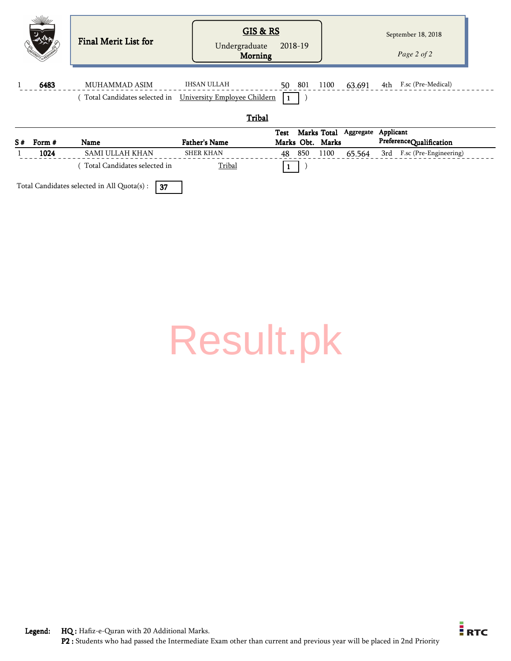| S# | Form # | <b>Name</b>                                                 | <b>Father's Name</b>                 | Test<br>Marks Obt. Marks | Marks Total Aggregate | Applicant<br>PreferenceQualification |  |
|----|--------|-------------------------------------------------------------|--------------------------------------|--------------------------|-----------------------|--------------------------------------|--|
|    |        |                                                             | Tribal                               |                          |                       |                                      |  |
|    |        | (Total Candidates selected in  University Employee Childern |                                      | $\blacksquare$           |                       |                                      |  |
|    | 6483   | MUHAMMAD ASIM                                               | <b>IHSAN ULLAH</b>                   | 50 801                   | 1100<br>63.691        | F.sc (Pre-Medical)<br>4th            |  |
|    |        | Final Merit List for                                        | GIS & RS<br>Undergraduate<br>Morning | 2018-19                  |                       | September 18, 2018<br>Page 2 of 2    |  |
|    |        |                                                             |                                      |                          |                       |                                      |  |

1024 SAMI ULLAH KHAN SHER KHAN 48 850 1100 65.564 3rd F.sc (Pre-Engineering)

 $($  Total Candidates selected in  $\frac{$  Tribal  $1$  )

| Total Candidates selected in All Quota(s) : $\boxed{37}$ |  |
|----------------------------------------------------------|--|

[Result.pk](http://www.result.pk/)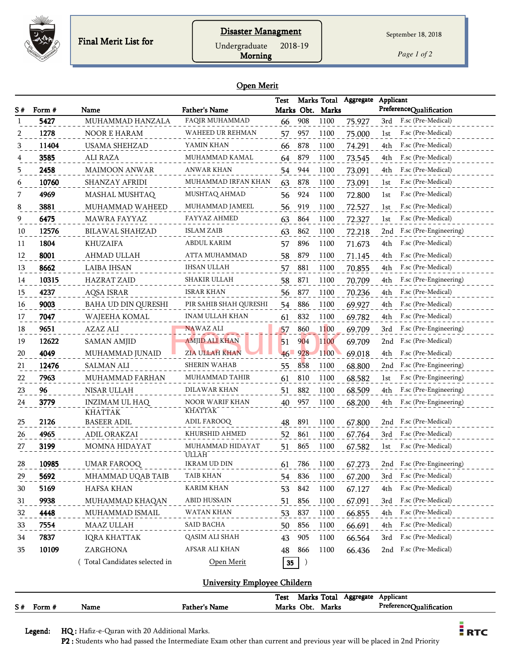

September 18, 2018

Morning Undergraduate 2018-19

*Page 1 of 2*

#### Open Merit

| S#        | Form # | Name                                    | Father's Name                     | <b>Test</b> |        | Marks Obt. Marks | Marks Total Aggregate | Applicant<br>PreferenceQualification |
|-----------|--------|-----------------------------------------|-----------------------------------|-------------|--------|------------------|-----------------------|--------------------------------------|
|           | 5427   | MUHAMMAD HANZALA                        | FAQIR MUHAMMAD                    | 66          | 908    | 1100             | 75.927                | F.sc (Pre-Medical)<br>3rd            |
|           | 1278   | NOOR E HARAM                            | WAHEED UR REHMAN                  | 57          | 957    | 1100             | 75.000                | F.sc (Pre-Medical)<br>1st            |
| 3         | 11404  | <b>USAMA SHEHZAD</b>                    | YAMIN KHAN                        | 66          | 878    | 1100             | 74.291                | F.sc (Pre-Medical)<br>4th            |
|           | 3585   | <b>ALI RAZA</b>                         | MUHAMMAD KAMAL                    | 64          | 879    | 1100             | 73.545                | F.sc (Pre-Medical)<br>4th            |
| 5         | 2458   | <b>MAIMOON ANWAR</b>                    | <b>ANWAR KHAN</b>                 | 54          | 944    | 1100             | 73.091                | F.sc (Pre-Medical)<br>4th            |
| 6         | 10760  | SHANZAY AFRIDI                          | MUHAMMAD IRFAN KHAN               | 63          | 878    | 1100             | 73.091                | F.sc (Pre-Medical)<br>1st            |
|           | 4969   | MASHAL MUSHTAQ                          | MUSHTAQ AHMAD                     | 56          | 924    | 1100             | 72.800                | F.sc (Pre-Medical)<br>1st            |
| 8         | 3881   | MUHAMMAD WAHEED                         | MUHAMMAD JAMEEL                   | 56          | 919    | 1100             | 72.527                | F.sc (Pre-Medical)<br>1st            |
| 9         | 6475   | <b>MAWRA FAYYAZ</b>                     | FAYYAZ AHMED                      | 63          | 864    | 1100             | 72.327                | F.sc (Pre-Medical)<br>1st            |
| 10        | 12576  | BILAWAL SHAHZAD                         | <b>ISLAM ZAIB</b>                 | 63          | 862    | 1100             | 72.218                | F.sc (Pre-Engineering)<br>2nd        |
| 11        | 1804   | <b>KHUZAIFA</b>                         | ABDUL KARIM                       | 57          | 896    | 1100             | 71.673                | F.sc (Pre-Medical)<br>4th            |
| 12        | 8001   | AHMAD ULLAH                             | ATTA MUHAMMAD                     | 58          | 879    | 1100             | 71.145                | F.sc (Pre-Medical)<br>4th            |
| 13        | 8662   | LAIBA IHSAN                             | IHSAN ULLAH                       | 57          | 881    | 1100             | 70.855                | F.sc (Pre-Medical)<br>4th            |
| 14        | 10315  | <b>HAZRAT ZAID</b>                      | SHAKIR ULLAH                      | 58          | 871    | 1100             | 70.709                | F.sc (Pre-Engineering)<br>4th        |
| 15        | 4237   | AQSA ISRAR                              | ISRAR KHAN                        | 56          | 877    | 1100             | 70.236                | F.sc (Pre-Medical)<br>4th            |
| 16        | 9003   | BAHA UD DIN QURESHI                     | PIR SAHIB SHAH QURESHI            | 54          | 886    | 1100             | 69.927                | F.sc (Pre-Medical)<br>4th            |
| 17        | 7047   | WAJEEHA KOMAL                           | INAM ULLAH KHAN                   | 61          | 832    | 1100             | 69.782                | F.sc (Pre-Medical)<br>4th            |
| 18        | 9651   | AZAZ ALI                                | NAWAZ ALI                         | 57          | 860    | 1100             | 69.709                | F.sc (Pre-Engineering)<br>3rd        |
| 19        | 12622  | SAMAN AMJID                             | <b>AMJID ALI KHAN</b>             | 51          | 904    | 1100             | 69.709                | F.sc (Pre-Medical)<br>2nd            |
| 20        | 4049   | MUHAMMAD JUNAID                         | ZIA ULLAH KHAN                    | 46          | 928    | 1100             | 69.018                | F.sc (Pre-Medical)<br>4th            |
| 21        | 12476  | <b>SALMAN ALI</b>                       | <b>SHERIN WAHAB</b>               | 55          | 858    | 1100             | 68.800                | F.sc (Pre-Engineering)<br>2nd        |
| 22        | 7963   | MUHAMMAD FARHAN                         | MUHAMMAD TAHIR                    | 61          | 810    | 1100             | 68.582                | F.sc (Pre-Engineering)<br>1st        |
| 23        | 96     | NISAR ULLAH                             | DILAWAR KHAN                      | 51          | 882    | 1100             | 68.509                | F.sc (Pre-Engineering)<br>4th        |
| 24        | 3779   | <b>INZIMAM UL HAQ</b><br><b>KHATTAK</b> | NOOR WARIF KHAN<br><b>KHATTAK</b> | 40          | 957    | 1100             | 68.200                | F.sc (Pre-Engineering)<br>4th        |
| 25        | 2126   | <b>BASEER ADIL</b>                      | ADIL FAROOQ                       | 48          | 891    | 1100             | 67.800                | F.sc (Pre-Medical)<br>2nd            |
| 26        | 4965   | ADIL ORAKZAI                            | KHURSHID AHMED                    | 52          | 861    | 1100             | 67.764                | F.sc (Pre-Medical)<br>3rd            |
| 27        | 3199   | <b>MOMNA HIDAYAT</b>                    | MUHAMMAD HIDAYAT<br>ULLAH         | 51          | 865    | 1100             | 67.582                | F.sc (Pre-Medical)<br>1st            |
| <b>28</b> | 10985  | UMAR FAROOQ                             | IKRAM UD DIN                      | 61          | 786    | 1100             | 67.273                | $2nd$ F.sc (Pre-Engineering)         |
| 29        | 5692   | MHAMMAD UQAB TAIB                       | TAIB KHAN                         | 54 836      |        | 1100             | 67.200                | 3rd F.sc (Pre-Medical)               |
| 30        | 5169   | HAFSA KHAN                              | <b>KARIM KHAN</b>                 | 53 842      |        | 1100             | 67.127                | F.sc (Pre-Medical)<br>4th            |
| 31        | 9938   | MUHAMMAD KHAQAN                         | <b>ABID HUSSAIN</b>               | 51          | 856    | 1100             | 67.091                | F.sc (Pre-Medical)<br>3rd            |
| 32        | 4448   | MUHAMMAD ISMAIL                         | WATAN KHAN                        | 53          | 837    | 1100             | 66.855                | F.sc (Pre-Medical)<br>4th            |
| 33        | 7554   | MAAZ ULLAH                              | SAID BACHA                        | 50          | 856    | 1100             | 66.691                | F.sc (Pre-Medical)<br>4th            |
| 34        | 7837   | <b>IQRA KHATTAK</b>                     | QASIM ALI SHAH                    | 43          | 905    | 1100             | 66.564                | F.sc (Pre-Medical)<br>3rd            |
| 35        | 10109  | ZARGHONA                                | AFSAR ALI KHAN                    | 48          | 866    | 1100             | 66.436                | 2nd F.sc (Pre-Medical)               |
|           |        | Total Candidates selected in            | Open Merit                        |             | $35$ ) |                  |                       |                                      |

#### University Employee Childern

|    |      |      |               | Test  | Marks | Total | Aggregate | $\mathbf{r}$<br>Applicant                       |
|----|------|------|---------------|-------|-------|-------|-----------|-------------------------------------------------|
| S# | rorm | Name | Father's Name | Marks | Obt.  | Marks |           | Preference $\cap$ .<br><br><b>Jualification</b> |

Legend: HQ : Hafiz-e-Quran with 20 Additional Marks.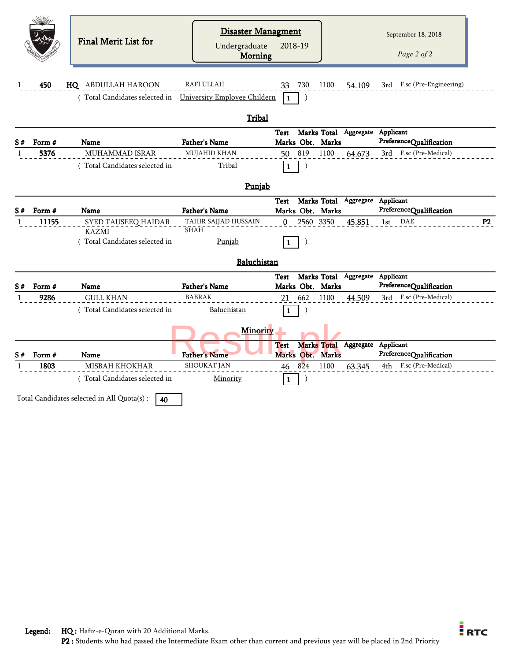|    |        | <b>Final Merit List for</b>                                | Disaster Managment<br>Undergraduate<br><b>Morning</b> | 2018-19                                                                         | September 18, 2018<br>Page 2 of 2    |
|----|--------|------------------------------------------------------------|-------------------------------------------------------|---------------------------------------------------------------------------------|--------------------------------------|
|    | 450    | HQ ABDULLAH HAROON                                         | RAFI ULLAH                                            | 33 730<br>1100<br>54.109                                                        | 3rd F.sc (Pre-Engineering)           |
|    |        | (Total Candidates selected in University Employee Childern |                                                       | -1                                                                              |                                      |
|    |        |                                                            | Tribal                                                |                                                                                 |                                      |
| S# | Form # | Name                                                       | <b>Father's Name</b>                                  | Marks Total Aggregate Applicant<br><b>Test</b><br>Marks Obt. Marks              | PreferenceQualification              |
|    | 5376   | <b>MUHAMMAD ISRAR</b>                                      | <b>MUJAHID KHAN</b>                                   | 819<br>1100<br>50<br>64.673                                                     | 3rd F.sc (Pre-Medical)               |
|    |        | (Total Candidates selected in                              | Tribal                                                | $\mathcal{E}$<br>1                                                              |                                      |
|    |        |                                                            | Punjab                                                |                                                                                 |                                      |
| S# | Form # | Name                                                       | <b>Father's Name</b>                                  | Marks Total<br>Aggregate<br><b>Test</b><br>Marks Obt. Marks                     | Applicant<br>PreferenceQualification |
| 1  | 11155  | SYED TAUSEEQ HAIDAR                                        | TAHIR SAJJAD HUSSAIN<br><b>SHAH</b>                   | 3350<br>2560<br>$\Omega$<br>45.851                                              | DAE<br>P2<br>1st                     |
|    |        | KAZMI<br>Total Candidates selected in                      | Punjab                                                |                                                                                 |                                      |
|    |        |                                                            | Baluchistan                                           |                                                                                 |                                      |
|    |        |                                                            |                                                       | Marks Total Aggregate Applicant<br>Test                                         |                                      |
| S# | Form # | <b>Name</b>                                                | <b>Father's Name</b>                                  | Marks Obt. Marks                                                                | PreferenceQualification              |
| -1 | 9286   | <b>GULL KHAN</b><br>(Total Candidates selected in          | <b>BABRAK</b><br>Baluchistan                          | 662<br>1100<br>44.509<br>21                                                     | F.sc (Pre-Medical)<br>3rd            |
|    |        |                                                            |                                                       |                                                                                 |                                      |
|    |        |                                                            | <b>Minority</b>                                       |                                                                                 |                                      |
| S# | Form # | Name                                                       | <b>Father's Name</b>                                  | <b>Marks Total</b><br>Aggregate<br><b>Test</b><br>Obt.<br>Marks<br><b>Marks</b> | Applicant<br>PreferenceQualification |
| 1  | 1803   | <b>MISBAH KHOKHAR</b>                                      | <b>SHOUKAT JAN</b>                                    | 824<br>1100<br>63.345<br>46                                                     | F.sc (Pre-Medical)<br>4th            |
|    |        | (Total Candidates selected in                              | Minority                                              | 1                                                                               |                                      |
|    |        | Total Candidates selected in All Quota(s) :<br>40          |                                                       |                                                                                 |                                      |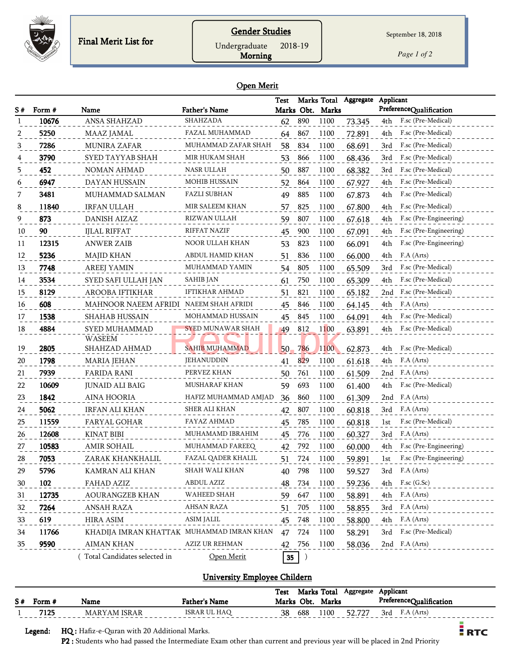

## Gender Studies

September 18, 2018

Undergraduate 2018-19

Morning

*Page 1 of 2*

#### Open Merit

| S# | Form # | Name                                      | <b>Father's Name</b>  | <b>Test</b>     |                  | Marks Obt. Marks | Marks Total Aggregate | Applicant | PreferenceQualification |
|----|--------|-------------------------------------------|-----------------------|-----------------|------------------|------------------|-----------------------|-----------|-------------------------|
|    | 10676  | ANSA SHAHZAD                              | SHAHZADA              | 62              | 890              | 1100             | 73.345                | 4th       | F.sc (Pre-Medical)      |
| 2  | 5250   | MAAZ JAMAL                                | FAZAL MUHAMMAD        | 64              | 867              | 1100             | 72.891                | 4th       | F.sc (Pre-Medical)      |
| 3  | 7286   | <b>MUNIRA ZAFAR</b>                       | MUHAMMAD ZAFAR SHAH   | 58              | 834              | 1100             | 68.691                | 3rd       | F.sc (Pre-Medical)      |
| 4  | 3790   | SYED TAYYAB SHAH                          | MIR HUKAM SHAH        | 53              | 866              | 1100             | 68.436                | 3rd       | F.sc (Pre-Medical)      |
| 5  | 452    | <b>NOMAN AHMAD</b>                        | <b>NASR ULLAH</b>     | 50              | 887              | 1100             | 68.382                | 3rd       | F.sc (Pre-Medical)      |
| 6  | 6947   | DAYAN HUSSAIN                             | <b>MOHIB HUSSAIN</b>  | 52              | 864              | 1100             | 67.927                | 4th       | F.sc (Pre-Medical)      |
| 7  | 3481   | MUHAMMAD SALMAN                           | <b>FAZLI SUBHAN</b>   | 49              | 885              | 1100             | 67.873                | 4th       | F.sc (Pre-Medical)      |
| 8  | 11840  | <b>IRFAN ULLAH</b>                        | MIR SALEEM KHAN       | 57              | 825              | 1100             | 67.800                | 4th       | F.sc (Pre-Medical)      |
| 9  | 873    | <b>DANISH AIZAZ</b>                       | RIZWAN ULLAH          | 59              | 807              | 1100             | 67.618                | 4th       | F.sc (Pre-Engineering)  |
| 10 | 90     | <b>IJLAL RIFFAT</b>                       | <b>RIFFAT NAZIF</b>   | 45              | 900              | 1100             | 67.091                | 4th       | F.sc (Pre-Engineering)  |
| 11 | 12315  | <b>ANWER ZAIB</b>                         | NOOR ULLAH KHAN       | 53              | 823              | 1100             | 66.091                | 4th       | F.sc (Pre-Engineering)  |
| 12 | 5236   | <b>MAJID KHAN</b>                         | ABDUL HAMID KHAN      | 51              | 836              | 1100             | 66.000                | 4th       | F.A (Arts)              |
| 13 | 7748   | <b>AREEJ YAMIN</b>                        | MUHAMMAD YAMIN        | 54              | 805              | 1100             | 65.509                | 3rd       | F.sc (Pre-Medical)      |
| 14 | 3534   | SYED SAFI ULLAH JAN                       | <b>SAHIB JAN</b>      | 61              | 750              | 1100             | 65.309                | 4th       | F.sc (Pre-Medical)      |
| 15 | 8129   | AROOBA IFTIKHAR                           | <b>IFTIKHAR AHMAD</b> | 51              | 821              | 1100             | 65.182                | 2nd       | F.sc (Pre-Medical)      |
| 16 | 608    | MAHNOOR NAEEM AFRIDI NAEEM SHAH AFRIDI    |                       | 45              | 846              | 1100             | 64.145                | 4th       | F.A (Arts)              |
| 17 | 1538   | <b>SHAHAB HUSSAIN</b>                     | MOHAMMAD HUSSAIN      | 45              | 845              | 1100             | 64.091                | 4th       | F.sc (Pre-Medical)      |
| 18 | 4884   | SYED MUHAMMAD                             | SYED MUNAWAR SHAH     | 49              | 812              | 1100             | 63.891                | 4th       | F.sc (Pre-Medical)      |
|    |        | <b>WASEEM</b>                             |                       |                 |                  |                  |                       |           |                         |
| 19 | 2805   | SHAHZAD AHMAD                             | <b>SAHIB MUHAMMAD</b> | 50 <sub>1</sub> | 786              | 1100             | 62.873                | 4th       | F.sc (Pre-Medical)      |
| 20 | 1798   | MARIA JEHAN                               | JEHANUDDIN            | 41              | 829              | 1100             | 61.618                | 4th       | F.A (Arts)              |
| 21 | 7939   | <b>FARIDA RANI</b>                        | PERVEZ KHAN           | 50              | 761              | 1100             | 61.509                |           | 2nd F.A (Arts)          |
| 22 | 10609  | <b>JUNAID ALI BAIG</b>                    | <b>MUSHARAF KHAN</b>  | 59              | 693              | 1100             | 61.400                | 4th       | F.sc (Pre-Medical)      |
| 23 | 1842   | <b>AINA HOORIA</b>                        | HAFIZ MUHAMMAD AMJAD  | 36              | 860              | 1100             | 61.309                | 2nd       | F.A (Arts)              |
| 24 | 5062   | <b>IRFAN ALI KHAN</b>                     | SHER ALI KHAN         | 42              | 807              | 1100             | 60.818                | 3rd       | F.A (Arts)              |
| 25 | 11559  | FARYAL GOHAR                              | FAYAZ AHMAD           | 45              | 785              | 1100             | 60.818                | 1st       | F.sc (Pre-Medical)      |
| 26 | 12608  | <b>KINAT BIBI</b>                         | MUHAMAMD IBRAHIM      | 45              | 776              | 1100             | 60.327                | 3rd       | F.A (Arts)              |
| 27 | 10583  | <b>AMIR SOHAIL</b>                        | MUHAMMAD FAREEQ       | 42              | 792              | 1100             | 60.000                | 4th       | F.sc (Pre-Engineering)  |
| 28 | 7053   | ZARAK KHANKHALIL                          | FAZAL QADER KHALIL    | 51              | 724              | 1100             | 59.891                | 1st       | F.sc (Pre-Engineering)  |
| 29 | 5796   | KAMRAN ALI KHAN                           | SHAH WALI KHAN        | 40              | 798              | 1100             | 59.527                |           | 3rd F.A (Arts)          |
| 30 | 102    | FAHAD AZIZ                                | ABDUL AZIZ            | 48              | 734              | 1100             | 59.236                | 4th       | F.sc (G.Sc)             |
| 31 | 12735  | <b>AOURANGZEB KHAN</b>                    | WAHEED SHAH           | 59              | 647              | 1100             | 58.891                | 4th       | F.A (Arts)              |
| 32 | 7264   | ANSAH RAZA                                | AHSAN RAZA            | 51              | 705              | 1100             | 58.855                |           | 3rd F.A (Arts)          |
| 33 | 619    | <b>HIRA ASIM</b>                          | ASIM JALIL            | 45 748          |                  | 1100             | 58.800                |           | 4th F.A (Arts)          |
| 34 | 11766  | KHADIJA IMRAN KHATTAK MUHAMMAD IMRAN KHAN |                       | 47 724          |                  | 1100             | 58.291                |           | 3rd F.sc (Pre-Medical)  |
| 35 | 9590   | AIMAN KHAN                                | AZIZ UR REHMAN        | 42 756          |                  | 1100             | 58.036                |           | 2nd F.A (Arts)          |
|    |        | (Total Candidates selected in             | Open Merit            | 35              | $\left( \right)$ |                  |                       |           |                         |

#### University Employee Childern

|             |                                              |                      | Test |     |                  | Marks Total Aggregate | Applicant |                         |                              |
|-------------|----------------------------------------------|----------------------|------|-----|------------------|-----------------------|-----------|-------------------------|------------------------------|
| $S#$ Form # | Name                                         | <b>Father's Name</b> |      |     | Marks Obt. Marks |                       |           | PreferenceQualification |                              |
| 7125        | MARYAM ISRAR                                 | ISRAR UL HAQ         | 38   | 688 | 1100             | 52.727                |           | $3rd$ F.A (Arts)        |                              |
| Legend:     | HQ : Hafiz-e-Quran with 20 Additional Marks. |                      |      |     |                  |                       |           |                         | $\overline{\phantom{a}}$ RTC |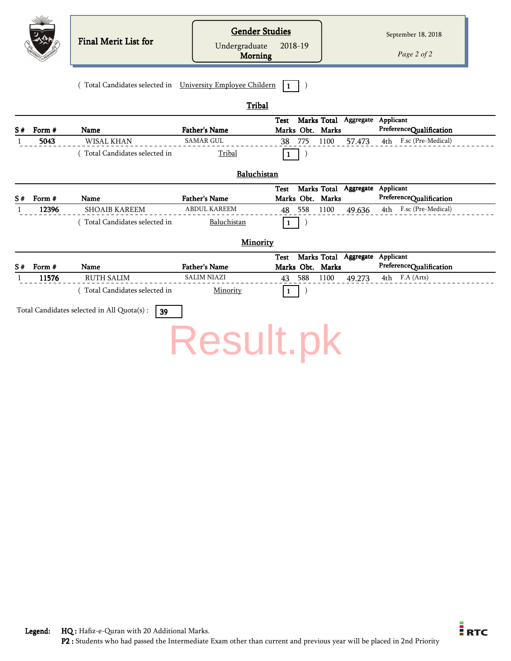|                    |                 | <b>Final Merit List for</b>                                | <b>Gender Studies</b><br>Undergraduate<br><b>Morning</b> | 2018-19      |                                                     |        | September 18, 2018<br>Page 2 of 2                    |
|--------------------|-----------------|------------------------------------------------------------|----------------------------------------------------------|--------------|-----------------------------------------------------|--------|------------------------------------------------------|
|                    |                 | (Total Candidates selected in University Employee Childern |                                                          | $\mathbf{1}$ |                                                     |        |                                                      |
|                    |                 |                                                            | Tribal                                                   |              |                                                     |        |                                                      |
| S#                 | Form #          | Name                                                       | <b>Father's Name</b>                                     | <b>Test</b>  | Marks Total Aggregate Applicant<br>Marks Obt. Marks |        | PreferenceQualification                              |
| 1                  | 5043            | WISAL KHAN                                                 | <b>SAMAR GUL</b>                                         | 775<br>38    | 1100                                                | 57.473 | 4th F.sc (Pre-Medical)                               |
|                    |                 | (Total Candidates selected in                              | Tribal                                                   | $\mathbf{1}$ |                                                     |        |                                                      |
|                    |                 |                                                            | Baluchistan                                              |              |                                                     |        |                                                      |
|                    |                 |                                                            |                                                          | <b>Test</b>  | Marks Total Aggregate Applicant                     |        |                                                      |
| S#<br>$\mathbf{1}$ | Form #<br>12396 | Name<br><b>SHOAIB KAREEM</b>                               | <b>Father's Name</b><br><b>ABDUL KAREEM</b>              | 48<br>558    | Marks Obt. Marks<br>1100                            | 49.636 | PreferenceQualification<br>F.sc (Pre-Medical)<br>4th |
|                    |                 | Total Candidates selected in                               | Baluchistan                                              | $\mathbf{1}$ |                                                     |        |                                                      |
|                    |                 |                                                            |                                                          |              |                                                     |        |                                                      |
|                    |                 |                                                            | Minority                                                 |              |                                                     |        |                                                      |
|                    |                 |                                                            |                                                          | <b>Test</b>  | Marks Total Aggregate Applicant                     |        |                                                      |
| S#                 | Form #          | Name                                                       | <b>Father's Name</b><br><b>SALIM NIAZI</b>               |              | Marks Obt. Marks                                    |        | PreferenceQualification                              |
| -1                 | 11576           | <b>RUTH SALIM</b>                                          |                                                          | 588<br>43    | 1100                                                | 49.273 | 4th F.A (Arts)                                       |
|                    |                 | (Total Candidates selected in                              | Minority                                                 | $\mathbf{1}$ |                                                     |        |                                                      |
|                    |                 | Total Candidates selected in All Quota(s) :<br>39          |                                                          |              |                                                     |        |                                                      |
|                    |                 |                                                            | Result.pk                                                |              |                                                     |        |                                                      |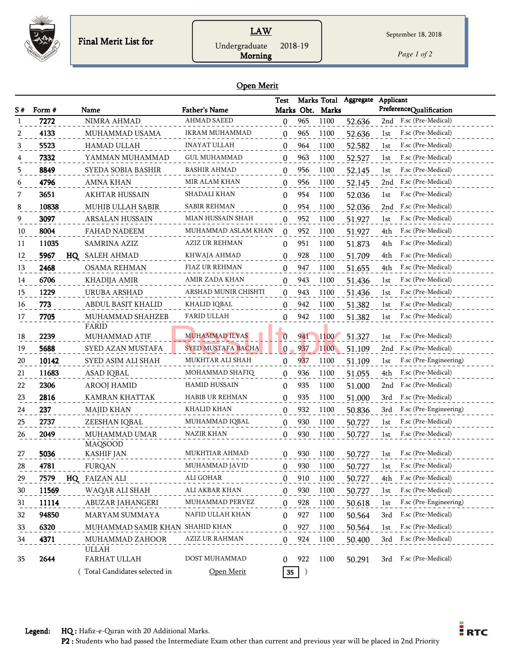

## **LAW** Undergraduate 2018-19

*Page 1 of 2*

#### Open Merit

Morning

|        |                |                                     |                                     | Test                  |     | Marks Total              | Aggregate        | Applicant                                           |
|--------|----------------|-------------------------------------|-------------------------------------|-----------------------|-----|--------------------------|------------------|-----------------------------------------------------|
| S#     | Form #<br>7272 | Name<br>NIMRA AHMAD                 | Father's Name<br><b>AHMAD SAEED</b> |                       | 965 | Marks Obt. Marks<br>1100 | 52.636           | PreferenceQualification<br>2nd F.sc (Pre-Medical)   |
|        | 4133           | MUHAMMAD USAMA                      | IKRAM MUHAMMAD                      | $\boldsymbol{0}$<br>0 | 965 | 1100                     | 52.636           | F.sc (Pre-Medical)<br>1st                           |
|        | 5523           | HAMAD ULLAH                         | <b>INAYAT ULLAH</b>                 |                       | 964 | 1100                     |                  | F.sc (Pre-Medical)<br>1st                           |
| 4      | 7332           | YAMMAN MUHAMMAD                     | <b>GUL MUHAMMAD</b>                 | 0<br>0                | 963 | 1100                     | 52.582<br>52.527 | F.sc (Pre-Medical)<br>1st                           |
| 5      | 8849           | SYEDA SOBIA BASHIR                  | <b>BASHIR AHMAD</b>                 |                       | 956 | 1100                     |                  | F.sc (Pre-Medical)                                  |
|        | 4796           | AMNA KHAN                           | <b>MIR ALAM KHAN</b>                | $\mathbf{0}$          | 956 | 1100                     | 52.145<br>52.145 | 1st<br>F.sc (Pre-Medical)<br>2nd                    |
| 6<br>7 | 3651           | <b>AKHTAR HUSSAIN</b>               | SHADALI KHAN                        | 0<br>0                | 954 | 1100                     | 52.036           | F.sc (Pre-Medical)<br>1st                           |
| 8      | 10838          | MUHIB ULLAH SABIR                   | SABIR REHMAN                        | 0                     | 954 | 1100                     | 52.036           | F.sc (Pre-Medical)<br>2nd                           |
| 9      | 3097           | <b>ARSALAN HUSSAIN</b>              | MIAN HUSSAIN SHAH                   | 0                     | 952 | 1100                     | 51.927           | F.sc (Pre-Medical)<br>1st                           |
| 10     | 8004           | <b>FAHAD NADEEM</b>                 | MUHAMMAD ASLAM KHAN                 | 0                     | 952 | 1100                     | 51.927           | F.sc (Pre-Medical)<br>4th                           |
| 11     | 11035          | SAMRINA AZIZ                        | AZIZ UR REHMAN                      | 0                     | 951 | 1100                     | 51.873           | F.sc (Pre-Medical)<br>4th                           |
| 12     | 5967           | HQ SALEH AHMAD                      | KHWAJA AHMAD                        |                       | 928 | 1100                     |                  | F.sc (Pre-Medical)<br>4th                           |
| 13     | 2468           | OSAMA REHMAN                        | FIAZ UR REHMAN                      | 0<br>0                | 947 | 1100                     | 51.709<br>51.655 | F.sc (Pre-Medical)<br>4th                           |
| 14     | 6706           | <b>KHADIJA AMIR</b>                 | AMIR ZADA KHAN                      | 0                     | 943 | 1100                     | 51.436           | F.sc (Pre-Medical)<br>1st                           |
| 15     | 1229           | URUBA ARSHAD                        | ARSHAD MUNIR CHISHTI                | 0                     | 943 | 1100                     | 51.436           | F.sc (Pre-Medical)<br>1st                           |
| 16     | 773            | <b>ABDUL BASIT KHALID</b>           | KHALID IQBAL                        | 0                     | 942 | 1100                     | 51.382           | F.sc (Pre-Medical)<br>1st                           |
| 17     | 7705           | MUHAMMAD SHAHZEB                    | <b>FARID ULLAH</b>                  | 0                     | 942 | 1100                     | 51.382           | F.sc (Pre-Medical)<br>1st                           |
|        |                | FARID                               |                                     |                       |     |                          |                  |                                                     |
| 18     | 2239           | MUHAMMAD ATIF                       | <b>MUHAMMAD ILYAS</b>               | $\bf{0}$              | 941 | 1100                     | 51.327           | F.sc (Pre-Medical)<br>1st                           |
| 19     | 5688           | SYED AZAN MUSTAFA                   | <b>SYED MUSTAFA BACHA</b>           | 0                     | 937 | 1100                     | 51.109           | F.sc (Pre-Medical)<br>2nd                           |
| 20     | 10142          | SYED ASIM ALI SHAH                  | MUKHTAR ALI SHAH                    | $\mathbf{0}$          | 937 | 1100                     | 51.109           | F.sc (Pre-Engineering)<br>1st                       |
| 21     | 11683          | ASAD IQBAL                          | MOHAMMAD SHAFIQ                     | 0                     | 936 | 1100                     | 51.055           | F.sc (Pre-Medical)<br>4th                           |
| 22     | 2306           | <b>AROOJ HAMID</b>                  | <b>HAMID HUSSAIN</b>                | $\Omega$              | 935 | 1100                     | 51.000           | F.sc (Pre-Medical)<br>2nd                           |
| 23     | 2816           | KAMRAN KHATTAK                      | HABIB UR REHMAN                     | $\Omega$              | 935 | 1100                     | 51.000           | F.sc (Pre-Medical)<br>3rd                           |
| 24     | 237            | <b>MAJID KHAN</b>                   | KHALID KHAN                         | $\Omega$              | 932 | 1100                     | 50.836           | F.sc (Pre-Engineering)<br>3rd                       |
| 25     | 2737           | ZEESHAN IQBAL                       | MUHAMMAD IQBAL                      | 0                     | 930 | 1100                     | 50.727           | F.sc (Pre-Medical)<br>1st                           |
| 26     | 2049           | MUHAMMAD UMAR                       | NAZIR KHAN                          | 0                     | 930 | 1100                     | 50.727           | F.sc (Pre-Medical)<br>1st                           |
|        |                | <b>MAQSOOD</b><br><b>KASHIF JAN</b> | MUKHTIAR AHMAD                      |                       |     |                          |                  | F.sc (Pre-Medical)                                  |
| 27     | 5036           |                                     |                                     | 0                     | 930 | 1100                     | 50.727           | 1st                                                 |
| 28     | 4781           | <b>FURQAN</b>                       | MUHAMMAD JAVID                      |                       | 930 | 1100                     | 50.727           | F.sc (Pre-Medical)<br>1st                           |
| 29     | 7579           | HQ FAIZAN ALI                       | ALI GOHAR<br>ALI AKBAR KHAN         | 0                     | 910 | 1100<br>1100             | 50.727           | F.sc (Pre-Medical)<br>4th<br>F.sc (Pre-Medical)     |
| 30     | 11569          | WAQAR ALI SHAH                      | MUHAMMAD PERVEZ                     | $\mathbf{0}$          | 930 |                          | 50.727           | 1st                                                 |
| 31     | 11114          | ABUZAR JAHANGERI                    | NAFID ULLAH KHAN                    | $\mathbf{0}$          | 928 | 1100                     | 50.618           | F.sc (Pre-Engineering)<br>lst<br>F.sc (Pre-Medical) |
| 32     | 94850          | MARYAM SUMMAYA                      |                                     | 0                     | 927 | 1100                     | 50.564           | 3rd                                                 |
| 33     | 6320           | MUHAMMAD SAMIR KHAN SHAHID KHAN     |                                     | $\mathbf{0}$          | 927 | 1100                     | 50.564           | F.sc (Pre-Medical)<br>1st                           |
| 34     | 4371           | MUHAMMAD ZAHOOR<br><b>ULLAH</b>     | AZIZ UR RAHMAN                      | $\mathbf{0}$          | 924 | 1100                     | 50.400           | F.sc (Pre-Medical)<br>3rd                           |
| 35     | 2644           | FARHAT ULLAH                        | DOST MUHAMMAD                       | 0                     | 922 | 1100                     | 50.291           | 3rd F.sc (Pre-Medical)                              |
|        |                | (Total Candidates selected in       | Open Merit                          | 35                    |     |                          |                  |                                                     |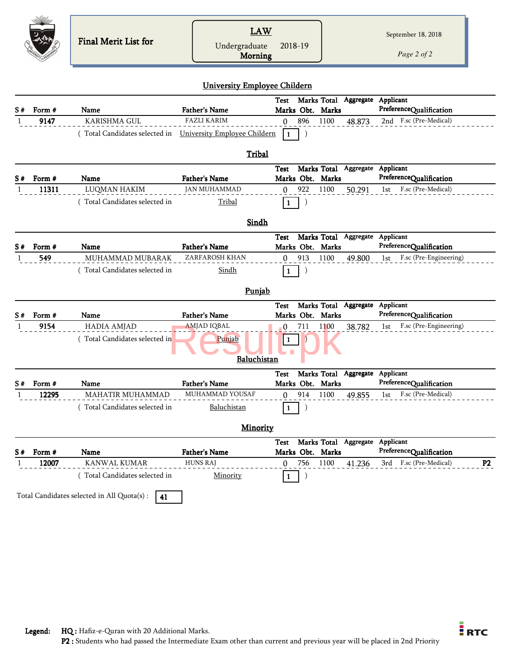|     |             | <b>Final Merit List for</b>                                | <b>LAW</b><br>Undergraduate<br><b>Morning</b> | 2018-19                         |                                 | September 18, 2018<br>Page 2 of 2        |
|-----|-------------|------------------------------------------------------------|-----------------------------------------------|---------------------------------|---------------------------------|------------------------------------------|
|     |             |                                                            | <b>University Employee Childern</b>           |                                 |                                 |                                          |
| S#  | Form #      | Name                                                       | <b>Father's Name</b>                          | Test<br>Marks Obt. Marks        | Marks Total Aggregate Applicant | PreferenceQualification                  |
| 1   | 9147        | KARISHMA GUL                                               | <b>FAZLI KARIM</b>                            | 896<br>$\mathbf{0}$             | 1100<br>48.873                  | 2nd F.sc (Pre-Medical)                   |
|     |             | (Total Candidates selected in University Employee Childern | Tribal                                        | -1                              |                                 |                                          |
|     |             |                                                            |                                               | Test                            | Marks Total Aggregate Applicant |                                          |
| S#  | Form #      | Name                                                       | <b>Father's Name</b>                          | Marks Obt. Marks                |                                 | PreferenceQualification                  |
| 1   | 11311       | <b>LUQMAN HAKIM</b>                                        | <b>JAN MUHAMMAD</b>                           | $\mathbf{0}$<br>922             | 1100<br>50.291                  | F.sc (Pre-Medical)<br>1st                |
|     |             | (Total Candidates selected in                              | Tribal                                        | $\mathbf{1}$                    |                                 |                                          |
|     |             |                                                            | <b>Sindh</b>                                  |                                 |                                 |                                          |
|     |             |                                                            |                                               | Test                            | Marks Total Aggregate Applicant |                                          |
| S # | Form #      | <b>Name</b>                                                | <b>Father's Name</b>                          | Marks Obt. Marks                |                                 | PreferenceQualification                  |
| 1   | 549         | MUHAMMAD MUBARAK<br>(Total Candidates selected in          | ZARFAROSH KHAN<br><b>Sindh</b>                | 913<br>$\theta$<br>$\mathbf{1}$ | 1100<br>49.800                  | F.sc (Pre-Engineering)<br>1st            |
|     |             |                                                            |                                               |                                 |                                 |                                          |
|     |             |                                                            | Punjab                                        |                                 |                                 |                                          |
| S#  | Form #      | Name                                                       | <b>Father's Name</b>                          | Test<br>Marks Obt. Marks        | Marks Total Aggregate Applicant | PreferenceQualification                  |
| -1  | 9154        | <b>HADIA AMJAD</b>                                         | <b>AMJAD IQBAL</b>                            | 711<br>0                        | 1100<br>38.782                  | F.sc (Pre-Engineering)<br>1st            |
|     |             | (Total Candidates selected in                              | Punjab<br>Baluchistan                         | -1                              |                                 |                                          |
|     |             |                                                            |                                               | Test                            | Marks Total Aggregate Applicant |                                          |
|     | $S#$ Form # | Name                                                       | Father's Name<br>MUHAMMAD YOUSAF              | Marks Obt. Marks                |                                 | PreferenceQualification                  |
| 1   | 12295       | MAHATIR MUHAMMAD<br>(Total Candidates selected in          | Baluchistan                                   | 914<br>$\Omega$                 | 1100<br>49.855                  | F.sc (Pre-Medical)<br>lst                |
|     |             |                                                            |                                               | 1                               |                                 |                                          |
|     |             |                                                            | <b>Minority</b>                               |                                 |                                 |                                          |
| S#  | Form #      | Name                                                       | <b>Father's Name</b>                          | Test<br>Marks Obt. Marks        | Marks Total Aggregate Applicant | PreferenceQualification                  |
|     | 12007       | KANWAL KUMAR                                               | <b>HUNS RAJ</b>                               | 756<br>0                        | 1100<br>41.236                  | 3rd F.sc (Pre-Medical)<br>P <sub>2</sub> |
|     |             | (Total Candidates selected in                              | Minority                                      | $\mathbf{1}$                    |                                 |                                          |
|     |             | Total Candidates selected in All Quota(s) :<br>41          |                                               |                                 |                                 |                                          |

 $\frac{1}{2}$ RTC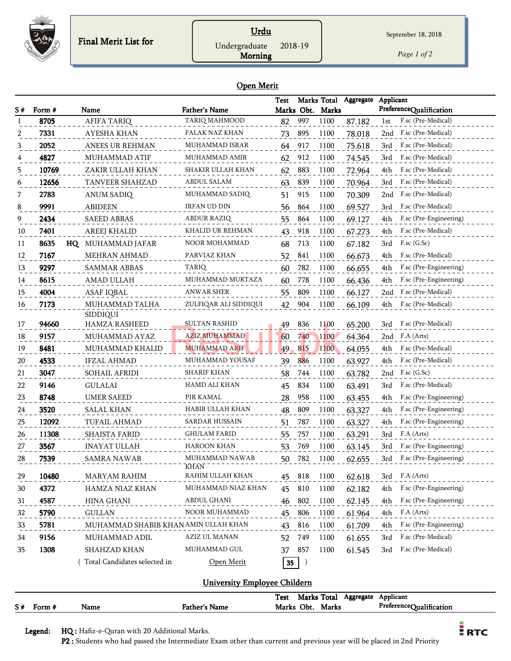

## Urdu Undergraduate 2018-19

*Page 1 of 2*

#### Open Merit

Morning

| S # | Form # | Name                                 | <b>Father's Name</b>   | Test | Marks Obt. | Marks Total<br>Marks | Aggregate | Applicant<br>PreferenceQualification |
|-----|--------|--------------------------------------|------------------------|------|------------|----------------------|-----------|--------------------------------------|
| -1  | 8705   | <b>AFIFA TARIQ</b>                   | TARIQ MAHMOOD          | 82   | 997        | 1100                 | 87.182    | F.sc (Pre-Medical)<br>1st            |
| 2   | 7331   | AYESHA KHAN                          | FALAK NAZ KHAN         | 73   | 895        | 1100                 | 78.018    | F.sc (Pre-Medical)<br>2nd            |
| 3   | 2052   | <b>ANEES UR REHMAN</b>               | <b>MUHAMMAD ISRAR</b>  | 64   | 917        | 1100                 | 75.618    | F.sc (Pre-Medical)<br>3rd            |
|     | 4827   | MUHAMMAD ATIF                        | MUHAMMAD AMIR          | 62   | 912        | 1100                 | 74.545    | F.sc (Pre-Medical)<br>3rd            |
| 5   | 10769  | ZAKIR ULLAH KHAN                     | SHAKIR ULLAH KHAN      | 62   | 883        | 1100                 | 72.964    | F.sc (Pre-Medical)<br>4th            |
| 6   | 12656  | TANVEER SHAHZAD                      | ABDUL SALAM            | 63   | 839        | 1100                 | 70.964    | F.sc (Pre-Medical)<br>3rd            |
| 7   | 2783   | <b>ANUM SADIQ</b>                    | MUHAMMAD SADIQ         | 51   | 915        | 1100                 | 70.309    | F.sc (Pre-Medical)<br>2nd            |
| 8   | 9991   | <b>ABIDEEN</b>                       | <b>IRFAN UD DIN</b>    | 56   | 864        | 1100                 | 69.527    | F.sc (Pre-Medical)<br>3rd            |
| 9   | 2434   | <b>SAEED ABBAS</b>                   | ABDUR RAZIQ            | 55   | 864        | 1100                 | 69.127    | F.sc (Pre-Engineering)<br>4th        |
| 10  | 7401   | AREEJ KHALID                         | KHALID UR REHMAN       | 43   | 918        | 1100                 | 67.273    | F.sc (Pre-Medical)<br>4th            |
| 11  | 8635   | MUHAMMAD JAFAR<br>HQ                 | NOOR MOHAMMAD          | 68   | 713        | 1100                 | 67.182    | F.sc (G.Sc)<br>3rd                   |
| 12  | 7167   | <b>MEHRAN AHMAD</b>                  | PARVIAZ KHAN           | 52   | 841        | 1100                 | 66.673    | F.sc (Pre-Medical)<br>4th            |
| 13  | 9297   | <b>SAMMAR ABBAS</b>                  | <b>TARIQ</b>           | 60   | 782        | 1100                 | 66.655    | F.sc (Pre-Engineering)<br>4th        |
| 14  | 8615   | <b>AMAD ULLAH</b>                    | MUHAMMAD MURTAZA       | 60   | 778        | 1100                 | 66.436    | F.sc (Pre-Engineering)<br>4th        |
| 15  | 4004   | ASAF IQBAL                           | ANWAR SHER             | 55   | 809        | 1100                 | 66.127    | F.sc (Pre-Medical)<br>2nd            |
| 16  | 7173   | MUHAMMAD TALHA<br>SIDDIQUI           | ZULFIQAR ALI SIDDIQUI  | 42   | 904        | 1100                 | 66.109    | F.sc (Pre-Medical)<br>4th            |
| 17  | 94660  | <b>HAMZA RASHEED</b>                 | <b>SULTAN RASHID</b>   | 49   | 836        | 1100                 | 65.200    | F.sc (Pre-Medical)<br>3rd            |
| 18  | 9157   | MUHAMMAD AYAZ                        | <b>AZIZ MUHAMMAD</b>   | 60   | 740        | 1100                 | 64.364    | F.A (Arts)<br>2nd                    |
| 19  | 8481   | MUHAMMAD KHALID                      | <b>MUHAMMAD ARIF</b>   | 49   | 815        | 1100                 | 64.055    | F.sc (Pre-Medical)<br>4th            |
| 20  | 4533   | <b>IFZAL AHMAD</b>                   | MUHAMMAD YOUSAF        | 39   | 886        | 1100                 | 63.927    | F.sc (Pre-Medical)<br>4th            |
| 21  | 3047   | SOHAIL AFRIDI                        | <b>SHARIF KHAN</b>     | 58   | 744        | 1100                 | 63.782    | F.sc (G.Sc)<br>2nd                   |
| 22  | 9146   | <b>GULALAI</b>                       | HAMD ALI KHAN          | 45   | 834        | 1100                 | 63.491    | 3rd<br>F.sc (Pre-Medical)            |
| 23  | 8748   | UMER SAEED                           | PIR KAMAL              | 28   | 958        | 1100                 | 63.455    | 4th<br>F.sc (Pre-Engineering)        |
| 24  | 3520   | SALAL KHAN                           | HABIB ULLAH KHAN       | 48   | 809        | 1100                 | 63.327    | F.sc (Pre-Engineering)<br>4th        |
| 25  | 12092  | TUFAIL AHMAD                         | SARDAR HUSSAIN         | 51   | 787        | 1100                 | 63.327    | F.sc (Pre-Engineering)<br>4th        |
| 26  | 11308  | SHAISTA FARID                        | <b>GHULAM FARID</b>    | 55   | 757        | 1100                 | 63.291    | F.A (Arts)<br>3rd                    |
| 27  | 3567   | <b>INAYAT ULLAH</b>                  | <b>HAROON KHAN</b>     | 53   | 769        | 1100                 | 63.145    | F.sc (Pre-Engineering)<br>3rd        |
| 28  | 7539   | SAMRA NAWAB                          | MUHAMMAD NAWAB<br>KHAN | 50   | 782        | 1100                 | 62.655    | F.sc (Pre-Engineering)<br>3rd        |
| 29  | 10480  | <b>MARYAM RAHIM</b>                  | RAHIM ULLAH KHAN       | 45   | 818        | 1100                 | 62.618    | F.A (Arts)<br>3rd                    |
| 30  | 4372   | HAMZA NIAZ KHAN                      | MUHAMMAD NIAZ KHAN     | 45   | 810        | 1100                 | 62.182    | F.sc (Pre-Engineering)<br>4th        |
| 31  | 4587   | HINA GHANI                           | ABDUL GHANI            | 46   | 802        | 1100                 | 62.145    | F.sc (Pre-Engineering)<br>4th        |
| 32  | 5790   | <b>GULLAN</b>                        | NOOR MUHAMMAD          | 45   | 806        | 1100                 | 61.964    | F.A (Arts)<br>4th                    |
| 33  | 5781   | MUHAMMAD SHABIB KHAN AMIN ULLAH KHAN |                        | 43   | 816        | 1100                 | 61.709    | F.sc (Pre-Engineering)<br>4th        |
| 34  | 9156   | MUHAMMAD ADIL                        | AZIZ UL MANAN          | 52   | 749        | 1100                 | 61.655    | 3rd<br>F.sc (Pre-Medical)            |
| 35  | 1308   | SHAHZAD KHAN                         | MUHAMMAD GUL           | 37   | 857        | 1100                 | 61.545    | F.sc (Pre-Medical)<br>3rd            |
|     |        | Total Candidates selected in         | Open Merit             | 35   | $\big)$    |                      |           |                                      |

#### University Employee Childern

|    |      |      |               | Total<br>Test<br>Aggregate<br>Marks | Applicant                                      |
|----|------|------|---------------|-------------------------------------|------------------------------------------------|
| S# | Form | Name | Father's Name | Obt.<br>Marks<br>Marks              | $Preference \cap$<br>.<br><b>Jualification</b> |

Legend: HQ : Hafiz-e-Quran with 20 Additional Marks.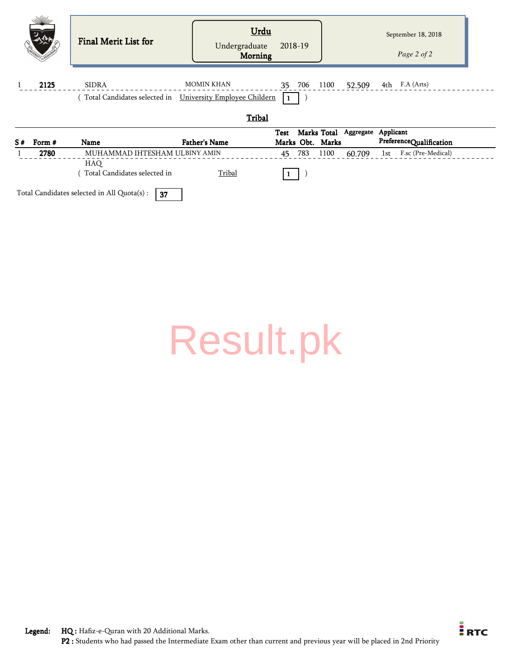|    |        | Final Merit List for                                       | Undergraduate<br>Morning | Urdu<br>2018-19  |                       | September 18, 2018<br>Page 2 of 2 |
|----|--------|------------------------------------------------------------|--------------------------|------------------|-----------------------|-----------------------------------|
|    | 2125   | <b>SIDRA</b>                                               | <b>MOMIN KHAN</b>        | 1100<br>35 706   | 52.509                | 4th F.A (Arts)                    |
|    |        | (Total Candidates selected in University Employee Childern |                          |                  |                       |                                   |
|    |        |                                                            | Tribal                   |                  |                       |                                   |
|    |        |                                                            |                          | Test             | Marks Total Aggregate | Applicant                         |
| S# | Form # | Name                                                       | <b>Father's Name</b>     | Marks Obt. Marks |                       | PreferenceQualification           |
|    | 2780   | MUHAMMAD IHTESHAM ULBINY AMIN                              |                          | 45 783<br>1100   | 60.709                | 1st F.sc (Pre-Medical)            |
|    |        | HAQ                                                        |                          |                  |                       |                                   |
|    |        | Total Candidates selected in                               | Tribal                   |                  |                       |                                   |

Total Candidates selected in All Quota(s) :  $\boxed{37}$ 

[Result.pk](http://www.result.pk/)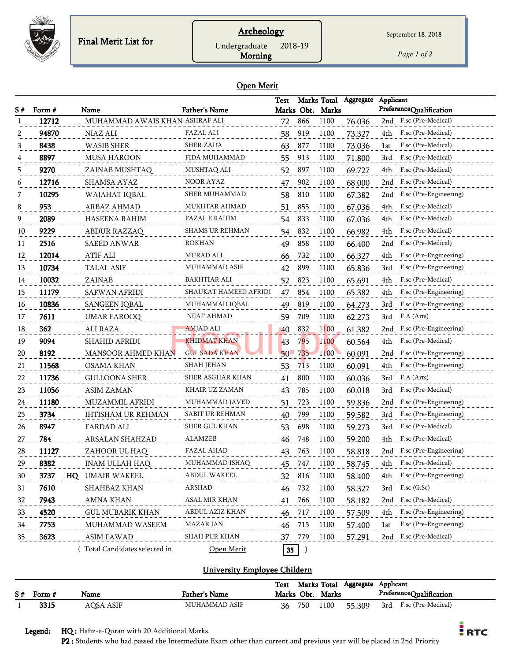

## Archeology

Undergraduate 2018-19

Morning

*Page 1 of 2*

#### Open Merit

|                                                                            |                                                                                                |                                                                                                                                                                                                                                                                       |                                                                                                                                 | Test                                                                             |                                                                                                    | Marks Total                                                                                          | Aggregate                                                                                                                      | Applicant                                                                                                                                                                                                                                                                                                |
|----------------------------------------------------------------------------|------------------------------------------------------------------------------------------------|-----------------------------------------------------------------------------------------------------------------------------------------------------------------------------------------------------------------------------------------------------------------------|---------------------------------------------------------------------------------------------------------------------------------|----------------------------------------------------------------------------------|----------------------------------------------------------------------------------------------------|------------------------------------------------------------------------------------------------------|--------------------------------------------------------------------------------------------------------------------------------|----------------------------------------------------------------------------------------------------------------------------------------------------------------------------------------------------------------------------------------------------------------------------------------------------------|
| S#<br>1                                                                    | Form #<br>12712                                                                                | Name<br>MUHAMMAD AWAIS KHAN ASHRAF ALI                                                                                                                                                                                                                                | <b>Father's Name</b>                                                                                                            |                                                                                  |                                                                                                    | Marks Obt. Marks                                                                                     |                                                                                                                                | PreferenceQualification                                                                                                                                                                                                                                                                                  |
|                                                                            |                                                                                                |                                                                                                                                                                                                                                                                       |                                                                                                                                 | 72                                                                               | 866                                                                                                | 1100                                                                                                 | 76.036                                                                                                                         | F.sc (Pre-Medical)<br>2nd                                                                                                                                                                                                                                                                                |
| 2                                                                          | 94870                                                                                          | NIAZ ALI                                                                                                                                                                                                                                                              | FAZAL ALI                                                                                                                       | 58                                                                               | 919                                                                                                | 1100                                                                                                 | 73.327                                                                                                                         | F.sc (Pre-Medical)<br>4th                                                                                                                                                                                                                                                                                |
| 3                                                                          | 8438                                                                                           | <b>WASIB SHER</b>                                                                                                                                                                                                                                                     | SHER ZADA                                                                                                                       | 63                                                                               | 877                                                                                                | 1100                                                                                                 | 73.036                                                                                                                         | F.sc (Pre-Medical)<br>1st                                                                                                                                                                                                                                                                                |
|                                                                            | 8897                                                                                           | <b>MUSA HAROON</b>                                                                                                                                                                                                                                                    | FIDA MUHAMMAD                                                                                                                   | 55                                                                               | 913                                                                                                | 1100                                                                                                 | 71.800                                                                                                                         | F.sc (Pre-Medical)<br>3rd                                                                                                                                                                                                                                                                                |
| 5                                                                          | 9270                                                                                           | ZAINAB MUSHTAQ                                                                                                                                                                                                                                                        | MUSHTAQ ALI                                                                                                                     | 52                                                                               | 897                                                                                                | 1100                                                                                                 | 69.727                                                                                                                         | F.sc (Pre-Medical)<br>4th                                                                                                                                                                                                                                                                                |
| 6                                                                          | 12716                                                                                          | SHAMSA AYAZ                                                                                                                                                                                                                                                           | NOOR AYAZ                                                                                                                       | 47                                                                               | 902                                                                                                | 1100                                                                                                 | 68.000                                                                                                                         | F.sc (Pre-Medical)<br>2nd                                                                                                                                                                                                                                                                                |
| 7                                                                          | 10295                                                                                          | WAJAHAT IQBAL                                                                                                                                                                                                                                                         | SHER MUHAMMAD                                                                                                                   | 58                                                                               | 810                                                                                                | 1100                                                                                                 | 67.382                                                                                                                         | F.sc (Pre-Engineering)<br>2nd                                                                                                                                                                                                                                                                            |
| 8                                                                          | 953                                                                                            | ARBAZ AHMAD                                                                                                                                                                                                                                                           | MUKHTAR AHMAD                                                                                                                   | 51                                                                               | 855                                                                                                | 1100                                                                                                 | 67.036                                                                                                                         | F.sc (Pre-Medical)<br>4th                                                                                                                                                                                                                                                                                |
| 9                                                                          | 2089                                                                                           | HASEENA RAHIM                                                                                                                                                                                                                                                         | FAZAL E RAHIM                                                                                                                   | 54                                                                               | 833                                                                                                | 1100                                                                                                 | 67.036                                                                                                                         | F.sc (Pre-Medical)<br>4th                                                                                                                                                                                                                                                                                |
| 10                                                                         | 9229                                                                                           | ABDUR RAZZAQ                                                                                                                                                                                                                                                          | <b>SHAMS UR REHMAN</b>                                                                                                          | 54                                                                               | 832                                                                                                | 1100                                                                                                 | 66.982                                                                                                                         | F.sc (Pre-Medical)<br>4th                                                                                                                                                                                                                                                                                |
| 11                                                                         | 2516                                                                                           | <b>SAEED ANWAR</b>                                                                                                                                                                                                                                                    | <b>ROKHAN</b>                                                                                                                   | 49                                                                               | 858                                                                                                | 1100                                                                                                 | 66.400                                                                                                                         | F.sc (Pre-Medical)<br>2nd                                                                                                                                                                                                                                                                                |
| 12                                                                         | 12014                                                                                          | <b>ATIF ALI</b>                                                                                                                                                                                                                                                       | MURAD ALI                                                                                                                       | 66                                                                               | 732                                                                                                | 1100                                                                                                 | 66.327                                                                                                                         | 4th<br>F.sc (Pre-Engineering)                                                                                                                                                                                                                                                                            |
| 13                                                                         | 10734                                                                                          | <b>TALAL ASIF</b>                                                                                                                                                                                                                                                     | <b>MUHAMMAD ASIF</b>                                                                                                            | 42                                                                               | 899                                                                                                | 1100                                                                                                 | 65.836                                                                                                                         | F.sc (Pre-Engineering)<br>3rd                                                                                                                                                                                                                                                                            |
| 14                                                                         | 10032                                                                                          | ZAINAB                                                                                                                                                                                                                                                                | BAKHTIAR ALI                                                                                                                    | 52                                                                               | 823                                                                                                | 1100                                                                                                 | 65.691                                                                                                                         | F.sc (Pre-Medical)<br>4th                                                                                                                                                                                                                                                                                |
| 15                                                                         | 11179                                                                                          | <b>SAFWAN AFRIDI</b>                                                                                                                                                                                                                                                  | SHAUKAT HAMEED AFRIDI                                                                                                           | 47                                                                               | 854                                                                                                | 1100                                                                                                 | 65.382                                                                                                                         | F.sc (Pre-Engineering)<br>4th                                                                                                                                                                                                                                                                            |
| 16                                                                         | 10836                                                                                          | SANGEEN IQBAL                                                                                                                                                                                                                                                         | MUHAMMAD IQBAL                                                                                                                  | 49                                                                               | 819                                                                                                | 1100                                                                                                 | 64.273                                                                                                                         | F.sc (Pre-Engineering)<br>3rd                                                                                                                                                                                                                                                                            |
| 17                                                                         | 7611                                                                                           | UMAR FAROOQ                                                                                                                                                                                                                                                           | NIJAT AHMAD                                                                                                                     | 59                                                                               | 709                                                                                                | 1100                                                                                                 | 62.273                                                                                                                         | F.A (Arts)<br>3rd                                                                                                                                                                                                                                                                                        |
| 18                                                                         | 362                                                                                            | ALI RAZA                                                                                                                                                                                                                                                              | <b>AMJAD ALI</b>                                                                                                                | 40                                                                               | 832                                                                                                | 1100                                                                                                 | 61.382                                                                                                                         | F.sc (Pre-Engineering)<br>2nd                                                                                                                                                                                                                                                                            |
| 19                                                                         | 9094                                                                                           | SHAHID AFRIDI                                                                                                                                                                                                                                                         | <b>KHIDMAT KHAN</b>                                                                                                             | 43                                                                               | 795                                                                                                | 1100                                                                                                 | 60.564                                                                                                                         | F.sc (Pre-Medical)<br>4th                                                                                                                                                                                                                                                                                |
| 20                                                                         | 8192                                                                                           | MANSOOR AHMED KHAN                                                                                                                                                                                                                                                    | <b>GUL SADA KHAN</b>                                                                                                            | $50 -$                                                                           | 735                                                                                                | 1100                                                                                                 | 60.091                                                                                                                         | F.sc (Pre-Engineering)<br>2nd                                                                                                                                                                                                                                                                            |
| 21                                                                         | 11568                                                                                          | <b>OSAMA KHAN</b>                                                                                                                                                                                                                                                     | <b>SHAH JEHAN</b>                                                                                                               | 53                                                                               | 713                                                                                                | 1100                                                                                                 | 60.091                                                                                                                         | F.sc (Pre-Engineering)<br>4th                                                                                                                                                                                                                                                                            |
| 22                                                                         | 11736                                                                                          | <b>GULLOONA SHER</b>                                                                                                                                                                                                                                                  | SHER ASGHAR KHAN                                                                                                                | 41                                                                               | 800                                                                                                | 1100                                                                                                 | 60.036                                                                                                                         | F.A (Arts)<br>3rd                                                                                                                                                                                                                                                                                        |
|                                                                            |                                                                                                |                                                                                                                                                                                                                                                                       | KHAIR UZ ZAMAN                                                                                                                  |                                                                                  |                                                                                                    |                                                                                                      |                                                                                                                                |                                                                                                                                                                                                                                                                                                          |
|                                                                            |                                                                                                | MUZAMMIL AFRIDI                                                                                                                                                                                                                                                       | MUHAMMAD JAVED                                                                                                                  |                                                                                  |                                                                                                    |                                                                                                      |                                                                                                                                | 2nd                                                                                                                                                                                                                                                                                                      |
|                                                                            |                                                                                                |                                                                                                                                                                                                                                                                       | SABIT UR REHMAN                                                                                                                 |                                                                                  |                                                                                                    |                                                                                                      |                                                                                                                                | F.sc (Pre-Engineering)                                                                                                                                                                                                                                                                                   |
|                                                                            | 8947                                                                                           |                                                                                                                                                                                                                                                                       | SHER GUL KHAN                                                                                                                   |                                                                                  |                                                                                                    |                                                                                                      |                                                                                                                                | F.sc (Pre-Medical)                                                                                                                                                                                                                                                                                       |
|                                                                            |                                                                                                |                                                                                                                                                                                                                                                                       | ALAMZEB                                                                                                                         |                                                                                  |                                                                                                    |                                                                                                      |                                                                                                                                | F.sc (Pre-Medical)                                                                                                                                                                                                                                                                                       |
|                                                                            |                                                                                                |                                                                                                                                                                                                                                                                       | FAZAL AHAD                                                                                                                      |                                                                                  |                                                                                                    |                                                                                                      |                                                                                                                                |                                                                                                                                                                                                                                                                                                          |
|                                                                            |                                                                                                |                                                                                                                                                                                                                                                                       |                                                                                                                                 |                                                                                  |                                                                                                    |                                                                                                      |                                                                                                                                | F.sc (Pre-Medical)                                                                                                                                                                                                                                                                                       |
|                                                                            |                                                                                                |                                                                                                                                                                                                                                                                       |                                                                                                                                 |                                                                                  |                                                                                                    |                                                                                                      |                                                                                                                                |                                                                                                                                                                                                                                                                                                          |
|                                                                            |                                                                                                |                                                                                                                                                                                                                                                                       |                                                                                                                                 |                                                                                  |                                                                                                    |                                                                                                      |                                                                                                                                |                                                                                                                                                                                                                                                                                                          |
|                                                                            |                                                                                                |                                                                                                                                                                                                                                                                       |                                                                                                                                 |                                                                                  |                                                                                                    |                                                                                                      |                                                                                                                                |                                                                                                                                                                                                                                                                                                          |
|                                                                            |                                                                                                |                                                                                                                                                                                                                                                                       |                                                                                                                                 |                                                                                  |                                                                                                    |                                                                                                      |                                                                                                                                |                                                                                                                                                                                                                                                                                                          |
|                                                                            |                                                                                                |                                                                                                                                                                                                                                                                       |                                                                                                                                 |                                                                                  |                                                                                                    |                                                                                                      |                                                                                                                                |                                                                                                                                                                                                                                                                                                          |
|                                                                            |                                                                                                |                                                                                                                                                                                                                                                                       |                                                                                                                                 |                                                                                  |                                                                                                    |                                                                                                      |                                                                                                                                |                                                                                                                                                                                                                                                                                                          |
|                                                                            |                                                                                                |                                                                                                                                                                                                                                                                       |                                                                                                                                 |                                                                                  |                                                                                                    |                                                                                                      |                                                                                                                                |                                                                                                                                                                                                                                                                                                          |
| 23<br>24<br>25<br>26<br>27<br>28<br>29<br>30<br>31<br>32<br>33<br>34<br>35 | 11056<br>11180<br>3734<br>784<br>11127<br>8382<br>3737<br>7610<br>7943<br>4520<br>7753<br>3623 | <b>ASIM ZAMAN</b><br>IHTISHAM UR REHMAN<br>FARDAD ALI<br>ARSALAN SHAHZAD<br>ZAHOOR UL HAQ<br>INAM ULLAH HAQ<br>HQ UMAIR WAKEEL<br>SHAHBAZ KHAN<br><b>AMNA KHAN</b><br><b>GUL MUBARIK KHAN</b><br>MUHAMMAD WASEEM<br><b>ASIM FAWAD</b><br>Total Candidates selected in | MUHAMMAD ISHAQ<br>ABDUL WAKEEL<br><b>ARSHAD</b><br>ASAL MIR KHAN<br>ABDUL AZIZ KHAN<br>MAZAR JAN<br>SHAH PUR KHAN<br>Open Merit | 43<br>51<br>40<br>53<br>46<br>43<br>45<br>32<br>46<br>41<br>46<br>46<br>37<br>35 | 785<br>723<br>799<br>698<br>748<br>763<br>747<br>816<br>732<br>766<br>717<br>715<br>779<br>$\big)$ | 1100<br>1100<br>1100<br>1100<br>1100<br>1100<br>1100<br>1100<br>1100<br>1100<br>1100<br>1100<br>1100 | 60.018<br>59.836<br>59.582<br>59.273<br>59.200<br>58.818<br>58.745<br>58.400<br>58.327<br>58.182<br>57.509<br>57.400<br>57.291 | F.sc (Pre-Medical)<br>3rd<br>F.sc (Pre-Engineering)<br>3rd<br>3rd<br>4th<br>F.sc (Pre-Engineering)<br>2nd<br>4th<br>F.sc (Pre-Engineering)<br>4th<br>3rd<br>$F$ .sc $(G.Sc)$<br>F.sc (Pre-Medical)<br>2nd<br>F.sc (Pre-Engineering)<br>4th<br>F.sc (Pre-Engineering)<br>1st<br>F.sc (Pre-Medical)<br>2nd |

#### University Employee Childern

|             |           |               | Test |     |                  | Marks Total Aggregate | Applicant |                         |
|-------------|-----------|---------------|------|-----|------------------|-----------------------|-----------|-------------------------|
| $S#$ Form # | Name      | Father's Name |      |     | Marks Obt. Marks |                       |           | PreferenceQualification |
| 3315        | AQSA ASIF | MUHAMMAD ASIF | 36   | 750 | 1100             | 55.309                |           | 3rd F.sc (Pre-Medical)  |

Legend: HQ : Hafiz-e-Quran with 20 Additional Marks.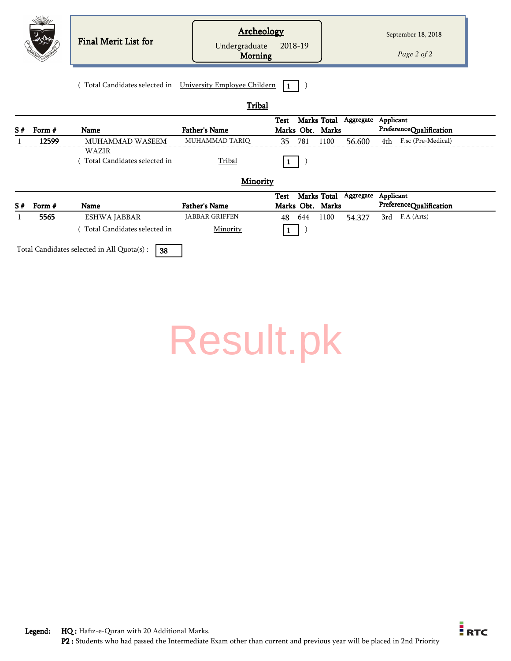|    |        | <b>Final Merit List for</b>                       | <b>Archeology</b><br>Undergraduate<br><b>Morning</b> | 2018-19                                        |                     | September 18, 2018<br>Page 2 of 2    |
|----|--------|---------------------------------------------------|------------------------------------------------------|------------------------------------------------|---------------------|--------------------------------------|
|    |        | (Total Candidates selected in                     | University Employee Childern                         | 1                                              |                     |                                      |
|    |        |                                                   | Tribal                                               |                                                |                     |                                      |
| S# | Form # | <b>Name</b>                                       | <b>Father's Name</b>                                 | Marks Total<br><b>Test</b><br>Marks Obt. Marks | Aggregate           | Applicant<br>PreferenceQualification |
|    | 12599  | MUHAMMAD WASEEM                                   | MUHAMMAD TARIQ                                       | 35 781                                         | 1100<br>56.600      | 4th F.sc (Pre-Medical)               |
|    |        | WAZIR<br>Total Candidates selected in             | Tribal                                               | $\mathbf{1}$                                   |                     |                                      |
|    |        |                                                   | <b>Minority</b>                                      |                                                |                     |                                      |
| S# | Form # | Name                                              | <b>Father's Name</b>                                 | Marks Total<br><b>Test</b><br>Marks Obt. Marks | Aggregate Applicant | PreferenceQualification              |
|    | 5565   | <b>ESHWA JABBAR</b>                               | JABBAR GRIFFEN                                       | 48 644 1100                                    | 54.327              | 3rd F.A (Arts)                       |
|    |        | (Total Candidates selected in                     | Minority                                             |                                                |                     |                                      |
|    |        | Total Candidates selected in All Quota(s) :<br>38 |                                                      |                                                |                     |                                      |

| <b>Result.pk</b> |
|------------------|
|------------------|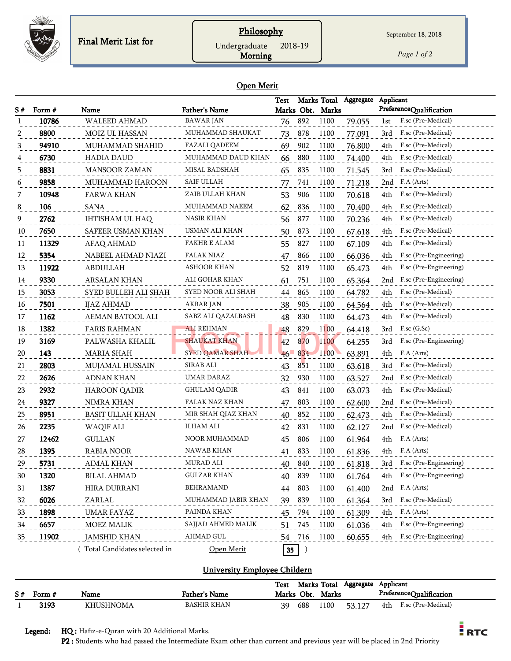

## **Philosophy** Undergraduate 2018-19

*Page 1 of 2*

#### Open Merit

Morning

|    |        |                               |                        | Test   |         | Marks Total      | Aggregate | Applicant                     |
|----|--------|-------------------------------|------------------------|--------|---------|------------------|-----------|-------------------------------|
| S# | Form # | Name                          | <b>Father's Name</b>   |        |         | Marks Obt. Marks |           | PreferenceQualification       |
| -1 | 10786  | <b>WALEED AHMAD</b>           | <b>BAWAR JAN</b>       | 76     | 892     | 1100             | 79.055    | F.sc (Pre-Medical)<br>1st     |
| 2  | 8800   | MOIZ UL HASSAN                | MUHAMMAD SHAUKAT       | 73     | 878     | 1100             | 77.091    | F.sc (Pre-Medical)<br>3rd     |
| 3  | 94910  | MUHAMMAD SHAHID               | FAZALI QADEEM          | 69     | 902     | 1100             | 76.800    | F.sc (Pre-Medical)<br>4th     |
|    | 6730   | <b>HADIA DAUD</b>             | MUHAMMAD DAUD KHAN     | 66     | 880     | 1100             | 74.400    | F.sc (Pre-Medical)<br>4th     |
| 5  | 8831   | <b>MANSOOR ZAMAN</b>          | MISAL BADSHAH          | 65     | 835     | 1100             | 71.545    | 3rd<br>F.sc (Pre-Medical)     |
| 6  | 9858   | MUHAMMAD HAROON               | <b>SAIF ULLAH</b>      | 77     | 741     | 1100             | 71.218    | F.A (Arts)<br>2nd             |
| 7  | 10948  | FARWA KHAN                    | ZAIB ULLAH KHAN        | 53     | 906     | 1100             | 70.618    | F.sc (Pre-Medical)<br>4th     |
| 8  | 106    | <b>SANA</b>                   | MUHAMMAD NAEEM         | 62     | 836     | 1100             | 70.400    | F.sc (Pre-Medical)<br>4th     |
| 9  | 2762   | IHTISHAM UL HAQ               | NASIR KHAN             | 56     | 877     | 1100             | 70.236    | F.sc (Pre-Medical)<br>4th     |
| 10 | 7650   | SAFEER USMAN KHAN             | USMAN ALI KHAN         | 50     | 873     | 1100             | 67.618    | F.sc (Pre-Medical)<br>4th     |
| 11 | 11329  | AFAQ AHMAD                    | <b>FAKHR E ALAM</b>    | 55     | 827     | 1100             | 67.109    | F.sc (Pre-Medical)<br>4th     |
| 12 | 5354   | NABEEL AHMAD NIAZI            | FALAK NIAZ             | 47     | 866     | 1100             | 66.036    | F.sc (Pre-Engineering)<br>4th |
| 13 | 11922  | <b>ABDULLAH</b>               | <b>ASHOOR KHAN</b>     | 52     | 819     | 1100             | 65.473    | F.sc (Pre-Engineering)<br>4th |
| 14 | 9330   | ARSALAN KHAN                  | ALI GOHAR KHAN         | 61     | 751     | 1100             | 65.364    | F.sc (Pre-Engineering)<br>2nd |
| 15 | 3053   | SYED BULLEH ALI SHAH          | SYED NOOR ALI SHAH     | 44     | 865     | 1100             | 64.782    | F.sc (Pre-Medical)<br>4th     |
| 16 | 7501   | IJAZ AHMAD                    | <b>AKBAR JAN</b>       | 38     | 905     | 1100             | 64.564    | F.sc (Pre-Medical)<br>4th     |
| 17 | 1162   | AEMAN BATOOL ALI              | SABZ ALI QAZALBASH     | 48     | 830     | 1100             | 64.473    | F.sc (Pre-Medical)<br>4th     |
| 18 | 1382   | <b>FARIS RAHMAN</b>           | <b>ALI REHMAN</b>      | 48     | 829     | 1100             | 64.418    | $F$ .sc $(G.Sc)$<br>3rd       |
| 19 | 3169   | PALWASHA KHALIL               | <b>SHAUKAT KHAN</b>    | 42     | 870     | 1100             | 64.255    | F.sc (Pre-Engineering)<br>3rd |
| 20 | 143    | <b>MARIA SHAH</b>             | <b>SYED QAMAR SHAH</b> | $46-$  | 834     | 1100             | 63.891    | F.A (Arts)<br>4th             |
| 21 | 2803   | MUJAMAL HUSSAIN               | <b>SIRAB ALI</b>       | 43     | 851     | 1100             | 63.618    | F.sc (Pre-Medical)<br>3rd     |
| 22 | 2626   | <b>ADNAN KHAN</b>             | UMAR DARAZ             | 32     | 930     | 1100             | 63.527    | F.sc (Pre-Medical)<br>2nd     |
| 23 | 2932   | HAROON QADIR                  | GHULAM QADIR           | 43     | 841     | 1100             | 63.073    | F.sc (Pre-Medical)<br>4th     |
| 24 | 9327   | <b>NIMRA KHAN</b>             | FALAK NAZ KHAN         | 47     | 803     | 1100             | 62.600    | F.sc (Pre-Medical)<br>2nd     |
| 25 | 8951   | <b>BASIT ULLAH KHAN</b>       | MIR SHAH QIAZ KHAN     | 40     | 852     | 1100             | 62.473    | F.sc (Pre-Medical)<br>4th     |
| 26 | 2235   | WAQIF ALI                     | ILHAM ALI              | 42     | 831     | 1100             | 62.127    | F.sc (Pre-Medical)<br>2nd     |
| 27 | 12462  | <b>GULLAN</b>                 | <b>NOOR MUHAMMAD</b>   | 45     | 806     | 1100             | 61.964    | F.A (Arts)<br>4th             |
| 28 | 1395   | RABIA NOOR                    | NAWAB KHAN             | 41     | 833     | 1100             | 61.836    | F.A (Arts)<br>4th             |
| 29 | 5731   | AIMAL KHAN                    | MURAD ALI              | 40     | 840     | 1100             | 61.818    | F.sc (Pre-Engineering)<br>3rd |
| 30 | 1320   | <b>BILAL AHMAD</b>            | <b>GULZAR KHAN</b>     | 40     | 839     | 1100             | 61.764    | F.sc (Pre-Engineering)<br>4th |
| 31 | 1387   | HIRA DURRANI                  | <b>BEHRAMAND</b>       | 44     | 803     | 1100             | 61.400    | F.A (Arts)<br>2nd             |
| 32 | 6026   | ZARLAL                        | MUHAMMAD JABIR KHAN    | 39     | 839     | 1100             | 61.364    | F.sc (Pre-Medical)<br>3rd     |
| 33 | 1898   | <b>UMAR FAYAZ</b>             | PAINDA KHAN            | 45     | 794     | 1100             | 61.309    | F.A (Arts)<br>4th             |
| 34 | 6657   | MOEZ MALIK                    | SAJJAD AHMED MALIK     | 51     | 745     | 1100             | 61.036    | F.sc (Pre-Engineering)<br>4th |
| 35 | 11902  | <b>JAMSHID KHAN</b>           | <b>AHMAD GUL</b>       | 54     | 716     | 1100             | 60.655    | F.sc (Pre-Engineering)<br>4th |
|    |        | (Total Candidates selected in | Open Merit             | $35\,$ | $\big)$ |                  |           |                               |

#### University Employee Childern

|             |                  |                      | Test       |     | Marks Total | Aggregate | Applicant |                         |
|-------------|------------------|----------------------|------------|-----|-------------|-----------|-----------|-------------------------|
| $S#$ Form # | Name             | <b>Father's Name</b> | Marks Obt. |     | Marks       |           |           | PreferenceQualification |
| 3193        | <b>KHUSHNOMA</b> | <b>BASHIR KHAN</b>   | 39         | 688 | 100         | 53.127    | 4th       | F.sc (Pre-Medical)      |

Legend: HQ : Hafiz-e-Quran with 20 Additional Marks.

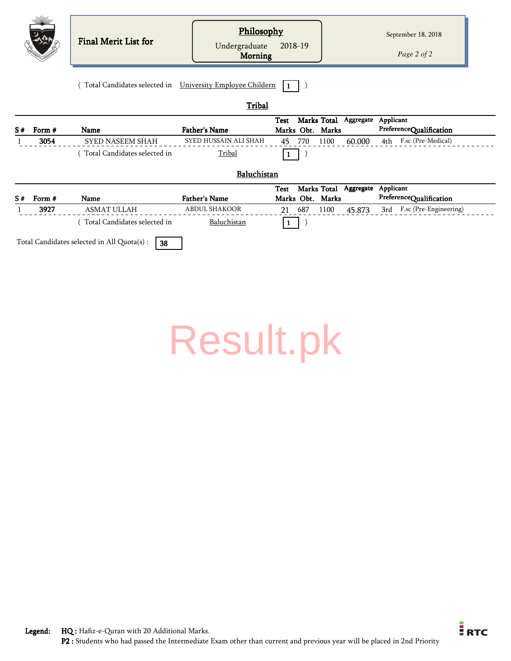|    |        | Final Merit List for                                      | Philosophy<br>Undergraduate<br>Morning | 2018-19          |     |             |                       |           | September 18, 2018<br>Page 2 of 2 |  |
|----|--------|-----------------------------------------------------------|----------------------------------------|------------------|-----|-------------|-----------------------|-----------|-----------------------------------|--|
|    |        | Total Candidates selected in University Employee Childern | Tribal                                 |                  |     |             |                       |           |                                   |  |
|    |        |                                                           |                                        | <b>Test</b>      |     |             | Marks Total Aggregate | Applicant |                                   |  |
| S# | Form # | <b>Name</b>                                               | <b>Father's Name</b>                   | Marks Obt. Marks |     |             |                       |           | PreferenceQualification           |  |
|    | 3054   | <b>SYED NASEEM SHAH</b>                                   | SYED HUSSAIN ALI SHAH                  | 45               | 770 | 1100        | 60.000                |           | 4th F.sc (Pre-Medical)            |  |
|    |        | Total Candidates selected in                              | Tribal                                 |                  |     |             |                       |           |                                   |  |
|    |        |                                                           | Baluchistan                            |                  |     |             |                       |           |                                   |  |
|    |        |                                                           |                                        | <b>Test</b>      |     | Marks Total | Aggregate             | Applicant |                                   |  |
| S# | Form # | Name                                                      | <b>Father's Name</b>                   | Marks Obt. Marks |     |             |                       |           | PreferenceQualification           |  |
|    | 3927   | <b>ASMAT ULLAH</b>                                        | <b>ABDUL SHAKOOR</b>                   | 21               | 687 | 1100        | 45.873                | 3rd       | F.sc (Pre-Engineering)            |  |
|    |        | Total Candidates selected in                              | Baluchistan                            |                  |     |             |                       |           |                                   |  |
|    |        | Total Candidates selected in All Quota(s) :<br>38         |                                        |                  |     |             |                       |           |                                   |  |

| <b>Result.pk</b> |  |  |  |  |
|------------------|--|--|--|--|
|------------------|--|--|--|--|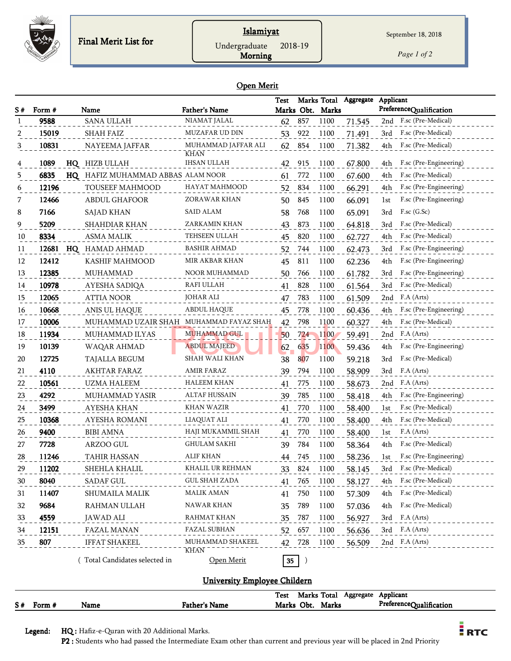

## **Islamiyat**

*Page 1 of 2*

#### Open Merit

Morning

|    |        |    |                                         |                                   | Test            |     | Marks Total      | Aggregate | Applicant                     |
|----|--------|----|-----------------------------------------|-----------------------------------|-----------------|-----|------------------|-----------|-------------------------------|
| S# | Form # |    | Name                                    | <b>Father's Name</b>              |                 |     | Marks Obt. Marks |           | PreferenceQualification       |
|    | 9588   |    | <b>SANA ULLAH</b>                       | NIAMAT JALAL                      | 62              | 857 | 1100             | 71.545    | F.sc (Pre-Medical)<br>2nd     |
|    | 15019  |    | <b>SHAH FAIZ</b>                        | MUZAFAR UD DIN                    | 53              | 922 | 1100             | 71.491    | F.sc (Pre-Medical)<br>3rd     |
| 3  | 10831  |    | NAYEEMA JAFFAR                          | MUHAMMAD JAFFAR ALI               | 62              | 854 | 1100             | 71.382    | F.sc (Pre-Medical)<br>4th     |
|    | 1089   |    | HQ HIZB ULLAH                           | <b>KHAN</b><br><b>IHSAN ULLAH</b> | 42              | 915 | 1100             | 67.800    | F.sc (Pre-Engineering)<br>4th |
| 5  | 6835   |    | HQ HAFIZ MUHAMMAD ABBAS ALAM NOOR       |                                   | 61              | 772 | 1100             | 67.600    | F.sc (Pre-Medical)<br>4th     |
| 6  | 12196  |    | TOUSEEF MAHMOOD                         | HAYAT MAHMOOD                     | 52              | 834 | 1100             | 66.291    | F.sc (Pre-Engineering)<br>4th |
| 7  | 12466  |    | <b>ABDUL GHAFOOR</b>                    | ZORAWAR KHAN                      | 50              | 845 | 1100             | 66.091    | F.sc (Pre-Engineering)<br>1st |
| 8  | 7166   |    | SAJAD KHAN                              | <b>SAID ALAM</b>                  | 58              | 768 | 1100             | 65.091    | $F$ .sc $(G.Sc)$<br>3rd       |
| 9  | 5209   |    | <b>SHAHDIAR KHAN</b>                    | ZARKAMIN KHAN                     | 43              | 873 | 1100             | 64.818    | F.sc (Pre-Medical)<br>3rd     |
| 10 | 8334   |    | <b>ASMA MALIK</b>                       | TEHSEEN ULLAH                     | 45              | 820 | 1100             | 62.727    | 4th<br>F.sc (Pre-Medical)     |
| 11 | 12681  | HQ | HAMAD AHMAD                             | BASHIR AHMAD                      | 52              | 744 | 1100             | 62.473    | 3rd<br>F.sc (Pre-Engineering) |
| 12 | 12412  |    | KASHIF MAHMOOD                          | MIR AKBAR KHAN                    | 45              | 811 | 1100             | 62.236    | F.sc (Pre-Engineering)<br>4th |
| 13 | 12385  |    | <b>MUHAMMAD</b>                         | NOOR MUHAMMAD                     | 50              | 766 | 1100             | 61.782    | F.sc (Pre-Engineering)<br>3rd |
| 14 | 10978  |    | AYESHA SADIQA                           | RAFI ULLAH                        | 41              | 828 | 1100             | 61.564    | F.sc (Pre-Medical)<br>3rd     |
| 15 | 12065  |    | <b>ATTIA NOOR</b>                       | <b>JOHAR ALI</b>                  | 47              | 783 | 1100             | 61.509    | 2nd<br>F.A (Arts)             |
| 16 | 10668  |    | ANIS UL HAQUE                           | ABDUL HAQUE                       | 45              | 778 | 1100             | 60.436    | F.sc (Pre-Engineering)<br>4th |
| 17 | 10006  |    | MUHAMMAD UZAIR SHAH MUHAMMAD FAYAZ SHAH |                                   | 42              | 798 | 1100             | 60.327    | F.sc (Pre-Medical)<br>4th     |
| 18 | 11934  |    | MUHAMMAD ILYAS                          | <b>MUHAMMAD GUL</b>               | 50              | 724 | 1100             | 59.491    | F.A (Arts)<br>2nd             |
| 19 | 10139  |    | WAQAR AHMAD                             | <b>ABDUL MAJEED</b>               | 62              | 635 | 1100             | 59.436    | F.sc (Pre-Engineering)<br>4th |
| 20 | 12725  |    | TAJALLA BEGUM                           | SHAH WALI KHAN                    | 38              | 807 | 1100             | 59.218    | F.sc (Pre-Medical)<br>3rd     |
| 21 | 4110   |    | <b>AKHTAR FARAZ</b>                     | AMIR FARAZ                        | 39              | 794 | 1100             | 58.909    | F.A (Arts)<br>3rd             |
| 22 | 10561  |    | UZMA HALEEM                             | HALEEM KHAN                       | 41              | 775 | 1100             | 58.673    | F.A (Arts)<br>2nd             |
| 23 | 4292   |    | MUHAMMAD YASIR                          | ALTAF HUSSAIN                     | 39              | 785 | 1100             | 58.418    | 4th<br>F.sc (Pre-Engineering) |
| 24 | 3499   |    | <b>AYESHA KHAN</b>                      | KHAN WAZIR                        | 41              | 770 | 1100             | 58.400    | F.sc (Pre-Medical)<br>1st     |
| 25 | 10368  |    | AYESHA ROMANI                           | LIAQUAT ALI                       | 41              | 770 | 1100             | 58.400    | F.sc (Pre-Medical)<br>4th     |
| 26 | 9400   |    | <b>BIBI AMNA</b>                        | HAJI MUKAMMIL SHAH                | 41              | 770 | 1100             | 58.400    | F.A (Arts)<br>1st             |
| 27 | 7728   |    | ARZOO GUL                               | <b>GHULAM SAKHI</b>               | 39              | 784 | 1100             | 58.364    | F.sc (Pre-Medical)<br>4th     |
| 28 | 11246  |    | TAHIR HASSAN                            | <b>ALIF KHAN</b>                  | 44              | 745 | 1100             | 58.236    | F.sc (Pre-Engineering)<br>lst |
| 29 | 11202  |    | SHEHLA KHALIL                           | KHALIL UR REHMAN                  | 33              | 824 | 1100             | 58.145    | $3rd$<br>F.sc (Pre-Medical)   |
| 30 | 8040   |    | SADAF GUL                               | GUL SHAH ZADA                     | 41              | 765 | 1100             | 58.127    | F.sc (Pre-Medical)<br>4th     |
| 31 | 11407  |    | SHUMAILA MALIK                          | <b>MALIK AMAN</b>                 | 41              | 750 | 1100             | 57.309    | F.sc (Pre-Medical)<br>4th     |
| 32 | 9684   |    | RAHMAN ULLAH                            | NAWAR KHAN                        | 35              | 789 | 1100             | 57.036    | F.sc (Pre-Medical)<br>4th     |
| 33 | 4559   |    | <b>JAWAD ALI</b>                        | <b>RAHMAT KHAN</b>                | 35              | 787 | 1100             | 56.927    | 3rd<br>F.A (Arts)             |
| 34 | 12151  |    | FAZAL MANAN                             | FAZAL SUBHAN                      | 52              | 657 | 1100             | 56.636    | F.A (Arts)<br>3rd             |
| 35 | 807    |    | <b>IFFAT SHAKEEL</b>                    | MUHAMMAD SHAKEEL                  | 42              | 728 | 1100             | 56.509    | 2nd F.A (Arts)                |
|    |        |    | (Total Candidates selected in           | KHAN<br>Open Merit                | 35 <sub>1</sub> | )   |                  |           |                               |

## University Employee Childern

|    |        |      |               | <b>Test</b> | Marks Total |       | Aggregate | Applicant               |
|----|--------|------|---------------|-------------|-------------|-------|-----------|-------------------------|
| S# | Form # | Name | Father's Name | Marks Obt.  |             | Marks |           | PreferenceOualification |

Legend: HQ : Hafiz-e-Quran with 20 Additional Marks.

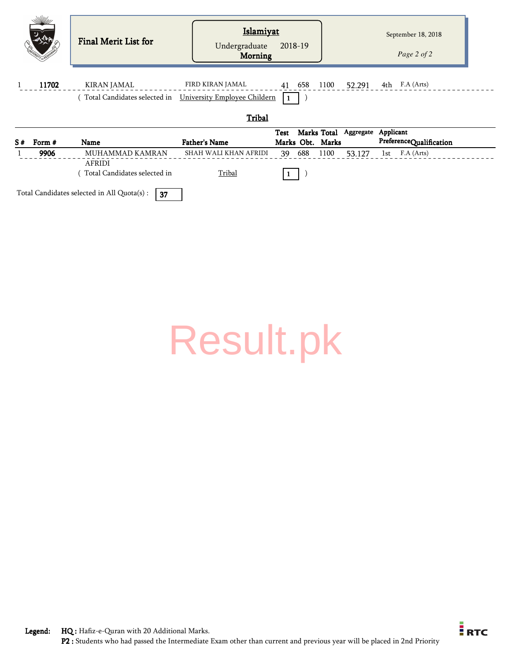| WWW                   | Final Merit List for             | <b>Islamiyat</b><br>Undergraduate<br><b>Morning</b>                           | 2018-19                                                  |        | September 18, 2018<br>Page 2 of 2    |
|-----------------------|----------------------------------|-------------------------------------------------------------------------------|----------------------------------------------------------|--------|--------------------------------------|
| 11702<br>$\mathbf{1}$ | KIRAN JAMAL                      | FIRD KIRAN JAMAL<br>Total Candidates selected in University Employee Childern | 41 658 1100 52.291 4th F.A (Arts)                        |        |                                      |
|                       |                                  | Tribal                                                                        |                                                          |        |                                      |
| S#<br>Form #          | Name                             | <b>Father's Name</b>                                                          | Marks Total Aggregate<br><b>Test</b><br>Marks Obt. Marks |        | Applicant<br>PreferenceQualification |
| 9906                  | MUHAMMAD KAMRAN<br><b>AFRIDI</b> | SHAH WALI KHAN AFRIDI                                                         | 688<br>1100<br>39                                        | 53.127 | F.A (Arts)<br>1st                    |

 $(Total$  Candidates selected in Tribal  $(T$ 

Total Candidates selected in All Quota(s) :  $\sqrt{37}$ 

[Result.pk](http://www.result.pk/)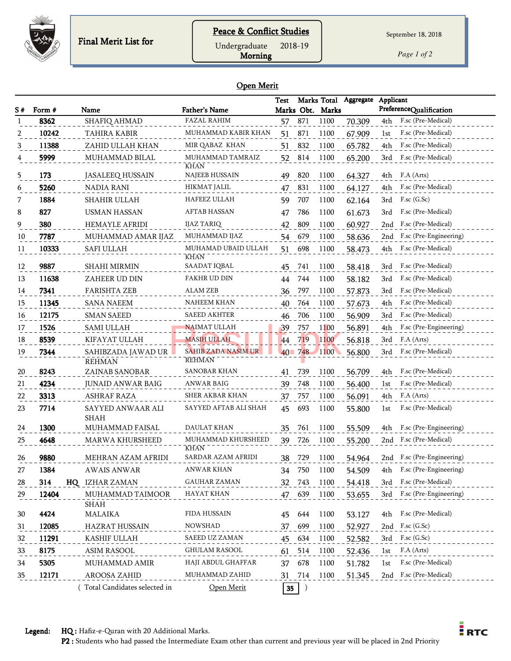

Undergraduate 2018-19

Morning

*Page 1 of 2*

#### Open Merit

|    |                |                                 |                                            | <b>Test</b>     |                  |                          | Marks Total Aggregate | Applicant                                            |
|----|----------------|---------------------------------|--------------------------------------------|-----------------|------------------|--------------------------|-----------------------|------------------------------------------------------|
| S# | Form #<br>8362 | Name<br>SHAFIQ AHMAD            | <b>Father's Name</b><br><b>FAZAL RAHIM</b> | 57              | 871              | Marks Obt. Marks<br>1100 | 70.309                | PreferenceQualification<br>F.sc (Pre-Medical)<br>4th |
| 2  | 10242          | TAHIRA KABIR                    | MUHAMMAD KABIR KHAN                        | 51              | 871              | 1100                     | 67.909                | F.sc (Pre-Medical)<br>1st                            |
| 3  | 11388          | ZAHID ULLAH KHAN                | MIR QABAZ KHAN                             | 51.             | 832              | 1100                     | 65.782                | F.sc (Pre-Medical)<br>4th                            |
| 4  | 5999           | MUHAMMAD BILAL                  | MUHAMMAD TAMRAIZ                           | 52              | 814              | 1100                     | 65.200                | F.sc (Pre-Medical)<br>3rd                            |
|    |                |                                 | <b>KHAN</b>                                |                 |                  |                          |                       |                                                      |
| 5  | 173            | <b>JASALEEQ HUSSAIN</b>         | <b>NAJEEB HUSSAIN</b>                      | 49              | 820              | 1100                     | 64.327                | F.A (Arts)<br>4th                                    |
| 6  | 5260           | <b>NADIA RANI</b>               | HIKMAT JALIL                               | 47              | 831              | 1100                     | 64.127                | F.sc (Pre-Medical)<br>4th.                           |
| 7  | 1884           | <b>SHAHIR ULLAH</b>             | HAFEEZ ULLAH                               | 59              | 707              | 1100                     | 62.164                | $F$ .sc $(G$ .Sc $)$<br>3rd                          |
| 8  | 827            | <b>USMAN HASSAN</b>             | <b>AFTAB HASSAN</b>                        | 47              | 786              | 1100                     | 61.673                | F.sc (Pre-Medical)<br>3rd                            |
| 9  | 380            | <b>HEMAYLE AFRIDI</b>           | <b>IJAZ TARIQ</b>                          | 42              | 809              | 1100                     | 60.927                | 2nd<br>F.sc (Pre-Medical)                            |
| 10 | 7787           | MUHAMMAD AMAR IJAZ              | MUHAMMAD IJAZ                              | 54              | 679              | 1100                     | 58.636                | F.sc (Pre-Engineering)<br>2nd                        |
| 11 | 10333          | <b>SAFI ULLAH</b>               | MUHAMAD UBAID ULLAH                        | 51              | 698              | 1100                     | 58.473                | F.sc (Pre-Medical)<br>4th.                           |
|    |                |                                 | <b>KHAN</b>                                |                 |                  |                          |                       |                                                      |
| 12 | 9887           | <b>SHAHI MIRMIN</b>             | SAADAT IQBAL                               | 45              | 741              | 1100                     | 58.418                | F.sc (Pre-Medical)<br>3rd                            |
| 13 | 11638          | ZAHEER UD DIN                   | FAKHR UD DIN                               | 44              | 744              | 1100                     | 58.182                | F.sc (Pre-Medical)<br>3rd                            |
| 14 | 7341           | <b>FARISHTA ZEB</b>             | ALAM ZEB                                   | 36              | 797              | 1100                     | 57.873                | F.sc (Pre-Medical)<br>3rd                            |
| 15 | 11345          | <b>SANA NAEEM</b>               | <b>NAHEEM KHAN</b>                         | 40              | 764              | 1100                     | 57.673                | F.sc (Pre-Medical)<br>4th                            |
| 16 | 12175          | <b>SMAN SAEED</b>               | <b>SAEED AKHTER</b>                        | 46              | 706              | 1100                     | 56.909                | F.sc (Pre-Medical)<br>3rd                            |
| 17 | 1526           | <b>SAMI ULLAH</b>               | NAIMAT ULLAH                               | 39              | 757              | 1100                     | 56.891                | F.sc (Pre-Engineering)<br>4th                        |
| 18 | 8539           | KIFAYAT ULLAH                   | <b>MASIH ULLAH</b>                         | 44              | 719              | 1100                     | 56.818                | F.A (Arts)<br>3rd                                    |
| 19 | 7344           | SAHIBZADA JAWAD UR              | <b>SAHIB ZADA NASIM UR</b><br>REHMAN       |                 | $40 - 748$       | 1100                     | 56.800                | F.sc (Pre-Medical)<br>3rd                            |
| 20 | 8243           | <b>REHMAN</b><br>ZAINAB SANOBAR | SANOBAR KHAN                               | 41              | 739              | 1100                     | 56.709                | F.sc (Pre-Medical)<br>4th                            |
| 21 | 4234           | <b>JUNAID ANWAR BAIG</b>        | ANWAR BAIG                                 | 39              | 748              | 1100                     | 56.400                | F.sc (Pre-Medical)<br>1st                            |
| 22 | 3313           | <b>ASHRAF RAZA</b>              | <b>SHER AKBAR KHAN</b>                     | 37              | 757              | 1100                     | 56.091                | F.A (Arts)<br>4th                                    |
| 23 | 7714           | SAYYED ANWAAR ALI               | SAYYED AFTAB ALI SHAH                      | 45              | 693              | 1100                     | 55.800                | F.sc (Pre-Medical)<br>1st                            |
|    |                | SHAH                            |                                            |                 |                  |                          |                       |                                                      |
| 24 | 1300           | MUHAMMAD FAISAL                 | DAULAT KHAN                                | 35              | 761              | 1100                     | 55.509                | F.sc (Pre-Engineering)<br>4th                        |
| 25 | 4648           | MARWA KHURSHEED                 | MUHAMMAD KHURSHEED                         | 39              | 726              | 1100                     | 55.200                | F.sc (Pre-Medical)<br>2nd                            |
|    |                |                                 | <b>KHAN</b>                                |                 |                  |                          |                       |                                                      |
| 26 | 9880           | MEHRAN AZAM AFRIDI              | SARDAR AZAM AFRIDI                         | 38              | 729              | 1100                     | 54.964                | 2nd F.sc (Pre-Engineering)                           |
| 27 | 1384           | <b>AWAIS ANWAR</b>              | ANWAR KHAN                                 | 34              | 750              | 1100                     | 54.509                | F.sc (Pre-Engineering)<br>4th                        |
| 28 | 314            | HQ IZHAR ZAMAN                  | GAUHAR ZAMAN                               | 32              | 743              | 1100                     | 54.418                | F.sc (Pre-Medical)<br>3rd                            |
| 29 | 12404          | MUHAMMAD TAIMOOR<br><b>SHAH</b> | HAYAT KHAN                                 | 47              | 639              | 1100                     | 53.655                | 3rd<br>F.sc (Pre-Engineering)                        |
| 30 | 4424           | <b>MALAIKA</b>                  | FIDA HUSSAIN                               | 45 644          |                  | 1100                     | 53.127                | F.sc (Pre-Medical)<br>4th                            |
| 31 | 12085          | <b>HAZRAT HUSSAIN</b>           | <b>NOWSHAD</b>                             | 37              | 699              | 1100                     | 52.927                | 2nd F.sc (G.Sc)                                      |
| 32 | 11291          | KASHIF ULLAH                    | SAEED UZ ZAMAN                             | 45              | 634              | 1100                     | 52.582                | F.sc (G.Sc)<br>3rd                                   |
| 33 | 8175           | <b>ASIM RASOOL</b>              | <b>GHULAM RASOOL</b>                       | 61              | 514              | 1100                     | 52.436                | F.A (Arts)<br>1st                                    |
| 34 | 5305           | MUHAMMAD AMIR                   | HAJI ABDUL GHAFFAR                         | 37              | 678              | 1100                     | 51.782                | F.sc (Pre-Medical)<br>1st                            |
| 35 | 12171          | AROOSA ZAHID                    | MUHAMMAD ZAHID                             |                 | 714              | 1100                     |                       | 2nd F.sc (Pre-Medical)                               |
|    |                |                                 |                                            | 31              |                  |                          | 51.345                |                                                      |
|    |                | Total Candidates selected in    | Open Merit                                 | $35\phantom{a}$ | $\left( \right)$ |                          |                       |                                                      |

Legend: HQ : Hafiz-e-Quran with 20 Additional Marks.